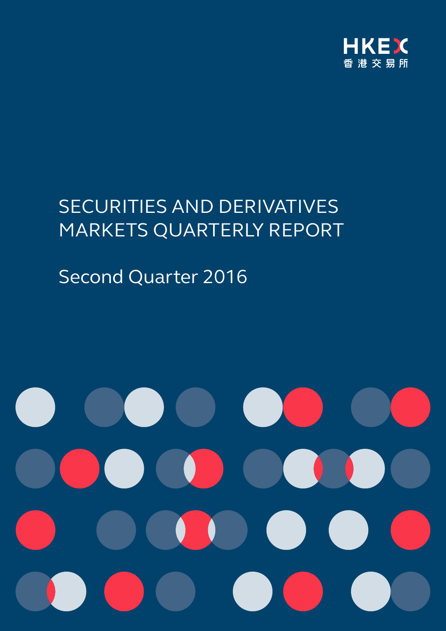

# SECURITIES AND DERIVATIVES MARKETS QUARTERLY REPORT

# Second Quarter 2016

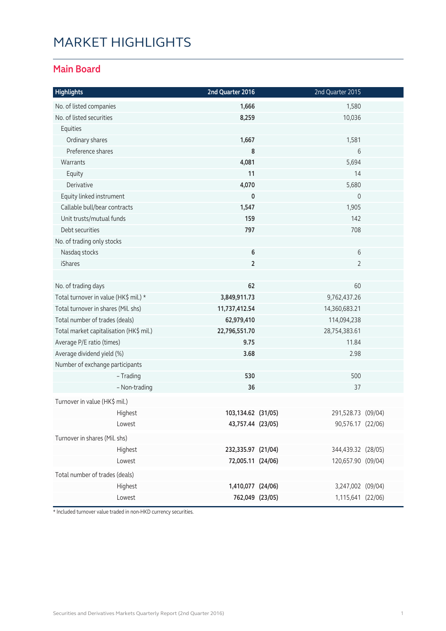# MARKET HIGHLIGHTS

#### **Main Board**

| <b>Highlights</b>                       | 2nd Quarter 2016   |                                | 2nd Quarter 2015    |  |
|-----------------------------------------|--------------------|--------------------------------|---------------------|--|
| No. of listed companies                 | 1,666              |                                | 1,580               |  |
| No. of listed securities                | 8,259              |                                | 10,036              |  |
| Equities                                |                    |                                |                     |  |
| Ordinary shares                         | 1,667              |                                | 1,581               |  |
| Preference shares                       | 8                  |                                | 6                   |  |
| Warrants                                | 4,081              |                                | 5,694               |  |
| Equity                                  | 11                 |                                | 14                  |  |
| Derivative                              | 4,070              |                                | 5,680               |  |
| Equity linked instrument                | $\mathbf 0$        |                                | $\mathsf{O}\xspace$ |  |
| Callable bull/bear contracts            | 1,547              |                                | 1,905               |  |
| Unit trusts/mutual funds                | 159                |                                | 142                 |  |
| Debt securities                         | 797                |                                | 708                 |  |
| No. of trading only stocks              |                    |                                |                     |  |
| Nasdaq stocks                           | 6                  |                                | 6                   |  |
| <b>iShares</b>                          | $\overline{2}$     |                                | $\overline{2}$      |  |
|                                         |                    |                                |                     |  |
| No. of trading days                     | 62                 |                                | 60                  |  |
| Total turnover in value (HK\$ mil.) *   | 3,849,911.73       |                                | 9,762,437.26        |  |
| Total turnover in shares (Mil. shs)     |                    | 11,737,412.54<br>14,360,683.21 |                     |  |
| Total number of trades (deals)          | 62,979,410         |                                | 114,094,238         |  |
| Total market capitalisation (HK\$ mil.) |                    | 22,796,551.70<br>28,754,383.61 |                     |  |
| Average P/E ratio (times)               | 9.75               |                                | 11.84               |  |
| Average dividend yield (%)              | 3.68               |                                | 2.98                |  |
| Number of exchange participants         |                    |                                |                     |  |
| - Trading                               | 530                |                                | 500                 |  |
| - Non-trading                           | 36                 |                                | 37                  |  |
| Turnover in value (HK\$ mil.)           |                    |                                |                     |  |
| Highest                                 | 103,134.62 (31/05) |                                | 291,528.73 (09/04)  |  |
| Lowest                                  | 43,757.44 (23/05)  |                                | 90,576.17 (22/06)   |  |
| Turnover in shares (Mil. shs)           |                    |                                |                     |  |
| Highest                                 | 232,335.97 (21/04) |                                | 344,439.32 (28/05)  |  |
| Lowest                                  | 72,005.11 (24/06)  |                                | 120,657.90 (09/04)  |  |
| Total number of trades (deals)          |                    |                                |                     |  |
| Highest                                 | 1,410,077 (24/06)  |                                | 3,247,002 (09/04)   |  |
| Lowest                                  | 762,049 (23/05)    |                                | 1,115,641 (22/06)   |  |

\* Included turnover value traded in non-HKD currency securities.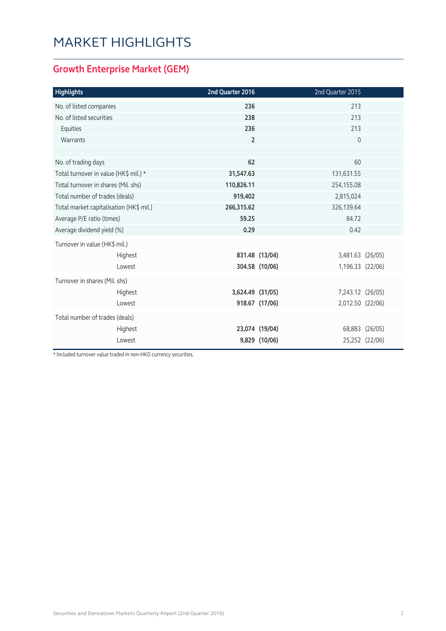# MARKET HIGHLIGHTS

### **Growth Enterprise Market (GEM)**

| <b>Highlights</b>                       | 2nd Quarter 2016 |                | 2nd Quarter 2015 |                |
|-----------------------------------------|------------------|----------------|------------------|----------------|
| No. of listed companies                 | 236              |                | 213              |                |
| No. of listed securities                | 238              |                | 213              |                |
| Equities                                | 236              |                | 213              |                |
| Warrants                                | $\overline{2}$   |                | $\mathbf 0$      |                |
|                                         |                  |                |                  |                |
| No. of trading days                     | 62               |                | 60               |                |
| Total turnover in value (HK\$ mil.) *   | 31,547.63        |                | 131,631.55       |                |
| Total turnover in shares (Mil. shs)     | 110,826.11       |                | 254,155.08       |                |
| Total number of trades (deals)          | 919,402          |                | 2,815,024        |                |
| Total market capitalisation (HK\$ mil.) | 266,315.62       |                | 326,139.64       |                |
| Average P/E ratio (times)               | 59.25            |                | 84.72            |                |
| Average dividend yield (%)              | 0.29             |                | 0.42             |                |
| Turnover in value (HK\$ mil.)           |                  |                |                  |                |
| Highest                                 |                  | 831.48 (13/04) | 3,481.63 (26/05) |                |
| Lowest                                  |                  | 304.58 (10/06) | 1,196.33 (22/06) |                |
| Turnover in shares (Mil. shs)           |                  |                |                  |                |
| Highest                                 | 3,624.49 (31/05) |                | 7,243.12 (26/05) |                |
| Lowest                                  |                  | 918.67 (17/06) | 2,012.50 (22/06) |                |
| Total number of trades (deals)          |                  |                |                  |                |
| Highest                                 |                  | 23,074 (19/04) |                  | 68,883 (26/05) |
| Lowest                                  |                  | 9,829 (10/06)  |                  | 25,252 (22/06) |

\* Included turnover value traded in non-HKD currency securities.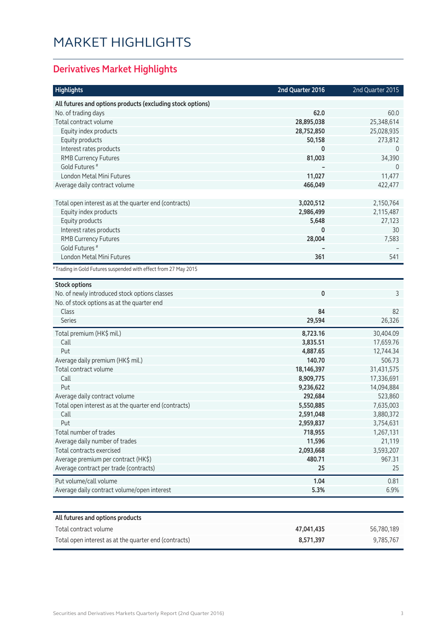# MARKET HIGHLIGHTS

### **Derivatives Market Highlights**

| <b>Highlights</b>                                               | 2nd Quarter 2016 | 2nd Quarter 2015 |
|-----------------------------------------------------------------|------------------|------------------|
| All futures and options products (excluding stock options)      |                  |                  |
| No. of trading days                                             | 62.0             | 60.0             |
| Total contract volume                                           | 28,895,038       | 25,348,614       |
| Equity index products                                           | 28,752,850       | 25,028,935       |
| Equity products                                                 | 50,158           | 273,812          |
| Interest rates products                                         | 0                | $\overline{0}$   |
| <b>RMB Currency Futures</b>                                     | 81,003           | 34,390           |
| Gold Futures <sup>#</sup>                                       |                  | $\Omega$         |
| London Metal Mini Futures                                       | 11,027           | 11,477           |
| Average daily contract volume                                   | 466,049          | 422,477          |
|                                                                 |                  |                  |
| Total open interest as at the quarter end (contracts)           | 3,020,512        | 2,150,764        |
| Equity index products                                           | 2,986,499        | 2,115,487        |
| Equity products                                                 | 5,648            | 27,123           |
| Interest rates products                                         | 0                | 30               |
| <b>RMB Currency Futures</b>                                     | 28,004           | 7,583            |
| Gold Futures <sup>#</sup>                                       |                  |                  |
| London Metal Mini Futures                                       | 361              | 541              |
| #Trading in Gold Futures suspended with effect from 27 May 2015 |                  |                  |
| <b>Stock options</b>                                            |                  |                  |
| No. of newly introduced stock options classes                   | 0                | 3                |
| No. of stock options as at the quarter end                      |                  |                  |
| Class                                                           | 84               | 82               |
| <b>Series</b>                                                   | 29,594           | 26,326           |
| Total premium (HK\$ mil.)                                       | 8,723.16         | 30,404.09        |
| Call                                                            | 3,835.51         | 17,659.76        |
| Put                                                             | 4,887.65         | 12,744.34        |
| Average daily premium (HK\$ mil.)                               | 140.70           | 506.73           |
| Total contract volume                                           | 18,146,397       | 31,431,575       |
| Call                                                            | 8,909,775        | 17,336,691       |
| Put                                                             | 9,236,622        | 14,094,884       |
| Average daily contract volume                                   | 292,684          | 523,860          |
| Total open interest as at the quarter end (contracts)           | 5,550,885        | 7,635,003        |
| Call                                                            | 2,591,048        | 3,880,372        |
| Put                                                             | 2,959,837        | 3,754,631        |
| Total number of trades                                          | 718,955          | 1,267,131        |
| Average daily number of trades                                  | 11,596           | 21,119           |
| Total contracts exercised                                       | 2,093,668        | 3,593,207        |
| Average premium per contract (HK\$)                             | 480.71           | 967.31           |
| Average contract per trade (contracts)                          | 25               | 25               |
| Put volume/call volume                                          | 1.04             | 0.81             |
| Average daily contract volume/open interest                     | 5.3%             | 6.9%             |
|                                                                 |                  |                  |
| All futures and options products                                |                  |                  |
| Total contract volume                                           | 47,041,435       | 56,780,189       |
| Total open interest as at the quarter end (contracts)           | 8,571,397        | 9,785,767        |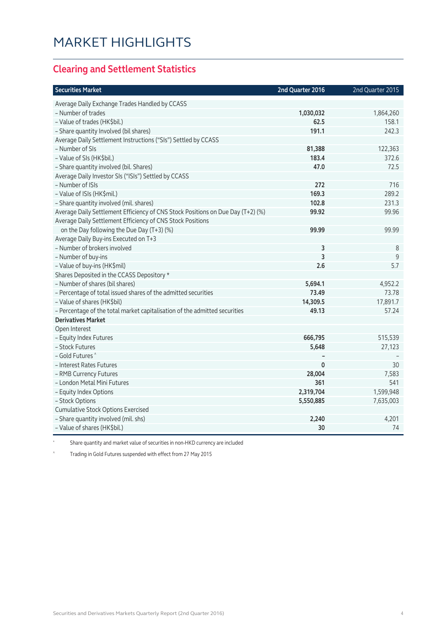### **Clearing and Settlement Statistics**

| <b>Securities Market</b>                                                        | 2nd Quarter 2016 | 2nd Quarter 2015 |
|---------------------------------------------------------------------------------|------------------|------------------|
| Average Daily Exchange Trades Handled by CCASS                                  |                  |                  |
| - Number of trades                                                              | 1,030,032        | 1,864,260        |
| - Value of trades (HK\$bil.)                                                    | 62.5             | 158.1            |
| - Share quantity Involved (bil shares)                                          | 191.1            | 242.3            |
| Average Daily Settlement Instructions ("SIs") Settled by CCASS                  |                  |                  |
| - Number of SIs                                                                 | 81,388           | 122,363          |
| - Value of SIs (HK\$bil.)                                                       | 183.4            | 372.6            |
| - Share quantity involved (bil. Shares)                                         | 47.0             | 72.5             |
| Average Daily Investor SIs ("ISIs") Settled by CCASS                            |                  |                  |
| - Number of ISIs                                                                | 272              | 716              |
| - Value of ISIs (HK\$mil.)                                                      | 169.3            | 289.2            |
| - Share quantity involved (mil. shares)                                         | 102.8            | 231.3            |
| Average Daily Settlement Efficiency of CNS Stock Positions on Due Day (T+2) (%) | 99.92            | 99.96            |
| Average Daily Settlement Efficiency of CNS Stock Positions                      |                  |                  |
| on the Day following the Due Day (T+3) (%)                                      | 99.99            | 99.99            |
| Average Daily Buy-ins Executed on T+3                                           |                  |                  |
| - Number of brokers involved                                                    | 3                | 8                |
| - Number of buy-ins                                                             | 3                | 9                |
| - Value of buy-ins (HK\$mil)                                                    | 2.6              | 5.7              |
| Shares Deposited in the CCASS Depository *                                      |                  |                  |
| - Number of shares (bil shares)                                                 | 5,694.1          | 4,952.2          |
| - Percentage of total issued shares of the admitted securities                  | 73.49            | 73.78            |
| - Value of shares (HK\$bil)                                                     | 14,309.5         | 17,891.7         |
| - Percentage of the total market capitalisation of the admitted securities      | 49.13            | 57.24            |
| <b>Derivatives Market</b>                                                       |                  |                  |
| Open Interest                                                                   |                  |                  |
| - Equity Index Futures                                                          | 666,795          | 515,539          |
| - Stock Futures                                                                 | 5,648            | 27,123           |
| - Gold Futures ^                                                                |                  |                  |
| - Interest Rates Futures                                                        | $\pmb{0}$        | 30               |
| - RMB Currency Futures                                                          | 28,004           | 7,583            |
| - London Metal Mini Futures                                                     | 361              | 541              |
| - Equity Index Options                                                          | 2,319,704        | 1,599,948        |
| - Stock Options                                                                 | 5,550,885        | 7,635,003        |
| <b>Cumulative Stock Options Exercised</b>                                       |                  |                  |
| - Share quantity involved (mil. shs)                                            | 2,240            | 4,201            |
| - Value of shares (HK\$bil.)                                                    | 30               | 74               |

\* Share quantity and market value of securities in non-HKD currency are included

^ Trading in Gold Futures suspended with effect from 27 May 2015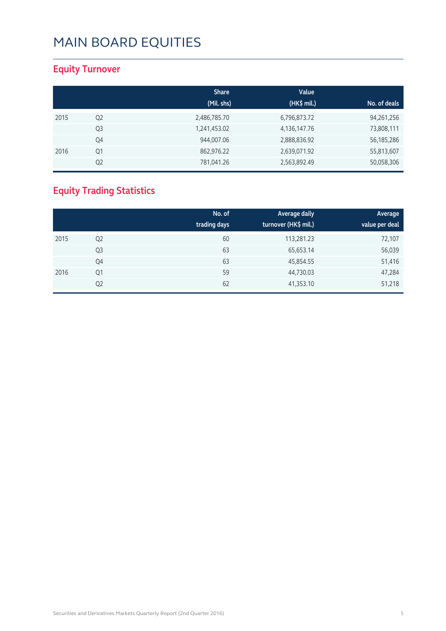### **Equity Turnover**

|      |                | <b>Share</b><br>(Mil. shs) | Value<br>(HK\$ mil.) | No. of deals |
|------|----------------|----------------------------|----------------------|--------------|
| 2015 | Q <sub>2</sub> | 2,486,785.70               | 6,796,873.72         | 94,261,256   |
|      | Q <sub>3</sub> | 1,241,453.02               | 4, 136, 147. 76      | 73,808,111   |
|      | Q4             | 944,007.06                 | 2,888,836.92         | 56, 185, 286 |
| 2016 | Q1             | 862,976.22                 | 2,639,071.92         | 55,813,607   |
|      | Q <sub>2</sub> | 781,041.26                 | 2,563,892.49         | 50,058,306   |

### **Equity Trading Statistics**

|      |                | No. of<br>trading days | Average daily<br>turnover (HK\$ mil.) | Average<br>value per deal |
|------|----------------|------------------------|---------------------------------------|---------------------------|
| 2015 | Q <sub>2</sub> | 60                     | 113,281.23                            | 72,107                    |
|      | Q3             | 63                     | 65,653.14                             | 56,039                    |
|      | Q4             | 63                     | 45,854.55                             | 51,416                    |
| 2016 | Q1             | 59                     | 44,730.03                             | 47,284                    |
|      | Q <sub>2</sub> | 62                     | 41,353.10                             | 51,218                    |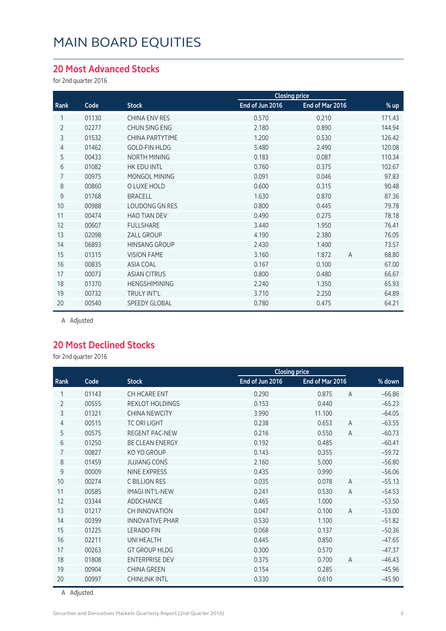#### **20 Most Advanced Stocks**

for 2nd quarter 2016

|                |       |                        | <b>Closing price</b> |                 |                         |
|----------------|-------|------------------------|----------------------|-----------------|-------------------------|
| Rank           | Code  | <b>Stock</b>           | End of Jun 2016      | End of Mar 2016 | % up                    |
|                | 01130 | <b>CHINA ENV RES</b>   | 0.570                | 0.210           | 171.43                  |
| $\overline{2}$ | 02277 | CHUN SING ENG          | 2.180                | 0.890           | 144.94                  |
| 3              | 01532 | <b>CHINA PARTYTIME</b> | 1.200                | 0.530           | 126.42                  |
| 4              | 01462 | <b>GOLD-FIN HLDG</b>   | 5.480                | 2.490           | 120.08                  |
| 5              | 00433 | NORTH MINING           | 0.183                | 0.087           | 110.34                  |
| 6              | 01082 | HK EDU INTL            | 0.760                | 0.375           | 102.67                  |
| 7              | 00975 | MONGOL MINING          | 0.091                | 0.046           | 97.83                   |
| 8              | 00860 | O LUXE HOLD            | 0.600                | 0.315           | 90.48                   |
| 9              | 01768 | <b>BRACELL</b>         | 1.630                | 0.870           | 87.36                   |
| 10             | 00988 | <b>LOUDONG GN RES</b>  | 0.800                | 0.445           | 79.78                   |
| 11             | 00474 | <b>HAO TIAN DEV</b>    | 0.490                | 0.275           | 78.18                   |
| 12             | 00607 | <b>FULLSHARE</b>       | 3.440                | 1.950           | 76.41                   |
| 13             | 02098 | ZALL GROUP             | 4.190                | 2.380           | 76.05                   |
| 14             | 06893 | <b>HINSANG GROUP</b>   | 2.430                | 1.400           | 73.57                   |
| 15             | 01315 | <b>VISION FAME</b>     | 3.160                | 1.872           | 68.80<br>$\overline{A}$ |
| 16             | 00835 | <b>ASIA COAL</b>       | 0.167                | 0.100           | 67.00                   |
| 17             | 00073 | <b>ASIAN CITRUS</b>    | 0.800                | 0.480           | 66.67                   |
| 18             | 01370 | <b>HENGSHIMINING</b>   | 2.240                | 1.350           | 65.93                   |
| 19             | 00732 | <b>TRULY INT'L</b>     | 3.710                | 2.250           | 64.89                   |
| 20             | 00540 | <b>SPEEDY GLOBAL</b>   | 0.780                | 0.475           | 64.21                   |
|                |       |                        |                      |                 |                         |

A Adjusted

#### **20 Most Declined Stocks**

for 2nd quarter 2016

|                |       |                        |                 | <b>Closing price</b> |                |          |
|----------------|-------|------------------------|-----------------|----------------------|----------------|----------|
| Rank           | Code  | <b>Stock</b>           | End of Jun 2016 | End of Mar 2016      |                | % down   |
| 1              | 01143 | CH HCARE ENT           | 0.290           | 0.875                | $\overline{A}$ | $-66.86$ |
| $\overline{2}$ | 00555 | <b>REXLOT HOLDINGS</b> | 0.153           | 0.440                |                | $-65.23$ |
| 3              | 01321 | <b>CHINA NEWCITY</b>   | 3.990           | 11.100               |                | $-64.05$ |
| 4              | 00515 | <b>TC ORI LIGHT</b>    | 0.238           | 0.653                | A              | $-63.55$ |
| 5              | 00575 | <b>REGENT PAC-NEW</b>  | 0.216           | 0.550                | $\overline{A}$ | $-60.73$ |
| 6              | 01250 | <b>BE CLEAN ENERGY</b> | 0.192           | 0.485                |                | $-60.41$ |
| $\overline{7}$ | 00827 | KO YO GROUP            | 0.143           | 0.355                |                | $-59.72$ |
| 8              | 01459 | <b>JUJIANG CONS</b>    | 2.160           | 5.000                |                | $-56.80$ |
| 9              | 00009 | NINE EXPRESS           | 0.435           | 0.990                |                | $-56.06$ |
| 10             | 00274 | C BILLION RES          | 0.035           | 0.078                | $\overline{A}$ | $-55.13$ |
| 11             | 00585 | <b>IMAGI INT'L-NEW</b> | 0.241           | 0.530                | $\overline{A}$ | $-54.53$ |
| 12             | 03344 | <b>ADDCHANCE</b>       | 0.465           | 1.000                |                | $-53.50$ |
| 13             | 01217 | CH INNOVATION          | 0.047           | 0.100                | $\overline{A}$ | $-53.00$ |
| 14             | 00399 | <b>INNOVATIVE PHAR</b> | 0.530           | 1.100                |                | $-51.82$ |
| 15             | 01225 | <b>LERADO FIN</b>      | 0.068           | 0.137                |                | $-50.36$ |
| 16             | 02211 | <b>UNI HEALTH</b>      | 0.445           | 0.850                |                | $-47.65$ |
| 17             | 00263 | <b>GT GROUP HLDG</b>   | 0.300           | 0.570                |                | $-47.37$ |
| 18             | 01808 | <b>ENTERPRISE DEV</b>  | 0.375           | 0.700                | $\overline{A}$ | $-46.43$ |
| 19             | 00904 | <b>CHINA GREEN</b>     | 0.154           | 0.285                |                | $-45.96$ |
| 20             | 00997 | <b>CHINLINK INTL</b>   | 0.330           | 0.610                |                | $-45.90$ |

A Adjusted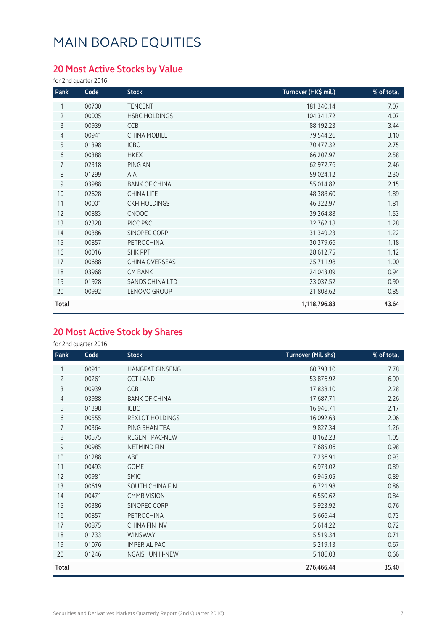### **20 Most Active Stocks by Value**

for 2nd quarter 2016

| Rank           | Code  | <b>Stock</b>         | Turnover (HK\$ mil.) | % of total |
|----------------|-------|----------------------|----------------------|------------|
| 1              | 00700 | <b>TENCENT</b>       | 181,340.14           | 7.07       |
| $\overline{2}$ | 00005 | <b>HSBC HOLDINGS</b> | 104,341.72           | 4.07       |
| 3              | 00939 | <b>CCB</b>           | 88,192.23            | 3.44       |
| 4              | 00941 | <b>CHINA MOBILE</b>  | 79,544.26            | 3.10       |
| 5              | 01398 | <b>ICBC</b>          | 70,477.32            | 2.75       |
| 6              | 00388 | <b>HKEX</b>          | 66,207.97            | 2.58       |
| 7              | 02318 | PING AN              | 62,972.76            | 2.46       |
| 8              | 01299 | AIA                  | 59,024.12            | 2.30       |
| 9              | 03988 | <b>BANK OF CHINA</b> | 55,014.82            | 2.15       |
| 10             | 02628 | CHINA LIFE           | 48,388.60            | 1.89       |
| 11             | 00001 | <b>CKH HOLDINGS</b>  | 46,322.97            | 1.81       |
| 12             | 00883 | <b>CNOOC</b>         | 39,264.88            | 1.53       |
| 13             | 02328 | PICC P&C             | 32,762.18            | 1.28       |
| 14             | 00386 | SINOPEC CORP         | 31,349.23            | 1.22       |
| 15             | 00857 | <b>PETROCHINA</b>    | 30,379.66            | 1.18       |
| 16             | 00016 | <b>SHK PPT</b>       | 28,612.75            | 1.12       |
| 17             | 00688 | CHINA OVERSEAS       | 25,711.98            | 1.00       |
| 18             | 03968 | <b>CM BANK</b>       | 24,043.09            | 0.94       |
| 19             | 01928 | SANDS CHINA LTD      | 23,037.52            | 0.90       |
| 20             | 00992 | LENOVO GROUP         | 21,808.62            | 0.85       |
| Total          |       |                      | 1,118,796.83         | 43.64      |

### **20 Most Active Stock by Shares**

for 2nd quarter 2016

| Rank           | Code  | <b>Stock</b>           | Turnover (Mil. shs) | % of total |
|----------------|-------|------------------------|---------------------|------------|
|                | 00911 | <b>HANGFAT GINSENG</b> | 60,793.10           | 7.78       |
| $\overline{2}$ | 00261 | <b>CCT LAND</b>        | 53,876.92           | 6.90       |
| 3              | 00939 | CCB                    | 17,838.10           | 2.28       |
| 4              | 03988 | <b>BANK OF CHINA</b>   | 17,687.71           | 2.26       |
| 5              | 01398 | <b>ICBC</b>            | 16,946.71           | 2.17       |
| 6              | 00555 | REXLOT HOLDINGS        | 16,092.63           | 2.06       |
| 7              | 00364 | PING SHAN TEA          | 9,827.34            | 1.26       |
| 8              | 00575 | REGENT PAC-NEW         | 8,162.23            | 1.05       |
| 9              | 00985 | <b>NETMIND FIN</b>     | 7,685.06            | 0.98       |
| 10             | 01288 | ABC                    | 7,236.91            | 0.93       |
| 11             | 00493 | <b>GOME</b>            | 6,973.02            | 0.89       |
| 12             | 00981 | <b>SMIC</b>            | 6,945.05            | 0.89       |
| 13             | 00619 | SOUTH CHINA FIN        | 6,721.98            | 0.86       |
| 14             | 00471 | <b>CMMB VISION</b>     | 6,550.62            | 0.84       |
| 15             | 00386 | SINOPEC CORP           | 5,923.92            | 0.76       |
| 16             | 00857 | <b>PETROCHINA</b>      | 5,666.44            | 0.73       |
| 17             | 00875 | <b>CHINA FIN INV</b>   | 5,614.22            | 0.72       |
| 18             | 01733 | WINSWAY                | 5,519.34            | 0.71       |
| 19             | 01076 | <b>IMPERIAL PAC</b>    | 5,219.13            | 0.67       |
| 20             | 01246 | <b>NGAISHUN H-NEW</b>  | 5,186.03            | 0.66       |
| Total          |       |                        | 276,466.44          | 35.40      |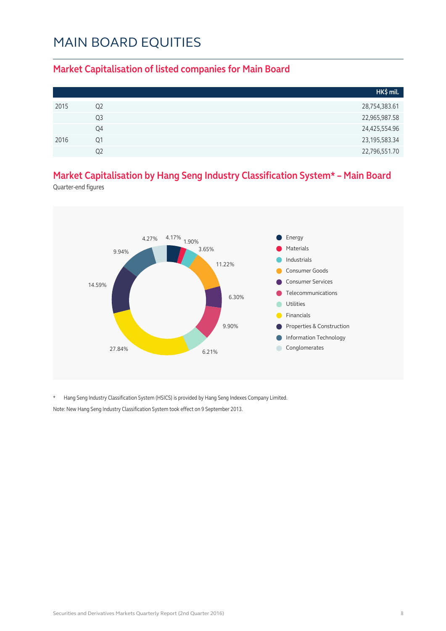#### **Market Capitalisation of listed companies for Main Board**

|      |                | HK\$ mil.        |
|------|----------------|------------------|
| 2015 | Q <sub>2</sub> | 28,754,383.61    |
|      | Q3             | 22,965,987.58    |
|      | Q4             | 24,425,554.96    |
| 2016 | Ο1             | 23, 195, 583. 34 |
|      | O2             | 22,796,551.70    |

### **Market Capitalisation by Hang Seng Industry Classification System\* – Main Board**

Quarter-end figures



\* Hang Seng Industry Classification System (HSICS) is provided by Hang Seng Indexes Company Limited. Note: New Hang Seng Industry Classification System took effect on 9 September 2013.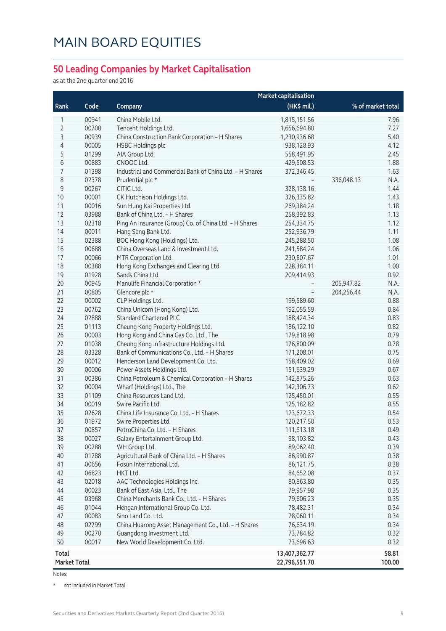#### **50 Leading Companies by Market Capitalisation**

as at the 2nd quarter end 2016

|                |       |                                                         | <b>Market capitalisation</b> |                   |        |
|----------------|-------|---------------------------------------------------------|------------------------------|-------------------|--------|
| Rank           | Code  | Company                                                 | (HK\$ mil.)                  | % of market total |        |
| 1              | 00941 | China Mobile Ltd.                                       | 1,815,151.56                 |                   | 7.96   |
| $\overline{2}$ | 00700 | Tencent Holdings Ltd.                                   | 1,656,694.80                 |                   | 7.27   |
| 3              | 00939 | China Construction Bank Corporation - H Shares          | 1,230,936.68                 |                   | 5.40   |
| $\overline{4}$ | 00005 | <b>HSBC Holdings plc</b>                                | 938,128.93                   |                   | 4.12   |
| 5              | 01299 | AIA Group Ltd.                                          | 558,491.95                   |                   | 2.45   |
| 6              | 00883 | CNOOC Ltd.                                              | 429,508.53                   |                   | 1.88   |
| 7              | 01398 | Industrial and Commercial Bank of China Ltd. - H Shares | 372,346.45                   |                   | 1.63   |
| 8              | 02378 | Prudential plc *                                        |                              | 336,048.13        | N.A.   |
| $\mathsf 9$    | 00267 | CITIC Ltd.                                              | 328,138.16                   |                   | 1.44   |
| 10             | 00001 | CK Hutchison Holdings Ltd.                              | 326,335.82                   |                   | 1.43   |
| 11             | 00016 | Sun Hung Kai Properties Ltd.                            | 269,384.24                   |                   | 1.18   |
| 12             | 03988 | Bank of China Ltd. - H Shares                           | 258,392.83                   |                   | 1.13   |
| 13             | 02318 | Ping An Insurance (Group) Co. of China Ltd. - H Shares  | 254,334.75                   |                   | 1.12   |
| 14             | 00011 | Hang Seng Bank Ltd.                                     | 252,936.79                   |                   | 1.11   |
| 15             | 02388 | BOC Hong Kong (Holdings) Ltd.                           | 245,288.50                   |                   | 1.08   |
| 16             | 00688 | China Overseas Land & Investment Ltd.                   | 241,584.24                   |                   | 1.06   |
| 17             | 00066 | MTR Corporation Ltd.                                    | 230,507.67                   |                   | 1.01   |
| 18             | 00388 | Hong Kong Exchanges and Clearing Ltd.                   | 228,384.11                   |                   | 1.00   |
| 19             | 01928 | Sands China Ltd.                                        | 209,414.93                   |                   | 0.92   |
| 20             | 00945 | Manulife Financial Corporation *                        |                              | 205,947.82        | N.A.   |
| 21             | 00805 | Glencore plc *                                          |                              | 204,256.44        | N.A.   |
| 22             | 00002 | CLP Holdings Ltd.                                       | 199,589.60                   |                   | 0.88   |
| 23             | 00762 | China Unicom (Hong Kong) Ltd.                           | 192,055.59                   |                   | 0.84   |
| 24             | 02888 | <b>Standard Chartered PLC</b>                           | 188,424.34                   |                   | 0.83   |
| 25             | 01113 | Cheung Kong Property Holdings Ltd.                      | 186,122.10                   |                   | 0.82   |
| 26             | 00003 | Hong Kong and China Gas Co. Ltd., The                   | 179,818.98                   |                   | 0.79   |
| 27             | 01038 | Cheung Kong Infrastructure Holdings Ltd.                | 176,800.09                   |                   | 0.78   |
| 28             | 03328 | Bank of Communications Co., Ltd. - H Shares             | 171,208.01                   |                   | 0.75   |
| 29             | 00012 | Henderson Land Development Co. Ltd.                     | 158,409.02                   |                   | 0.69   |
| 30             | 00006 | Power Assets Holdings Ltd.                              | 151,639.29                   |                   | 0.67   |
| 31             | 00386 | China Petroleum & Chemical Corporation - H Shares       | 142,875.26                   |                   | 0.63   |
| 32             | 00004 | Wharf (Holdings) Ltd., The                              | 142,306.73                   |                   | 0.62   |
| 33             | 01109 | China Resources Land Ltd.                               | 125,450.01                   |                   | 0.55   |
| 34             | 00019 | Swire Pacific Ltd.                                      | 125,182.82                   |                   | 0.55   |
| 35             | 02628 | China Life Insurance Co. Ltd. - H Shares                | 123,672.33                   |                   | 0.54   |
| 36             | 01972 | Swire Properties Ltd.                                   | 120,217.50                   |                   | 0.53   |
| 37             | 00857 | PetroChina Co. Ltd. - H Shares                          | 111,613.18                   |                   | 0.49   |
| 38             | 00027 | Galaxy Entertainment Group Ltd.                         | 98,103.82                    |                   | 0.43   |
| 39             | 00288 | WH Group Ltd.                                           | 89,062.40                    |                   | 0.39   |
| 40             | 01288 | Agricultural Bank of China Ltd. - H Shares              | 86,990.87                    |                   | 0.38   |
| 41             | 00656 | Fosun International Ltd.                                | 86,121.75                    |                   | 0.38   |
| 42             | 06823 | HKT Ltd.                                                | 84,652.08                    |                   | 0.37   |
| 43             | 02018 | AAC Technologies Holdings Inc.                          | 80,863.80                    |                   | 0.35   |
| 44             | 00023 | Bank of East Asia, Ltd., The                            | 79,957.98                    |                   | 0.35   |
| 45             | 03968 | China Merchants Bank Co., Ltd. - H Shares               | 79,606.23                    |                   | 0.35   |
| 46             | 01044 | Hengan International Group Co. Ltd.                     | 78,482.31                    |                   | 0.34   |
| 47             | 00083 | Sino Land Co. Ltd.                                      | 78,060.11                    |                   | 0.34   |
| 48             | 02799 | China Huarong Asset Management Co., Ltd. - H Shares     | 76,634.19                    |                   | 0.34   |
| 49             | 00270 | Guangdong Investment Ltd.                               | 73,784.82                    |                   | 0.32   |
| 50             | 00017 | New World Development Co. Ltd.                          | 73,696.63                    |                   | 0.32   |
| <b>Total</b>   |       |                                                         | 13,407,362.77                |                   | 58.81  |
| Market Total   |       |                                                         | 22,796,551.70                |                   | 100.00 |

Notes:

\* not included in Market Total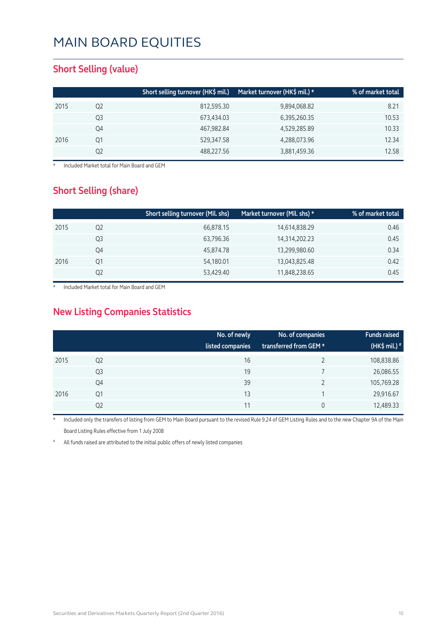#### **Short Selling (value)**

|      |    | Short selling turnover (HK\$ mil.) | Market turnover (HK\$ mil.) * | % of market total |
|------|----|------------------------------------|-------------------------------|-------------------|
| 2015 | Q2 | 812,595.30                         | 9,894,068.82                  | 8.21              |
|      | Q3 | 673,434.03                         | 6,395,260.35                  | 10.53             |
|      | Q4 | 467,982.84                         | 4,529,285.89                  | 10.33             |
| 2016 | Q1 | 529,347.58                         | 4,288,073.96                  | 12.34             |
|      | Q2 | 488,227.56                         | 3,881,459.36                  | 12.58             |

**Included Market total for Main Board and GEM** 

#### **Short Selling (share)**

|      |    | Short selling turnover (Mil. shs) | Market turnover (Mil. shs) * | % of market total |
|------|----|-----------------------------------|------------------------------|-------------------|
| 2015 | Q2 | 66,878.15                         | 14,614,838.29                | 0.46              |
|      | Q3 | 63,796.36                         | 14,314,202.23                | 0.45              |
|      | Q4 | 45,874.78                         | 13,299,980.60                | 0.34              |
| 2016 | Q1 | 54,180.01                         | 13,043,825.48                | 0.42              |
|      | Q2 | 53,429.40                         | 11,848,238.65                | 0.45              |

Included Market total for Main Board and GEM

### **New Listing Companies Statistics**

|      |                | No. of newly<br>listed companies | No. of companies<br>transferred from GEM * | <b>Funds raised</b><br>(HK\$ mil.) <sup>#</sup> |
|------|----------------|----------------------------------|--------------------------------------------|-------------------------------------------------|
| 2015 | Q <sub>2</sub> | 16                               |                                            | 108,838.86                                      |
|      | Q3             | 19                               |                                            | 26,086.55                                       |
|      | Q4             | 39                               |                                            | 105,769.28                                      |
| 2016 | Q1             | 13                               |                                            | 29,916.67                                       |
|      | Q2             | 11                               | 0                                          | 12,489.33                                       |

Included only the transfers of listing from GEM to Main Board pursuant to the revised Rule 9.24 of GEM Listing Rules and to the new Chapter 9A of the Main Board Listing Rules effective from 1 July 2008

All funds raised are attributed to the initial public offers of newly listed companies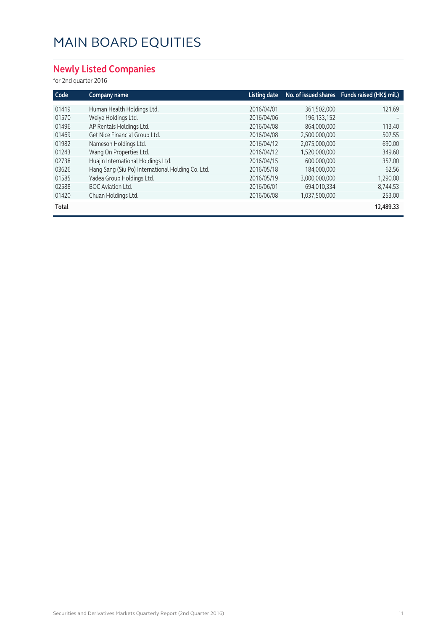### **Newly Listed Companies**

#### for 2nd quarter 2016

| Code  | Company name                                      | Listing date |               | No. of issued shares Funds raised (HK\$ mil.) |
|-------|---------------------------------------------------|--------------|---------------|-----------------------------------------------|
| 01419 | Human Health Holdings Ltd.                        | 2016/04/01   | 361,502,000   | 121.69                                        |
| 01570 | Weiye Holdings Ltd.                               | 2016/04/06   | 196, 133, 152 |                                               |
| 01496 | AP Rentals Holdings Ltd.                          | 2016/04/08   | 864,000,000   | 113.40                                        |
| 01469 | Get Nice Financial Group Ltd.                     | 2016/04/08   | 2.500.000.000 | 507.55                                        |
| 01982 | Nameson Holdings Ltd.                             | 2016/04/12   | 2.075.000.000 | 690.00                                        |
| 01243 | Wang On Properties Ltd.                           | 2016/04/12   | 1,520,000,000 | 349.60                                        |
| 02738 | Huajin International Holdings Ltd.                | 2016/04/15   | 600,000,000   | 357.00                                        |
| 03626 | Hang Sang (Siu Po) International Holding Co. Ltd. | 2016/05/18   | 184,000,000   | 62.56                                         |
| 01585 | Yadea Group Holdings Ltd.                         | 2016/05/19   | 3,000,000,000 | 1,290.00                                      |
| 02588 | <b>BOC Aviation Ltd.</b>                          | 2016/06/01   | 694.010.334   | 8,744.53                                      |
| 01420 | Chuan Holdings Ltd.                               | 2016/06/08   | 1,037,500,000 | 253.00                                        |
| Total |                                                   |              |               | 12,489.33                                     |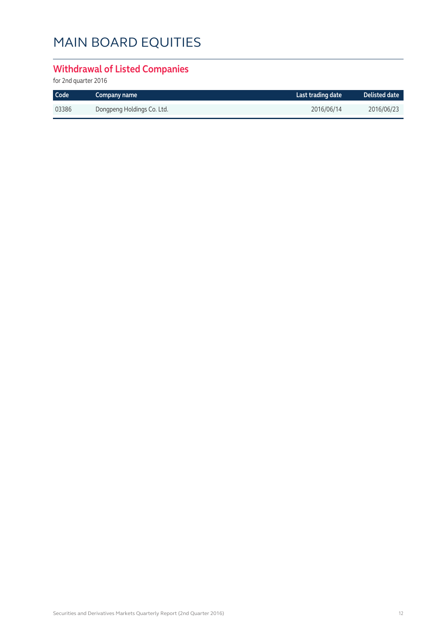### **Withdrawal of Listed Companies**

for 2nd quarter 2016

| Code  | Company name               | Last trading date | $\blacksquare$ Delisted date $\blacksquare$ |
|-------|----------------------------|-------------------|---------------------------------------------|
| 03386 | Dongpeng Holdings Co. Ltd. | 2016/06/14        | 2016/06/23                                  |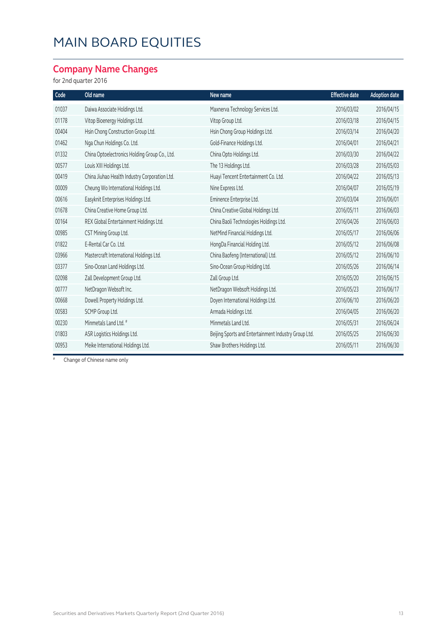### **Company Name Changes**

#### for 2nd quarter 2016

| Code  | Old name                                      | New name                                             | <b>Effective date</b> | <b>Adoption date</b> |
|-------|-----------------------------------------------|------------------------------------------------------|-----------------------|----------------------|
| 01037 | Daiwa Associate Holdings Ltd.                 | Maxnerva Technology Services Ltd.                    | 2016/03/02            | 2016/04/15           |
| 01178 | Vitop Bioenergy Holdings Ltd.                 | Vitop Group Ltd.                                     | 2016/03/18            | 2016/04/15           |
| 00404 | Hsin Chong Construction Group Ltd.            | Hsin Chong Group Holdings Ltd.                       | 2016/03/14            | 2016/04/20           |
| 01462 | Nga Chun Holdings Co. Ltd.                    | Gold-Finance Holdings Ltd.                           | 2016/04/01            | 2016/04/21           |
| 01332 | China Optoelectronics Holding Group Co., Ltd. | China Opto Holdings Ltd.                             | 2016/03/30            | 2016/04/22           |
| 00577 | Louis XIII Holdings Ltd.                      | The 13 Holdings Ltd.                                 | 2016/03/28            | 2016/05/03           |
| 00419 | China Jiuhao Health Industry Corporation Ltd. | Huayi Tencent Entertainment Co. Ltd.                 | 2016/04/22            | 2016/05/13           |
| 00009 | Cheung Wo International Holdings Ltd.         | Nine Express Ltd.                                    | 2016/04/07            | 2016/05/19           |
| 00616 | Easyknit Enterprises Holdings Ltd.            | Eminence Enterprise Ltd.                             | 2016/03/04            | 2016/06/01           |
| 01678 | China Creative Home Group Ltd.                | China Creative Global Holdings Ltd.                  | 2016/05/11            | 2016/06/03           |
| 00164 | REX Global Entertainment Holdings Ltd.        | China Baoli Technologies Holdings Ltd.               | 2016/04/26            | 2016/06/03           |
| 00985 | CST Mining Group Ltd.                         | NetMind Financial Holdings Ltd.                      | 2016/05/17            | 2016/06/06           |
| 01822 | E-Rental Car Co. Ltd.                         | HongDa Financial Holding Ltd.                        | 2016/05/12            | 2016/06/08           |
| 03966 | Mastercraft International Holdings Ltd.       | China Baofeng (International) Ltd.                   | 2016/05/12            | 2016/06/10           |
| 03377 | Sino-Ocean Land Holdings Ltd.                 | Sino-Ocean Group Holding Ltd.                        | 2016/05/26            | 2016/06/14           |
| 02098 | Zall Development Group Ltd.                   | Zall Group Ltd.                                      | 2016/05/20            | 2016/06/15           |
| 00777 | NetDragon Websoft Inc.                        | NetDragon Websoft Holdings Ltd.                      | 2016/05/23            | 2016/06/17           |
| 00668 | Dowell Property Holdings Ltd.                 | Doyen International Holdings Ltd.                    | 2016/06/10            | 2016/06/20           |
| 00583 | SCMP Group Ltd.                               | Armada Holdings Ltd.                                 | 2016/04/05            | 2016/06/20           |
| 00230 | Minmetals Land Ltd. #                         | Minmetals Land Ltd.                                  | 2016/05/31            | 2016/06/24           |
| 01803 | ASR Logistics Holdings Ltd.                   | Beijing Sports and Entertainment Industry Group Ltd. | 2016/05/25            | 2016/06/30           |
| 00953 | Meike International Holdings Ltd.             | Shaw Brothers Holdings Ltd.                          | 2016/05/11            | 2016/06/30           |

# Change of Chinese name only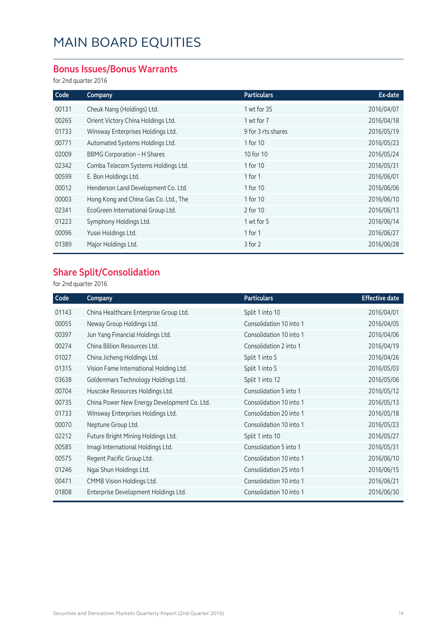#### **Bonus Issues/Bonus Warrants**

for 2nd quarter 2016

| Code  | Company                               | <b>Particulars</b> | Ex-date    |
|-------|---------------------------------------|--------------------|------------|
| 00131 | Cheuk Nang (Holdings) Ltd.            | 1 wt for 35        | 2016/04/07 |
| 00265 | Orient Victory China Holdings Ltd.    | 1 wt for 7         | 2016/04/18 |
| 01733 | Winsway Enterprises Holdings Ltd.     | 9 for 3 rts shares | 2016/05/19 |
| 00771 | Automated Systems Holdings Ltd.       | 1 for 10           | 2016/05/23 |
| 02009 | <b>BBMG Corporation - H Shares</b>    | 10 for 10          | 2016/05/24 |
| 02342 | Comba Telecom Systems Holdings Ltd.   | 1 for 10           | 2016/05/31 |
| 00599 | E. Bon Holdings Ltd.                  | 1 for 1            | 2016/06/01 |
| 00012 | Henderson Land Development Co. Ltd.   | 1 for 10           | 2016/06/06 |
| 00003 | Hong Kong and China Gas Co. Ltd., The | 1 for 10           | 2016/06/10 |
| 02341 | EcoGreen International Group Ltd.     | 2 for 10           | 2016/06/13 |
| 01223 | Symphony Holdings Ltd.                | 1 wt for 5         | 2016/06/14 |
| 00096 | Yusei Holdings Ltd.                   | 1 for $1$          | 2016/06/27 |
| 01389 | Major Holdings Ltd.                   | 3 for 2            | 2016/06/28 |

### **Share Split/Consolidation**

for 2nd quarter 2016

| Code  | Company                                     | <b>Particulars</b>      | <b>Effective date</b> |
|-------|---------------------------------------------|-------------------------|-----------------------|
| 01143 | China Healthcare Enterprise Group Ltd.      | Split 1 into 10         | 2016/04/01            |
| 00055 | Neway Group Holdings Ltd.                   | Consolidation 10 into 1 | 2016/04/05            |
| 00397 | Jun Yang Financial Holdings Ltd.            | Consolidation 10 into 1 | 2016/04/06            |
| 00274 | China Billion Resources Ltd.                | Consolidation 2 into 1  | 2016/04/19            |
| 01027 | China Jicheng Holdings Ltd.                 | Split 1 into 5          | 2016/04/26            |
| 01315 | Vision Fame International Holding Ltd.      | Split 1 into 5          | 2016/05/03            |
| 03638 | Goldenmars Technology Holdings Ltd.         | Split 1 into 12         | 2016/05/06            |
| 00704 | Huscoke Resources Holdings Ltd.             | Consolidation 5 into 1  | 2016/05/12            |
| 00735 | China Power New Energy Development Co. Ltd. | Consolidation 10 into 1 | 2016/05/13            |
| 01733 | Winsway Enterprises Holdings Ltd.           | Consolidation 20 into 1 | 2016/05/18            |
| 00070 | Neptune Group Ltd.                          | Consolidation 10 into 1 | 2016/05/23            |
| 02212 | Future Bright Mining Holdings Ltd.          | Split 1 into 10         | 2016/05/27            |
| 00585 | Imagi International Holdings Ltd.           | Consolidation 5 into 1  | 2016/05/31            |
| 00575 | Regent Pacific Group Ltd.                   | Consolidation 10 into 1 | 2016/06/10            |
| 01246 | Ngai Shun Holdings Ltd.                     | Consolidation 25 into 1 | 2016/06/15            |
| 00471 | CMMB Vision Holdings Ltd.                   | Consolidation 10 into 1 | 2016/06/21            |
| 01808 | Enterprise Development Holdings Ltd.        | Consolidation 10 into 1 | 2016/06/30            |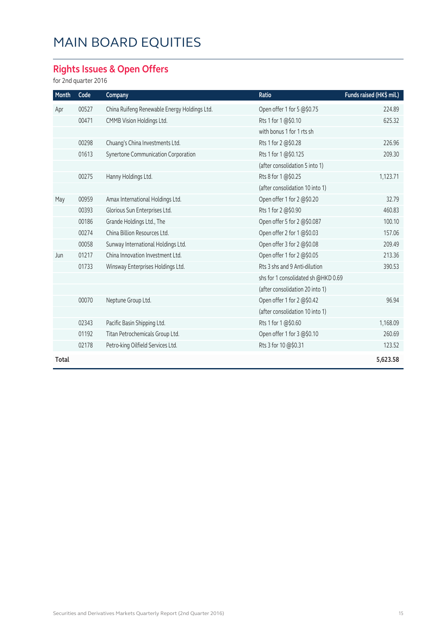### **Rights Issues & Open Offers**

for 2nd quarter 2016

| Month | Code  | Company                                      | Ratio                               | Funds raised (HK\$ mil.) |
|-------|-------|----------------------------------------------|-------------------------------------|--------------------------|
| Apr   | 00527 | China Ruifeng Renewable Energy Holdings Ltd. | Open offer 1 for 5 @\$0.75          | 224.89                   |
|       | 00471 | CMMB Vision Holdings Ltd.                    | Rts 1 for 1 @\$0.10                 | 625.32                   |
|       |       |                                              | with bonus 1 for 1 rts sh           |                          |
|       | 00298 | Chuang's China Investments Ltd.              | Rts 1 for 2 @\$0.28                 | 226.96                   |
|       | 01613 | Synertone Communication Corporation          | Rts 1 for 1 @\$0.125                | 209.30                   |
|       |       |                                              | (after consolidation 5 into 1)      |                          |
|       | 00275 | Hanny Holdings Ltd.                          | Rts 8 for 1@\$0.25                  | 1,123.71                 |
|       |       |                                              | (after consolidation 10 into 1)     |                          |
| May   | 00959 | Amax International Holdings Ltd.             | Open offer 1 for 2 @\$0.20          | 32.79                    |
|       | 00393 | Glorious Sun Enterprises Ltd.                | Rts 1 for 2 @\$0.90                 | 460.83                   |
|       | 00186 | Grande Holdings Ltd., The                    | Open offer 5 for 2 @\$0.087         | 100.10                   |
|       | 00274 | China Billion Resources Ltd.                 | Open offer 2 for 1 @\$0.03          | 157.06                   |
|       | 00058 | Sunway International Holdings Ltd.           | Open offer 3 for 2 @\$0.08          | 209.49                   |
| Jun   | 01217 | China Innovation Investment Ltd.             | Open offer 1 for 2 @\$0.05          | 213.36                   |
|       | 01733 | Winsway Enterprises Holdings Ltd.            | Rts 3 shs and 9 Anti-dilution       | 390.53                   |
|       |       |                                              | shs for 1 consolidated sh @HKD 0.69 |                          |
|       |       |                                              | (after consolidation 20 into 1)     |                          |
|       | 00070 | Neptune Group Ltd.                           | Open offer 1 for 2 @\$0.42          | 96.94                    |
|       |       |                                              | (after consolidation 10 into 1)     |                          |
|       | 02343 | Pacific Basin Shipping Ltd.                  | Rts 1 for 1@\$0.60                  | 1,168.09                 |
|       | 01192 | Titan Petrochemicals Group Ltd.              | Open offer 1 for 3 @\$0.10          | 260.69                   |
|       | 02178 | Petro-king Oilfield Services Ltd.            | Rts 3 for 10 @\$0.31                | 123.52                   |
| Total |       |                                              |                                     | 5,623.58                 |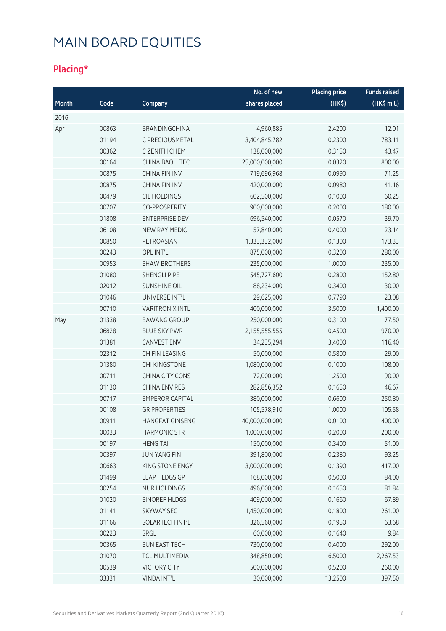### **Placing\***

|       |       |                        | No. of new     | <b>Placing price</b> | <b>Funds raised</b> |
|-------|-------|------------------------|----------------|----------------------|---------------------|
| Month | Code  | Company                | shares placed  | (HK\$)               | (HK\$ mil.)         |
| 2016  |       |                        |                |                      |                     |
| Apr   | 00863 | <b>BRANDINGCHINA</b>   | 4,960,885      | 2.4200               | 12.01               |
|       | 01194 | C PRECIOUSMETAL        | 3,404,845,782  | 0.2300               | 783.11              |
|       | 00362 | C ZENITH CHEM          | 138,000,000    | 0.3150               | 43.47               |
|       | 00164 | CHINA BAOLI TEC        | 25,000,000,000 | 0.0320               | 800.00              |
|       | 00875 | <b>CHINA FIN INV</b>   | 719,696,968    | 0.0990               | 71.25               |
|       | 00875 | <b>CHINA FIN INV</b>   | 420,000,000    | 0.0980               | 41.16               |
|       | 00479 | <b>CIL HOLDINGS</b>    | 602,500,000    | 0.1000               | 60.25               |
|       | 00707 | <b>CO-PROSPERITY</b>   | 900,000,000    | 0.2000               | 180.00              |
|       | 01808 | <b>ENTERPRISE DEV</b>  | 696,540,000    | 0.0570               | 39.70               |
|       | 06108 | NEW RAY MEDIC          | 57,840,000     | 0.4000               | 23.14               |
|       | 00850 | PETROASIAN             | 1,333,332,000  | 0.1300               | 173.33              |
|       | 00243 | <b>QPL INT'L</b>       | 875,000,000    | 0.3200               | 280.00              |
|       | 00953 | <b>SHAW BROTHERS</b>   | 235,000,000    | 1.0000               | 235.00              |
|       | 01080 | <b>SHENGLI PIPE</b>    | 545,727,600    | 0.2800               | 152.80              |
|       | 02012 | <b>SUNSHINE OIL</b>    | 88,234,000     | 0.3400               | 30.00               |
|       | 01046 | UNIVERSE INT'L         | 29,625,000     | 0.7790               | 23.08               |
|       | 00710 | <b>VARITRONIX INTL</b> | 400,000,000    | 3.5000               | 1,400.00            |
| May   | 01338 | <b>BAWANG GROUP</b>    | 250,000,000    | 0.3100               | 77.50               |
|       | 06828 | <b>BLUE SKY PWR</b>    | 2,155,555,555  | 0.4500               | 970.00              |
|       | 01381 | <b>CANVEST ENV</b>     | 34,235,294     | 3.4000               | 116.40              |
|       | 02312 | CH FIN LEASING         | 50,000,000     | 0.5800               | 29.00               |
|       | 01380 | CHI KINGSTONE          | 1,080,000,000  | 0.1000               | 108.00              |
|       | 00711 | CHINA CITY CONS        | 72,000,000     | 1.2500               | 90.00               |
|       | 01130 | <b>CHINA ENV RES</b>   | 282,856,352    | 0.1650               | 46.67               |
|       | 00717 | <b>EMPEROR CAPITAL</b> | 380,000,000    | 0.6600               | 250.80              |
|       | 00108 | <b>GR PROPERTIES</b>   | 105,578,910    | 1.0000               | 105.58              |
|       | 00911 | HANGFAT GINSENG        | 40,000,000,000 | 0.0100               | 400.00              |
|       | 00033 | <b>HARMONIC STR</b>    | 1,000,000,000  | 0.2000               | 200.00              |
|       | 00197 | <b>HENG TAI</b>        | 150,000,000    | 0.3400               | 51.00               |
|       | 00397 | <b>JUN YANG FIN</b>    | 391,800,000    | 0.2380               | 93.25               |
|       | 00663 | KING STONE ENGY        | 3,000,000,000  | 0.1390               | 417.00              |
|       | 01499 | <b>LEAP HLDGS GP</b>   | 168,000,000    | 0.5000               | 84.00               |
|       | 00254 | <b>NUR HOLDINGS</b>    | 496,000,000    | 0.1650               | 81.84               |
|       | 01020 | SINOREF HLDGS          | 409,000,000    | 0.1660               | 67.89               |
|       | 01141 | <b>SKYWAY SEC</b>      | 1,450,000,000  | 0.1800               | 261.00              |
|       | 01166 | SOLARTECH INT'L        | 326,560,000    | 0.1950               | 63.68               |
|       | 00223 | SRGL                   | 60,000,000     | 0.1640               | 9.84                |
|       | 00365 | SUN EAST TECH          | 730,000,000    | 0.4000               | 292.00              |
|       | 01070 | TCL MULTIMEDIA         | 348,850,000    | 6.5000               | 2,267.53            |
|       | 00539 | <b>VICTORY CITY</b>    | 500,000,000    | 0.5200               | 260.00              |
|       | 03331 | VINDA INT'L            | 30,000,000     | 13.2500              | 397.50              |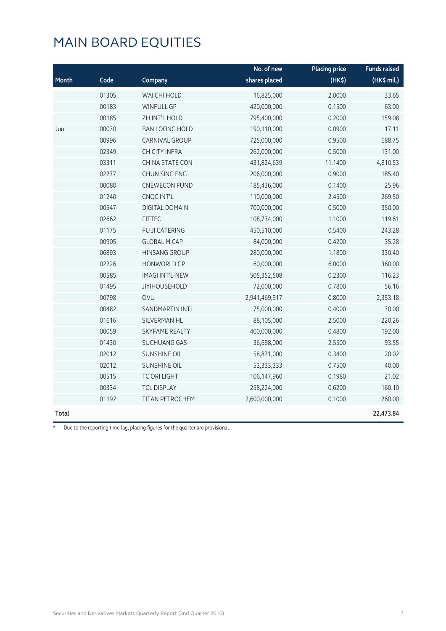| Month | Code  | Company                | No. of new<br>shares placed | <b>Placing price</b><br>(HK\$) | <b>Funds raised</b><br>(HK\$ mil.) |
|-------|-------|------------------------|-----------------------------|--------------------------------|------------------------------------|
|       | 01305 | WAI CHI HOLD           | 16,825,000                  | 2.0000                         | 33.65                              |
|       | 00183 | <b>WINFULL GP</b>      | 420,000,000                 | 0.1500                         | 63.00                              |
|       | 00185 | ZH INT'L HOLD          | 795,400,000                 | 0.2000                         | 159.08                             |
| Jun   | 00030 | <b>BAN LOONG HOLD</b>  | 190,110,000                 | 0.0900                         | 17.11                              |
|       | 00996 | CARNIVAL GROUP         | 725,000,000                 | 0.9500                         | 688.75                             |
|       | 02349 | <b>CH CITY INFRA</b>   | 262,000,000                 | 0.5000                         | 131.00                             |
|       | 03311 | <b>CHINA STATE CON</b> | 431,824,639                 | 11.1400                        | 4,810.53                           |
|       | 02277 | CHUN SING ENG          | 206,000,000                 | 0.9000                         | 185.40                             |
|       | 00080 | <b>CNEWECON FUND</b>   | 185,436,000                 | 0.1400                         | 25.96                              |
|       | 01240 | CNQC INT'L             | 110,000,000                 | 2.4500                         | 269.50                             |
|       | 00547 | <b>DIGITAL DOMAIN</b>  | 700,000,000                 | 0.5000                         | 350.00                             |
|       | 02662 | <b>FITTEC</b>          | 108,734,000                 | 1.1000                         | 119.61                             |
|       | 01175 | FU JI CATERING         | 450,510,000                 | 0.5400                         | 243.28                             |
|       | 00905 | <b>GLOBAL M CAP</b>    | 84,000,000                  | 0.4200                         | 35.28                              |
|       | 06893 | <b>HINSANG GROUP</b>   | 280,000,000                 | 1.1800                         | 330.40                             |
|       | 02226 | <b>HONWORLD GP</b>     | 60,000,000                  | 6.0000                         | 360.00                             |
|       | 00585 | <b>IMAGI INT'L-NEW</b> | 505,352,508                 | 0.2300                         | 116.23                             |
|       | 01495 | <b>JIYIHOUSEHOLD</b>   | 72,000,000                  | 0.7800                         | 56.16                              |
|       | 00798 | <b>OVU</b>             | 2,941,469,917               | 0.8000                         | 2,353.18                           |
|       | 00482 | <b>SANDMARTIN INTL</b> | 75,000,000                  | 0.4000                         | 30.00                              |
|       | 01616 | SILVERMAN HL           | 88,105,000                  | 2.5000                         | 220.26                             |
|       | 00059 | <b>SKYFAME REALTY</b>  | 400,000,000                 | 0.4800                         | 192.00                             |
|       | 01430 | <b>SUCHUANG GAS</b>    | 36,688,000                  | 2.5500                         | 93.55                              |
|       | 02012 | <b>SUNSHINE OIL</b>    | 58,871,000                  | 0.3400                         | 20.02                              |
|       | 02012 | <b>SUNSHINE OIL</b>    | 53,333,333                  | 0.7500                         | 40.00                              |
|       | 00515 | TC ORI LIGHT           | 106,147,960                 | 0.1980                         | 21.02                              |
|       | 00334 | <b>TCL DISPLAY</b>     | 258,224,000                 | 0.6200                         | 160.10                             |
|       | 01192 | TITAN PETROCHEM        | 2,600,000,000               | 0.1000                         | 260.00                             |
| Total |       |                        |                             |                                | 22,473.84                          |

\* Due to the reporting time-lag, placing figures for the quarter are provisional.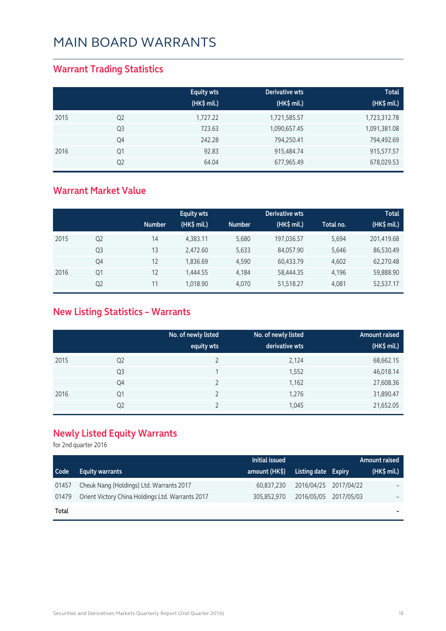#### **Warrant Trading Statistics**

|      |                | <b>Equity wts</b><br>(HK\$ mil.) | Derivative wts<br>(HK\$ mil.) | <b>Total</b><br>(HK\$ mil.) |
|------|----------------|----------------------------------|-------------------------------|-----------------------------|
| 2015 | Q <sub>2</sub> | 1,727.22                         | 1,721,585.57                  | 1,723,312.78                |
|      | Q <sub>3</sub> | 723.63                           | 1,090,657.45                  | 1,091,381.08                |
|      | Q4             | 242.28                           | 794,250.41                    | 794,492.69                  |
| 2016 | Q1             | 92.83                            | 915,484.74                    | 915,577.57                  |
|      | Q <sub>2</sub> | 64.04                            | 677,965.49                    | 678,029.53                  |

#### **Warrant Market Value**

|      |                |               | <b>Equity wts</b> |               | <b>Derivative wts</b> |           | <b>Total</b> |
|------|----------------|---------------|-------------------|---------------|-----------------------|-----------|--------------|
|      |                | <b>Number</b> | (HK\$ mil.)       | <b>Number</b> | (HK\$ mil.)           | Total no. | (HK\$ mil.)  |
| 2015 | Q <sub>2</sub> | 14            | 4,383.11          | 5,680         | 197,036.57            | 5,694     | 201,419.68   |
|      | Q <sub>3</sub> | 13            | 2,472.60          | 5,633         | 84,057.90             | 5,646     | 86,530.49    |
|      | Q4             | 12            | 1,836.69          | 4,590         | 60,433.79             | 4,602     | 62,270.48    |
| 2016 | Q1             | 12            | 1,444.55          | 4,184         | 58,444.35             | 4,196     | 59,888.90    |
|      | Q <sub>2</sub> | 11            | 1.018.90          | 4,070         | 51,518.27             | 4.081     | 52,537.17    |

### **New Listing Statistics – Warrants**

|      |                | No. of newly listed<br>equity wts | No. of newly listed<br>derivative wts | <b>Amount raised</b><br>(HK\$ mil.) |
|------|----------------|-----------------------------------|---------------------------------------|-------------------------------------|
| 2015 | Q <sub>2</sub> |                                   | 2,124                                 | 68,662.15                           |
|      | Q <sub>3</sub> |                                   | 1,552                                 | 46,018.14                           |
|      | Q4             |                                   | 1,162                                 | 27,608.36                           |
| 2016 | Q1             |                                   | 1,276                                 | 31,890.47                           |
|      | Q <sub>2</sub> |                                   | 1,045                                 | 21,652.05                           |

### **Newly Listed Equity Warrants**

for 2nd quarter 2016

|       |                                                  | Initial issued |                       | Amount raised |
|-------|--------------------------------------------------|----------------|-----------------------|---------------|
| Code  | <b>Equity warrants</b>                           | amount (HK\$)  | Listing date Expiry   | $(HK\$ mil.)  |
| 01457 | Cheuk Nang (Holdings) Ltd. Warrants 2017         | 60,837,230     | 2016/04/25 2017/04/22 |               |
| 01479 | Orient Victory China Holdings Ltd. Warrants 2017 | 305,852,970    | 2016/05/05 2017/05/03 |               |
| Total |                                                  |                |                       |               |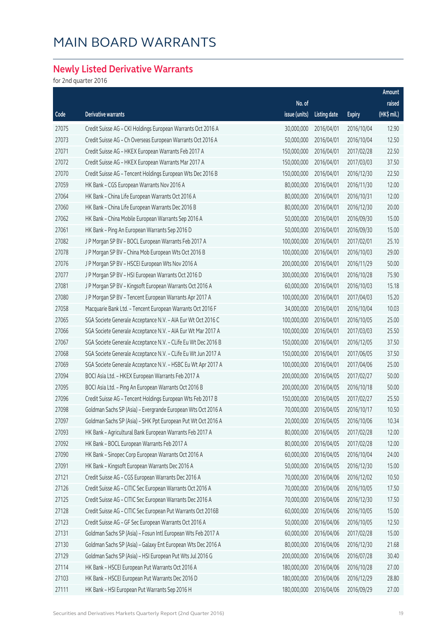### **Newly Listed Derivative Warrants**

for 2nd quarter 2016

|       |                                                               |               |                     |               | Amount      |
|-------|---------------------------------------------------------------|---------------|---------------------|---------------|-------------|
|       |                                                               | No. of        |                     |               | raised      |
| Code  | Derivative warrants                                           | issue (units) | <b>Listing date</b> | <b>Expiry</b> | (HK\$ mil.) |
| 27075 | Credit Suisse AG - CKI Holdings European Warrants Oct 2016 A  | 30,000,000    | 2016/04/01          | 2016/10/04    | 12.90       |
| 27073 | Credit Suisse AG - Ch Overseas European Warrants Oct 2016 A   | 50,000,000    | 2016/04/01          | 2016/10/04    | 12.50       |
| 27071 | Credit Suisse AG - HKEX European Warrants Feb 2017 A          | 150,000,000   | 2016/04/01          | 2017/02/28    | 22.50       |
| 27072 | Credit Suisse AG - HKEX European Warrants Mar 2017 A          | 150,000,000   | 2016/04/01          | 2017/03/03    | 37.50       |
| 27070 | Credit Suisse AG - Tencent Holdings European Wts Dec 2016 B   | 150,000,000   | 2016/04/01          | 2016/12/30    | 22.50       |
| 27059 | HK Bank - CGS European Warrants Nov 2016 A                    | 80,000,000    | 2016/04/01          | 2016/11/30    | 12.00       |
| 27064 | HK Bank - China Life European Warrants Oct 2016 A             | 80,000,000    | 2016/04/01          | 2016/10/31    | 12.00       |
| 27060 | HK Bank - China Life European Warrants Dec 2016 B             | 80,000,000    | 2016/04/01          | 2016/12/30    | 20.00       |
| 27062 | HK Bank - China Mobile European Warrants Sep 2016 A           | 50,000,000    | 2016/04/01          | 2016/09/30    | 15.00       |
| 27061 | HK Bank - Ping An European Warrants Sep 2016 D                | 50,000,000    | 2016/04/01          | 2016/09/30    | 15.00       |
| 27082 | J P Morgan SP BV - BOCL European Warrants Feb 2017 A          | 100,000,000   | 2016/04/01          | 2017/02/01    | 25.10       |
| 27078 | J P Morgan SP BV - China Mob European Wts Oct 2016 B          | 100,000,000   | 2016/04/01          | 2016/10/03    | 29.00       |
| 27076 | J P Morgan SP BV - HSCEI European Wts Nov 2016 A              | 200,000,000   | 2016/04/01          | 2016/11/29    | 50.00       |
| 27077 | J P Morgan SP BV - HSI European Warrants Oct 2016 D           | 300,000,000   | 2016/04/01          | 2016/10/28    | 75.90       |
| 27081 | J P Morgan SP BV - Kingsoft European Warrants Oct 2016 A      | 60,000,000    | 2016/04/01          | 2016/10/03    | 15.18       |
| 27080 | J P Morgan SP BV - Tencent European Warrants Apr 2017 A       | 100,000,000   | 2016/04/01          | 2017/04/03    | 15.20       |
| 27058 | Macquarie Bank Ltd. - Tencent European Warrants Oct 2016 F    | 34,000,000    | 2016/04/01          | 2016/10/04    | 10.03       |
| 27065 | SGA Societe Generale Acceptance N.V. - AIA Eur Wt Oct 2016 C  | 100,000,000   | 2016/04/01          | 2016/10/05    | 25.00       |
| 27066 | SGA Societe Generale Acceptance N.V. - AIA Eur Wt Mar 2017 A  | 100,000,000   | 2016/04/01          | 2017/03/03    | 25.50       |
| 27067 | SGA Societe Generale Acceptance N.V. - CLife Eu Wt Dec 2016 B | 150,000,000   | 2016/04/01          | 2016/12/05    | 37.50       |
| 27068 | SGA Societe Generale Acceptance N.V. - CLife Eu Wt Jun 2017 A | 150,000,000   | 2016/04/01          | 2017/06/05    | 37.50       |
| 27069 | SGA Societe Generale Acceptance N.V. - HSBC Eu Wt Apr 2017 A  | 100,000,000   | 2016/04/01          | 2017/04/06    | 25.00       |
| 27094 | BOCI Asia Ltd. - HKEX European Warrants Feb 2017 A            | 200,000,000   | 2016/04/05          | 2017/02/27    | 50.00       |
| 27095 | BOCI Asia Ltd. - Ping An European Warrants Oct 2016 B         | 200,000,000   | 2016/04/05          | 2016/10/18    | 50.00       |
| 27096 | Credit Suisse AG - Tencent Holdings European Wts Feb 2017 B   | 150,000,000   | 2016/04/05          | 2017/02/27    | 25.50       |
| 27098 | Goldman Sachs SP (Asia) - Evergrande European Wts Oct 2016 A  | 70,000,000    | 2016/04/05          | 2016/10/17    | 10.50       |
| 27097 | Goldman Sachs SP (Asia) - SHK Ppt European Put Wt Oct 2016 A  | 20,000,000    | 2016/04/05          | 2016/10/06    | 10.34       |
| 27093 | HK Bank - Agricultural Bank European Warrants Feb 2017 A      | 80,000,000    | 2016/04/05          | 2017/02/28    | 12.00       |
| 27092 | HK Bank - BOCL European Warrants Feb 2017 A                   | 80,000,000    | 2016/04/05          | 2017/02/28    | 12.00       |
| 27090 | HK Bank - Sinopec Corp European Warrants Oct 2016 A           | 60,000,000    | 2016/04/05          | 2016/10/04    | 24.00       |
| 27091 | HK Bank - Kingsoft European Warrants Dec 2016 A               | 50,000,000    | 2016/04/05          | 2016/12/30    | 15.00       |
| 27121 | Credit Suisse AG - CGS European Warrants Dec 2016 A           | 70,000,000    | 2016/04/06          | 2016/12/02    | 10.50       |
| 27126 | Credit Suisse AG - CITIC Sec European Warrants Oct 2016 A     | 70,000,000    | 2016/04/06          | 2016/10/05    | 17.50       |
| 27125 | Credit Suisse AG - CITIC Sec European Warrants Dec 2016 A     | 70,000,000    | 2016/04/06          | 2016/12/30    | 17.50       |
| 27128 | Credit Suisse AG - CITIC Sec European Put Warrants Oct 2016B  | 60,000,000    | 2016/04/06          | 2016/10/05    | 15.00       |
| 27123 | Credit Suisse AG - GF Sec European Warrants Oct 2016 A        | 50,000,000    | 2016/04/06          | 2016/10/05    | 12.50       |
| 27131 | Goldman Sachs SP (Asia) - Fosun Intl European Wts Feb 2017 A  | 60,000,000    | 2016/04/06          | 2017/02/28    | 15.00       |
| 27130 | Goldman Sachs SP (Asia) - Galaxy Ent European Wts Dec 2016 A  | 80,000,000    | 2016/04/06          | 2016/12/30    | 21.68       |
| 27129 | Goldman Sachs SP (Asia) - HSI European Put Wts Jul 2016 G     | 200,000,000   | 2016/04/06          | 2016/07/28    | 30.40       |
| 27114 | HK Bank - HSCEI European Put Warrants Oct 2016 A              | 180,000,000   | 2016/04/06          | 2016/10/28    | 27.00       |
| 27103 | HK Bank - HSCEI European Put Warrants Dec 2016 D              | 180,000,000   | 2016/04/06          | 2016/12/29    | 28.80       |
| 27111 | HK Bank - HSI European Put Warrants Sep 2016 H                | 180,000,000   | 2016/04/06          | 2016/09/29    | 27.00       |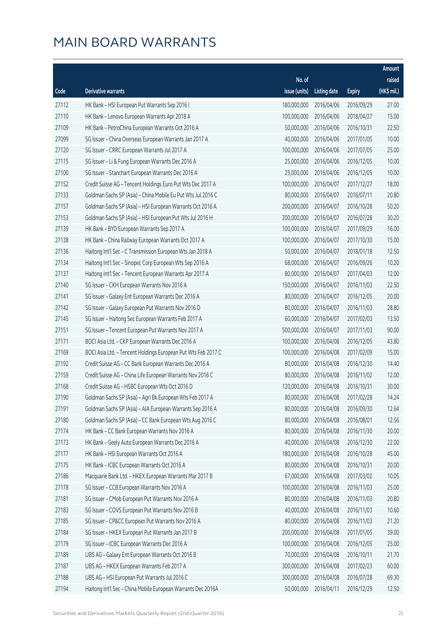|       |                                                               |               |                       |               | Amount      |
|-------|---------------------------------------------------------------|---------------|-----------------------|---------------|-------------|
|       |                                                               | No. of        |                       |               | raised      |
| Code  | <b>Derivative warrants</b>                                    | issue (units) | <b>Listing date</b>   | <b>Expiry</b> | (HK\$ mil.) |
| 27112 | HK Bank - HSI European Put Warrants Sep 2016 I                | 180,000,000   | 2016/04/06            | 2016/09/29    | 27.00       |
| 27110 | HK Bank - Lenovo European Warrants Apr 2018 A                 | 100,000,000   | 2016/04/06            | 2018/04/27    | 15.00       |
| 27109 | HK Bank - PetroChina European Warrants Oct 2016 A             | 50,000,000    | 2016/04/06            | 2016/10/31    | 22.50       |
| 27099 | SG Issuer - China Overseas European Warrants Jan 2017 A       | 40,000,000    | 2016/04/06            | 2017/01/05    | 10.00       |
| 27120 | SG Issuer - CRRC European Warrants Jul 2017 A                 | 100,000,000   | 2016/04/06            | 2017/07/05    | 25.00       |
| 27115 | SG Issuer - Li & Fung European Warrants Dec 2016 A            | 25,000,000    | 2016/04/06            | 2016/12/05    | 10.00       |
| 27100 | SG Issuer - Stanchart European Warrants Dec 2016 A            | 25,000,000    | 2016/04/06            | 2016/12/05    | 10.00       |
| 27152 | Credit Suisse AG - Tencent Holdings Euro Put Wts Dec 2017 A   | 100,000,000   | 2016/04/07            | 2017/12/27    | 18.00       |
| 27133 | Goldman Sachs SP (Asia) - China Mobile Eu Put Wts Jul 2016 C  | 80,000,000    | 2016/04/07            | 2016/07/11    | 20.80       |
| 27157 | Goldman Sachs SP (Asia) - HSI European Warrants Oct 2016 A    | 200,000,000   | 2016/04/07            | 2016/10/28    | 50.20       |
| 27153 | Goldman Sachs SP (Asia) - HSI European Put Wts Jul 2016 H     | 200,000,000   | 2016/04/07            | 2016/07/28    | 30.20       |
| 27139 | HK Bank - BYD European Warrants Sep 2017 A                    | 100,000,000   | 2016/04/07            | 2017/09/29    | 16.00       |
| 27138 | HK Bank - China Railway European Warrants Oct 2017 A          | 100,000,000   | 2016/04/07            | 2017/10/30    | 15.00       |
| 27136 | Haitong Int'l Sec - C Transmission European Wts Jan 2018 A    | 50,000,000    | 2016/04/07            | 2018/01/18    | 12.50       |
| 27134 | Haitong Int'l Sec - Sinopec Corp European Wts Sep 2016 A      | 68,000,000    | 2016/04/07            | 2016/09/26    | 10.20       |
| 27137 | Haitong Int'l Sec - Tencent European Warrants Apr 2017 A      | 80,000,000    | 2016/04/07            | 2017/04/03    | 12.00       |
| 27140 | SG Issuer - CKH European Warrants Nov 2016 A                  | 150,000,000   | 2016/04/07            | 2016/11/03    | 22.50       |
| 27141 | SG Issuer - Galaxy Ent European Warrants Dec 2016 A           | 80,000,000    | 2016/04/07            | 2016/12/05    | 20.00       |
| 27142 | SG Issuer - Galaxy European Put Warrants Nov 2016 D           | 80,000,000    | 2016/04/07            | 2016/11/03    | 28.80       |
| 27145 | SG Issuer - Haitong Sec European Warrants Feb 2017 A          | 60,000,000    | 2016/04/07            | 2017/02/03    | 13.50       |
| 27151 | SG Issuer - Tencent European Put Warrants Nov 2017 A          | 500,000,000   | 2016/04/07            | 2017/11/03    | 90.00       |
| 27171 | BOCI Asia Ltd. - CKP European Warrants Dec 2016 A             | 100,000,000   | 2016/04/08            | 2016/12/05    | 43.80       |
| 27169 | BOCI Asia Ltd. - Tencent Holdings European Put Wts Feb 2017 C | 100,000,000   | 2016/04/08            | 2017/02/09    | 15.00       |
| 27192 | Credit Suisse AG - CC Bank European Warrants Dec 2016 A       | 80,000,000    | 2016/04/08            | 2016/12/30    | 14.40       |
| 27159 | Credit Suisse AG - China Life European Warrants Nov 2016 C    | 80,000,000    | 2016/04/08            | 2016/11/02    | 12.00       |
| 27168 | Credit Suisse AG - HSBC European Wts Oct 2016 D               | 120,000,000   | 2016/04/08            | 2016/10/31    | 30.00       |
| 27190 | Goldman Sachs SP (Asia) - Agri Bk European Wts Feb 2017 A     |               | 80,000,000 2016/04/08 | 2017/02/28    | 14.24       |
| 27191 | Goldman Sachs SP (Asia) - AIA European Warrants Sep 2016 A    | 80,000,000    | 2016/04/08            | 2016/09/30    | 12.64       |
| 27180 | Goldman Sachs SP (Asia) - CC Bank European Wts Aug 2016 C     | 80,000,000    | 2016/04/08            | 2016/08/01    | 12.56       |
| 27174 | HK Bank - CC Bank European Warrants Nov 2016 A                | 80,000,000    | 2016/04/08            | 2016/11/30    | 20.00       |
| 27173 | HK Bank - Geely Auto European Warrants Dec 2016 A             | 40,000,000    | 2016/04/08            | 2016/12/30    | 22.00       |
| 27177 | HK Bank - HSI European Warrants Oct 2016 A                    | 180,000,000   | 2016/04/08            | 2016/10/28    | 45.00       |
| 27175 | HK Bank - ICBC European Warrants Oct 2016 A                   | 80,000,000    | 2016/04/08            | 2016/10/31    | 20.00       |
| 27186 | Macquarie Bank Ltd. - HKEX European Warrants Mar 2017 B       | 67,000,000    | 2016/04/08            | 2017/03/02    | 10.05       |
| 27178 | SG Issuer - CCB European Warrants Nov 2016 A                  | 100,000,000   | 2016/04/08            | 2016/11/03    | 25.00       |
| 27181 | SG Issuer - CMob European Put Warrants Nov 2016 A             | 80,000,000    | 2016/04/08            | 2016/11/03    | 20.80       |
| 27183 | SG Issuer - COVS European Put Warrants Nov 2016 B             | 40,000,000    | 2016/04/08            | 2016/11/03    | 10.60       |
| 27185 | SG Issuer - CP&CC European Put Warrants Nov 2016 A            | 80,000,000    | 2016/04/08            | 2016/11/03    | 21.20       |
| 27184 | SG Issuer - HKEX European Put Warrants Jan 2017 B             | 200,000,000   | 2016/04/08            | 2017/01/05    | 39.00       |
| 27179 | SG Issuer - ICBC European Warrants Dec 2016 A                 | 100,000,000   | 2016/04/08            | 2016/12/05    | 25.00       |
| 27189 | UBS AG - Galaxy Ent European Warrants Oct 2016 B              | 70,000,000    | 2016/04/08            | 2016/10/11    | 21.70       |
| 27187 | UBS AG - HKEX European Warrants Feb 2017 A                    | 300,000,000   | 2016/04/08            | 2017/02/23    | 60.00       |
| 27188 | UBS AG - HSI European Put Warrants Jul 2016 C                 | 300,000,000   | 2016/04/08            | 2016/07/28    | 69.30       |
| 27194 | Haitong Int'l Sec - China Mobile European Warrants Dec 2016A  | 50,000,000    | 2016/04/11            | 2016/12/29    | 12.50       |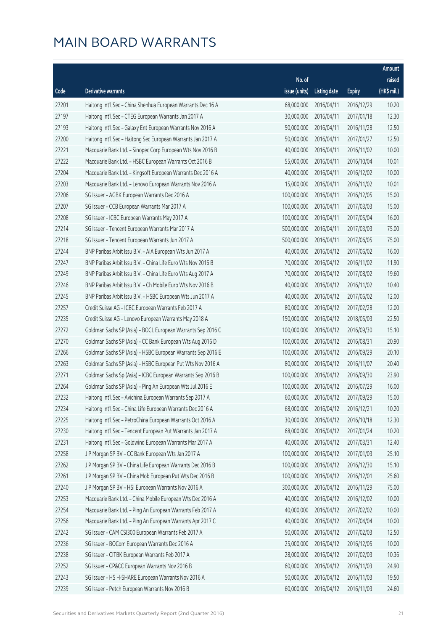|       |                                                              |               |                       |               | Amount      |
|-------|--------------------------------------------------------------|---------------|-----------------------|---------------|-------------|
|       |                                                              | No. of        |                       |               | raised      |
| Code  | <b>Derivative warrants</b>                                   | issue (units) | <b>Listing date</b>   | <b>Expiry</b> | (HK\$ mil.) |
| 27201 | Haitong Int'l Sec - China Shenhua European Warrants Dec 16 A | 68,000,000    | 2016/04/11            | 2016/12/29    | 10.20       |
| 27197 | Haitong Int'l Sec - CTEG European Warrants Jan 2017 A        | 30,000,000    | 2016/04/11            | 2017/01/18    | 12.30       |
| 27193 | Haitong Int'l Sec - Galaxy Ent European Warrants Nov 2016 A  | 50,000,000    | 2016/04/11            | 2016/11/28    | 12.50       |
| 27200 | Haitong Int'l Sec - Haitong Sec European Warrants Jan 2017 A | 50,000,000    | 2016/04/11            | 2017/01/27    | 12.50       |
| 27221 | Macquarie Bank Ltd. - Sinopec Corp European Wts Nov 2016 B   | 40,000,000    | 2016/04/11            | 2016/11/02    | 10.00       |
| 27222 | Macquarie Bank Ltd. - HSBC European Warrants Oct 2016 B      | 55,000,000    | 2016/04/11            | 2016/10/04    | 10.01       |
| 27204 | Macquarie Bank Ltd. - Kingsoft European Warrants Dec 2016 A  | 40,000,000    | 2016/04/11            | 2016/12/02    | 10.00       |
| 27203 | Macquarie Bank Ltd. - Lenovo European Warrants Nov 2016 A    | 15,000,000    | 2016/04/11            | 2016/11/02    | 10.01       |
| 27206 | SG Issuer - AGBK European Warrants Dec 2016 A                | 100,000,000   | 2016/04/11            | 2016/12/05    | 15.00       |
| 27207 | SG Issuer - CCB European Warrants Mar 2017 A                 | 100,000,000   | 2016/04/11            | 2017/03/03    | 15.00       |
| 27208 | SG Issuer - ICBC European Warrants May 2017 A                | 100,000,000   | 2016/04/11            | 2017/05/04    | 16.00       |
| 27214 | SG Issuer - Tencent European Warrants Mar 2017 A             | 500,000,000   | 2016/04/11            | 2017/03/03    | 75.00       |
| 27218 | SG Issuer - Tencent European Warrants Jun 2017 A             | 500,000,000   | 2016/04/11            | 2017/06/05    | 75.00       |
| 27244 | BNP Paribas Arbit Issu B.V. - AIA European Wts Jun 2017 A    | 40,000,000    | 2016/04/12            | 2017/06/02    | 16.00       |
| 27247 | BNP Paribas Arbit Issu B.V. - China Life Euro Wts Nov 2016 B | 70,000,000    | 2016/04/12            | 2016/11/02    | 11.90       |
| 27249 | BNP Paribas Arbit Issu B.V. - China Life Euro Wts Aug 2017 A | 70,000,000    | 2016/04/12            | 2017/08/02    | 19.60       |
| 27246 | BNP Paribas Arbit Issu B.V. - Ch Mobile Euro Wts Nov 2016 B  | 40,000,000    | 2016/04/12            | 2016/11/02    | 10.40       |
| 27245 | BNP Paribas Arbit Issu B.V. - HSBC European Wts Jun 2017 A   | 40,000,000    | 2016/04/12            | 2017/06/02    | 12.00       |
| 27257 | Credit Suisse AG - ICBC European Warrants Feb 2017 A         | 80,000,000    | 2016/04/12            | 2017/02/28    | 12.00       |
| 27235 | Credit Suisse AG - Lenovo European Warrants May 2018 A       | 150,000,000   | 2016/04/12            | 2018/05/03    | 22.50       |
| 27272 | Goldman Sachs SP (Asia) - BOCL European Warrants Sep 2016 C  | 100,000,000   | 2016/04/12            | 2016/09/30    | 15.10       |
| 27270 | Goldman Sachs SP (Asia) - CC Bank European Wts Aug 2016 D    | 100,000,000   | 2016/04/12            | 2016/08/31    | 20.90       |
| 27266 | Goldman Sachs SP (Asia) - HSBC European Warrants Sep 2016 E  | 100,000,000   | 2016/04/12            | 2016/09/29    | 20.10       |
| 27263 | Goldman Sachs SP (Asia) - HSBC European Put Wts Nov 2016 A   | 80,000,000    | 2016/04/12            | 2016/11/07    | 20.40       |
| 27271 | Goldman Sachs Sp (Asia) – ICBC European Warrants Sep 2016 B  | 100,000,000   | 2016/04/12            | 2016/09/30    | 23.90       |
| 27264 | Goldman Sachs SP (Asia) - Ping An European Wts Jul 2016 E    | 100,000,000   | 2016/04/12            | 2016/07/29    | 16.00       |
| 27232 | Haitong Int'l Sec - Avichina European Warrants Sep 2017 A    |               | 60,000,000 2016/04/12 | 2017/09/29    | 15.00       |
| 27234 | Haitong Int'l Sec - China Life European Warrants Dec 2016 A  | 68,000,000    | 2016/04/12            | 2016/12/21    | 10.20       |
| 27225 | Haitong Int'l Sec - PetroChina European Warrants Oct 2016 A  | 30,000,000    | 2016/04/12            | 2016/10/18    | 12.30       |
| 27230 | Haitong Int'l Sec - Tencent European Put Warrants Jan 2017 A | 68,000,000    | 2016/04/12            | 2017/01/24    | 10.20       |
| 27231 | Haitong Int'l Sec - Goldwind European Warrants Mar 2017 A    | 40,000,000    | 2016/04/12            | 2017/03/31    | 12.40       |
| 27258 | J P Morgan SP BV - CC Bank European Wts Jan 2017 A           | 100,000,000   | 2016/04/12            | 2017/01/03    | 25.10       |
| 27262 | J P Morgan SP BV - China Life European Warrants Dec 2016 B   | 100,000,000   | 2016/04/12            | 2016/12/30    | 15.10       |
| 27261 | J P Morgan SP BV - China Mob European Put Wts Dec 2016 B     | 100,000,000   | 2016/04/12            | 2016/12/01    | 25.60       |
| 27240 | J P Morgan SP BV - HSI European Warrants Nov 2016 A          | 300,000,000   | 2016/04/12            | 2016/11/29    | 75.00       |
| 27253 | Macquarie Bank Ltd. - China Mobile European Wts Dec 2016 A   | 40,000,000    | 2016/04/12            | 2016/12/02    | 10.00       |
| 27254 | Macquarie Bank Ltd. - Ping An European Warrants Feb 2017 A   | 40,000,000    | 2016/04/12            | 2017/02/02    | 10.00       |
| 27256 | Macquarie Bank Ltd. - Ping An European Warrants Apr 2017 C   | 40,000,000    | 2016/04/12            | 2017/04/04    | 10.00       |
| 27242 | SG Issuer - CAM CSI300 European Warrants Feb 2017 A          | 50,000,000    | 2016/04/12            | 2017/02/03    | 12.50       |
| 27236 | SG Issuer - BOCom European Warrants Dec 2016 A               | 25,000,000    | 2016/04/12            | 2016/12/05    | 10.00       |
| 27238 | SG Issuer - CITBK European Warrants Feb 2017 A               | 28,000,000    | 2016/04/12            | 2017/02/03    | 10.36       |
| 27252 | SG Issuer - CP&CC European Warrants Nov 2016 B               | 60,000,000    | 2016/04/12            | 2016/11/03    | 24.90       |
| 27243 | SG Issuer - HS H-SHARE European Warrants Nov 2016 A          | 50,000,000    | 2016/04/12            | 2016/11/03    | 19.50       |
| 27239 | SG Issuer - Petch European Warrants Nov 2016 B               | 60,000,000    | 2016/04/12            | 2016/11/03    | 24.60       |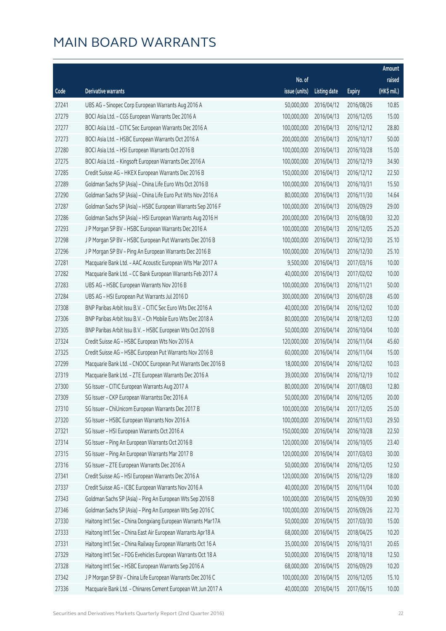|       |                                                              |               |                       |               | Amount      |
|-------|--------------------------------------------------------------|---------------|-----------------------|---------------|-------------|
|       |                                                              | No. of        |                       |               | raised      |
| Code  | Derivative warrants                                          | issue (units) | <b>Listing date</b>   | <b>Expiry</b> | (HK\$ mil.) |
| 27241 | UBS AG - Sinopec Corp European Warrants Aug 2016 A           | 50,000,000    | 2016/04/12            | 2016/08/26    | 10.85       |
| 27279 | BOCI Asia Ltd. - CGS European Warrants Dec 2016 A            | 100,000,000   | 2016/04/13            | 2016/12/05    | 15.00       |
| 27277 | BOCI Asia Ltd. - CITIC Sec European Warrants Dec 2016 A      | 100,000,000   | 2016/04/13            | 2016/12/12    | 28.80       |
| 27273 | BOCI Asia Ltd. - HSBC European Warrants Oct 2016 A           | 200,000,000   | 2016/04/13            | 2016/10/17    | 50.00       |
| 27280 | BOCI Asia Ltd. - HSI European Warrants Oct 2016 B            | 100,000,000   | 2016/04/13            | 2016/10/28    | 15.00       |
| 27275 | BOCI Asia Ltd. - Kingsoft European Warrants Dec 2016 A       | 100,000,000   | 2016/04/13            | 2016/12/19    | 34.90       |
| 27285 | Credit Suisse AG - HKEX European Warrants Dec 2016 B         | 150,000,000   | 2016/04/13            | 2016/12/12    | 22.50       |
| 27289 | Goldman Sachs SP (Asia) - China Life Euro Wts Oct 2016 B     | 100,000,000   | 2016/04/13            | 2016/10/31    | 15.50       |
| 27290 | Goldman Sachs SP (Asia) - China Life Euro Put Wts Nov 2016 A | 80,000,000    | 2016/04/13            | 2016/11/30    | 14.64       |
| 27287 | Goldman Sachs SP (Asia) - HSBC European Warrants Sep 2016 F  | 100,000,000   | 2016/04/13            | 2016/09/29    | 29.00       |
| 27286 | Goldman Sachs SP (Asia) - HSI European Warrants Aug 2016 H   | 200,000,000   | 2016/04/13            | 2016/08/30    | 32.20       |
| 27293 | J P Morgan SP BV - HSBC European Warrants Dec 2016 A         | 100,000,000   | 2016/04/13            | 2016/12/05    | 25.20       |
| 27298 | J P Morgan SP BV - HSBC European Put Warrants Dec 2016 B     | 100,000,000   | 2016/04/13            | 2016/12/30    | 25.10       |
| 27296 | J P Morgan SP BV - Ping An European Warrants Dec 2016 B      | 100,000,000   | 2016/04/13            | 2016/12/30    | 25.10       |
| 27281 | Macquarie Bank Ltd. - AAC Acoustic European Wts Mar 2017 A   | 9,500,000     | 2016/04/13            | 2017/03/16    | 10.00       |
| 27282 | Macquarie Bank Ltd. - CC Bank European Warrants Feb 2017 A   | 40,000,000    | 2016/04/13            | 2017/02/02    | 10.00       |
| 27283 | UBS AG - HSBC European Warrants Nov 2016 B                   | 100,000,000   | 2016/04/13            | 2016/11/21    | 50.00       |
| 27284 | UBS AG - HSI European Put Warrants Jul 2016 D                | 300,000,000   | 2016/04/13            | 2016/07/28    | 45.00       |
| 27308 | BNP Paribas Arbit Issu B.V. - CITIC Sec Euro Wts Dec 2016 A  | 40,000,000    | 2016/04/14            | 2016/12/02    | 10.00       |
| 27306 | BNP Paribas Arbit Issu B.V. - Ch Mobile Euro Wts Dec 2018 A  | 80,000,000    | 2016/04/14            | 2018/12/03    | 12.00       |
| 27305 | BNP Paribas Arbit Issu B.V. - HSBC European Wts Oct 2016 B   | 50,000,000    | 2016/04/14            | 2016/10/04    | 10.00       |
| 27324 | Credit Suisse AG - HSBC European Wts Nov 2016 A              | 120,000,000   | 2016/04/14            | 2016/11/04    | 45.60       |
| 27325 | Credit Suisse AG - HSBC European Put Warrants Nov 2016 B     | 60,000,000    | 2016/04/14            | 2016/11/04    | 15.00       |
| 27299 | Macquarie Bank Ltd. - CNOOC European Put Warrants Dec 2016 B | 18,000,000    | 2016/04/14            | 2016/12/02    | 10.03       |
| 27319 | Macquarie Bank Ltd. - ZTE European Warrants Dec 2016 A       | 39,000,000    | 2016/04/14            | 2016/12/19    | 10.02       |
| 27300 | SG Issuer - CITIC European Warrants Aug 2017 A               | 80,000,000    | 2016/04/14            | 2017/08/03    | 12.80       |
| 27309 | SG Issuer - CKP European Warrantss Dec 2016 A                |               | 50,000,000 2016/04/14 | 2016/12/05    | 20.00       |
| 27310 | SG Issuer - ChiUnicom European Warrants Dec 2017 B           | 100,000,000   | 2016/04/14            | 2017/12/05    | 25.00       |
| 27320 | SG Issuer - HSBC European Warrants Nov 2016 A                | 100,000,000   | 2016/04/14            | 2016/11/03    | 29.50       |
| 27321 | SG Issuer - HSI European Warrants Oct 2016 A                 | 150,000,000   | 2016/04/14            | 2016/10/28    | 22.50       |
| 27314 | SG Issuer - Ping An European Warrants Oct 2016 B             | 120,000,000   | 2016/04/14            | 2016/10/05    | 23.40       |
| 27315 | SG Issuer - Ping An European Warrants Mar 2017 B             | 120,000,000   | 2016/04/14            | 2017/03/03    | 30.00       |
| 27316 | SG Issuer - ZTE European Warrants Dec 2016 A                 | 50,000,000    | 2016/04/14            | 2016/12/05    | 12.50       |
| 27341 | Credit Suisse AG - HSI European Warrants Dec 2016 A          | 120,000,000   | 2016/04/15            | 2016/12/29    | 18.00       |
| 27337 | Credit Suisse AG - ICBC European Warrants Nov 2016 A         | 40,000,000    | 2016/04/15            | 2016/11/04    | 10.00       |
| 27343 | Goldman Sachs SP (Asia) - Ping An European Wts Sep 2016 B    | 100,000,000   | 2016/04/15            | 2016/09/30    | 20.90       |
| 27346 | Goldman Sachs SP (Asia) - Ping An European Wts Sep 2016 C    | 100,000,000   | 2016/04/15            | 2016/09/26    | 22.70       |
| 27330 | Haitong Int'l Sec - China Dongxiang European Warrants Mar17A | 50,000,000    | 2016/04/15            | 2017/03/30    | 15.00       |
| 27333 | Haitong Int'l Sec - China East Air European Warrants Apr18 A | 68,000,000    | 2016/04/15            | 2018/04/25    | 10.20       |
| 27331 | Haitong Int'l Sec - China Railway European Warrants Oct 16 A | 35,000,000    | 2016/04/15            | 2016/10/31    | 20.65       |
| 27329 | Haitong Int'l Sec - FDG Evehicles European Warrants Oct 18 A | 50,000,000    | 2016/04/15            | 2018/10/18    | 12.50       |
| 27328 | Haitong Int'l Sec - HSBC European Warrants Sep 2016 A        | 68,000,000    | 2016/04/15            | 2016/09/29    | 10.20       |
| 27342 | J P Morgan SP BV - China Life European Warrants Dec 2016 C   | 100,000,000   | 2016/04/15            | 2016/12/05    | 15.10       |
| 27336 | Macquarie Bank Ltd. - Chinares Cement European Wt Jun 2017 A | 40,000,000    | 2016/04/15            | 2017/06/15    | 10.00       |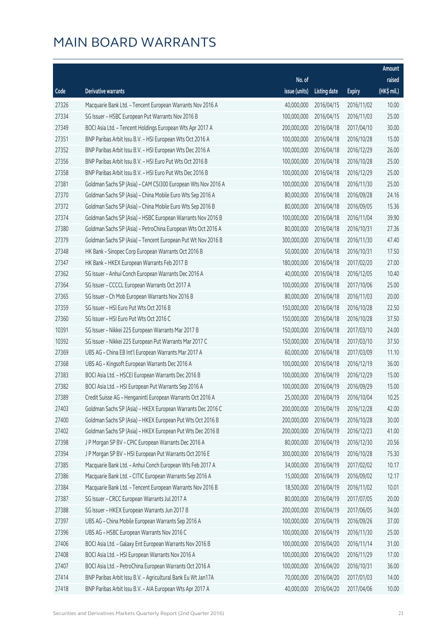|       |                                                              |               |                       |               | Amount      |
|-------|--------------------------------------------------------------|---------------|-----------------------|---------------|-------------|
|       |                                                              | No. of        |                       |               | raised      |
| Code  | Derivative warrants                                          | issue (units) | <b>Listing date</b>   | <b>Expiry</b> | (HK\$ mil.) |
| 27326 | Macquarie Bank Ltd. - Tencent European Warrants Nov 2016 A   | 40,000,000    | 2016/04/15            | 2016/11/02    | 10.00       |
| 27334 | SG Issuer - HSBC European Put Warrants Nov 2016 B            | 100,000,000   | 2016/04/15            | 2016/11/03    | 25.00       |
| 27349 | BOCI Asia Ltd. - Tencent Holdings European Wts Apr 2017 A    | 200,000,000   | 2016/04/18            | 2017/04/10    | 30.00       |
| 27351 | BNP Paribas Arbit Issu B.V. - HSI European Wts Oct 2016 A    | 100,000,000   | 2016/04/18            | 2016/10/28    | 15.00       |
| 27352 | BNP Paribas Arbit Issu B.V. - HSI European Wts Dec 2016 A    | 100,000,000   | 2016/04/18            | 2016/12/29    | 26.00       |
| 27356 | BNP Paribas Arbit Issu B.V. - HSI Euro Put Wts Oct 2016 B    | 100,000,000   | 2016/04/18            | 2016/10/28    | 25.00       |
| 27358 | BNP Paribas Arbit Issu B.V. - HSI Euro Put Wts Dec 2016 B    | 100,000,000   | 2016/04/18            | 2016/12/29    | 25.00       |
| 27381 | Goldman Sachs SP (Asia) - CAM CSI300 European Wts Nov 2016 A | 100,000,000   | 2016/04/18            | 2016/11/30    | 25.00       |
| 27370 | Goldman Sachs SP (Asia) - China Mobile Euro Wts Sep 2016 A   | 80,000,000    | 2016/04/18            | 2016/09/28    | 24.16       |
| 27372 | Goldman Sachs SP (Asia) - China Mobile Euro Wts Sep 2016 B   | 80,000,000    | 2016/04/18            | 2016/09/05    | 15.36       |
| 27374 | Goldman Sachs SP (Asia) - HSBC European Warrants Nov 2016 B  | 100,000,000   | 2016/04/18            | 2016/11/04    | 39.90       |
| 27380 | Goldman Sachs SP (Asia) - PetroChina European Wts Oct 2016 A | 80,000,000    | 2016/04/18            | 2016/10/31    | 27.36       |
| 27379 | Goldman Sachs SP (Asia) - Tencent European Put Wt Nov 2016 B | 300,000,000   | 2016/04/18            | 2016/11/30    | 47.40       |
| 27348 | HK Bank - Sinopec Corp European Warrants Oct 2016 B          | 50,000,000    | 2016/04/18            | 2016/10/31    | 17.50       |
| 27347 | HK Bank - HKEX European Warrants Feb 2017 B                  | 180,000,000   | 2016/04/18            | 2017/02/20    | 27.00       |
| 27362 | SG Issuer - Anhui Conch European Warrants Dec 2016 A         | 40,000,000    | 2016/04/18            | 2016/12/05    | 10.40       |
| 27364 | SG Issuer - CCCCL European Warrants Oct 2017 A               | 100,000,000   | 2016/04/18            | 2017/10/06    | 25.00       |
| 27365 | SG Issuer - Ch Mob European Warrants Nov 2016 B              | 80,000,000    | 2016/04/18            | 2016/11/03    | 20.00       |
| 27359 | SG Issuer - HSI Euro Put Wts Oct 2016 B                      | 150,000,000   | 2016/04/18            | 2016/10/28    | 22.50       |
| 27360 | SG Issuer - HSI Euro Put Wts Oct 2016 C                      | 150,000,000   | 2016/04/18            | 2016/10/28    | 37.50       |
| 10391 | SG Issuer - Nikkei 225 European Warrants Mar 2017 B          | 150,000,000   | 2016/04/18            | 2017/03/10    | 24.00       |
| 10392 | SG Issuer - Nikkei 225 European Put Warrants Mar 2017 C      | 150,000,000   | 2016/04/18            | 2017/03/10    | 37.50       |
| 27369 | UBS AG - China EB Int'l European Warrants Mar 2017 A         | 60,000,000    | 2016/04/18            | 2017/03/09    | 11.10       |
| 27368 | UBS AG - Kingsoft European Warrants Dec 2016 A               | 100,000,000   | 2016/04/18            | 2016/12/19    | 36.00       |
| 27383 | BOCI Asia Ltd. - HSCEI European Warrants Dec 2016 B          | 100,000,000   | 2016/04/19            | 2016/12/29    | 15.00       |
| 27382 | BOCI Asia Ltd. - HSI European Put Warrants Sep 2016 A        | 100,000,000   | 2016/04/19            | 2016/09/29    | 15.00       |
| 27389 | Credit Suisse AG - Henganintl European Warrants Oct 2016 A   |               | 25,000,000 2016/04/19 | 2016/10/04    | 10.25       |
| 27403 | Goldman Sachs SP (Asia) - HKEX European Warrants Dec 2016 C  | 200,000,000   | 2016/04/19            | 2016/12/28    | 42.00       |
| 27400 | Goldman Sachs SP (Asia) - HKEX European Put Wts Oct 2016 B   | 200,000,000   | 2016/04/19            | 2016/10/28    | 30.00       |
| 27402 | Goldman Sachs SP (Asia) - HKEX European Put Wts Dec 2016 B   | 200,000,000   | 2016/04/19            | 2016/12/23    | 41.00       |
| 27398 | J P Morgan SP BV - CPIC European Warrants Dec 2016 A         | 80,000,000    | 2016/04/19            | 2016/12/30    | 20.56       |
| 27394 | J P Morgan SP BV - HSI European Put Warrants Oct 2016 E      | 300,000,000   | 2016/04/19            | 2016/10/28    | 75.30       |
| 27385 | Macquarie Bank Ltd. - Anhui Conch European Wts Feb 2017 A    | 34,000,000    | 2016/04/19            | 2017/02/02    | 10.17       |
| 27386 | Macquarie Bank Ltd. - CITIC European Warrants Sep 2016 A     | 15,000,000    | 2016/04/19            | 2016/09/02    | 12.17       |
| 27384 | Macquarie Bank Ltd. - Tencent European Warrants Nov 2016 B   | 18,500,000    | 2016/04/19            | 2016/11/02    | 10.01       |
| 27387 | SG Issuer - CRCC European Warrants Jul 2017 A                | 80,000,000    | 2016/04/19            | 2017/07/05    | 20.00       |
| 27388 | SG Issuer - HKEX European Warrants Jun 2017 B                | 200,000,000   | 2016/04/19            | 2017/06/05    | 34.00       |
| 27397 | UBS AG - China Mobile European Warrants Sep 2016 A           | 100,000,000   | 2016/04/19            | 2016/09/26    | 37.00       |
| 27396 | UBS AG - HSBC European Warrants Nov 2016 C                   | 100,000,000   | 2016/04/19            | 2016/11/30    | 25.00       |
| 27406 | BOCI Asia Ltd. - Galaxy Ent European Warrants Nov 2016 B     | 100,000,000   | 2016/04/20            | 2016/11/14    | 31.00       |
| 27408 | BOCI Asia Ltd. - HSI European Warrants Nov 2016 A            | 100,000,000   | 2016/04/20            | 2016/11/29    | 17.00       |
| 27407 | BOCI Asia Ltd. - PetroChina European Warrants Oct 2016 A     | 100,000,000   | 2016/04/20            | 2016/10/31    | 36.00       |
| 27414 | BNP Paribas Arbit Issu B.V. - Agricultural Bank Eu Wt Jan17A | 70,000,000    | 2016/04/20            | 2017/01/03    | 14.00       |
| 27418 | BNP Paribas Arbit Issu B.V. - AIA European Wts Apr 2017 A    | 40,000,000    | 2016/04/20            | 2017/04/06    | 10.00       |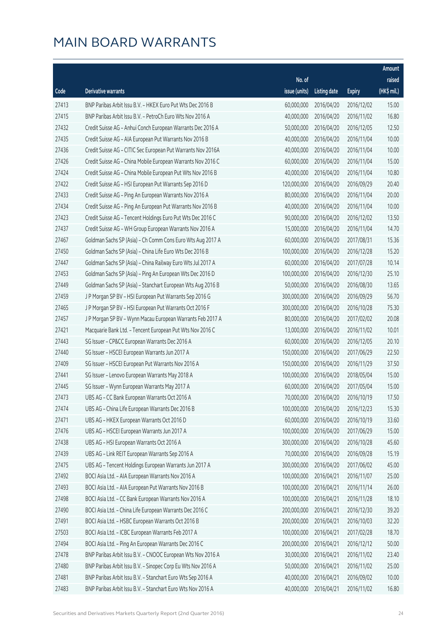|       |                                                              |               |                       |               | Amount      |
|-------|--------------------------------------------------------------|---------------|-----------------------|---------------|-------------|
|       |                                                              | No. of        |                       |               | raised      |
| Code  | <b>Derivative warrants</b>                                   | issue (units) | <b>Listing date</b>   | <b>Expiry</b> | (HK\$ mil.) |
| 27413 | BNP Paribas Arbit Issu B.V. - HKEX Euro Put Wts Dec 2016 B   | 60,000,000    | 2016/04/20            | 2016/12/02    | 15.00       |
| 27415 | BNP Paribas Arbit Issu B.V. - PetroCh Euro Wts Nov 2016 A    | 40,000,000    | 2016/04/20            | 2016/11/02    | 16.80       |
| 27432 | Credit Suisse AG - Anhui Conch European Warrants Dec 2016 A  | 50,000,000    | 2016/04/20            | 2016/12/05    | 12.50       |
| 27435 | Credit Suisse AG - AIA European Put Warrants Nov 2016 B      | 40,000,000    | 2016/04/20            | 2016/11/04    | 10.00       |
| 27436 | Credit Suisse AG - CITIC Sec European Put Warrants Nov 2016A | 40,000,000    | 2016/04/20            | 2016/11/04    | 10.00       |
| 27426 | Credit Suisse AG - China Mobile European Warrants Nov 2016 C | 60,000,000    | 2016/04/20            | 2016/11/04    | 15.00       |
| 27424 | Credit Suisse AG - China Mobile European Put Wts Nov 2016 B  | 40,000,000    | 2016/04/20            | 2016/11/04    | 10.80       |
| 27422 | Credit Suisse AG - HSI European Put Warrants Sep 2016 D      | 120,000,000   | 2016/04/20            | 2016/09/29    | 20.40       |
| 27433 | Credit Suisse AG - Ping An European Warrants Nov 2016 A      | 80,000,000    | 2016/04/20            | 2016/11/04    | 20.00       |
| 27434 | Credit Suisse AG - Ping An European Put Warrants Nov 2016 B  | 40,000,000    | 2016/04/20            | 2016/11/04    | 10.00       |
| 27423 | Credit Suisse AG - Tencent Holdings Euro Put Wts Dec 2016 C  | 90,000,000    | 2016/04/20            | 2016/12/02    | 13.50       |
| 27437 | Credit Suisse AG - WH Group European Warrants Nov 2016 A     | 15,000,000    | 2016/04/20            | 2016/11/04    | 14.70       |
| 27467 | Goldman Sachs SP (Asia) - Ch Comm Cons Euro Wts Aug 2017 A   | 60,000,000    | 2016/04/20            | 2017/08/31    | 15.36       |
| 27450 | Goldman Sachs SP (Asia) - China Life Euro Wts Dec 2016 B     | 100,000,000   | 2016/04/20            | 2016/12/28    | 15.20       |
| 27447 | Goldman Sachs SP (Asia) - China Railway Euro Wts Jul 2017 A  | 60,000,000    | 2016/04/20            | 2017/07/28    | 10.14       |
| 27453 | Goldman Sachs SP (Asia) - Ping An European Wts Dec 2016 D    | 100,000,000   | 2016/04/20            | 2016/12/30    | 25.10       |
| 27449 | Goldman Sachs SP (Asia) - Stanchart European Wts Aug 2016 B  | 50,000,000    | 2016/04/20            | 2016/08/30    | 13.65       |
| 27459 | J P Morgan SP BV - HSI European Put Warrants Sep 2016 G      | 300,000,000   | 2016/04/20            | 2016/09/29    | 56.70       |
| 27465 | J P Morgan SP BV - HSI European Put Warrants Oct 2016 F      | 300,000,000   | 2016/04/20            | 2016/10/28    | 75.30       |
| 27457 | J P Morgan SP BV - Wynn Macau European Warrants Feb 2017 A   | 80,000,000    | 2016/04/20            | 2017/02/02    | 20.08       |
| 27421 | Macquarie Bank Ltd. - Tencent European Put Wts Nov 2016 C    | 13,000,000    | 2016/04/20            | 2016/11/02    | 10.01       |
| 27443 | SG Issuer - CP&CC European Warrants Dec 2016 A               | 60,000,000    | 2016/04/20            | 2016/12/05    | 20.10       |
| 27440 | SG Issuer - HSCEI European Warrants Jun 2017 A               | 150,000,000   | 2016/04/20            | 2017/06/29    | 22.50       |
| 27409 | SG Issuer - HSCEI European Put Warrants Nov 2016 A           | 150,000,000   | 2016/04/20            | 2016/11/29    | 37.50       |
| 27441 | SG Issuer - Lenovo European Warrants May 2018 A              | 100,000,000   | 2016/04/20            | 2018/05/04    | 15.00       |
| 27445 | SG Issuer - Wynn European Warrants May 2017 A                | 60,000,000    | 2016/04/20            | 2017/05/04    | 15.00       |
| 27473 | UBS AG - CC Bank European Warrants Oct 2016 A                |               | 70,000,000 2016/04/20 | 2016/10/19    | 17.50       |
| 27474 | UBS AG - China Life European Warrants Dec 2016 B             | 100,000,000   | 2016/04/20            | 2016/12/23    | 15.30       |
| 27471 | UBS AG - HKEX European Warrants Oct 2016 D                   | 60,000,000    | 2016/04/20            | 2016/10/19    | 33.60       |
| 27476 | UBS AG - HSCEI European Warrants Jun 2017 A                  | 100,000,000   | 2016/04/20            | 2017/06/29    | 15.00       |
| 27438 | UBS AG - HSI European Warrants Oct 2016 A                    | 300,000,000   | 2016/04/20            | 2016/10/28    | 45.60       |
| 27439 | UBS AG - Link REIT European Warrants Sep 2016 A              | 70,000,000    | 2016/04/20            | 2016/09/28    | 15.19       |
| 27475 | UBS AG - Tencent Holdings European Warrants Jun 2017 A       | 300,000,000   | 2016/04/20            | 2017/06/02    | 45.00       |
| 27492 | BOCI Asia Ltd. - AIA European Warrants Nov 2016 A            | 100,000,000   | 2016/04/21            | 2016/11/07    | 25.00       |
| 27493 | BOCI Asia Ltd. - AIA European Put Warrants Nov 2016 B        | 100,000,000   | 2016/04/21            | 2016/11/14    | 26.00       |
| 27498 | BOCI Asia Ltd. - CC Bank European Warrants Nov 2016 A        | 100,000,000   | 2016/04/21            | 2016/11/28    | 18.10       |
| 27490 | BOCI Asia Ltd. - China Life European Warrants Dec 2016 C     | 200,000,000   | 2016/04/21            | 2016/12/30    | 39.20       |
| 27491 | BOCI Asia Ltd. - HSBC European Warrants Oct 2016 B           | 200,000,000   | 2016/04/21            | 2016/10/03    | 32.20       |
| 27503 | BOCI Asia Ltd. - ICBC European Warrants Feb 2017 A           | 100,000,000   | 2016/04/21            | 2017/02/28    | 18.70       |
| 27494 | BOCI Asia Ltd. - Ping An European Warrants Dec 2016 C        | 200,000,000   | 2016/04/21            | 2016/12/12    | 50.00       |
| 27478 | BNP Paribas Arbit Issu B.V. - CNOOC European Wts Nov 2016 A  | 30,000,000    | 2016/04/21            | 2016/11/02    | 23.40       |
| 27480 | BNP Paribas Arbit Issu B.V. - Sinopec Corp Eu Wts Nov 2016 A | 50,000,000    | 2016/04/21            | 2016/11/02    | 25.00       |
| 27481 | BNP Paribas Arbit Issu B.V. - Stanchart Euro Wts Sep 2016 A  | 40,000,000    | 2016/04/21            | 2016/09/02    | 10.00       |
| 27483 | BNP Paribas Arbit Issu B.V. - Stanchart Euro Wts Nov 2016 A  | 40,000,000    | 2016/04/21            | 2016/11/02    | 16.80       |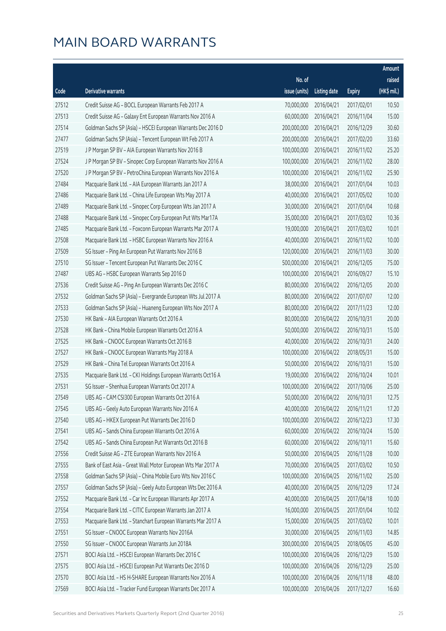|       |                                                              |               |                       |               | Amount      |
|-------|--------------------------------------------------------------|---------------|-----------------------|---------------|-------------|
|       |                                                              | No. of        |                       |               | raised      |
| Code  | Derivative warrants                                          | issue (units) | Listing date          | <b>Expiry</b> | (HK\$ mil.) |
| 27512 | Credit Suisse AG - BOCL European Warrants Feb 2017 A         | 70,000,000    | 2016/04/21            | 2017/02/01    | 10.50       |
| 27513 | Credit Suisse AG - Galaxy Ent European Warrants Nov 2016 A   | 60,000,000    | 2016/04/21            | 2016/11/04    | 15.00       |
| 27514 | Goldman Sachs SP (Asia) - HSCEI European Warrants Dec 2016 D | 200,000,000   | 2016/04/21            | 2016/12/29    | 30.60       |
| 27477 | Goldman Sachs SP (Asia) - Tencent European Wt Feb 2017 A     | 200,000,000   | 2016/04/21            | 2017/02/20    | 33.60       |
| 27519 | J P Morgan SP BV - AIA European Warrants Nov 2016 B          | 100,000,000   | 2016/04/21            | 2016/11/02    | 25.20       |
| 27524 | J P Morgan SP BV - Sinopec Corp European Warrants Nov 2016 A | 100,000,000   | 2016/04/21            | 2016/11/02    | 28.00       |
| 27520 | J P Morgan SP BV - PetroChina European Warrants Nov 2016 A   | 100,000,000   | 2016/04/21            | 2016/11/02    | 25.90       |
| 27484 | Macquarie Bank Ltd. - AIA European Warrants Jan 2017 A       | 38,000,000    | 2016/04/21            | 2017/01/04    | 10.03       |
| 27486 | Macquarie Bank Ltd. - China Life European Wts May 2017 A     | 40,000,000    | 2016/04/21            | 2017/05/02    | 10.00       |
| 27489 | Macquarie Bank Ltd. - Sinopec Corp European Wts Jan 2017 A   | 30,000,000    | 2016/04/21            | 2017/01/04    | 10.68       |
| 27488 | Macquarie Bank Ltd. - Sinopec Corp European Put Wts Mar17A   | 35,000,000    | 2016/04/21            | 2017/03/02    | 10.36       |
| 27485 | Macquarie Bank Ltd. - Foxconn European Warrants Mar 2017 A   | 19,000,000    | 2016/04/21            | 2017/03/02    | 10.01       |
| 27508 | Macquarie Bank Ltd. - HSBC European Warrants Nov 2016 A      | 40,000,000    | 2016/04/21            | 2016/11/02    | 10.00       |
| 27509 | SG Issuer - Ping An European Put Warrants Nov 2016 B         | 120,000,000   | 2016/04/21            | 2016/11/03    | 30.00       |
| 27510 | SG Issuer - Tencent European Put Warrants Dec 2016 C         | 500,000,000   | 2016/04/21            | 2016/12/05    | 75.00       |
| 27487 | UBS AG - HSBC European Warrants Sep 2016 D                   | 100,000,000   | 2016/04/21            | 2016/09/27    | 15.10       |
| 27536 | Credit Suisse AG - Ping An European Warrants Dec 2016 C      | 80,000,000    | 2016/04/22            | 2016/12/05    | 20.00       |
| 27532 | Goldman Sachs SP (Asia) - Evergrande European Wts Jul 2017 A | 80,000,000    | 2016/04/22            | 2017/07/07    | 12.00       |
| 27533 | Goldman Sachs SP (Asia) - Huaneng European Wts Nov 2017 A    | 80,000,000    | 2016/04/22            | 2017/11/23    | 12.00       |
| 27530 | HK Bank - AIA European Warrants Oct 2016 A                   | 80,000,000    | 2016/04/22            | 2016/10/31    | 20.00       |
| 27528 | HK Bank - China Mobile European Warrants Oct 2016 A          | 50,000,000    | 2016/04/22            | 2016/10/31    | 15.00       |
| 27525 | HK Bank - CNOOC European Warrants Oct 2016 B                 | 40,000,000    | 2016/04/22            | 2016/10/31    | 24.00       |
| 27527 | HK Bank - CNOOC European Warrants May 2018 A                 | 100,000,000   | 2016/04/22            | 2018/05/31    | 15.00       |
| 27529 | HK Bank - China Tel European Warrants Oct 2016 A             | 50,000,000    | 2016/04/22            | 2016/10/31    | 15.00       |
| 27535 | Macquarie Bank Ltd. - CKI Holdings European Warrants Oct16 A | 19,000,000    | 2016/04/22            | 2016/10/24    | 10.01       |
| 27531 | SG Issuer - Shenhua European Warrants Oct 2017 A             | 100,000,000   | 2016/04/22            | 2017/10/06    | 25.00       |
| 27549 | UBS AG - CAM CSI300 European Warrants Oct 2016 A             |               | 50,000,000 2016/04/22 | 2016/10/31    | 12.75       |
| 27545 | UBS AG - Geely Auto European Warrants Nov 2016 A             | 40,000,000    | 2016/04/22            | 2016/11/21    | 17.20       |
| 27540 | UBS AG - HKEX European Put Warrants Dec 2016 D               | 100,000,000   | 2016/04/22            | 2016/12/23    | 17.30       |
| 27541 | UBS AG - Sands China European Warrants Oct 2016 A            | 60,000,000    | 2016/04/22            | 2016/10/24    | 15.00       |
| 27542 | UBS AG - Sands China European Put Warrants Oct 2016 B        | 60,000,000    | 2016/04/22            | 2016/10/11    | 15.60       |
| 27556 | Credit Suisse AG - ZTE European Warrants Nov 2016 A          | 50,000,000    | 2016/04/25            | 2016/11/28    | 10.00       |
| 27555 | Bank of East Asia - Great Wall Motor European Wts Mar 2017 A | 70,000,000    | 2016/04/25            | 2017/03/02    | 10.50       |
| 27558 | Goldman Sachs SP (Asia) - China Mobile Euro Wts Nov 2016 C   | 100,000,000   | 2016/04/25            | 2016/11/02    | 25.00       |
| 27557 | Goldman Sachs SP (Asia) - Geely Auto European Wts Dec 2016 A | 40,000,000    | 2016/04/25            | 2016/12/29    | 17.24       |
| 27552 | Macquarie Bank Ltd. - Car Inc European Warrants Apr 2017 A   | 40,000,000    | 2016/04/25            | 2017/04/18    | 10.00       |
| 27554 | Macquarie Bank Ltd. - CITIC European Warrants Jan 2017 A     | 16,000,000    | 2016/04/25            | 2017/01/04    | 10.02       |
| 27553 | Macquarie Bank Ltd. - Stanchart European Warrants Mar 2017 A | 15,000,000    | 2016/04/25            | 2017/03/02    | 10.01       |
| 27551 | SG Issuer - CNOOC European Warrants Nov 2016A                | 30,000,000    | 2016/04/25            | 2016/11/03    | 14.85       |
| 27550 | SG Issuer - CNOOC European Warrants Jun 2018A                | 300,000,000   | 2016/04/25            | 2018/06/05    | 45.00       |
| 27571 | BOCI Asia Ltd. - HSCEI European Warrants Dec 2016 C          | 100,000,000   | 2016/04/26            | 2016/12/29    | 15.00       |
| 27575 | BOCI Asia Ltd. - HSCEI European Put Warrants Dec 2016 D      | 100,000,000   | 2016/04/26            | 2016/12/29    | 25.00       |
| 27570 | BOCI Asia Ltd. - HS H-SHARE European Warrants Nov 2016 A     | 100,000,000   | 2016/04/26            | 2016/11/18    | 48.00       |
| 27569 | BOCI Asia Ltd. - Tracker Fund European Warrants Dec 2017 A   | 100,000,000   | 2016/04/26            | 2017/12/27    | 16.60       |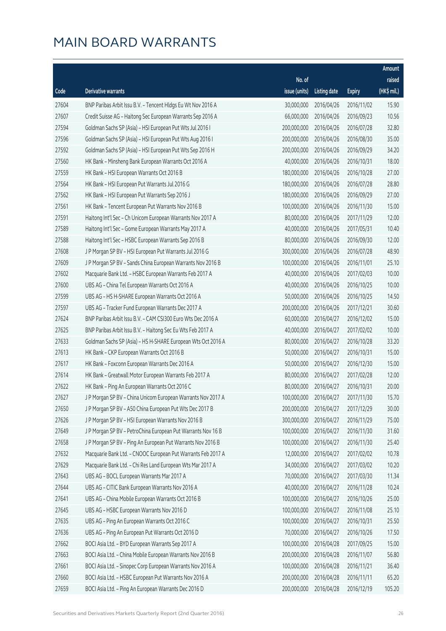|       |                                                              |               |                        |               | Amount      |
|-------|--------------------------------------------------------------|---------------|------------------------|---------------|-------------|
|       |                                                              | No. of        |                        |               | raised      |
| Code  | <b>Derivative warrants</b>                                   | issue (units) | <b>Listing date</b>    | <b>Expiry</b> | (HK\$ mil.) |
| 27604 | BNP Paribas Arbit Issu B.V. - Tencent Hldgs Eu Wt Nov 2016 A | 30,000,000    | 2016/04/26             | 2016/11/02    | 15.90       |
| 27607 | Credit Suisse AG - Haitong Sec European Warrants Sep 2016 A  | 66,000,000    | 2016/04/26             | 2016/09/23    | 10.56       |
| 27594 | Goldman Sachs SP (Asia) - HSI European Put Wts Jul 2016 I    | 200,000,000   | 2016/04/26             | 2016/07/28    | 32.80       |
| 27596 | Goldman Sachs SP (Asia) - HSI European Put Wts Aug 2016 I    | 200,000,000   | 2016/04/26             | 2016/08/30    | 35.00       |
| 27592 | Goldman Sachs SP (Asia) - HSI European Put Wts Sep 2016 H    | 200,000,000   | 2016/04/26             | 2016/09/29    | 34.20       |
| 27560 | HK Bank - Minsheng Bank European Warrants Oct 2016 A         | 40,000,000    | 2016/04/26             | 2016/10/31    | 18.00       |
| 27559 | HK Bank - HSI European Warrants Oct 2016 B                   | 180,000,000   | 2016/04/26             | 2016/10/28    | 27.00       |
| 27564 | HK Bank - HSI European Put Warrants Jul 2016 G               | 180,000,000   | 2016/04/26             | 2016/07/28    | 28.80       |
| 27562 | HK Bank - HSI European Put Warrants Sep 2016 J               | 180,000,000   | 2016/04/26             | 2016/09/29    | 27.00       |
| 27561 | HK Bank - Tencent European Put Warrants Nov 2016 B           | 100,000,000   | 2016/04/26             | 2016/11/30    | 15.00       |
| 27591 | Haitong Int'l Sec - Ch Unicom European Warrants Nov 2017 A   | 80,000,000    | 2016/04/26             | 2017/11/29    | 12.00       |
| 27589 | Haitong Int'l Sec - Gome European Warrants May 2017 A        | 40,000,000    | 2016/04/26             | 2017/05/31    | 10.40       |
| 27588 | Haitong Int'l Sec - HSBC European Warrants Sep 2016 B        | 80,000,000    | 2016/04/26             | 2016/09/30    | 12.00       |
| 27608 | J P Morgan SP BV - HSI European Put Warrants Jul 2016 G      | 300,000,000   | 2016/04/26             | 2016/07/28    | 48.90       |
| 27609 | J P Morgan SP BV - Sands China European Warrants Nov 2016 B  | 100,000,000   | 2016/04/26             | 2016/11/01    | 25.10       |
| 27602 | Macquarie Bank Ltd. - HSBC European Warrants Feb 2017 A      | 40,000,000    | 2016/04/26             | 2017/02/03    | 10.00       |
| 27600 | UBS AG - China Tel European Warrants Oct 2016 A              | 40,000,000    | 2016/04/26             | 2016/10/25    | 10.00       |
| 27599 | UBS AG - HS H-SHARE European Warrants Oct 2016 A             | 50,000,000    | 2016/04/26             | 2016/10/25    | 14.50       |
| 27597 | UBS AG - Tracker Fund European Warrants Dec 2017 A           | 200,000,000   | 2016/04/26             | 2017/12/21    | 30.60       |
| 27624 | BNP Paribas Arbit Issu B.V. - CAM CSI300 Euro Wts Dec 2016 A | 60,000,000    | 2016/04/27             | 2016/12/02    | 15.00       |
| 27625 | BNP Paribas Arbit Issu B.V. - Haitong Sec Eu Wts Feb 2017 A  | 40,000,000    | 2016/04/27             | 2017/02/02    | 10.00       |
| 27633 | Goldman Sachs SP (Asia) - HS H-SHARE European Wts Oct 2016 A | 80,000,000    | 2016/04/27             | 2016/10/28    | 33.20       |
| 27613 | HK Bank - CKP European Warrants Oct 2016 B                   | 50,000,000    | 2016/04/27             | 2016/10/31    | 15.00       |
| 27617 | HK Bank - Foxconn European Warrants Dec 2016 A               | 50,000,000    | 2016/04/27             | 2016/12/30    | 15.00       |
| 27614 | HK Bank - Greatwall Motor European Warrants Feb 2017 A       | 80,000,000    | 2016/04/27             | 2017/02/28    | 12.00       |
| 27622 | HK Bank - Ping An European Warrants Oct 2016 C               | 80,000,000    | 2016/04/27             | 2016/10/31    | 20.00       |
| 27627 | J P Morgan SP BV - China Unicom European Warrants Nov 2017 A |               | 100,000,000 2016/04/27 | 2017/11/30    | 15.70       |
| 27650 | J P Morgan SP BV - A50 China European Put Wts Dec 2017 B     | 200,000,000   | 2016/04/27             | 2017/12/29    | 30.00       |
| 27626 | J P Morgan SP BV - HSI European Warrants Nov 2016 B          | 300,000,000   | 2016/04/27             | 2016/11/29    | 75.00       |
| 27649 | J P Morgan SP BV - PetroChina European Put Warrants Nov 16 B | 100,000,000   | 2016/04/27             | 2016/11/30    | 31.60       |
| 27658 | J P Morgan SP BV - Ping An European Put Warrants Nov 2016 B  | 100,000,000   | 2016/04/27             | 2016/11/30    | 25.40       |
| 27632 | Macquarie Bank Ltd. - CNOOC European Put Warrants Feb 2017 A | 12,000,000    | 2016/04/27             | 2017/02/02    | 10.78       |
| 27629 | Macquarie Bank Ltd. - Chi Res Land European Wts Mar 2017 A   | 34,000,000    | 2016/04/27             | 2017/03/02    | 10.20       |
| 27643 | UBS AG - BOCL European Warrants Mar 2017 A                   | 70,000,000    | 2016/04/27             | 2017/03/30    | 11.34       |
| 27644 | UBS AG - CITIC Bank European Warrants Nov 2016 A             | 40,000,000    | 2016/04/27             | 2016/11/28    | 10.24       |
| 27641 | UBS AG - China Mobile European Warrants Oct 2016 B           | 100,000,000   | 2016/04/27             | 2016/10/26    | 25.00       |
| 27645 | UBS AG - HSBC European Warrants Nov 2016 D                   | 100,000,000   | 2016/04/27             | 2016/11/08    | 25.10       |
| 27635 | UBS AG - Ping An European Warrants Oct 2016 C                | 100,000,000   | 2016/04/27             | 2016/10/31    | 25.50       |
| 27636 | UBS AG - Ping An European Put Warrants Oct 2016 D            | 70,000,000    | 2016/04/27             | 2016/10/26    | 17.50       |
| 27662 | BOCI Asia Ltd. - BYD European Warrants Sep 2017 A            | 100,000,000   | 2016/04/28             | 2017/09/25    | 15.00       |
| 27663 | BOCI Asia Ltd. - China Mobile European Warrants Nov 2016 B   | 200,000,000   | 2016/04/28             | 2016/11/07    | 56.80       |
| 27661 | BOCI Asia Ltd. - Sinopec Corp European Warrants Nov 2016 A   | 100,000,000   | 2016/04/28             | 2016/11/21    | 36.40       |
| 27660 | BOCI Asia Ltd. - HSBC European Put Warrants Nov 2016 A       | 200,000,000   | 2016/04/28             | 2016/11/11    | 65.20       |
| 27659 | BOCI Asia Ltd. - Ping An European Warrants Dec 2016 D        | 200,000,000   | 2016/04/28             | 2016/12/19    | 105.20      |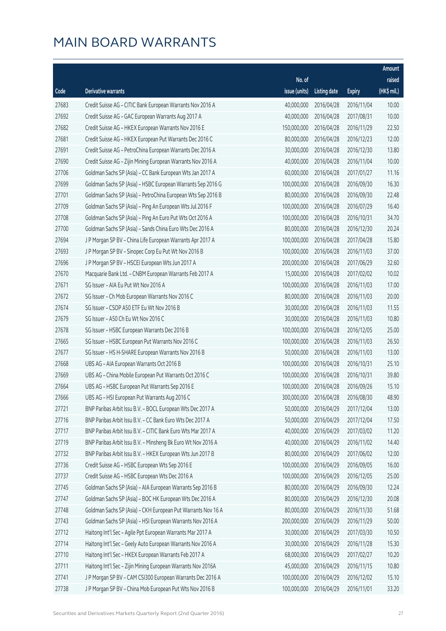|       |                                                              |               |                        |               | Amount      |
|-------|--------------------------------------------------------------|---------------|------------------------|---------------|-------------|
|       |                                                              | No. of        |                        |               | raised      |
| Code  | <b>Derivative warrants</b>                                   | issue (units) | <b>Listing date</b>    | <b>Expiry</b> | (HK\$ mil.) |
| 27683 | Credit Suisse AG - CITIC Bank European Warrants Nov 2016 A   | 40,000,000    | 2016/04/28             | 2016/11/04    | 10.00       |
| 27692 | Credit Suisse AG - GAC European Warrants Aug 2017 A          | 40,000,000    | 2016/04/28             | 2017/08/31    | 10.00       |
| 27682 | Credit Suisse AG - HKEX European Warrants Nov 2016 E         | 150,000,000   | 2016/04/28             | 2016/11/29    | 22.50       |
| 27681 | Credit Suisse AG - HKEX European Put Warrants Dec 2016 C     | 80,000,000    | 2016/04/28             | 2016/12/23    | 12.00       |
| 27691 | Credit Suisse AG - PetroChina European Warrants Dec 2016 A   | 30,000,000    | 2016/04/28             | 2016/12/30    | 13.80       |
| 27690 | Credit Suisse AG - Zijin Mining European Warrants Nov 2016 A | 40,000,000    | 2016/04/28             | 2016/11/04    | 10.00       |
| 27706 | Goldman Sachs SP (Asia) - CC Bank European Wts Jan 2017 A    | 60,000,000    | 2016/04/28             | 2017/01/27    | 11.16       |
| 27699 | Goldman Sachs SP (Asia) - HSBC European Warrants Sep 2016 G  | 100,000,000   | 2016/04/28             | 2016/09/30    | 16.30       |
| 27701 | Goldman Sachs SP (Asia) - PetroChina European Wts Sep 2016 B | 80,000,000    | 2016/04/28             | 2016/09/30    | 22.48       |
| 27709 | Goldman Sachs SP (Asia) - Ping An European Wts Jul 2016 F    | 100,000,000   | 2016/04/28             | 2016/07/29    | 16.40       |
| 27708 | Goldman Sachs SP (Asia) - Ping An Euro Put Wts Oct 2016 A    | 100,000,000   | 2016/04/28             | 2016/10/31    | 34.70       |
| 27700 | Goldman Sachs SP (Asia) - Sands China Euro Wts Dec 2016 A    | 80,000,000    | 2016/04/28             | 2016/12/30    | 20.24       |
| 27694 | J P Morgan SP BV - China Life European Warrants Apr 2017 A   | 100,000,000   | 2016/04/28             | 2017/04/28    | 15.80       |
| 27693 | J P Morgan SP BV - Sinopec Corp Eu Put Wt Nov 2016 B         | 100,000,000   | 2016/04/28             | 2016/11/03    | 37.00       |
| 27696 | J P Morgan SP BV - HSCEI European Wts Jun 2017 A             | 200,000,000   | 2016/04/28             | 2017/06/29    | 32.60       |
| 27670 | Macquarie Bank Ltd. - CNBM European Warrants Feb 2017 A      | 15,000,000    | 2016/04/28             | 2017/02/02    | 10.02       |
| 27671 | SG Issuer - AIA Eu Put Wt Nov 2016 A                         | 100,000,000   | 2016/04/28             | 2016/11/03    | 17.00       |
| 27672 | SG Issuer - Ch Mob European Warrants Nov 2016 C              | 80,000,000    | 2016/04/28             | 2016/11/03    | 20.00       |
| 27674 | SG Issuer - CSOP A50 ETF Eu Wt Nov 2016 B                    | 30,000,000    | 2016/04/28             | 2016/11/03    | 11.55       |
| 27679 | SG Issuer - A50 Ch Eu Wt Nov 2016 C                          | 30,000,000    | 2016/04/28             | 2016/11/03    | 10.80       |
| 27678 | SG Issuer - HSBC European Warrants Dec 2016 B                | 100,000,000   | 2016/04/28             | 2016/12/05    | 25.00       |
| 27665 | SG Issuer - HSBC European Put Warrants Nov 2016 C            | 100,000,000   | 2016/04/28             | 2016/11/03    | 26.50       |
| 27677 | SG Issuer - HS H-SHARE European Warrants Nov 2016 B          | 50,000,000    | 2016/04/28             | 2016/11/03    | 13.00       |
| 27668 | UBS AG - AIA European Warrants Oct 2016 B                    | 100,000,000   | 2016/04/28             | 2016/10/31    | 25.10       |
| 27669 | UBS AG - China Mobile European Put Warrants Oct 2016 C       | 100,000,000   | 2016/04/28             | 2016/10/31    | 39.80       |
| 27664 | UBS AG - HSBC European Put Warrants Sep 2016 E               | 100,000,000   | 2016/04/28             | 2016/09/26    | 15.10       |
| 27666 | UBS AG - HSI European Put Warrants Aug 2016 C                |               | 300,000,000 2016/04/28 | 2016/08/30    | 48.90       |
| 27721 | BNP Paribas Arbit Issu B.V. - BOCL European Wts Dec 2017 A   | 50,000,000    | 2016/04/29             | 2017/12/04    | 13.00       |
| 27716 | BNP Paribas Arbit Issu B.V. - CC Bank Euro Wts Dec 2017 A    | 50,000,000    | 2016/04/29             | 2017/12/04    | 17.50       |
| 27717 | BNP Paribas Arbit Issu B.V. - CITIC Bank Euro Wts Mar 2017 A | 40,000,000    | 2016/04/29             | 2017/03/02    | 11.20       |
| 27719 | BNP Paribas Arbit Issu B.V. - Minsheng Bk Euro Wt Nov 2016 A | 40,000,000    | 2016/04/29             | 2016/11/02    | 14.40       |
| 27732 | BNP Paribas Arbit Issu B.V. - HKEX European Wts Jun 2017 B   | 80,000,000    | 2016/04/29             | 2017/06/02    | 12.00       |
| 27736 | Credit Suisse AG - HSBC European Wts Sep 2016 E              | 100,000,000   | 2016/04/29             | 2016/09/05    | 16.00       |
| 27737 | Credit Suisse AG - HSBC European Wts Dec 2016 A              | 100,000,000   | 2016/04/29             | 2016/12/05    | 25.00       |
| 27745 | Goldman Sachs SP (Asia) - AIA European Warrants Sep 2016 B   | 80,000,000    | 2016/04/29             | 2016/09/30    | 12.24       |
| 27747 | Goldman Sachs SP (Asia) - BOC HK European Wts Dec 2016 A     | 80,000,000    | 2016/04/29             | 2016/12/30    | 20.08       |
| 27748 | Goldman Sachs SP (Asia) - CKH European Put Warrants Nov 16 A | 80,000,000    | 2016/04/29             | 2016/11/30    | 51.68       |
| 27743 | Goldman Sachs SP (Asia) - HSI European Warrants Nov 2016 A   | 200,000,000   | 2016/04/29             | 2016/11/29    | 50.00       |
| 27712 | Haitong Int'l Sec - Agile Ppt European Warrants Mar 2017 A   | 30,000,000    | 2016/04/29             | 2017/03/30    | 10.50       |
| 27714 | Haitong Int'l Sec - Geely Auto European Warrants Nov 2016 A  | 30,000,000    | 2016/04/29             | 2016/11/28    | 15.30       |
| 27710 | Haitong Int'l Sec - HKEX European Warrants Feb 2017 A        | 68,000,000    | 2016/04/29             | 2017/02/27    | 10.20       |
| 27711 | Haitong Int'l Sec - Zijin Mining European Warrants Nov 2016A | 45,000,000    | 2016/04/29             | 2016/11/15    | 10.80       |
| 27741 | J P Morgan SP BV - CAM CSI300 European Warrants Dec 2016 A   | 100,000,000   | 2016/04/29             | 2016/12/02    | 15.10       |
| 27738 | J P Morgan SP BV - China Mob European Put Wts Nov 2016 B     | 100,000,000   | 2016/04/29             | 2016/11/01    | 33.20       |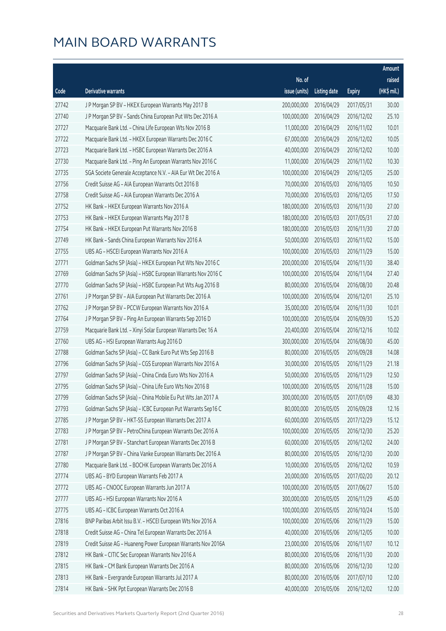|       |                                                              |               |                        |               | Amount      |
|-------|--------------------------------------------------------------|---------------|------------------------|---------------|-------------|
|       |                                                              | No. of        |                        |               | raised      |
| Code  | Derivative warrants                                          | issue (units) | <b>Listing date</b>    | <b>Expiry</b> | (HK\$ mil.) |
| 27742 | J P Morgan SP BV - HKEX European Warrants May 2017 B         | 200,000,000   | 2016/04/29             | 2017/05/31    | 30.00       |
| 27740 | J P Morgan SP BV - Sands China European Put Wts Dec 2016 A   | 100,000,000   | 2016/04/29             | 2016/12/02    | 25.10       |
| 27727 | Macquarie Bank Ltd. - China Life European Wts Nov 2016 B     | 11,000,000    | 2016/04/29             | 2016/11/02    | 10.01       |
| 27722 | Macquarie Bank Ltd. - HKEX European Warrants Dec 2016 C      | 67,000,000    | 2016/04/29             | 2016/12/02    | 10.05       |
| 27723 | Macquarie Bank Ltd. - HSBC European Warrants Dec 2016 A      | 40,000,000    | 2016/04/29             | 2016/12/02    | 10.00       |
| 27730 | Macquarie Bank Ltd. - Ping An European Warrants Nov 2016 C   | 11,000,000    | 2016/04/29             | 2016/11/02    | 10.30       |
| 27735 | SGA Societe Generale Acceptance N.V. - AIA Eur Wt Dec 2016 A | 100,000,000   | 2016/04/29             | 2016/12/05    | 25.00       |
| 27756 | Credit Suisse AG - AIA European Warrants Oct 2016 B          | 70,000,000    | 2016/05/03             | 2016/10/05    | 10.50       |
| 27758 | Credit Suisse AG - AIA European Warrants Dec 2016 A          | 70,000,000    | 2016/05/03             | 2016/12/05    | 17.50       |
| 27752 | HK Bank - HKEX European Warrants Nov 2016 A                  | 180,000,000   | 2016/05/03             | 2016/11/30    | 27.00       |
| 27753 | HK Bank - HKEX European Warrants May 2017 B                  | 180,000,000   | 2016/05/03             | 2017/05/31    | 27.00       |
| 27754 | HK Bank - HKEX European Put Warrants Nov 2016 B              | 180,000,000   | 2016/05/03             | 2016/11/30    | 27.00       |
| 27749 | HK Bank - Sands China European Warrants Nov 2016 A           | 50,000,000    | 2016/05/03             | 2016/11/02    | 15.00       |
| 27755 | UBS AG - HSCEI European Warrants Nov 2016 A                  | 100,000,000   | 2016/05/03             | 2016/11/29    | 15.00       |
| 27771 | Goldman Sachs SP (Asia) - HKEX European Put Wts Nov 2016 C   | 200,000,000   | 2016/05/04             | 2016/11/30    | 38.40       |
| 27769 | Goldman Sachs SP (Asia) - HSBC European Warrants Nov 2016 C  | 100,000,000   | 2016/05/04             | 2016/11/04    | 27.40       |
| 27770 | Goldman Sachs SP (Asia) - HSBC European Put Wts Aug 2016 B   | 80,000,000    | 2016/05/04             | 2016/08/30    | 20.48       |
| 27761 | J P Morgan SP BV - AIA European Put Warrants Dec 2016 A      | 100,000,000   | 2016/05/04             | 2016/12/01    | 25.10       |
| 27762 | J P Morgan SP BV - PCCW European Warrants Nov 2016 A         | 35,000,000    | 2016/05/04             | 2016/11/30    | 10.01       |
| 27764 | J P Morgan SP BV - Ping An European Warrants Sep 2016 D      | 100,000,000   | 2016/05/04             | 2016/09/30    | 15.20       |
| 27759 | Macquarie Bank Ltd. - Xinyi Solar European Warrants Dec 16 A | 20,400,000    | 2016/05/04             | 2016/12/16    | 10.02       |
| 27760 | UBS AG - HSI European Warrants Aug 2016 D                    | 300,000,000   | 2016/05/04             | 2016/08/30    | 45.00       |
| 27788 | Goldman Sachs SP (Asia) - CC Bank Euro Put Wts Sep 2016 B    | 80,000,000    | 2016/05/05             | 2016/09/28    | 14.08       |
| 27796 | Goldman Sachs SP (Asia) - CGS European Warrants Nov 2016 A   | 30,000,000    | 2016/05/05             | 2016/11/29    | 21.18       |
| 27797 | Goldman Sachs SP (Asia) - China Cinda Euro Wts Nov 2016 A    | 50,000,000    | 2016/05/05             | 2016/11/29    | 12.50       |
| 27795 | Goldman Sachs SP (Asia) - China Life Euro Wts Nov 2016 B     | 100,000,000   | 2016/05/05             | 2016/11/28    | 15.00       |
| 27799 | Goldman Sachs SP (Asia) - China Mobile Eu Put Wts Jan 2017 A |               | 300,000,000 2016/05/05 | 2017/01/09    | 48.30       |
| 27793 | Goldman Sachs SP (Asia) - ICBC European Put Warrants Sep16 C | 80,000,000    | 2016/05/05             | 2016/09/28    | 12.16       |
| 27785 | J P Morgan SP BV - HKT-SS European Warrants Dec 2017 A       | 60,000,000    | 2016/05/05             | 2017/12/29    | 15.12       |
| 27783 | J P Morgan SP BV - PetroChina European Warrants Dec 2016 A   | 100,000,000   | 2016/05/05             | 2016/12/30    | 25.20       |
| 27781 | J P Morgan SP BV - Stanchart European Warrants Dec 2016 B    | 60,000,000    | 2016/05/05             | 2016/12/02    | 24.00       |
| 27787 | J P Morgan SP BV - China Vanke European Warrants Dec 2016 A  | 80,000,000    | 2016/05/05             | 2016/12/30    | 20.00       |
| 27780 | Macquarie Bank Ltd. - BOCHK European Warrants Dec 2016 A     | 10,000,000    | 2016/05/05             | 2016/12/02    | 10.59       |
| 27774 | UBS AG - BYD European Warrants Feb 2017 A                    | 20,000,000    | 2016/05/05             | 2017/02/20    | 20.12       |
| 27772 | UBS AG - CNOOC European Warrants Jun 2017 A                  | 100,000,000   | 2016/05/05             | 2017/06/27    | 15.00       |
| 27777 | UBS AG - HSI European Warrants Nov 2016 A                    | 300,000,000   | 2016/05/05             | 2016/11/29    | 45.00       |
| 27775 | UBS AG - ICBC European Warrants Oct 2016 A                   | 100,000,000   | 2016/05/05             | 2016/10/24    | 15.00       |
| 27816 | BNP Paribas Arbit Issu B.V. - HSCEI European Wts Nov 2016 A  | 100,000,000   | 2016/05/06             | 2016/11/29    | 15.00       |
| 27818 | Credit Suisse AG - China Tel European Warrants Dec 2016 A    | 40,000,000    | 2016/05/06             | 2016/12/05    | 10.00       |
| 27819 | Credit Suisse AG - Huaneng Power European Warrants Nov 2016A | 23,000,000    | 2016/05/06             | 2016/11/07    | 10.12       |
| 27812 | HK Bank - CITIC Sec European Warrants Nov 2016 A             | 80,000,000    | 2016/05/06             | 2016/11/30    | 20.00       |
| 27815 | HK Bank - CM Bank European Warrants Dec 2016 A               | 80,000,000    | 2016/05/06             | 2016/12/30    | 12.00       |
| 27813 | HK Bank - Evergrande European Warrants Jul 2017 A            | 80,000,000    | 2016/05/06             | 2017/07/10    | 12.00       |
| 27814 | HK Bank - SHK Ppt European Warrants Dec 2016 B               | 40,000,000    | 2016/05/06             | 2016/12/02    | 12.00       |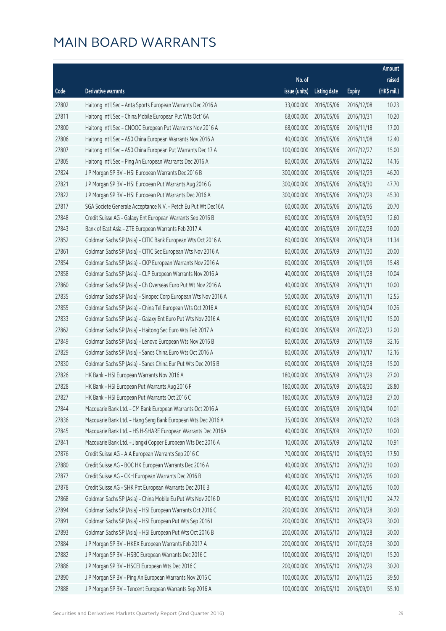|       |                                                                |                        |                     |               | Amount      |
|-------|----------------------------------------------------------------|------------------------|---------------------|---------------|-------------|
|       |                                                                | No. of                 |                     |               | raised      |
| Code  | Derivative warrants                                            | issue (units)          | <b>Listing date</b> | <b>Expiry</b> | (HK\$ mil.) |
| 27802 | Haitong Int'l Sec - Anta Sports European Warrants Dec 2016 A   | 33,000,000             | 2016/05/06          | 2016/12/08    | 10.23       |
| 27811 | Haitong Int'l Sec - China Mobile European Put Wts Oct16A       | 68,000,000             | 2016/05/06          | 2016/10/31    | 10.20       |
| 27800 | Haitong Int'l Sec - CNOOC European Put Warrants Nov 2016 A     | 68,000,000             | 2016/05/06          | 2016/11/18    | 17.00       |
| 27806 | Haitong Int'l Sec - A50 China European Warrants Nov 2016 A     | 40,000,000             | 2016/05/06          | 2016/11/08    | 12.40       |
| 27807 | Haitong Int'l Sec - A50 China European Put Warrants Dec 17 A   | 100,000,000            | 2016/05/06          | 2017/12/27    | 15.00       |
| 27805 | Haitong Int'l Sec - Ping An European Warrants Dec 2016 A       | 80,000,000             | 2016/05/06          | 2016/12/22    | 14.16       |
| 27824 | J P Morgan SP BV - HSI European Warrants Dec 2016 B            | 300,000,000            | 2016/05/06          | 2016/12/29    | 46.20       |
| 27821 | J P Morgan SP BV - HSI European Put Warrants Aug 2016 G        | 300,000,000            | 2016/05/06          | 2016/08/30    | 47.70       |
| 27822 | J P Morgan SP BV - HSI European Put Warrants Dec 2016 A        | 300,000,000            | 2016/05/06          | 2016/12/29    | 45.30       |
| 27817 | SGA Societe Generale Acceptance N.V. - Petch Eu Put Wt Dec16A  | 60,000,000             | 2016/05/06          | 2016/12/05    | 20.70       |
| 27848 | Credit Suisse AG - Galaxy Ent European Warrants Sep 2016 B     | 60,000,000             | 2016/05/09          | 2016/09/30    | 12.60       |
| 27843 | Bank of East Asia - ZTE European Warrants Feb 2017 A           | 40,000,000             | 2016/05/09          | 2017/02/28    | 10.00       |
| 27852 | Goldman Sachs SP (Asia) - CITIC Bank European Wts Oct 2016 A   | 60,000,000             | 2016/05/09          | 2016/10/28    | 11.34       |
| 27861 | Goldman Sachs SP (Asia) - CITIC Sec European Wts Nov 2016 A    | 80,000,000             | 2016/05/09          | 2016/11/30    | 20.00       |
| 27854 | Goldman Sachs SP (Asia) - CKP European Warrants Nov 2016 A     | 60,000,000             | 2016/05/09          | 2016/11/09    | 15.48       |
| 27858 | Goldman Sachs SP (Asia) - CLP European Warrants Nov 2016 A     | 40,000,000             | 2016/05/09          | 2016/11/28    | 10.04       |
| 27860 | Goldman Sachs SP (Asia) - Ch Overseas Euro Put Wt Nov 2016 A   | 40,000,000             | 2016/05/09          | 2016/11/11    | 10.00       |
| 27835 | Goldman Sachs SP (Asia) - Sinopec Corp European Wts Nov 2016 A | 50,000,000             | 2016/05/09          | 2016/11/11    | 12.55       |
| 27855 | Goldman Sachs SP (Asia) - China Tel European Wts Oct 2016 A    | 60,000,000             | 2016/05/09          | 2016/10/24    | 10.26       |
| 27833 | Goldman Sachs SP (Asia) - Galaxy Ent Euro Put Wts Nov 2016 A   | 60,000,000             | 2016/05/09          | 2016/11/10    | 15.00       |
| 27862 | Goldman Sachs SP (Asia) - Haitong Sec Euro Wts Feb 2017 A      | 80,000,000             | 2016/05/09          | 2017/02/23    | 12.00       |
| 27849 | Goldman Sachs SP (Asia) - Lenovo European Wts Nov 2016 B       | 80,000,000             | 2016/05/09          | 2016/11/09    | 32.16       |
| 27829 | Goldman Sachs SP (Asia) - Sands China Euro Wts Oct 2016 A      | 80,000,000             | 2016/05/09          | 2016/10/17    | 12.16       |
| 27830 | Goldman Sachs SP (Asia) - Sands China Eur Put Wts Dec 2016 B   | 60,000,000             | 2016/05/09          | 2016/12/28    | 15.00       |
| 27826 | HK Bank - HSI European Warrants Nov 2016 A                     | 180,000,000            | 2016/05/09          | 2016/11/29    | 27.00       |
| 27828 | HK Bank - HSI European Put Warrants Aug 2016 F                 | 180,000,000            | 2016/05/09          | 2016/08/30    | 28.80       |
| 27827 | HK Bank - HSI European Put Warrants Oct 2016 C                 | 180,000,000 2016/05/09 |                     | 2016/10/28    | 27.00       |
| 27844 | Macquarie Bank Ltd. - CM Bank European Warrants Oct 2016 A     | 65,000,000             | 2016/05/09          | 2016/10/04    | 10.01       |
| 27836 | Macquarie Bank Ltd. - Hang Seng Bank European Wts Dec 2016 A   | 35,000,000             | 2016/05/09          | 2016/12/02    | 10.08       |
| 27845 | Macquarie Bank Ltd. - HS H-SHARE European Warrants Dec 2016A   | 40,000,000             | 2016/05/09          | 2016/12/02    | 10.00       |
| 27841 | Macquarie Bank Ltd. - Jiangxi Copper European Wts Dec 2016 A   | 10,000,000             | 2016/05/09          | 2016/12/02    | 10.91       |
| 27876 | Credit Suisse AG - AIA European Warrants Sep 2016 C            | 70,000,000             | 2016/05/10          | 2016/09/30    | 17.50       |
| 27880 | Credit Suisse AG - BOC HK European Warrants Dec 2016 A         | 40,000,000             | 2016/05/10          | 2016/12/30    | 10.00       |
| 27877 | Credit Suisse AG - CKH European Warrants Dec 2016 B            | 40,000,000             | 2016/05/10          | 2016/12/05    | 10.00       |
| 27878 | Credit Suisse AG - SHK Ppt European Warrants Dec 2016 B        | 40,000,000             | 2016/05/10          | 2016/12/05    | 10.00       |
| 27868 | Goldman Sachs SP (Asia) - China Mobile Eu Put Wts Nov 2016 D   | 80,000,000             | 2016/05/10          | 2016/11/10    | 24.72       |
| 27894 | Goldman Sachs SP (Asia) - HSI European Warrants Oct 2016 C     | 200,000,000            | 2016/05/10          | 2016/10/28    | 30.00       |
| 27891 | Goldman Sachs SP (Asia) - HSI European Put Wts Sep 2016 I      | 200,000,000            | 2016/05/10          | 2016/09/29    | 30.00       |
| 27893 | Goldman Sachs SP (Asia) - HSI European Put Wts Oct 2016 B      | 200,000,000            | 2016/05/10          | 2016/10/28    | 30.00       |
| 27884 | J P Morgan SP BV - HKEX European Warrants Feb 2017 A           | 200,000,000            | 2016/05/10          | 2017/02/28    | 30.00       |
| 27882 | J P Morgan SP BV - HSBC European Warrants Dec 2016 C           | 100,000,000            | 2016/05/10          | 2016/12/01    | 15.20       |
| 27886 | J P Morgan SP BV - HSCEI European Wts Dec 2016 C               | 200,000,000            | 2016/05/10          | 2016/12/29    | 30.20       |
| 27890 | J P Morgan SP BV - Ping An European Warrants Nov 2016 C        | 100,000,000            | 2016/05/10          | 2016/11/25    | 39.50       |
| 27888 | J P Morgan SP BV - Tencent European Warrants Sep 2016 A        | 100,000,000            | 2016/05/10          | 2016/09/01    | 55.10       |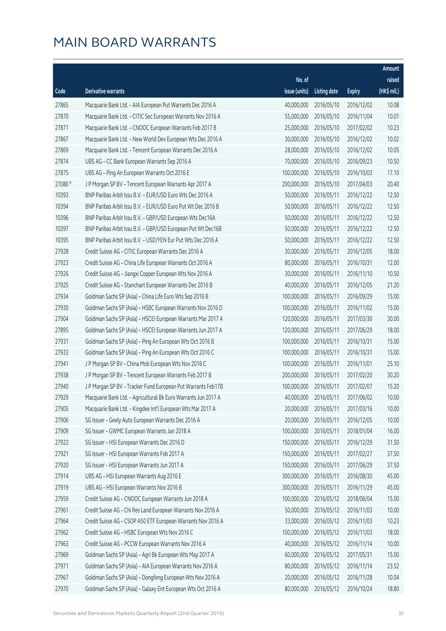|         |                                                                |               |                       |               | Amount      |
|---------|----------------------------------------------------------------|---------------|-----------------------|---------------|-------------|
|         |                                                                | No. of        |                       |               | raised      |
| Code    | Derivative warrants                                            | issue (units) | <b>Listing date</b>   | <b>Expiry</b> | (HK\$ mil.) |
| 27865   | Macquarie Bank Ltd. - AIA European Put Warrants Dec 2016 A     | 40,000,000    | 2016/05/10            | 2016/12/02    | 10.08       |
| 27870   | Macquarie Bank Ltd. - CITIC Sec European Warrants Nov 2016 A   | 55,000,000    | 2016/05/10            | 2016/11/04    | 10.01       |
| 27871   | Macquarie Bank Ltd. - CNOOC European Warrants Feb 2017 B       | 25,000,000    | 2016/05/10            | 2017/02/02    | 10.23       |
| 27867   | Macquarie Bank Ltd. - New World Dev European Wts Dec 2016 A    | 30,000,000    | 2016/05/10            | 2016/12/02    | 10.02       |
| 27869   | Macquarie Bank Ltd. - Tencent European Warrants Dec 2016 A     | 28,000,000    | 2016/05/10            | 2016/12/02    | 10.05       |
| 27874   | UBS AG - CC Bank European Warrants Sep 2016 A                  | 70,000,000    | 2016/05/10            | 2016/09/23    | 10.50       |
| 27875   | UBS AG - Ping An European Warrants Oct 2016 E                  | 100,000,000   | 2016/05/10            | 2016/10/03    | 17.10       |
| 27080 # | J P Morgan SP BV - Tencent European Warrants Apr 2017 A        | 200,000,000   | 2016/05/10            | 2017/04/03    | 20.40       |
| 10393   | BNP Paribas Arbit Issu B.V. - EUR/USD Euro Wts Dec 2016 A      | 50,000,000    | 2016/05/11            | 2016/12/22    | 12.50       |
| 10394   | BNP Paribas Arbit Issu B.V. - EUR/USD Euro Put Wt Dec 2016 B   | 50,000,000    | 2016/05/11            | 2016/12/22    | 12.50       |
| 10396   | BNP Paribas Arbit Issu B.V. - GBP/USD European Wts Dec16A      | 50,000,000    | 2016/05/11            | 2016/12/22    | 12.50       |
| 10397   | BNP Paribas Arbit Issu B.V. - GBP/USD European Put Wt Dec16B   | 50,000,000    | 2016/05/11            | 2016/12/22    | 12.50       |
| 10395   | BNP Paribas Arbit Issu B.V. - USD/YEN Eur Put Wts Dec 2016 A   | 50,000,000    | 2016/05/11            | 2016/12/22    | 12.50       |
| 27928   | Credit Suisse AG - CITIC European Warrants Dec 2016 A          | 30,000,000    | 2016/05/11            | 2016/12/05    | 18.00       |
| 27923   | Credit Suisse AG - China Life European Warrants Oct 2016 A     | 80,000,000    | 2016/05/11            | 2016/10/31    | 12.00       |
| 27926   | Credit Suisse AG - Jiangxi Copper European Wts Nov 2016 A      | 30,000,000    | 2016/05/11            | 2016/11/10    | 10.50       |
| 27925   | Credit Suisse AG - Stanchart European Warrants Dec 2016 B      | 40,000,000    | 2016/05/11            | 2016/12/05    | 21.20       |
| 27934   | Goldman Sachs SP (Asia) - China Life Euro Wts Sep 2016 B       | 100,000,000   | 2016/05/11            | 2016/09/29    | 15.00       |
| 27930   | Goldman Sachs SP (Asia) - HSBC European Warrants Nov 2016 D    | 100,000,000   | 2016/05/11            | 2016/11/02    | 15.00       |
| 27904   | Goldman Sachs SP (Asia) - HSCEI European Warrants Mar 2017 A   | 120,000,000   | 2016/05/11            | 2017/03/30    | 30.00       |
| 27895   | Goldman Sachs SP (Asia) - HSCEI European Warrants Jun 2017 A   | 120,000,000   | 2016/05/11            | 2017/06/29    | 18.00       |
| 27931   | Goldman Sachs SP (Asia) - Ping An European Wts Oct 2016 B      | 100,000,000   | 2016/05/11            | 2016/10/31    | 15.00       |
| 27933   | Goldman Sachs SP (Asia) - Ping An European Wts Oct 2016 C      | 100,000,000   | 2016/05/11            | 2016/10/31    | 15.00       |
| 27941   | J P Morgan SP BV - China Mob European Wts Nov 2016 C           | 100,000,000   | 2016/05/11            | 2016/11/01    | 25.10       |
| 27938   | J P Morgan SP BV - Tencent European Warrants Feb 2017 B        | 200,000,000   | 2016/05/11            | 2017/02/20    | 30.20       |
| 27940   | J P Morgan SP BV - Tracker Fund European Put Warrants Feb17B   | 100,000,000   | 2016/05/11            | 2017/02/07    | 15.20       |
| 27929   | Macquarie Bank Ltd. - Agricultural Bk Euro Warrants Jun 2017 A |               | 40,000,000 2016/05/11 | 2017/06/02    | 10.00       |
| 27905   | Macquarie Bank Ltd. - Kingdee Int'l European Wts Mar 2017 A    | 20,000,000    | 2016/05/11            | 2017/03/16    | 10.00       |
| 27906   | SG Issuer - Geely Auto European Warrants Dec 2016 A            | 20,000,000    | 2016/05/11            | 2016/12/05    | 10.00       |
| 27909   | SG Issuer - GWMC European Warrants Jan 2018 A                  | 100,000,000   | 2016/05/11            | 2018/01/04    | 16.00       |
| 27922   | SG Issuer - HSI European Warrants Dec 2016 D                   | 150,000,000   | 2016/05/11            | 2016/12/29    | 31.50       |
| 27921   | SG Issuer - HSI European Warrants Feb 2017 A                   | 150,000,000   | 2016/05/11            | 2017/02/27    | 37.50       |
| 27920   | SG Issuer - HSI European Warrants Jun 2017 A                   | 150,000,000   | 2016/05/11            | 2017/06/29    | 37.50       |
| 27914   | UBS AG - HSI European Warrants Aug 2016 E                      | 300,000,000   | 2016/05/11            | 2016/08/30    | 45.00       |
| 27919   | UBS AG - HSI European Warrants Nov 2016 B                      | 300,000,000   | 2016/05/11            | 2016/11/29    | 45.00       |
| 27959   | Credit Suisse AG - CNOOC European Warrants Jun 2018 A          | 100,000,000   | 2016/05/12            | 2018/06/04    | 15.00       |
| 27961   | Credit Suisse AG - Chi Res Land European Warrants Nov 2016 A   | 50,000,000    | 2016/05/12            | 2016/11/03    | 10.00       |
| 27964   | Credit Suisse AG - CSOP A50 ETF European Warrants Nov 2016 A   | 33,000,000    | 2016/05/12            | 2016/11/03    | 10.23       |
| 27962   | Credit Suisse AG - HSBC European Wts Nov 2016 C                | 100,000,000   | 2016/05/12            | 2016/11/03    | 18.00       |
| 27963   | Credit Suisse AG - PCCW European Warrants Nov 2016 A           | 40,000,000    | 2016/05/12            | 2016/11/14    | 10.00       |
| 27969   | Goldman Sachs SP (Asia) - Agri Bk European Wts May 2017 A      | 60,000,000    | 2016/05/12            | 2017/05/31    | 15.00       |
| 27971   | Goldman Sachs SP (Asia) - AIA European Warrants Nov 2016 A     | 80,000,000    | 2016/05/12            | 2016/11/14    | 23.52       |
| 27967   | Goldman Sachs SP (Asia) - Dongfeng European Wts Nov 2016 A     | 20,000,000    | 2016/05/12            | 2016/11/28    | 10.04       |
| 27970   | Goldman Sachs SP (Asia) - Galaxy Ent European Wts Oct 2016 A   | 80,000,000    | 2016/05/12            | 2016/10/24    | 18.80       |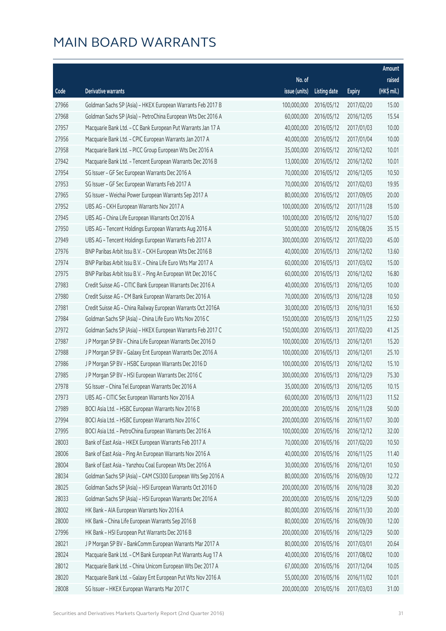|       |                                                              |               |                       |               | Amount      |
|-------|--------------------------------------------------------------|---------------|-----------------------|---------------|-------------|
|       |                                                              | No. of        |                       |               | raised      |
| Code  | <b>Derivative warrants</b>                                   | issue (units) | <b>Listing date</b>   | <b>Expiry</b> | (HK\$ mil.) |
| 27966 | Goldman Sachs SP (Asia) - HKEX European Warrants Feb 2017 B  | 100,000,000   | 2016/05/12            | 2017/02/20    | 15.00       |
| 27968 | Goldman Sachs SP (Asia) - PetroChina European Wts Dec 2016 A | 60,000,000    | 2016/05/12            | 2016/12/05    | 15.54       |
| 27957 | Macquarie Bank Ltd. - CC Bank European Put Warrants Jan 17 A | 40,000,000    | 2016/05/12            | 2017/01/03    | 10.00       |
| 27956 | Macquarie Bank Ltd. - CPIC European Warrants Jan 2017 A      | 40,000,000    | 2016/05/12            | 2017/01/04    | 10.00       |
| 27958 | Macquarie Bank Ltd. - PICC Group European Wts Dec 2016 A     | 35,000,000    | 2016/05/12            | 2016/12/02    | 10.01       |
| 27942 | Macquarie Bank Ltd. - Tencent European Warrants Dec 2016 B   | 13,000,000    | 2016/05/12            | 2016/12/02    | 10.01       |
| 27954 | SG Issuer - GF Sec European Warrants Dec 2016 A              | 70,000,000    | 2016/05/12            | 2016/12/05    | 10.50       |
| 27953 | SG Issuer - GF Sec European Warrants Feb 2017 A              | 70,000,000    | 2016/05/12            | 2017/02/03    | 19.95       |
| 27965 | SG Issuer - Weichai Power European Warrants Sep 2017 A       | 80,000,000    | 2016/05/12            | 2017/09/05    | 20.00       |
| 27952 | UBS AG - CKH European Warrants Nov 2017 A                    | 100,000,000   | 2016/05/12            | 2017/11/28    | 15.00       |
| 27945 | UBS AG - China Life European Warrants Oct 2016 A             | 100,000,000   | 2016/05/12            | 2016/10/27    | 15.00       |
| 27950 | UBS AG - Tencent Holdings European Warrants Aug 2016 A       | 50,000,000    | 2016/05/12            | 2016/08/26    | 35.15       |
| 27949 | UBS AG - Tencent Holdings European Warrants Feb 2017 A       | 300,000,000   | 2016/05/12            | 2017/02/20    | 45.00       |
| 27976 | BNP Paribas Arbit Issu B.V. - CKH European Wts Dec 2016 B    | 40,000,000    | 2016/05/13            | 2016/12/02    | 13.60       |
| 27974 | BNP Paribas Arbit Issu B.V. - China Life Euro Wts Mar 2017 A | 60,000,000    | 2016/05/13            | 2017/03/02    | 15.00       |
| 27975 | BNP Paribas Arbit Issu B.V. - Ping An European Wt Dec 2016 C | 60,000,000    | 2016/05/13            | 2016/12/02    | 16.80       |
| 27983 | Credit Suisse AG - CITIC Bank European Warrants Dec 2016 A   | 40,000,000    | 2016/05/13            | 2016/12/05    | 10.00       |
| 27980 | Credit Suisse AG - CM Bank European Warrants Dec 2016 A      | 70,000,000    | 2016/05/13            | 2016/12/28    | 10.50       |
| 27981 | Credit Suisse AG - China Railway European Warrants Oct 2016A | 30,000,000    | 2016/05/13            | 2016/10/31    | 16.50       |
| 27984 | Goldman Sachs SP (Asia) - China Life Euro Wts Nov 2016 C     | 150,000,000   | 2016/05/13            | 2016/11/25    | 22.50       |
| 27972 | Goldman Sachs SP (Asia) - HKEX European Warrants Feb 2017 C  | 150,000,000   | 2016/05/13            | 2017/02/20    | 41.25       |
| 27987 | J P Morgan SP BV - China Life European Warrants Dec 2016 D   | 100,000,000   | 2016/05/13            | 2016/12/01    | 15.20       |
| 27988 | J P Morgan SP BV - Galaxy Ent European Warrants Dec 2016 A   | 100,000,000   | 2016/05/13            | 2016/12/01    | 25.10       |
| 27986 | J P Morgan SP BV - HSBC European Warrants Dec 2016 D         | 100,000,000   | 2016/05/13            | 2016/12/02    | 15.10       |
| 27985 | J P Morgan SP BV - HSI European Warrants Dec 2016 C          | 300,000,000   | 2016/05/13            | 2016/12/29    | 75.30       |
| 27978 | SG Issuer - China Tel European Warrants Dec 2016 A           | 35,000,000    | 2016/05/13            | 2016/12/05    | 10.15       |
| 27973 | UBS AG – CITIC Sec European Warrants Nov 2016 A              |               | 60,000,000 2016/05/13 | 2016/11/23    | 11.52       |
| 27989 | BOCI Asia Ltd. - HSBC European Warrants Nov 2016 B           | 200,000,000   | 2016/05/16            | 2016/11/28    | 50.00       |
| 27994 | BOCI Asia Ltd. - HSBC European Warrants Nov 2016 C           | 200,000,000   | 2016/05/16            | 2016/11/07    | 30.00       |
| 27995 | BOCI Asia Ltd. - PetroChina European Warrants Dec 2016 A     | 100,000,000   | 2016/05/16            | 2016/12/12    | 32.00       |
| 28003 | Bank of East Asia - HKEX European Warrants Feb 2017 A        | 70,000,000    | 2016/05/16            | 2017/02/20    | 10.50       |
| 28006 | Bank of East Asia - Ping An European Warrants Nov 2016 A     | 40,000,000    | 2016/05/16            | 2016/11/25    | 11.40       |
| 28004 | Bank of East Asia - Yanzhou Coal European Wts Dec 2016 A     | 30,000,000    | 2016/05/16            | 2016/12/01    | 10.50       |
| 28034 | Goldman Sachs SP (Asia) - CAM CSI300 European Wts Sep 2016 A | 80,000,000    | 2016/05/16            | 2016/09/30    | 12.72       |
| 28025 | Goldman Sachs SP (Asia) - HSI European Warrants Oct 2016 D   | 200,000,000   | 2016/05/16            | 2016/10/28    | 30.20       |
| 28033 | Goldman Sachs SP (Asia) - HSI European Warrants Dec 2016 A   | 200,000,000   | 2016/05/16            | 2016/12/29    | 50.00       |
| 28002 | HK Bank - AIA European Warrants Nov 2016 A                   | 80,000,000    | 2016/05/16            | 2016/11/30    | 20.00       |
| 28000 | HK Bank - China Life European Warrants Sep 2016 B            | 80,000,000    | 2016/05/16            | 2016/09/30    | 12.00       |
| 27996 | HK Bank - HSI European Put Warrants Dec 2016 B               | 200,000,000   | 2016/05/16            | 2016/12/29    | 50.00       |
| 28021 | J P Morgan SP BV - BankComm European Warrants Mar 2017 A     | 80,000,000    | 2016/05/16            | 2017/03/01    | 20.64       |
| 28024 | Macquarie Bank Ltd. - CM Bank European Put Warrants Aug 17 A | 40,000,000    | 2016/05/16            | 2017/08/02    | 10.00       |
| 28012 | Macquarie Bank Ltd. - China Unicom European Wts Dec 2017 A   | 67,000,000    | 2016/05/16            | 2017/12/04    | 10.05       |
| 28020 | Macquarie Bank Ltd. - Galaxy Ent European Put Wts Nov 2016 A | 55,000,000    | 2016/05/16            | 2016/11/02    | 10.01       |
| 28008 | SG Issuer - HKEX European Warrants Mar 2017 C                | 200,000,000   | 2016/05/16            | 2017/03/03    | 31.00       |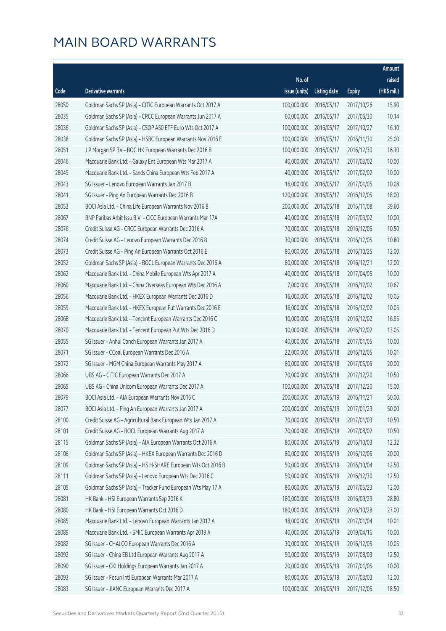|       |                                                              |                        |                     |               | Amount      |
|-------|--------------------------------------------------------------|------------------------|---------------------|---------------|-------------|
|       |                                                              | No. of                 |                     |               | raised      |
| Code  | <b>Derivative warrants</b>                                   | issue (units)          | <b>Listing date</b> | <b>Expiry</b> | (HK\$ mil.) |
| 28050 | Goldman Sachs SP (Asia) - CITIC European Warrants Oct 2017 A | 100,000,000            | 2016/05/17          | 2017/10/26    | 15.90       |
| 28035 | Goldman Sachs SP (Asia) - CRCC European Warrants Jun 2017 A  | 60,000,000             | 2016/05/17          | 2017/06/30    | 10.14       |
| 28036 | Goldman Sachs SP (Asia) - CSOP A50 ETF Euro Wts Oct 2017 A   | 100,000,000            | 2016/05/17          | 2017/10/27    | 16.10       |
| 28038 | Goldman Sachs SP (Asia) - HSBC European Warrants Nov 2016 E  | 100,000,000            | 2016/05/17          | 2016/11/30    | 25.00       |
| 28051 | J P Morgan SP BV - BOC HK European Warrants Dec 2016 B       | 100,000,000            | 2016/05/17          | 2016/12/30    | 16.30       |
| 28046 | Macquarie Bank Ltd. - Galaxy Ent European Wts Mar 2017 A     | 40,000,000             | 2016/05/17          | 2017/03/02    | 10.00       |
| 28049 | Macquarie Bank Ltd. - Sands China European Wts Feb 2017 A    | 40,000,000             | 2016/05/17          | 2017/02/02    | 10.00       |
| 28043 | SG Issuer - Lenovo European Warrants Jan 2017 B              | 16,000,000             | 2016/05/17          | 2017/01/05    | 10.08       |
| 28041 | SG Issuer - Ping An European Warrants Dec 2016 B             | 120,000,000            | 2016/05/17          | 2016/12/05    | 18.00       |
| 28053 | BOCI Asia Ltd. - China Life European Warrants Nov 2016 B     | 200,000,000            | 2016/05/18          | 2016/11/08    | 39.60       |
| 28067 | BNP Paribas Arbit Issu B.V. - CICC European Warrants Mar 17A | 40,000,000             | 2016/05/18          | 2017/03/02    | 10.00       |
| 28076 | Credit Suisse AG - CRCC European Warrants Dec 2016 A         | 70,000,000             | 2016/05/18          | 2016/12/05    | 10.50       |
| 28074 | Credit Suisse AG - Lenovo European Warrants Dec 2016 B       | 30,000,000             | 2016/05/18          | 2016/12/05    | 10.80       |
| 28073 | Credit Suisse AG - Ping An European Warrants Oct 2016 E      | 80,000,000             | 2016/05/18          | 2016/10/25    | 12.00       |
| 28052 | Goldman Sachs SP (Asia) - BOCL European Warrants Dec 2016 A  | 80,000,000             | 2016/05/18          | 2016/12/21    | 12.00       |
| 28062 | Macquarie Bank Ltd. - China Mobile European Wts Apr 2017 A   | 40,000,000             | 2016/05/18          | 2017/04/05    | 10.00       |
| 28060 | Macquarie Bank Ltd. - China Overseas European Wts Dec 2016 A | 7,000,000              | 2016/05/18          | 2016/12/02    | 10.67       |
| 28056 | Macquarie Bank Ltd. - HKEX European Warrants Dec 2016 D      | 16,000,000             | 2016/05/18          | 2016/12/02    | 10.05       |
| 28059 | Macquarie Bank Ltd. - HKEX European Put Warrants Dec 2016 E  | 16,000,000             | 2016/05/18          | 2016/12/02    | 10.05       |
| 28068 | Macquarie Bank Ltd. - Tencent European Warrants Dec 2016 C   | 10,000,000             | 2016/05/18          | 2016/12/02    | 16.95       |
| 28070 | Macquarie Bank Ltd. - Tencent European Put Wts Dec 2016 D    | 10,000,000             | 2016/05/18          | 2016/12/02    | 13.05       |
| 28055 | SG Issuer - Anhui Conch European Warrants Jan 2017 A         | 40,000,000             | 2016/05/18          | 2017/01/05    | 10.00       |
| 28071 | SG Issuer - CCoal European Warrants Dec 2016 A               | 22,000,000             | 2016/05/18          | 2016/12/05    | 10.01       |
| 28072 | SG Issuer - MGM China European Warrants May 2017 A           | 80,000,000             | 2016/05/18          | 2017/05/05    | 20.00       |
| 28066 | UBS AG - CITIC European Warrants Dec 2017 A                  | 70,000,000             | 2016/05/18          | 2017/12/20    | 10.50       |
| 28065 | UBS AG - China Unicom European Warrants Dec 2017 A           | 100,000,000            | 2016/05/18          | 2017/12/20    | 15.00       |
| 28079 | BOCI Asia Ltd. - AIA European Warrants Nov 2016 C            | 200,000,000 2016/05/19 |                     | 2016/11/21    | 50.00       |
| 28077 | BOCI Asia Ltd. - Ping An European Warrants Jan 2017 A        | 200,000,000            | 2016/05/19          | 2017/01/23    | 50.00       |
| 28100 | Credit Suisse AG - Agricultural Bank European Wts Jan 2017 A | 70,000,000             | 2016/05/19          | 2017/01/03    | 10.50       |
| 28101 | Credit Suisse AG - BOCL European Warrants Aug 2017 A         | 70,000,000             | 2016/05/19          | 2017/08/02    | 10.50       |
| 28115 | Goldman Sachs SP (Asia) - AIA European Warrants Oct 2016 A   | 80,000,000             | 2016/05/19          | 2016/10/03    | 12.32       |
| 28106 | Goldman Sachs SP (Asia) - HKEX European Warrants Dec 2016 D  | 80,000,000             | 2016/05/19          | 2016/12/05    | 20.00       |
| 28109 | Goldman Sachs SP (Asia) - HS H-SHARE European Wts Oct 2016 B | 50,000,000             | 2016/05/19          | 2016/10/04    | 12.50       |
| 28111 | Goldman Sachs SP (Asia) - Lenovo European Wts Dec 2016 C     | 50,000,000             | 2016/05/19          | 2016/12/30    | 12.50       |
| 28105 | Goldman Sachs SP (Asia) - Tracker Fund European Wts May 17 A | 80,000,000             | 2016/05/19          | 2017/05/23    | 12.00       |
| 28081 | HK Bank - HSI European Warrants Sep 2016 K                   | 180,000,000            | 2016/05/19          | 2016/09/29    | 28.80       |
| 28080 | HK Bank - HSI European Warrants Oct 2016 D                   | 180,000,000            | 2016/05/19          | 2016/10/28    | 27.00       |
| 28085 | Macquarie Bank Ltd. - Lenovo European Warrants Jan 2017 A    | 18,000,000             | 2016/05/19          | 2017/01/04    | 10.01       |
| 28089 | Macquarie Bank Ltd. - SMIC European Warrants Apr 2019 A      | 40,000,000             | 2016/05/19          | 2019/04/16    | 10.00       |
| 28082 | SG Issuer - CHALCO European Warrants Dec 2016 A              | 30,000,000             | 2016/05/19          | 2016/12/05    | 10.05       |
| 28092 | SG Issuer - China EB Ltd European Warrants Aug 2017 A        | 50,000,000             | 2016/05/19          | 2017/08/03    | 12.50       |
| 28090 | SG Issuer - CKI Holdings European Warrants Jan 2017 A        | 20,000,000             | 2016/05/19          | 2017/01/05    | 10.00       |
| 28093 | SG Issuer - Fosun Intl European Warrants Mar 2017 A          | 80,000,000             | 2016/05/19          | 2017/03/03    | 12.00       |
| 28083 | SG Issuer - JIANC European Warrants Dec 2017 A               | 100,000,000            | 2016/05/19          | 2017/12/05    | 18.50       |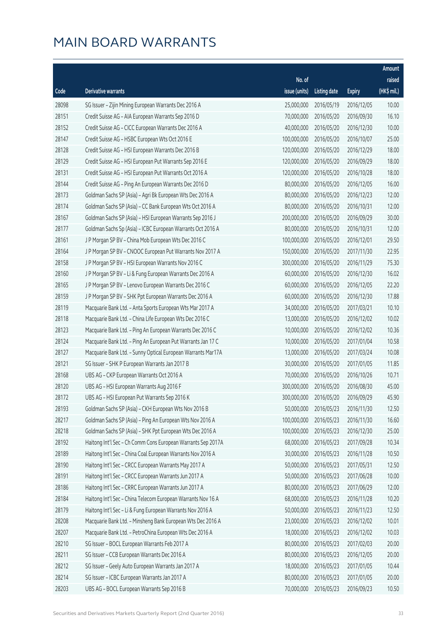|       |                                                              |               |                        |               | Amount      |
|-------|--------------------------------------------------------------|---------------|------------------------|---------------|-------------|
|       |                                                              | No. of        |                        |               | raised      |
| Code  | <b>Derivative warrants</b>                                   | issue (units) | <b>Listing date</b>    | <b>Expiry</b> | (HK\$ mil.) |
| 28098 | SG Issuer - Zijin Mining European Warrants Dec 2016 A        | 25,000,000    | 2016/05/19             | 2016/12/05    | 10.00       |
| 28151 | Credit Suisse AG - AIA European Warrants Sep 2016 D          | 70,000,000    | 2016/05/20             | 2016/09/30    | 16.10       |
| 28152 | Credit Suisse AG - CICC European Warrants Dec 2016 A         | 40,000,000    | 2016/05/20             | 2016/12/30    | 10.00       |
| 28147 | Credit Suisse AG - HSBC European Wts Oct 2016 E              | 100,000,000   | 2016/05/20             | 2016/10/07    | 25.00       |
| 28128 | Credit Suisse AG - HSI European Warrants Dec 2016 B          | 120,000,000   | 2016/05/20             | 2016/12/29    | 18.00       |
| 28129 | Credit Suisse AG - HSI European Put Warrants Sep 2016 E      | 120,000,000   | 2016/05/20             | 2016/09/29    | 18.00       |
| 28131 | Credit Suisse AG - HSI European Put Warrants Oct 2016 A      | 120,000,000   | 2016/05/20             | 2016/10/28    | 18.00       |
| 28144 | Credit Suisse AG - Ping An European Warrants Dec 2016 D      | 80,000,000    | 2016/05/20             | 2016/12/05    | 16.00       |
| 28173 | Goldman Sachs SP (Asia) - Agri Bk European Wts Dec 2016 A    | 80,000,000    | 2016/05/20             | 2016/12/23    | 12.00       |
| 28174 | Goldman Sachs SP (Asia) – CC Bank European Wts Oct 2016 A    | 80,000,000    | 2016/05/20             | 2016/10/31    | 12.00       |
| 28167 | Goldman Sachs SP (Asia) - HSI European Warrants Sep 2016 J   | 200,000,000   | 2016/05/20             | 2016/09/29    | 30.00       |
| 28177 | Goldman Sachs Sp (Asia) - ICBC European Warrants Oct 2016 A  | 80,000,000    | 2016/05/20             | 2016/10/31    | 12.00       |
| 28161 | J P Morgan SP BV - China Mob European Wts Dec 2016 C         | 100,000,000   | 2016/05/20             | 2016/12/01    | 29.50       |
| 28164 | J P Morgan SP BV - CNOOC European Put Warrants Nov 2017 A    | 150,000,000   | 2016/05/20             | 2017/11/30    | 22.95       |
| 28158 | J P Morgan SP BV - HSI European Warrants Nov 2016 C          | 300,000,000   | 2016/05/20             | 2016/11/29    | 75.30       |
| 28160 | J P Morgan SP BV - Li & Fung European Warrants Dec 2016 A    | 60,000,000    | 2016/05/20             | 2016/12/30    | 16.02       |
| 28165 | J P Morgan SP BV - Lenovo European Warrants Dec 2016 C       | 60,000,000    | 2016/05/20             | 2016/12/05    | 22.20       |
| 28159 | J P Morgan SP BV - SHK Ppt European Warrants Dec 2016 A      | 60,000,000    | 2016/05/20             | 2016/12/30    | 17.88       |
| 28119 | Macquarie Bank Ltd. - Anta Sports European Wts Mar 2017 A    | 34,000,000    | 2016/05/20             | 2017/03/21    | 10.10       |
| 28118 | Macquarie Bank Ltd. - China Life European Wts Dec 2016 C     | 13,000,000    | 2016/05/20             | 2016/12/02    | 10.02       |
| 28123 | Macquarie Bank Ltd. - Ping An European Warrants Dec 2016 C   | 10,000,000    | 2016/05/20             | 2016/12/02    | 10.36       |
| 28124 | Macquarie Bank Ltd. - Ping An European Put Warrants Jan 17 C | 10,000,000    | 2016/05/20             | 2017/01/04    | 10.58       |
| 28127 | Macquarie Bank Ltd. - Sunny Optical European Warrants Mar17A | 13,000,000    | 2016/05/20             | 2017/03/24    | 10.08       |
| 28121 | SG Issuer - SHK P European Warrants Jan 2017 B               | 30,000,000    | 2016/05/20             | 2017/01/05    | 11.85       |
| 28168 | UBS AG - CKP European Warrants Oct 2016 A                    | 70,000,000    | 2016/05/20             | 2016/10/26    | 10.71       |
| 28120 | UBS AG - HSI European Warrants Aug 2016 F                    | 300,000,000   | 2016/05/20             | 2016/08/30    | 45.00       |
| 28172 | UBS AG - HSI European Put Warrants Sep 2016 K                |               | 300,000,000 2016/05/20 | 2016/09/29    | 45.90       |
| 28193 | Goldman Sachs SP (Asia) - CKH European Wts Nov 2016 B        | 50,000,000    | 2016/05/23             | 2016/11/30    | 12.50       |
| 28217 | Goldman Sachs SP (Asia) - Ping An European Wts Nov 2016 A    | 100,000,000   | 2016/05/23             | 2016/11/30    | 16.60       |
| 28218 | Goldman Sachs SP (Asia) - SHK Ppt European Wts Dec 2016 A    | 100,000,000   | 2016/05/23             | 2016/12/30    | 25.00       |
| 28192 | Haitong Int'l Sec - Ch Comm Cons European Warrants Sep 2017A | 68,000,000    | 2016/05/23             | 2017/09/28    | 10.34       |
| 28189 | Haitong Int'l Sec - China Coal European Warrants Nov 2016 A  | 30,000,000    | 2016/05/23             | 2016/11/28    | 10.50       |
| 28190 | Haitong Int'l Sec - CRCC European Warrants May 2017 A        | 50,000,000    | 2016/05/23             | 2017/05/31    | 12.50       |
| 28191 | Haitong Int'l Sec - CRCC European Warrants Jun 2017 A        | 50,000,000    | 2016/05/23             | 2017/06/28    | 10.00       |
| 28186 | Haitong Int'l Sec - CRRC European Warrants Jun 2017 A        | 80,000,000    | 2016/05/23             | 2017/06/29    | 12.00       |
| 28184 | Haitong Int'l Sec - China Telecom European Warrants Nov 16 A | 68,000,000    | 2016/05/23             | 2016/11/28    | 10.20       |
| 28179 | Haitong Int'l Sec - Li & Fung European Warrants Nov 2016 A   | 50,000,000    | 2016/05/23             | 2016/11/23    | 12.50       |
| 28208 | Macquarie Bank Ltd. - Minsheng Bank European Wts Dec 2016 A  | 23,000,000    | 2016/05/23             | 2016/12/02    | 10.01       |
| 28207 | Macquarie Bank Ltd. - PetroChina European Wts Dec 2016 A     | 18,000,000    | 2016/05/23             | 2016/12/02    | 10.03       |
| 28210 | SG Issuer - BOCL European Warrants Feb 2017 A                | 80,000,000    | 2016/05/23             | 2017/02/03    | 20.00       |
| 28211 | SG Issuer - CCB European Warrants Dec 2016 A                 | 80,000,000    | 2016/05/23             | 2016/12/05    | 20.00       |
| 28212 | SG Issuer - Geely Auto European Warrants Jan 2017 A          | 18,000,000    | 2016/05/23             | 2017/01/05    | 10.44       |
| 28214 | SG Issuer - ICBC European Warrants Jan 2017 A                | 80,000,000    | 2016/05/23             | 2017/01/05    | 20.00       |
| 28203 | UBS AG - BOCL European Warrants Sep 2016 B                   | 70,000,000    | 2016/05/23             | 2016/09/23    | 10.50       |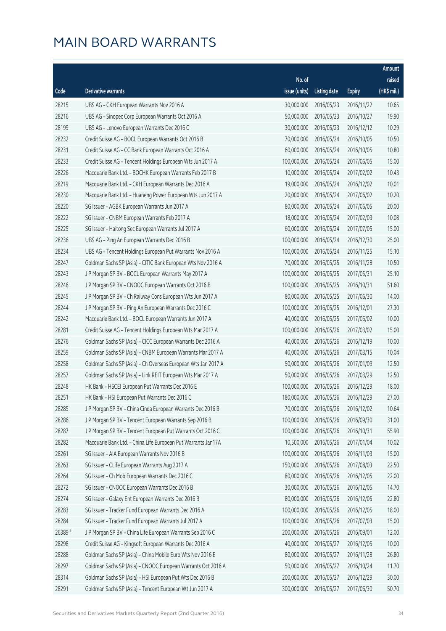|         |                                                               |               |                        |               | Amount      |
|---------|---------------------------------------------------------------|---------------|------------------------|---------------|-------------|
|         |                                                               | No. of        |                        |               | raised      |
| Code    | Derivative warrants                                           | issue (units) | <b>Listing date</b>    | <b>Expiry</b> | (HK\$ mil.) |
| 28215   | UBS AG - CKH European Warrants Nov 2016 A                     | 30,000,000    | 2016/05/23             | 2016/11/22    | 10.65       |
| 28216   | UBS AG - Sinopec Corp European Warrants Oct 2016 A            | 50,000,000    | 2016/05/23             | 2016/10/27    | 19.90       |
| 28199   | UBS AG - Lenovo European Warrants Dec 2016 C                  | 30,000,000    | 2016/05/23             | 2016/12/12    | 10.29       |
| 28232   | Credit Suisse AG - BOCL European Warrants Oct 2016 B          | 70,000,000    | 2016/05/24             | 2016/10/05    | 10.50       |
| 28231   | Credit Suisse AG - CC Bank European Warrants Oct 2016 A       | 60,000,000    | 2016/05/24             | 2016/10/05    | 10.80       |
| 28233   | Credit Suisse AG - Tencent Holdings European Wts Jun 2017 A   | 100,000,000   | 2016/05/24             | 2017/06/05    | 15.00       |
| 28226   | Macquarie Bank Ltd. - BOCHK European Warrants Feb 2017 B      | 10,000,000    | 2016/05/24             | 2017/02/02    | 10.43       |
| 28219   | Macquarie Bank Ltd. - CKH European Warrants Dec 2016 A        | 19,000,000    | 2016/05/24             | 2016/12/02    | 10.01       |
| 28230   | Macquarie Bank Ltd. - Huaneng Power European Wts Jun 2017 A   | 20,000,000    | 2016/05/24             | 2017/06/02    | 10.20       |
| 28220   | SG Issuer - AGBK European Warrants Jun 2017 A                 | 80,000,000    | 2016/05/24             | 2017/06/05    | 20.00       |
| 28222   | SG Issuer - CNBM European Warrants Feb 2017 A                 | 18,000,000    | 2016/05/24             | 2017/02/03    | 10.08       |
| 28225   | SG Issuer - Haitong Sec European Warrants Jul 2017 A          | 60,000,000    | 2016/05/24             | 2017/07/05    | 15.00       |
| 28236   | UBS AG - Ping An European Warrants Dec 2016 B                 | 100,000,000   | 2016/05/24             | 2016/12/30    | 25.00       |
| 28234   | UBS AG - Tencent Holdings European Put Warrants Nov 2016 A    | 100,000,000   | 2016/05/24             | 2016/11/25    | 15.10       |
| 28247   | Goldman Sachs SP (Asia) - CITIC Bank European Wts Nov 2016 A  | 70,000,000    | 2016/05/25             | 2016/11/28    | 10.50       |
| 28243   | J P Morgan SP BV - BOCL European Warrants May 2017 A          | 100,000,000   | 2016/05/25             | 2017/05/31    | 25.10       |
| 28246   | J P Morgan SP BV - CNOOC European Warrants Oct 2016 B         | 100,000,000   | 2016/05/25             | 2016/10/31    | 51.60       |
| 28245   | J P Morgan SP BV - Ch Railway Cons European Wts Jun 2017 A    | 80,000,000    | 2016/05/25             | 2017/06/30    | 14.00       |
| 28244   | J P Morgan SP BV - Ping An European Warrants Dec 2016 C       | 100,000,000   | 2016/05/25             | 2016/12/01    | 27.30       |
| 28242   | Macquarie Bank Ltd. - BOCL European Warrants Jun 2017 A       | 40,000,000    | 2016/05/25             | 2017/06/02    | 10.00       |
| 28281   | Credit Suisse AG - Tencent Holdings European Wts Mar 2017 A   | 100,000,000   | 2016/05/26             | 2017/03/02    | 15.00       |
| 28276   | Goldman Sachs SP (Asia) - CICC European Warrants Dec 2016 A   | 40,000,000    | 2016/05/26             | 2016/12/19    | 10.00       |
| 28259   | Goldman Sachs SP (Asia) - CNBM European Warrants Mar 2017 A   | 40,000,000    | 2016/05/26             | 2017/03/15    | 10.04       |
| 28258   | Goldman Sachs SP (Asia) - Ch Overseas European Wts Jan 2017 A | 50,000,000    | 2016/05/26             | 2017/01/09    | 12.50       |
| 28257   | Goldman Sachs SP (Asia) - Link REIT European Wts Mar 2017 A   | 50,000,000    | 2016/05/26             | 2017/03/29    | 12.50       |
| 28248   | HK Bank - HSCEI European Put Warrants Dec 2016 E              | 100,000,000   | 2016/05/26             | 2016/12/29    | 18.00       |
| 28251   | HK Bank - HSI European Put Warrants Dec 2016 C                |               | 180,000,000 2016/05/26 | 2016/12/29    | 27.00       |
| 28285   | J P Morgan SP BV - China Cinda European Warrants Dec 2016 B   | 70,000,000    | 2016/05/26             | 2016/12/02    | 10.64       |
| 28286   | J P Morgan SP BV - Tencent European Warrants Sep 2016 B       | 100,000,000   | 2016/05/26             | 2016/09/30    | 31.00       |
| 28287   | J P Morgan SP BV - Tencent European Put Warrants Oct 2016 C   | 100,000,000   | 2016/05/26             | 2016/10/31    | 55.90       |
| 28282   | Macquarie Bank Ltd. - China Life European Put Warrants Jan17A | 10,500,000    | 2016/05/26             | 2017/01/04    | 10.02       |
| 28261   | SG Issuer - AIA European Warrants Nov 2016 B                  | 100,000,000   | 2016/05/26             | 2016/11/03    | 15.00       |
| 28263   | SG Issuer - CLife European Warrants Aug 2017 A                | 150,000,000   | 2016/05/26             | 2017/08/03    | 22.50       |
| 28264   | SG Issuer - Ch Mob European Warrants Dec 2016 C               | 80,000,000    | 2016/05/26             | 2016/12/05    | 22.00       |
| 28272   | SG Issuer - CNOOC European Warrants Dec 2016 B                | 30,000,000    | 2016/05/26             | 2016/12/05    | 14.70       |
| 28274   | SG Issuer - Galaxy Ent European Warrants Dec 2016 B           | 80,000,000    | 2016/05/26             | 2016/12/05    | 22.80       |
| 28283   | SG Issuer - Tracker Fund European Warrants Dec 2016 A         | 100,000,000   | 2016/05/26             | 2016/12/05    | 18.00       |
| 28284   | SG Issuer - Tracker Fund European Warrants Jul 2017 A         | 100,000,000   | 2016/05/26             | 2017/07/03    | 15.00       |
| 26389 # | J P Morgan SP BV - China Life European Warrants Sep 2016 C    | 200,000,000   | 2016/05/26             | 2016/09/01    | 12.00       |
| 28298   | Credit Suisse AG - Kingsoft European Warrants Dec 2016 A      | 40,000,000    | 2016/05/27             | 2016/12/05    | 10.00       |
| 28288   | Goldman Sachs SP (Asia) - China Mobile Euro Wts Nov 2016 E    | 80,000,000    | 2016/05/27             | 2016/11/28    | 26.80       |
| 28297   | Goldman Sachs SP (Asia) - CNOOC European Warrants Oct 2016 A  | 50,000,000    | 2016/05/27             | 2016/10/24    | 11.70       |
| 28314   | Goldman Sachs SP (Asia) - HSI European Put Wts Dec 2016 B     | 200,000,000   | 2016/05/27             | 2016/12/29    | 30.00       |
| 28291   | Goldman Sachs SP (Asia) - Tencent European Wt Jun 2017 A      | 300,000,000   | 2016/05/27             | 2017/06/30    | 50.70       |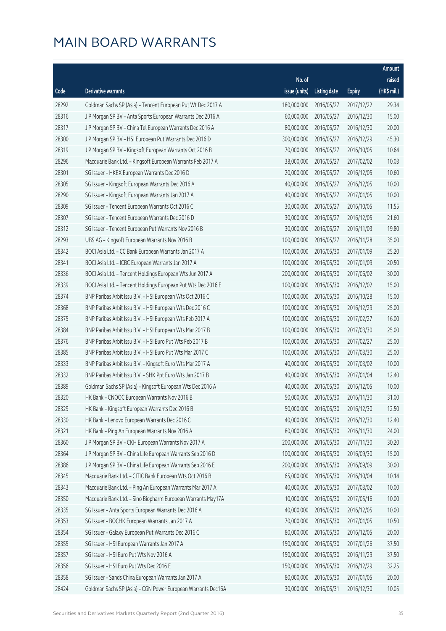|       |                                                               |               |                       |               | Amount      |
|-------|---------------------------------------------------------------|---------------|-----------------------|---------------|-------------|
|       |                                                               | No. of        |                       |               | raised      |
| Code  | Derivative warrants                                           | issue (units) | Listing date          | <b>Expiry</b> | (HK\$ mil.) |
| 28292 | Goldman Sachs SP (Asia) - Tencent European Put Wt Dec 2017 A  | 180,000,000   | 2016/05/27            | 2017/12/22    | 29.34       |
| 28316 | J P Morgan SP BV - Anta Sports European Warrants Dec 2016 A   | 60,000,000    | 2016/05/27            | 2016/12/30    | 15.00       |
| 28317 | J P Morgan SP BV - China Tel European Warrants Dec 2016 A     | 80,000,000    | 2016/05/27            | 2016/12/30    | 20.00       |
| 28300 | J P Morgan SP BV - HSI European Put Warrants Dec 2016 D       | 300,000,000   | 2016/05/27            | 2016/12/29    | 45.30       |
| 28319 | J P Morgan SP BV - Kingsoft European Warrants Oct 2016 B      | 70,000,000    | 2016/05/27            | 2016/10/05    | 10.64       |
| 28296 | Macquarie Bank Ltd. - Kingsoft European Warrants Feb 2017 A   | 38,000,000    | 2016/05/27            | 2017/02/02    | 10.03       |
| 28301 | SG Issuer - HKEX European Warrants Dec 2016 D                 | 20,000,000    | 2016/05/27            | 2016/12/05    | 10.60       |
| 28305 | SG Issuer - Kingsoft European Warrants Dec 2016 A             | 40,000,000    | 2016/05/27            | 2016/12/05    | 10.00       |
| 28290 | SG Issuer - Kingsoft European Warrants Jan 2017 A             | 40,000,000    | 2016/05/27            | 2017/01/05    | 10.00       |
| 28309 | SG Issuer - Tencent European Warrants Oct 2016 C              | 30,000,000    | 2016/05/27            | 2016/10/05    | 11.55       |
| 28307 | SG Issuer - Tencent European Warrants Dec 2016 D              | 30,000,000    | 2016/05/27            | 2016/12/05    | 21.60       |
| 28312 | SG Issuer - Tencent European Put Warrants Nov 2016 B          | 30,000,000    | 2016/05/27            | 2016/11/03    | 19.80       |
| 28293 | UBS AG - Kingsoft European Warrants Nov 2016 B                | 100,000,000   | 2016/05/27            | 2016/11/28    | 35.00       |
| 28342 | BOCI Asia Ltd. - CC Bank European Warrants Jan 2017 A         | 100,000,000   | 2016/05/30            | 2017/01/09    | 25.20       |
| 28341 | BOCI Asia Ltd. - ICBC European Warrants Jan 2017 A            | 100,000,000   | 2016/05/30            | 2017/01/09    | 20.50       |
| 28336 | BOCI Asia Ltd. - Tencent Holdings European Wts Jun 2017 A     | 200,000,000   | 2016/05/30            | 2017/06/02    | 30.00       |
| 28339 | BOCI Asia Ltd. - Tencent Holdings European Put Wts Dec 2016 E | 100,000,000   | 2016/05/30            | 2016/12/02    | 15.00       |
| 28374 | BNP Paribas Arbit Issu B.V. - HSI European Wts Oct 2016 C     | 100,000,000   | 2016/05/30            | 2016/10/28    | 15.00       |
| 28368 | BNP Paribas Arbit Issu B.V. - HSI European Wts Dec 2016 C     | 100,000,000   | 2016/05/30            | 2016/12/29    | 25.00       |
| 28375 | BNP Paribas Arbit Issu B.V. - HSI European Wts Feb 2017 A     | 100,000,000   | 2016/05/30            | 2017/02/27    | 16.00       |
| 28384 | BNP Paribas Arbit Issu B.V. - HSI European Wts Mar 2017 B     | 100,000,000   | 2016/05/30            | 2017/03/30    | 25.00       |
| 28376 | BNP Paribas Arbit Issu B.V. - HSI Euro Put Wts Feb 2017 B     | 100,000,000   | 2016/05/30            | 2017/02/27    | 25.00       |
| 28385 | BNP Paribas Arbit Issu B.V. - HSI Euro Put Wts Mar 2017 C     | 100,000,000   | 2016/05/30            | 2017/03/30    | 25.00       |
| 28333 | BNP Paribas Arbit Issu B.V. - Kingsoft Euro Wts Mar 2017 A    | 40,000,000    | 2016/05/30            | 2017/03/02    | 10.00       |
| 28332 | BNP Paribas Arbit Issu B.V. - SHK Ppt Euro Wts Jan 2017 B     | 40,000,000    | 2016/05/30            | 2017/01/04    | 12.40       |
| 28389 | Goldman Sachs SP (Asia) - Kingsoft European Wts Dec 2016 A    | 40,000,000    | 2016/05/30            | 2016/12/05    | 10.00       |
| 28320 | HK Bank - CNOOC European Warrants Nov 2016 B                  |               | 50,000,000 2016/05/30 | 2016/11/30    | 31.00       |
| 28329 | HK Bank - Kingsoft European Warrants Dec 2016 B               | 50,000,000    | 2016/05/30            | 2016/12/30    | 12.50       |
| 28330 | HK Bank - Lenovo European Warrants Dec 2016 C                 | 40,000,000    | 2016/05/30            | 2016/12/30    | 12.40       |
| 28321 | HK Bank - Ping An European Warrants Nov 2016 A                | 80,000,000    | 2016/05/30            | 2016/11/30    | 24.00       |
| 28360 | J P Morgan SP BV - CKH European Warrants Nov 2017 A           | 200,000,000   | 2016/05/30            | 2017/11/30    | 30.20       |
| 28364 | J P Morgan SP BV - China Life European Warrants Sep 2016 D    | 100,000,000   | 2016/05/30            | 2016/09/30    | 15.00       |
| 28386 | J P Morgan SP BV - China Life European Warrants Sep 2016 E    | 200,000,000   | 2016/05/30            | 2016/09/09    | 30.00       |
| 28345 | Macquarie Bank Ltd. - CITIC Bank European Wts Oct 2016 B      | 65,000,000    | 2016/05/30            | 2016/10/04    | 10.14       |
| 28343 | Macquarie Bank Ltd. - Ping An European Warrants Mar 2017 A    | 40,000,000    | 2016/05/30            | 2017/03/02    | 10.00       |
| 28350 | Macquarie Bank Ltd. - Sino Biopharm European Warrants May17A  | 10,000,000    | 2016/05/30            | 2017/05/16    | 10.00       |
| 28335 | SG Issuer - Anta Sports European Warrants Dec 2016 A          | 40,000,000    | 2016/05/30            | 2016/12/05    | 10.00       |
| 28353 | SG Issuer - BOCHK European Warrants Jan 2017 A                | 70,000,000    | 2016/05/30            | 2017/01/05    | 10.50       |
| 28354 | SG Issuer - Galaxy European Put Warrants Dec 2016 C           | 80,000,000    | 2016/05/30            | 2016/12/05    | 20.00       |
| 28355 | SG Issuer - HSI European Warrants Jan 2017 A                  | 150,000,000   | 2016/05/30            | 2017/01/26    | 37.50       |
| 28357 | SG Issuer - HSI Euro Put Wts Nov 2016 A                       | 150,000,000   | 2016/05/30            | 2016/11/29    | 37.50       |
| 28356 | SG Issuer - HSI Euro Put Wts Dec 2016 E                       | 150,000,000   | 2016/05/30            | 2016/12/29    | 32.25       |
| 28358 | SG Issuer - Sands China European Warrants Jan 2017 A          | 80,000,000    | 2016/05/30            | 2017/01/05    | 20.00       |
| 28424 | Goldman Sachs SP (Asia) - CGN Power European Warrants Dec16A  | 30,000,000    | 2016/05/31            | 2016/12/30    | 10.05       |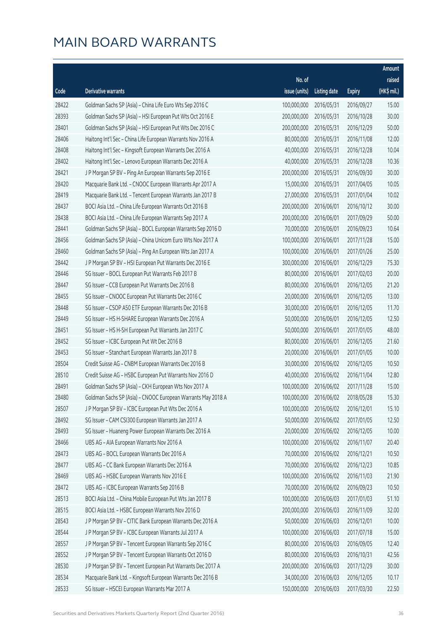|       |                                                              |               |                        |               | Amount      |
|-------|--------------------------------------------------------------|---------------|------------------------|---------------|-------------|
|       |                                                              | No. of        |                        |               | raised      |
| Code  | Derivative warrants                                          | issue (units) | Listing date           | <b>Expiry</b> | (HK\$ mil.) |
| 28422 | Goldman Sachs SP (Asia) - China Life Euro Wts Sep 2016 C     | 100,000,000   | 2016/05/31             | 2016/09/27    | 15.00       |
| 28393 | Goldman Sachs SP (Asia) - HSI European Put Wts Oct 2016 E    | 200,000,000   | 2016/05/31             | 2016/10/28    | 30.00       |
| 28401 | Goldman Sachs SP (Asia) - HSI European Put Wts Dec 2016 C    | 200,000,000   | 2016/05/31             | 2016/12/29    | 50.00       |
| 28406 | Haitong Int'l Sec - China Life European Warrants Nov 2016 A  | 80,000,000    | 2016/05/31             | 2016/11/08    | 12.00       |
| 28408 | Haitong Int'l Sec - Kingsoft European Warrants Dec 2016 A    | 40,000,000    | 2016/05/31             | 2016/12/28    | 10.04       |
| 28402 | Haitong Int'l Sec - Lenovo European Warrants Dec 2016 A      | 40,000,000    | 2016/05/31             | 2016/12/28    | 10.36       |
| 28421 | J P Morgan SP BV - Ping An European Warrants Sep 2016 E      | 200,000,000   | 2016/05/31             | 2016/09/30    | 30.00       |
| 28420 | Macquarie Bank Ltd. - CNOOC European Warrants Apr 2017 A     | 15,000,000    | 2016/05/31             | 2017/04/05    | 10.05       |
| 28419 | Macquarie Bank Ltd. - Tencent European Warrants Jan 2017 B   | 27,000,000    | 2016/05/31             | 2017/01/04    | 10.02       |
| 28437 | BOCI Asia Ltd. - China Life European Warrants Oct 2016 B     | 200,000,000   | 2016/06/01             | 2016/10/12    | 30.00       |
| 28438 | BOCI Asia Ltd. - China Life European Warrants Sep 2017 A     | 200,000,000   | 2016/06/01             | 2017/09/29    | 50.00       |
| 28441 | Goldman Sachs SP (Asia) - BOCL European Warrants Sep 2016 D  | 70,000,000    | 2016/06/01             | 2016/09/23    | 10.64       |
| 28456 | Goldman Sachs SP (Asia) - China Unicom Euro Wts Nov 2017 A   | 100,000,000   | 2016/06/01             | 2017/11/28    | 15.00       |
| 28460 | Goldman Sachs SP (Asia) - Ping An European Wts Jan 2017 A    | 100,000,000   | 2016/06/01             | 2017/01/26    | 25.00       |
| 28442 | J P Morgan SP BV - HSI European Put Warrants Dec 2016 E      | 300,000,000   | 2016/06/01             | 2016/12/29    | 75.30       |
| 28446 | SG Issuer - BOCL European Put Warrants Feb 2017 B            | 80,000,000    | 2016/06/01             | 2017/02/03    | 20.00       |
| 28447 | SG Issuer - CCB European Put Warrants Dec 2016 B             | 80,000,000    | 2016/06/01             | 2016/12/05    | 21.20       |
| 28455 | SG Issuer - CNOOC European Put Warrants Dec 2016 C           | 20,000,000    | 2016/06/01             | 2016/12/05    | 13.00       |
| 28448 | SG Issuer - CSOP A50 ETF European Warrants Dec 2016 B        | 30,000,000    | 2016/06/01             | 2016/12/05    | 11.70       |
| 28449 | SG Issuer - HS H-SHARE European Warrants Dec 2016 A          | 50,000,000    | 2016/06/01             | 2016/12/05    | 12.50       |
| 28451 | SG Issuer - HS H-SH European Put Warrants Jan 2017 C         | 50,000,000    | 2016/06/01             | 2017/01/05    | 48.00       |
| 28452 | SG Issuer - ICBC European Put Wt Dec 2016 B                  | 80,000,000    | 2016/06/01             | 2016/12/05    | 21.60       |
| 28453 | SG Issuer - Stanchart European Warrants Jan 2017 B           | 20,000,000    | 2016/06/01             | 2017/01/05    | 10.00       |
| 28504 | Credit Suisse AG - CNBM European Warrants Dec 2016 B         | 30,000,000    | 2016/06/02             | 2016/12/05    | 10.50       |
| 28510 | Credit Suisse AG - HSBC European Put Warrants Nov 2016 D     | 40,000,000    | 2016/06/02             | 2016/11/04    | 12.80       |
| 28491 | Goldman Sachs SP (Asia) - CKH European Wts Nov 2017 A        | 100,000,000   | 2016/06/02             | 2017/11/28    | 15.00       |
| 28480 | Goldman Sachs SP (Asia) - CNOOC European Warrants May 2018 A |               | 100,000,000 2016/06/02 | 2018/05/28    | 15.30       |
| 28507 | J P Morgan SP BV - ICBC European Put Wts Dec 2016 A          | 100,000,000   | 2016/06/02             | 2016/12/01    | 15.10       |
| 28492 | SG Issuer - CAM CSI300 European Warrants Jan 2017 A          | 50,000,000    | 2016/06/02             | 2017/01/05    | 12.50       |
| 28493 | SG Issuer - Huaneng Power European Warrants Dec 2016 A       | 20,000,000    | 2016/06/02             | 2016/12/05    | 10.00       |
| 28466 | UBS AG - AIA European Warrants Nov 2016 A                    | 100,000,000   | 2016/06/02             | 2016/11/07    | 20.40       |
| 28473 | UBS AG - BOCL European Warrants Dec 2016 A                   | 70,000,000    | 2016/06/02             | 2016/12/21    | 10.50       |
| 28477 | UBS AG - CC Bank European Warrants Dec 2016 A                | 70,000,000    | 2016/06/02             | 2016/12/23    | 10.85       |
| 28469 | UBS AG - HSBC European Warrants Nov 2016 E                   | 100,000,000   | 2016/06/02             | 2016/11/03    | 21.90       |
| 28472 | UBS AG - ICBC European Warrants Sep 2016 B                   | 70,000,000    | 2016/06/02             | 2016/09/23    | 10.50       |
| 28513 | BOCI Asia Ltd. - China Mobile European Put Wts Jan 2017 B    | 100,000,000   | 2016/06/03             | 2017/01/03    | 51.10       |
| 28515 | BOCI Asia Ltd. - HSBC European Warrants Nov 2016 D           | 200,000,000   | 2016/06/03             | 2016/11/09    | 32.00       |
| 28543 | J P Morgan SP BV - CITIC Bank European Warrants Dec 2016 A   | 50,000,000    | 2016/06/03             | 2016/12/01    | 10.00       |
| 28544 | J P Morgan SP BV - ICBC European Warrants Jul 2017 A         | 100,000,000   | 2016/06/03             | 2017/07/18    | 15.00       |
| 28557 | J P Morgan SP BV - Tencent European Warrants Sep 2016 C      | 80,000,000    | 2016/06/03             | 2016/09/05    | 12.40       |
| 28552 | J P Morgan SP BV - Tencent European Warrants Oct 2016 D      | 80,000,000    | 2016/06/03             | 2016/10/31    | 42.56       |
| 28530 | J P Morgan SP BV - Tencent European Put Warrants Dec 2017 A  | 200,000,000   | 2016/06/03             | 2017/12/29    | 30.00       |
| 28534 | Macquarie Bank Ltd. - Kingsoft European Warrants Dec 2016 B  | 34,000,000    | 2016/06/03             | 2016/12/05    | 10.17       |
| 28533 | SG Issuer - HSCEI European Warrants Mar 2017 A               | 150,000,000   | 2016/06/03             | 2017/03/30    | 22.50       |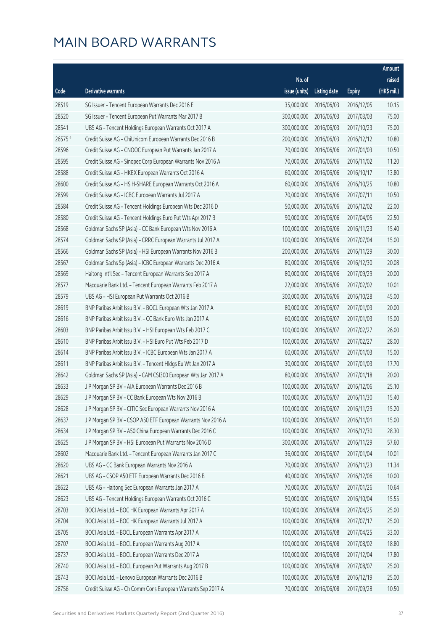|         |                                                              |               |                        |               | Amount      |
|---------|--------------------------------------------------------------|---------------|------------------------|---------------|-------------|
|         |                                                              | No. of        |                        |               | raised      |
| Code    | <b>Derivative warrants</b>                                   | issue (units) | <b>Listing date</b>    | <b>Expiry</b> | (HK\$ mil.) |
| 28519   | SG Issuer - Tencent European Warrants Dec 2016 E             | 35,000,000    | 2016/06/03             | 2016/12/05    | 10.15       |
| 28520   | SG Issuer - Tencent European Put Warrants Mar 2017 B         | 300,000,000   | 2016/06/03             | 2017/03/03    | 75.00       |
| 28541   | UBS AG - Tencent Holdings European Warrants Oct 2017 A       | 300,000,000   | 2016/06/03             | 2017/10/23    | 75.00       |
| 26575 # | Credit Suisse AG - ChiUnicom European Warrants Dec 2016 B    | 200,000,000   | 2016/06/03             | 2016/12/12    | 10.80       |
| 28596   | Credit Suisse AG - CNOOC European Put Warrants Jan 2017 A    | 70,000,000    | 2016/06/06             | 2017/01/03    | 10.50       |
| 28595   | Credit Suisse AG - Sinopec Corp European Warrants Nov 2016 A | 70,000,000    | 2016/06/06             | 2016/11/02    | 11.20       |
| 28588   | Credit Suisse AG - HKEX European Warrants Oct 2016 A         | 60,000,000    | 2016/06/06             | 2016/10/17    | 13.80       |
| 28600   | Credit Suisse AG - HS H-SHARE European Warrants Oct 2016 A   | 60,000,000    | 2016/06/06             | 2016/10/25    | 10.80       |
| 28599   | Credit Suisse AG - ICBC European Warrants Jul 2017 A         | 70,000,000    | 2016/06/06             | 2017/07/11    | 10.50       |
| 28584   | Credit Suisse AG - Tencent Holdings European Wts Dec 2016 D  | 50,000,000    | 2016/06/06             | 2016/12/02    | 22.00       |
| 28580   | Credit Suisse AG - Tencent Holdings Euro Put Wts Apr 2017 B  | 90,000,000    | 2016/06/06             | 2017/04/05    | 22.50       |
| 28568   | Goldman Sachs SP (Asia) - CC Bank European Wts Nov 2016 A    | 100,000,000   | 2016/06/06             | 2016/11/23    | 15.40       |
| 28574   | Goldman Sachs SP (Asia) - CRRC European Warrants Jul 2017 A  | 100,000,000   | 2016/06/06             | 2017/07/04    | 15.00       |
| 28566   | Goldman Sachs SP (Asia) - HSI European Warrants Nov 2016 B   | 200,000,000   | 2016/06/06             | 2016/11/29    | 30.00       |
| 28567   | Goldman Sachs Sp (Asia) - ICBC European Warrants Dec 2016 A  | 80,000,000    | 2016/06/06             | 2016/12/30    | 20.08       |
| 28569   | Haitong Int'l Sec - Tencent European Warrants Sep 2017 A     | 80,000,000    | 2016/06/06             | 2017/09/29    | 20.00       |
| 28577   | Macquarie Bank Ltd. - Tencent European Warrants Feb 2017 A   | 22,000,000    | 2016/06/06             | 2017/02/02    | 10.01       |
| 28579   | UBS AG - HSI European Put Warrants Oct 2016 B                | 300,000,000   | 2016/06/06             | 2016/10/28    | 45.00       |
| 28619   | BNP Paribas Arbit Issu B.V. - BOCL European Wts Jan 2017 A   | 80,000,000    | 2016/06/07             | 2017/01/03    | 20.00       |
| 28616   | BNP Paribas Arbit Issu B.V. - CC Bank Euro Wts Jan 2017 A    | 60,000,000    | 2016/06/07             | 2017/01/03    | 15.00       |
| 28603   | BNP Paribas Arbit Issu B.V. - HSI European Wts Feb 2017 C    | 100,000,000   | 2016/06/07             | 2017/02/27    | 26.00       |
| 28610   | BNP Paribas Arbit Issu B.V. - HSI Euro Put Wts Feb 2017 D    | 100,000,000   | 2016/06/07             | 2017/02/27    | 28.00       |
| 28614   | BNP Paribas Arbit Issu B.V. - ICBC European Wts Jan 2017 A   | 60,000,000    | 2016/06/07             | 2017/01/03    | 15.00       |
| 28611   | BNP Paribas Arbit Issu B.V. - Tencent Hldgs Eu Wt Jan 2017 A | 30,000,000    | 2016/06/07             | 2017/01/03    | 17.70       |
| 28642   | Goldman Sachs SP (Asia) - CAM CSI300 European Wts Jan 2017 A | 80,000,000    | 2016/06/07             | 2017/01/18    | 20.00       |
| 28633   | J P Morgan SP BV - AIA European Warrants Dec 2016 B          | 100,000,000   | 2016/06/07             | 2016/12/06    | 25.10       |
| 28629   | J P Morgan SP BV – CC Bank European Wts Nov 2016 B           |               | 100,000,000 2016/06/07 | 2016/11/30    | 15.40       |
| 28628   | J P Morgan SP BV - CITIC Sec European Warrants Nov 2016 A    | 100,000,000   | 2016/06/07             | 2016/11/29    | 15.20       |
| 28637   | J P Morgan SP BV - CSOP A50 ETF European Warrants Nov 2016 A | 100,000,000   | 2016/06/07             | 2016/11/01    | 15.00       |
| 28634   | J P Morgan SP BV - A50 China European Warrants Dec 2016 C    | 100,000,000   | 2016/06/07             | 2016/12/30    | 28.30       |
| 28625   | J P Morgan SP BV - HSI European Put Warrants Nov 2016 D      | 300,000,000   | 2016/06/07             | 2016/11/29    | 57.60       |
| 28602   | Macquarie Bank Ltd. - Tencent European Warrants Jan 2017 C   | 36,000,000    | 2016/06/07             | 2017/01/04    | 10.01       |
| 28620   | UBS AG - CC Bank European Warrants Nov 2016 A                | 70,000,000    | 2016/06/07             | 2016/11/23    | 11.34       |
| 28621   | UBS AG - CSOP A50 ETF European Warrants Dec 2016 B           | 40,000,000    | 2016/06/07             | 2016/12/06    | 10.00       |
| 28622   | UBS AG - Haitong Sec European Warrants Jan 2017 A            | 70,000,000    | 2016/06/07             | 2017/01/26    | 10.64       |
| 28623   | UBS AG - Tencent Holdings European Warrants Oct 2016 C       | 50,000,000    | 2016/06/07             | 2016/10/04    | 15.55       |
| 28703   | BOCI Asia Ltd. - BOC HK European Warrants Apr 2017 A         | 100,000,000   | 2016/06/08             | 2017/04/25    | 25.00       |
| 28704   | BOCI Asia Ltd. - BOC HK European Warrants Jul 2017 A         | 100,000,000   | 2016/06/08             | 2017/07/17    | 25.00       |
| 28705   | BOCI Asia Ltd. - BOCL European Warrants Apr 2017 A           | 100,000,000   | 2016/06/08             | 2017/04/25    | 33.00       |
| 28707   | BOCI Asia Ltd. - BOCL European Warrants Aug 2017 A           | 100,000,000   | 2016/06/08             | 2017/08/02    | 18.80       |
| 28737   | BOCI Asia Ltd. - BOCL European Warrants Dec 2017 A           | 100,000,000   | 2016/06/08             | 2017/12/04    | 17.80       |
| 28740   | BOCI Asia Ltd. - BOCL European Put Warrants Aug 2017 B       | 100,000,000   | 2016/06/08             | 2017/08/07    | 25.00       |
| 28743   | BOCI Asia Ltd. - Lenovo European Warrants Dec 2016 B         | 100,000,000   | 2016/06/08             | 2016/12/19    | 25.00       |
| 28756   | Credit Suisse AG - Ch Comm Cons European Warrants Sep 2017 A | 70,000,000    | 2016/06/08             | 2017/09/28    | 10.50       |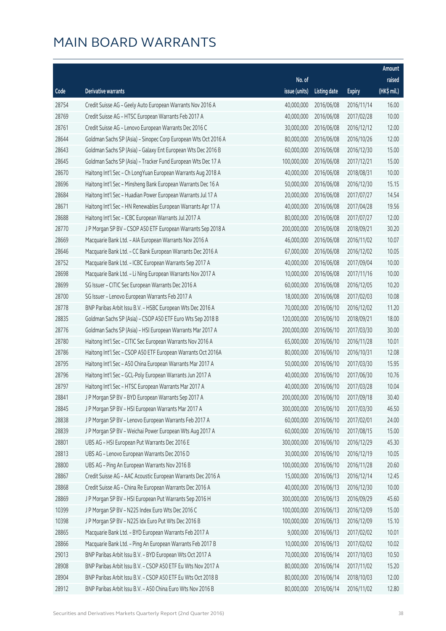|       |                                                                |               |                        |               | Amount      |
|-------|----------------------------------------------------------------|---------------|------------------------|---------------|-------------|
|       |                                                                | No. of        |                        |               | raised      |
| Code  | Derivative warrants                                            | issue (units) | Listing date           | <b>Expiry</b> | (HK\$ mil.) |
| 28754 | Credit Suisse AG - Geely Auto European Warrants Nov 2016 A     | 40,000,000    | 2016/06/08             | 2016/11/14    | 16.00       |
| 28769 | Credit Suisse AG - HTSC European Warrants Feb 2017 A           | 40,000,000    | 2016/06/08             | 2017/02/28    | 10.00       |
| 28761 | Credit Suisse AG - Lenovo European Warrants Dec 2016 C         | 30,000,000    | 2016/06/08             | 2016/12/12    | 12.00       |
| 28644 | Goldman Sachs SP (Asia) - Sinopec Corp European Wts Oct 2016 A | 80,000,000    | 2016/06/08             | 2016/10/26    | 12.00       |
| 28643 | Goldman Sachs SP (Asia) - Galaxy Ent European Wts Dec 2016 B   | 60,000,000    | 2016/06/08             | 2016/12/30    | 15.00       |
| 28645 | Goldman Sachs SP (Asia) - Tracker Fund European Wts Dec 17 A   | 100,000,000   | 2016/06/08             | 2017/12/21    | 15.00       |
| 28670 | Haitong Int'l Sec - Ch LongYuan European Warrants Aug 2018 A   | 40,000,000    | 2016/06/08             | 2018/08/31    | 10.00       |
| 28696 | Haitong Int'l Sec - Minsheng Bank European Warrants Dec 16 A   | 50,000,000    | 2016/06/08             | 2016/12/30    | 15.15       |
| 28684 | Haitong Int'l Sec - Huadian Power European Warrants Jul 17 A   | 20,000,000    | 2016/06/08             | 2017/07/27    | 14.54       |
| 28671 | Haitong Int'l Sec - HN Renewables European Warrants Apr 17 A   | 40,000,000    | 2016/06/08             | 2017/04/28    | 19.56       |
| 28688 | Haitong Int'l Sec - ICBC European Warrants Jul 2017 A          | 80,000,000    | 2016/06/08             | 2017/07/27    | 12.00       |
| 28770 | J P Morgan SP BV - CSOP A50 ETF European Warrants Sep 2018 A   | 200,000,000   | 2016/06/08             | 2018/09/21    | 30.20       |
| 28669 | Macquarie Bank Ltd. - AIA European Warrants Nov 2016 A         | 46,000,000    | 2016/06/08             | 2016/11/02    | 10.07       |
| 28646 | Macquarie Bank Ltd. - CC Bank European Warrants Dec 2016 A     | 67,000,000    | 2016/06/08             | 2016/12/02    | 10.05       |
| 28752 | Macquarie Bank Ltd. - ICBC European Warrants Sep 2017 A        | 40,000,000    | 2016/06/08             | 2017/09/04    | 10.00       |
| 28698 | Macquarie Bank Ltd. - Li Ning European Warrants Nov 2017 A     | 10,000,000    | 2016/06/08             | 2017/11/16    | 10.00       |
| 28699 | SG Issuer - CITIC Sec European Warrants Dec 2016 A             | 60,000,000    | 2016/06/08             | 2016/12/05    | 10.20       |
| 28700 | SG Issuer - Lenovo European Warrants Feb 2017 A                | 18,000,000    | 2016/06/08             | 2017/02/03    | 10.08       |
| 28778 | BNP Paribas Arbit Issu B.V. - HSBC European Wts Dec 2016 A     | 70,000,000    | 2016/06/10             | 2016/12/02    | 11.20       |
| 28835 | Goldman Sachs SP (Asia) - CSOP A50 ETF Euro Wts Sep 2018 B     | 120,000,000   | 2016/06/10             | 2018/09/21    | 18.00       |
| 28776 | Goldman Sachs SP (Asia) - HSI European Warrants Mar 2017 A     | 200,000,000   | 2016/06/10             | 2017/03/30    | 30.00       |
| 28780 | Haitong Int'l Sec - CITIC Sec European Warrants Nov 2016 A     | 65,000,000    | 2016/06/10             | 2016/11/28    | 10.01       |
| 28786 | Haitong Int'l Sec - CSOP A50 ETF European Warrants Oct 2016A   | 80,000,000    | 2016/06/10             | 2016/10/31    | 12.08       |
| 28795 | Haitong Int'l Sec - A50 China European Warrants Mar 2017 A     | 50,000,000    | 2016/06/10             | 2017/03/30    | 15.95       |
| 28796 | Haitong Int'l Sec - GCL-Poly European Warrants Jun 2017 A      | 40,000,000    | 2016/06/10             | 2017/06/30    | 10.76       |
| 28797 | Haitong Int'l Sec - HTSC European Warrants Mar 2017 A          | 40,000,000    | 2016/06/10             | 2017/03/28    | 10.04       |
| 28841 | J P Morgan SP BV - BYD European Warrants Sep 2017 A            |               | 200,000,000 2016/06/10 | 2017/09/18    | 30.40       |
| 28845 | J P Morgan SP BV - HSI European Warrants Mar 2017 A            | 300,000,000   | 2016/06/10             | 2017/03/30    | 46.50       |
| 28838 | J P Morgan SP BV - Lenovo European Warrants Feb 2017 A         | 60,000,000    | 2016/06/10             | 2017/02/01    | 24.00       |
| 28839 | J P Morgan SP BV - Weichai Power European Wts Aug 2017 A       | 60,000,000    | 2016/06/10             | 2017/08/15    | 15.00       |
| 28801 | UBS AG - HSI European Put Warrants Dec 2016 E                  | 300,000,000   | 2016/06/10             | 2016/12/29    | 45.30       |
| 28813 | UBS AG - Lenovo European Warrants Dec 2016 D                   | 30,000,000    | 2016/06/10             | 2016/12/19    | 10.05       |
| 28800 | UBS AG - Ping An European Warrants Nov 2016 B                  | 100,000,000   | 2016/06/10             | 2016/11/28    | 20.60       |
| 28867 | Credit Suisse AG - AAC Acoustic European Warrants Dec 2016 A   | 15,000,000    | 2016/06/13             | 2016/12/14    | 12.45       |
| 28868 | Credit Suisse AG - China Re European Warrants Dec 2016 A       | 40,000,000    | 2016/06/13             | 2016/12/30    | 10.00       |
| 28869 | J P Morgan SP BV - HSI European Put Warrants Sep 2016 H        | 300,000,000   | 2016/06/13             | 2016/09/29    | 45.60       |
| 10399 | J P Morgan SP BV - N225 Index Euro Wts Dec 2016 C              | 100,000,000   | 2016/06/13             | 2016/12/09    | 15.00       |
| 10398 | J P Morgan SP BV - N225 Idx Euro Put Wts Dec 2016 B            | 100,000,000   | 2016/06/13             | 2016/12/09    | 15.10       |
| 28865 | Macquarie Bank Ltd. - BYD European Warrants Feb 2017 A         | 9,000,000     | 2016/06/13             | 2017/02/02    | 10.01       |
| 28866 | Macquarie Bank Ltd. - Ping An European Warrants Feb 2017 B     | 10,000,000    | 2016/06/13             | 2017/02/02    | 10.02       |
| 29013 | BNP Paribas Arbit Issu B.V. - BYD European Wts Oct 2017 A      | 70,000,000    | 2016/06/14             | 2017/10/03    | 10.50       |
| 28908 | BNP Paribas Arbit Issu B.V. - CSOP A50 ETF Eu Wts Nov 2017 A   | 80,000,000    | 2016/06/14             | 2017/11/02    | 15.20       |
| 28904 | BNP Paribas Arbit Issu B.V. - CSOP A50 ETF Eu Wts Oct 2018 B   | 80,000,000    | 2016/06/14             | 2018/10/03    | 12.00       |
| 28912 | BNP Paribas Arbit Issu B.V. - A50 China Euro Wts Nov 2016 B    | 80,000,000    | 2016/06/14             | 2016/11/02    | 12.80       |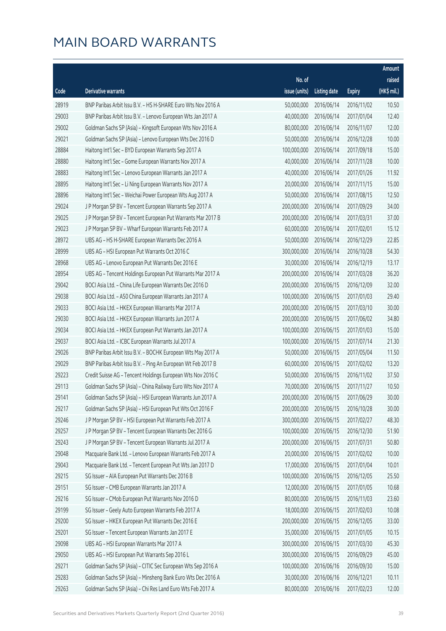|       |                                                              |               |                        |               | Amount      |
|-------|--------------------------------------------------------------|---------------|------------------------|---------------|-------------|
|       |                                                              | No. of        |                        |               | raised      |
| Code  | Derivative warrants                                          | issue (units) | Listing date           | <b>Expiry</b> | (HK\$ mil.) |
| 28919 | BNP Paribas Arbit Issu B.V. - HS H-SHARE Euro Wts Nov 2016 A | 50,000,000    | 2016/06/14             | 2016/11/02    | 10.50       |
| 29003 | BNP Paribas Arbit Issu B.V. - Lenovo European Wts Jan 2017 A | 40,000,000    | 2016/06/14             | 2017/01/04    | 12.40       |
| 29002 | Goldman Sachs SP (Asia) - Kingsoft European Wts Nov 2016 A   | 80,000,000    | 2016/06/14             | 2016/11/07    | 12.00       |
| 29021 | Goldman Sachs SP (Asia) - Lenovo European Wts Dec 2016 D     | 50,000,000    | 2016/06/14             | 2016/12/28    | 10.00       |
| 28884 | Haitong Int'l Sec - BYD European Warrants Sep 2017 A         | 100,000,000   | 2016/06/14             | 2017/09/18    | 15.00       |
| 28880 | Haitong Int'l Sec - Gome European Warrants Nov 2017 A        | 40,000,000    | 2016/06/14             | 2017/11/28    | 10.00       |
| 28883 | Haitong Int'l Sec - Lenovo European Warrants Jan 2017 A      | 40,000,000    | 2016/06/14             | 2017/01/26    | 11.92       |
| 28895 | Haitong Int'l Sec - Li Ning European Warrants Nov 2017 A     | 20,000,000    | 2016/06/14             | 2017/11/15    | 15.00       |
| 28896 | Haitong Int'l Sec - Weichai Power European Wts Aug 2017 A    | 50,000,000    | 2016/06/14             | 2017/08/15    | 12.50       |
| 29024 | J P Morgan SP BV - Tencent European Warrants Sep 2017 A      | 200,000,000   | 2016/06/14             | 2017/09/29    | 34.00       |
| 29025 | J P Morgan SP BV - Tencent European Put Warrants Mar 2017 B  | 200,000,000   | 2016/06/14             | 2017/03/31    | 37.00       |
| 29023 | J P Morgan SP BV - Wharf European Warrants Feb 2017 A        | 60,000,000    | 2016/06/14             | 2017/02/01    | 15.12       |
| 28972 | UBS AG - HS H-SHARE European Warrants Dec 2016 A             | 50,000,000    | 2016/06/14             | 2016/12/29    | 22.85       |
| 28999 | UBS AG - HSI European Put Warrants Oct 2016 C                | 300,000,000   | 2016/06/14             | 2016/10/28    | 54.30       |
| 28968 | UBS AG - Lenovo European Put Warrants Dec 2016 E             | 30,000,000    | 2016/06/14             | 2016/12/19    | 13.17       |
| 28954 | UBS AG - Tencent Holdings European Put Warrants Mar 2017 A   | 200,000,000   | 2016/06/14             | 2017/03/28    | 36.20       |
| 29042 | BOCI Asia Ltd. - China Life European Warrants Dec 2016 D     | 200,000,000   | 2016/06/15             | 2016/12/09    | 32.00       |
| 29038 | BOCI Asia Ltd. - A50 China European Warrants Jan 2017 A      | 100,000,000   | 2016/06/15             | 2017/01/03    | 29.40       |
| 29033 | BOCI Asia Ltd. - HKEX European Warrants Mar 2017 A           | 200,000,000   | 2016/06/15             | 2017/03/10    | 30.00       |
| 29030 | BOCI Asia Ltd. - HKEX European Warrants Jun 2017 A           | 200,000,000   | 2016/06/15             | 2017/06/02    | 34.80       |
| 29034 | BOCI Asia Ltd. - HKEX European Put Warrants Jan 2017 A       | 100,000,000   | 2016/06/15             | 2017/01/03    | 15.00       |
| 29037 | BOCI Asia Ltd. - ICBC European Warrants Jul 2017 A           | 100,000,000   | 2016/06/15             | 2017/07/14    | 21.30       |
| 29026 | BNP Paribas Arbit Issu B.V. - BOCHK European Wts May 2017 A  | 50,000,000    | 2016/06/15             | 2017/05/04    | 11.50       |
| 29029 | BNP Paribas Arbit Issu B.V. - Ping An European Wt Feb 2017 B | 60,000,000    | 2016/06/15             | 2017/02/02    | 13.20       |
| 29223 | Credit Suisse AG - Tencent Holdings European Wts Nov 2016 C  | 50,000,000    | 2016/06/15             | 2016/11/02    | 37.50       |
| 29113 | Goldman Sachs SP (Asia) - China Railway Euro Wts Nov 2017 A  | 70,000,000    | 2016/06/15             | 2017/11/27    | 10.50       |
| 29141 | Goldman Sachs SP (Asia) - HSI European Warrants Jun 2017 A   |               | 200,000,000 2016/06/15 | 2017/06/29    | 30.00       |
| 29217 | Goldman Sachs SP (Asia) - HSI European Put Wts Oct 2016 F    | 200,000,000   | 2016/06/15             | 2016/10/28    | 30.00       |
| 29246 | J P Morgan SP BV - HSI European Put Warrants Feb 2017 A      | 300,000,000   | 2016/06/15             | 2017/02/27    | 48.30       |
| 29257 | J P Morgan SP BV - Tencent European Warrants Dec 2016 G      | 100,000,000   | 2016/06/15             | 2016/12/30    | 51.90       |
| 29243 | J P Morgan SP BV - Tencent European Warrants Jul 2017 A      | 200,000,000   | 2016/06/15             | 2017/07/31    | 50.80       |
| 29048 | Macquarie Bank Ltd. - Lenovo European Warrants Feb 2017 A    | 20,000,000    | 2016/06/15             | 2017/02/02    | 10.00       |
| 29043 | Macquarie Bank Ltd. - Tencent European Put Wts Jan 2017 D    | 17,000,000    | 2016/06/15             | 2017/01/04    | 10.01       |
| 29215 | SG Issuer - AIA European Put Warrants Dec 2016 B             | 100,000,000   | 2016/06/15             | 2016/12/05    | 25.50       |
| 29151 | SG Issuer - CMB European Warrants Jan 2017 A                 | 12,000,000    | 2016/06/15             | 2017/01/05    | 10.68       |
| 29216 | SG Issuer - CMob European Put Warrants Nov 2016 D            | 80,000,000    | 2016/06/15             | 2016/11/03    | 23.60       |
| 29199 | SG Issuer - Geely Auto European Warrants Feb 2017 A          | 18,000,000    | 2016/06/15             | 2017/02/03    | 10.08       |
| 29200 | SG Issuer - HKEX European Put Warrants Dec 2016 E            | 200,000,000   | 2016/06/15             | 2016/12/05    | 33.00       |
| 29201 | SG Issuer - Tencent European Warrants Jan 2017 E             | 35,000,000    | 2016/06/15             | 2017/01/05    | 10.15       |
| 29098 | UBS AG - HSI European Warrants Mar 2017 A                    | 300,000,000   | 2016/06/15             | 2017/03/30    | 45.30       |
| 29050 | UBS AG - HSI European Put Warrants Sep 2016 L                | 300,000,000   | 2016/06/15             | 2016/09/29    | 45.00       |
| 29271 | Goldman Sachs SP (Asia) - CITIC Sec European Wts Sep 2016 A  | 100,000,000   | 2016/06/16             | 2016/09/30    | 15.00       |
| 29283 | Goldman Sachs SP (Asia) - Minsheng Bank Euro Wts Dec 2016 A  | 30,000,000    | 2016/06/16             | 2016/12/21    | 10.11       |
| 29263 | Goldman Sachs SP (Asia) - Chi Res Land Euro Wts Feb 2017 A   | 80,000,000    | 2016/06/16             | 2017/02/23    | 12.00       |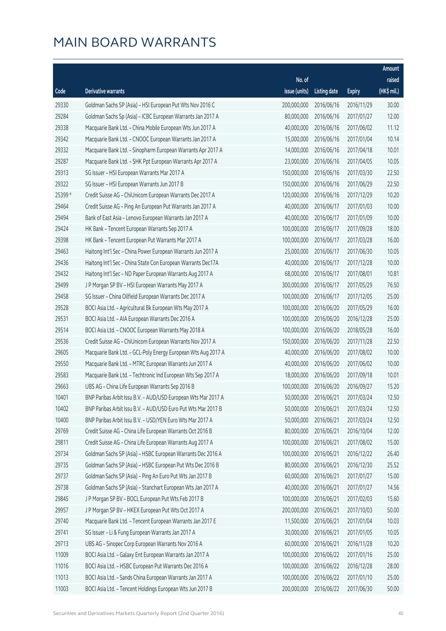|         |                                                               |               |                       |               | Amount      |
|---------|---------------------------------------------------------------|---------------|-----------------------|---------------|-------------|
|         |                                                               | No. of        |                       |               | raised      |
| Code    | <b>Derivative warrants</b>                                    | issue (units) | Listing date          | <b>Expiry</b> | (HK\$ mil.) |
| 29330   | Goldman Sachs SP (Asia) - HSI European Put Wts Nov 2016 C     | 200,000,000   | 2016/06/16            | 2016/11/29    | 30.00       |
| 29284   | Goldman Sachs Sp (Asia) - ICBC European Warrants Jan 2017 A   | 80,000,000    | 2016/06/16            | 2017/01/27    | 12.00       |
| 29338   | Macquarie Bank Ltd. - China Mobile European Wts Jun 2017 A    | 40,000,000    | 2016/06/16            | 2017/06/02    | 11.12       |
| 29342   | Macquarie Bank Ltd. - CNOOC European Warrants Jan 2017 A      | 15,000,000    | 2016/06/16            | 2017/01/04    | 10.14       |
| 29332   | Macquarie Bank Ltd. - Sinopharm European Warrants Apr 2017 A  | 14,000,000    | 2016/06/16            | 2017/04/18    | 10.01       |
| 29287   | Macquarie Bank Ltd. - SHK Ppt European Warrants Apr 2017 A    | 23,000,000    | 2016/06/16            | 2017/04/05    | 10.05       |
| 29313   | SG Issuer - HSI European Warrants Mar 2017 A                  | 150,000,000   | 2016/06/16            | 2017/03/30    | 22.50       |
| 29322   | SG Issuer - HSI European Warrants Jun 2017 B                  | 150,000,000   | 2016/06/16            | 2017/06/29    | 22.50       |
| 25399 # | Credit Suisse AG - ChiUnicom European Warrants Dec 2017 A     | 120,000,000   | 2016/06/16            | 2017/12/29    | 10.20       |
| 29464   | Credit Suisse AG - Ping An European Put Warrants Jan 2017 A   | 40,000,000    | 2016/06/17            | 2017/01/03    | 10.00       |
| 29494   | Bank of East Asia - Lenovo European Warrants Jan 2017 A       | 40,000,000    | 2016/06/17            | 2017/01/09    | 10.00       |
| 29424   | HK Bank - Tencent European Warrants Sep 2017 A                | 100,000,000   | 2016/06/17            | 2017/09/28    | 18.00       |
| 29398   | HK Bank - Tencent European Put Warrants Mar 2017 A            | 100,000,000   | 2016/06/17            | 2017/03/28    | 16.00       |
| 29463   | Haitong Int'l Sec - China Power European Warrants Jun 2017 A  | 25,000,000    | 2016/06/17            | 2017/06/30    | 10.05       |
| 29436   | Haitong Int'l Sec - China State Con European Warrants Dec17A  | 40,000,000    | 2016/06/17            | 2017/12/28    | 10.00       |
| 29432   | Haitong Int'l Sec - ND Paper European Warrants Aug 2017 A     | 68,000,000    | 2016/06/17            | 2017/08/01    | 10.81       |
| 29499   | J P Morgan SP BV - HSI European Warrants May 2017 A           | 300,000,000   | 2016/06/17            | 2017/05/29    | 76.50       |
| 29458   | SG Issuer - China Oilfield European Warrants Dec 2017 A       | 100,000,000   | 2016/06/17            | 2017/12/05    | 25.00       |
| 29528   | BOCI Asia Ltd. - Agricultural Bk European Wts May 2017 A      | 100,000,000   | 2016/06/20            | 2017/05/29    | 16.00       |
| 29531   | BOCI Asia Ltd. - AIA European Warrants Dec 2016 A             | 100,000,000   | 2016/06/20            | 2016/12/28    | 25.00       |
| 29514   | BOCI Asia Ltd. - CNOOC European Warrants May 2018 A           | 100,000,000   | 2016/06/20            | 2018/05/28    | 16.00       |
| 29536   | Credit Suisse AG - ChiUnicom European Warrants Nov 2017 A     | 150,000,000   | 2016/06/20            | 2017/11/28    | 22.50       |
| 29605   | Macquarie Bank Ltd. - GCL-Poly Energy European Wts Aug 2017 A | 40,000,000    | 2016/06/20            | 2017/08/02    | 10.00       |
| 29550   | Macquarie Bank Ltd. - MTRC European Warrants Jun 2017 A       | 40,000,000    | 2016/06/20            | 2017/06/02    | 10.00       |
| 29583   | Macquarie Bank Ltd. - Techtronic Ind European Wts Sep 2017 A  | 18,000,000    | 2016/06/20            | 2017/09/18    | 10.01       |
| 29663   | UBS AG - China Life European Warrants Sep 2016 B              | 100,000,000   | 2016/06/20            | 2016/09/27    | 15.20       |
| 10401   | BNP Paribas Arbit Issu B.V. - AUD/USD European Wts Mar 2017 A |               | 50,000,000 2016/06/21 | 2017/03/24    | 12.50       |
| 10402   | BNP Paribas Arbit Issu B.V. - AUD/USD Euro Put Wts Mar 2017 B | 50,000,000    | 2016/06/21            | 2017/03/24    | 12.50       |
| 10400   | BNP Paribas Arbit Issu B.V. - USD/YEN Euro Wts Mar 2017 A     | 50,000,000    | 2016/06/21            | 2017/03/24    | 12.50       |
| 29769   | Credit Suisse AG - China Life European Warrants Oct 2016 B    | 80,000,000    | 2016/06/21            | 2016/10/04    | 12.00       |
| 29811   | Credit Suisse AG - China Life European Warrants Aug 2017 A    | 100,000,000   | 2016/06/21            | 2017/08/02    | 15.00       |
| 29734   | Goldman Sachs SP (Asia) - HSBC European Warrants Dec 2016 A   | 100,000,000   | 2016/06/21            | 2016/12/22    | 26.40       |
| 29735   | Goldman Sachs SP (Asia) - HSBC European Put Wts Dec 2016 B    | 80,000,000    | 2016/06/21            | 2016/12/30    | 25.52       |
| 29737   | Goldman Sachs SP (Asia) - Ping An Euro Put Wts Jan 2017 B     | 60,000,000    | 2016/06/21            | 2017/01/27    | 15.00       |
| 29738   | Goldman Sachs SP (Asia) - Stanchart European Wts Jan 2017 A   | 40,000,000    | 2016/06/21            | 2017/01/27    | 14.56       |
| 29845   | J P Morgan SP BV - BOCL European Put Wts Feb 2017 B           | 100,000,000   | 2016/06/21            | 2017/02/03    | 15.60       |
| 29957   | J P Morgan SP BV - HKEX European Put Wts Oct 2017 A           | 200,000,000   | 2016/06/21            | 2017/10/03    | 50.00       |
| 29740   | Macquarie Bank Ltd. - Tencent European Warrants Jan 2017 E    | 11,500,000    | 2016/06/21            | 2017/01/04    | 10.03       |
| 29741   | SG Issuer - Li & Fung European Warrants Jan 2017 A            | 30,000,000    | 2016/06/21            | 2017/01/05    | 10.05       |
| 29713   | UBS AG - Sinopec Corp European Warrants Nov 2016 A            | 60,000,000    | 2016/06/21            | 2016/11/28    | 10.20       |
| 11009   | BOCI Asia Ltd. - Galaxy Ent European Warrants Jan 2017 A      | 100,000,000   | 2016/06/22            | 2017/01/16    | 25.00       |
| 11016   | BOCI Asia Ltd. - HSBC European Put Warrants Dec 2016 A        | 100,000,000   | 2016/06/22            | 2016/12/28    | 28.00       |
| 11013   | BOCI Asia Ltd. - Sands China European Warrants Jan 2017 A     | 100,000,000   | 2016/06/22            | 2017/01/10    | 25.00       |
| 11003   | BOCI Asia Ltd. - Tencent Holdings European Wts Jun 2017 B     | 200,000,000   | 2016/06/22            | 2017/06/30    | 50.00       |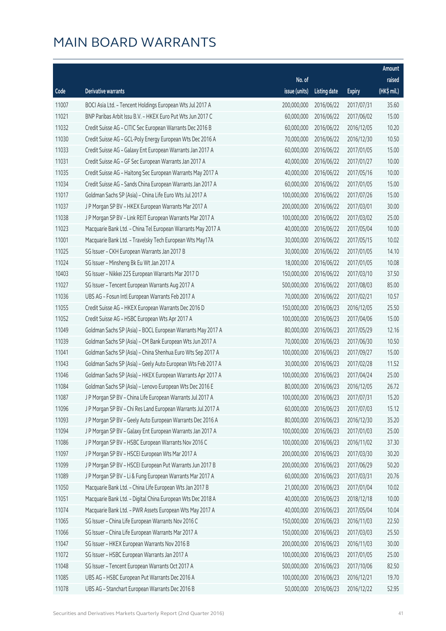|       |                                                              |                        |                     |               | Amount      |
|-------|--------------------------------------------------------------|------------------------|---------------------|---------------|-------------|
|       |                                                              | No. of                 |                     |               | raised      |
| Code  | <b>Derivative warrants</b>                                   | issue (units)          | <b>Listing date</b> | <b>Expiry</b> | (HK\$ mil.) |
| 11007 | BOCI Asia Ltd. - Tencent Holdings European Wts Jul 2017 A    | 200,000,000            | 2016/06/22          | 2017/07/31    | 35.60       |
| 11021 | BNP Paribas Arbit Issu B.V. - HKEX Euro Put Wts Jun 2017 C   | 60,000,000             | 2016/06/22          | 2017/06/02    | 15.00       |
| 11032 | Credit Suisse AG - CITIC Sec European Warrants Dec 2016 B    | 60,000,000             | 2016/06/22          | 2016/12/05    | 10.20       |
| 11030 | Credit Suisse AG - GCL-Poly Energy European Wts Dec 2016 A   | 70,000,000             | 2016/06/22          | 2016/12/30    | 10.50       |
| 11033 | Credit Suisse AG - Galaxy Ent European Warrants Jan 2017 A   | 60,000,000             | 2016/06/22          | 2017/01/05    | 15.00       |
| 11031 | Credit Suisse AG - GF Sec European Warrants Jan 2017 A       | 40,000,000             | 2016/06/22          | 2017/01/27    | 10.00       |
| 11035 | Credit Suisse AG - Haitong Sec European Warrants May 2017 A  | 40,000,000             | 2016/06/22          | 2017/05/16    | 10.00       |
| 11034 | Credit Suisse AG - Sands China European Warrants Jan 2017 A  | 60,000,000             | 2016/06/22          | 2017/01/05    | 15.00       |
| 11017 | Goldman Sachs SP (Asia) - China Life Euro Wts Jul 2017 A     | 100,000,000            | 2016/06/22          | 2017/07/26    | 15.00       |
| 11037 | J P Morgan SP BV - HKEX European Warrants Mar 2017 A         | 200,000,000            | 2016/06/22          | 2017/03/01    | 30.00       |
| 11038 | J P Morgan SP BV - Link REIT European Warrants Mar 2017 A    | 100,000,000            | 2016/06/22          | 2017/03/02    | 25.00       |
| 11023 | Macquarie Bank Ltd. - China Tel European Warrants May 2017 A | 40,000,000             | 2016/06/22          | 2017/05/04    | 10.00       |
| 11001 | Macquarie Bank Ltd. - Travelsky Tech European Wts May17A     | 30,000,000             | 2016/06/22          | 2017/05/15    | 10.02       |
| 11025 | SG Issuer - CKH European Warrants Jan 2017 B                 | 30,000,000             | 2016/06/22          | 2017/01/05    | 14.10       |
| 11024 | SG Issuer - Minsheng Bk Eu Wt Jan 2017 A                     | 18,000,000             | 2016/06/22          | 2017/01/05    | 10.08       |
| 10403 | SG Issuer - Nikkei 225 European Warrants Mar 2017 D          | 150,000,000            | 2016/06/22          | 2017/03/10    | 37.50       |
| 11027 | SG Issuer - Tencent European Warrants Aug 2017 A             | 500,000,000            | 2016/06/22          | 2017/08/03    | 85.00       |
| 11036 | UBS AG - Fosun Intl European Warrants Feb 2017 A             | 70,000,000             | 2016/06/22          | 2017/02/21    | 10.57       |
| 11055 | Credit Suisse AG - HKEX European Warrants Dec 2016 D         | 150,000,000            | 2016/06/23          | 2016/12/05    | 25.50       |
| 11052 | Credit Suisse AG - HSBC European Wts Apr 2017 A              | 100,000,000            | 2016/06/23          | 2017/04/06    | 15.00       |
| 11049 | Goldman Sachs SP (Asia) - BOCL European Warrants May 2017 A  | 80,000,000             | 2016/06/23          | 2017/05/29    | 12.16       |
| 11039 | Goldman Sachs SP (Asia) - CM Bank European Wts Jun 2017 A    | 70,000,000             | 2016/06/23          | 2017/06/30    | 10.50       |
| 11041 | Goldman Sachs SP (Asia) - China Shenhua Euro Wts Sep 2017 A  | 100,000,000            | 2016/06/23          | 2017/09/27    | 15.00       |
| 11043 | Goldman Sachs SP (Asia) - Geely Auto European Wts Feb 2017 A | 30,000,000             | 2016/06/23          | 2017/02/28    | 11.52       |
| 11046 | Goldman Sachs SP (Asia) - HKEX European Warrants Apr 2017 A  | 100,000,000            | 2016/06/23          | 2017/04/24    | 25.00       |
| 11084 | Goldman Sachs SP (Asia) - Lenovo European Wts Dec 2016 E     | 80,000,000             | 2016/06/23          | 2016/12/05    | 26.72       |
| 11087 | J P Morgan SP BV – China Life European Warrants Jul 2017 A   | 100,000,000 2016/06/23 |                     | 2017/07/31    | 15.20       |
| 11096 | J P Morgan SP BV - Chi Res Land European Warrants Jul 2017 A | 60,000,000             | 2016/06/23          | 2017/07/03    | 15.12       |
| 11093 | J P Morgan SP BV - Geely Auto European Warrants Dec 2016 A   | 80,000,000             | 2016/06/23          | 2016/12/30    | 35.20       |
| 11094 | J P Morgan SP BV - Galaxy Ent European Warrants Jan 2017 A   | 100,000,000            | 2016/06/23          | 2017/01/03    | 25.00       |
| 11086 | J P Morgan SP BV - HSBC European Warrants Nov 2016 C         | 100,000,000            | 2016/06/23          | 2016/11/02    | 37.30       |
| 11097 | J P Morgan SP BV - HSCEI European Wts Mar 2017 A             | 200,000,000            | 2016/06/23          | 2017/03/30    | 30.20       |
| 11099 | J P Morgan SP BV - HSCEI European Put Warrants Jun 2017 B    | 200,000,000            | 2016/06/23          | 2017/06/29    | 50.20       |
| 11089 | J P Morgan SP BV - Li & Fung European Warrants Mar 2017 A    | 60,000,000             | 2016/06/23          | 2017/03/31    | 20.76       |
| 11050 | Macquarie Bank Ltd. - China Life European Wts Jan 2017 B     | 21,000,000             | 2016/06/23          | 2017/01/04    | 10.02       |
| 11051 | Macquarie Bank Ltd. - Digital China European Wts Dec 2018 A  | 40,000,000             | 2016/06/23          | 2018/12/18    | 10.00       |
| 11074 | Macquarie Bank Ltd. - PWR Assets European Wts May 2017 A     | 40,000,000             | 2016/06/23          | 2017/05/04    | 10.04       |
| 11065 | SG Issuer - China Life European Warrants Nov 2016 C          | 150,000,000            | 2016/06/23          | 2016/11/03    | 22.50       |
| 11066 | SG Issuer - China Life European Warrants Mar 2017 A          | 150,000,000            | 2016/06/23          | 2017/03/03    | 25.50       |
| 11047 | SG Issuer - HKEX European Warrants Nov 2016 B                | 200,000,000            | 2016/06/23          | 2016/11/03    | 30.00       |
| 11072 | SG Issuer - HSBC European Warrants Jan 2017 A                | 100,000,000            | 2016/06/23          | 2017/01/05    | 25.00       |
| 11048 | SG Issuer - Tencent European Warrants Oct 2017 A             | 500,000,000            | 2016/06/23          | 2017/10/06    | 82.50       |
| 11085 | UBS AG - HSBC European Put Warrants Dec 2016 A               | 100,000,000            | 2016/06/23          | 2016/12/21    | 19.70       |
| 11078 | UBS AG - Stanchart European Warrants Dec 2016 B              | 50,000,000             | 2016/06/23          | 2016/12/22    | 52.95       |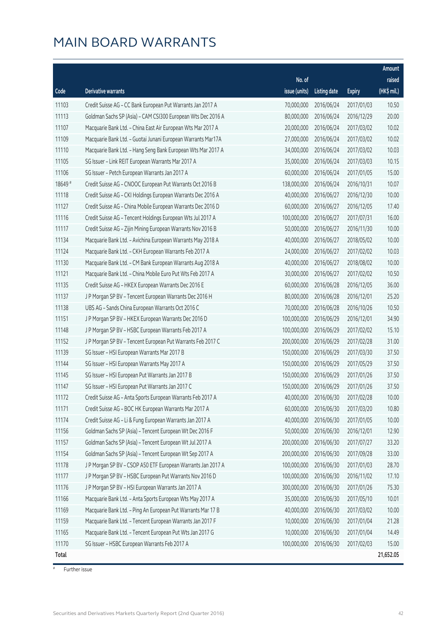|        |                                                              |               |                       |               | Amount      |
|--------|--------------------------------------------------------------|---------------|-----------------------|---------------|-------------|
|        |                                                              | No. of        |                       |               | raised      |
| Code   | Derivative warrants                                          | issue (units) | Listing date          | <b>Expiry</b> | (HK\$ mil.) |
| 11103  | Credit Suisse AG - CC Bank European Put Warrants Jan 2017 A  | 70,000,000    | 2016/06/24            | 2017/01/03    | 10.50       |
| 11113  | Goldman Sachs SP (Asia) - CAM CSI300 European Wts Dec 2016 A | 80,000,000    | 2016/06/24            | 2016/12/29    | 20.00       |
| 11107  | Macquarie Bank Ltd. - China East Air European Wts Mar 2017 A | 20,000,000    | 2016/06/24            | 2017/03/02    | 10.02       |
| 11109  | Macquarie Bank Ltd. - Guotai Junani European Warrants Mar17A | 27,000,000    | 2016/06/24            | 2017/03/02    | 10.02       |
| 11110  | Macquarie Bank Ltd. - Hang Seng Bank European Wts Mar 2017 A | 34,000,000    | 2016/06/24            | 2017/03/02    | 10.03       |
| 11105  | SG Issuer - Link REIT European Warrants Mar 2017 A           | 35,000,000    | 2016/06/24            | 2017/03/03    | 10.15       |
| 11106  | SG Issuer - Petch European Warrants Jan 2017 A               | 60,000,000    | 2016/06/24            | 2017/01/05    | 15.00       |
| 18649# | Credit Suisse AG - CNOOC European Put Warrants Oct 2016 B    | 138,000,000   | 2016/06/24            | 2016/10/31    | 10.07       |
| 11118  | Credit Suisse AG - CKI Holdings European Warrants Dec 2016 A | 40,000,000    | 2016/06/27            | 2016/12/30    | 10.00       |
| 11127  | Credit Suisse AG - China Mobile European Warrants Dec 2016 D | 60,000,000    | 2016/06/27            | 2016/12/05    | 17.40       |
| 11116  | Credit Suisse AG - Tencent Holdings European Wts Jul 2017 A  | 100,000,000   | 2016/06/27            | 2017/07/31    | 16.00       |
| 11117  | Credit Suisse AG - Zijin Mining European Warrants Nov 2016 B | 50,000,000    | 2016/06/27            | 2016/11/30    | 10.00       |
| 11134  | Macquarie Bank Ltd. - Avichina European Warrants May 2018 A  | 40,000,000    | 2016/06/27            | 2018/05/02    | 10.00       |
| 11124  | Macquarie Bank Ltd. - CKH European Warrants Feb 2017 A       | 24,000,000    | 2016/06/27            | 2017/02/02    | 10.03       |
| 11130  | Macquarie Bank Ltd. - CM Bank European Warrants Aug 2018 A   | 40,000,000    | 2016/06/27            | 2018/08/02    | 10.00       |
| 11121  | Macquarie Bank Ltd. - China Mobile Euro Put Wts Feb 2017 A   | 30,000,000    | 2016/06/27            | 2017/02/02    | 10.50       |
| 11135  | Credit Suisse AG - HKEX European Warrants Dec 2016 E         | 60,000,000    | 2016/06/28            | 2016/12/05    | 36.00       |
| 11137  | J P Morgan SP BV - Tencent European Warrants Dec 2016 H      | 80,000,000    | 2016/06/28            | 2016/12/01    | 25.20       |
| 11138  | UBS AG - Sands China European Warrants Oct 2016 C            | 70,000,000    | 2016/06/28            | 2016/10/26    | 10.50       |
| 11151  | J P Morgan SP BV - HKEX European Warrants Dec 2016 D         | 100,000,000   | 2016/06/29            | 2016/12/01    | 34.90       |
| 11148  | J P Morgan SP BV - HSBC European Warrants Feb 2017 A         | 100,000,000   | 2016/06/29            | 2017/02/02    | 15.10       |
| 11152  | J P Morgan SP BV - Tencent European Put Warrants Feb 2017 C  | 200,000,000   | 2016/06/29            | 2017/02/28    | 31.00       |
| 11139  | SG Issuer - HSI European Warrants Mar 2017 B                 | 150,000,000   | 2016/06/29            | 2017/03/30    | 37.50       |
| 11144  | SG Issuer - HSI European Warrants May 2017 A                 | 150,000,000   | 2016/06/29            | 2017/05/29    | 37.50       |
| 11145  | SG Issuer - HSI European Put Warrants Jan 2017 B             | 150,000,000   | 2016/06/29            | 2017/01/26    | 37.50       |
| 11147  | SG Issuer - HSI European Put Warrants Jan 2017 C             | 150,000,000   | 2016/06/29            | 2017/01/26    | 37.50       |
| 11172  | Credit Suisse AG - Anta Sports European Warrants Feb 2017 A  |               | 40,000,000 2016/06/30 | 2017/02/28    | 10.00       |
| 11171  | Credit Suisse AG - BOC HK European Warrants Mar 2017 A       | 60,000,000    | 2016/06/30            | 2017/03/20    | 10.80       |
| 11174  | Credit Suisse AG - Li & Fung European Warrants Jan 2017 A    | 40,000,000    | 2016/06/30            | 2017/01/05    | 10.00       |
| 11156  | Goldman Sachs SP (Asia) - Tencent European Wt Dec 2016 F     | 50,000,000    | 2016/06/30            | 2016/12/01    | 12.90       |
| 11157  | Goldman Sachs SP (Asia) - Tencent European Wt Jul 2017 A     | 200,000,000   | 2016/06/30            | 2017/07/27    | 33.20       |
| 11154  | Goldman Sachs SP (Asia) - Tencent European Wt Sep 2017 A     | 200,000,000   | 2016/06/30            | 2017/09/28    | 33.00       |
| 11178  | J P Morgan SP BV - CSOP A50 ETF European Warrants Jan 2017 A | 100,000,000   | 2016/06/30            | 2017/01/03    | 28.70       |
| 11177  | J P Morgan SP BV - HSBC European Put Warrants Nov 2016 D     | 100,000,000   | 2016/06/30            | 2016/11/02    | 17.10       |
| 11176  | J P Morgan SP BV - HSI European Warrants Jan 2017 A          | 300,000,000   | 2016/06/30            | 2017/01/26    | 75.30       |
| 11166  | Macquarie Bank Ltd. - Anta Sports European Wts May 2017 A    | 35,000,000    | 2016/06/30            | 2017/05/10    | 10.01       |
| 11169  | Macquarie Bank Ltd. - Ping An European Put Warrants Mar 17 B | 40,000,000    | 2016/06/30            | 2017/03/02    | 10.00       |
| 11159  | Macquarie Bank Ltd. - Tencent European Warrants Jan 2017 F   | 10,000,000    | 2016/06/30            | 2017/01/04    | 21.28       |
| 11165  | Macquarie Bank Ltd. - Tencent European Put Wts Jan 2017 G    | 10,000,000    | 2016/06/30            | 2017/01/04    | 14.49       |
| 11170  | SG Issuer - HSBC European Warrants Feb 2017 A                | 100,000,000   | 2016/06/30            | 2017/02/03    | 15.00       |
| Total  |                                                              |               |                       |               | 21,652.05   |

# Further issue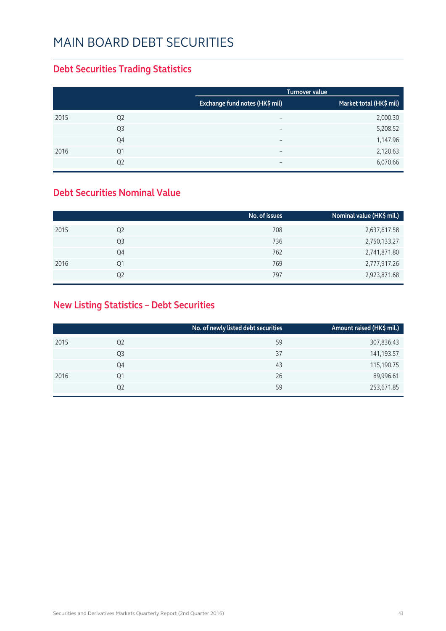#### MAIN BOARD DEBT SECURITIES

#### **Debt Securities Trading Statistics**

|      |                |                                | <b>Turnover value</b>   |
|------|----------------|--------------------------------|-------------------------|
|      |                | Exchange fund notes (HK\$ mil) | Market total (HK\$ mil) |
| 2015 | Q <sub>2</sub> | $\overline{\phantom{0}}$       | 2,000.30                |
|      | Q <sub>3</sub> | $\overline{\phantom{0}}$       | 5,208.52                |
|      | Q4             | $\overline{\phantom{0}}$       | 1,147.96                |
| 2016 | Q1             |                                | 2,120.63                |
|      | Q2             | $\overline{\phantom{0}}$       | 6,070.66                |

#### **Debt Securities Nominal Value**

|      |                | No. of issues | Nominal value (HK\$ mil.) |
|------|----------------|---------------|---------------------------|
| 2015 | Q <sub>2</sub> | 708           | 2,637,617.58              |
|      | Q3             | 736           | 2,750,133.27              |
|      | Q4             | 762           | 2,741,871.80              |
| 2016 | Q1             | 769           | 2,777,917.26              |
|      | Q2             | 797           | 2,923,871.68              |

#### **New Listing Statistics – Debt Securities**

|      |                | No. of newly listed debt securities | Amount raised (HK\$ mil.) |
|------|----------------|-------------------------------------|---------------------------|
| 2015 | Q <sub>2</sub> | 59                                  | 307,836.43                |
|      | Q3             | 37                                  | 141,193.57                |
|      | Q4             | 43                                  | 115,190.75                |
| 2016 | Q1             | 26                                  | 89,996.61                 |
|      | Q2             | 59                                  | 253,671.85                |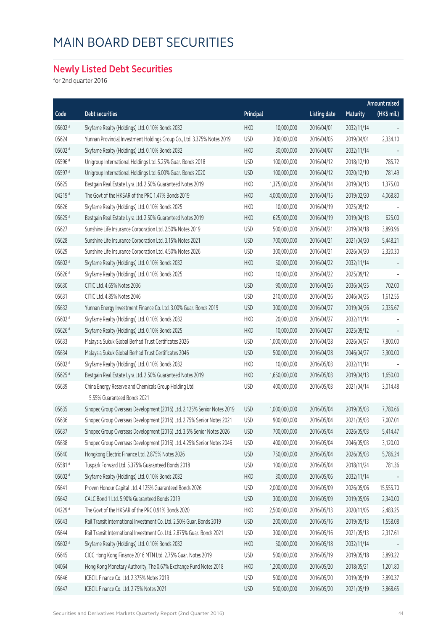#### MAIN BOARD DEBT SECURITIES

#### **Newly Listed Debt Securities**

for 2nd quarter 2016

|         |                                                                         |            |               |                     |                 | Amount raised     |  |
|---------|-------------------------------------------------------------------------|------------|---------------|---------------------|-----------------|-------------------|--|
| Code    | <b>Debt securities</b>                                                  | Principal  |               | <b>Listing date</b> | <b>Maturity</b> | (HK\$ mil.)       |  |
| 05602 # | Skyfame Realty (Holdings) Ltd. 0.10% Bonds 2032                         | <b>HKD</b> | 10,000,000    | 2016/04/01          | 2032/11/14      |                   |  |
| 05624   | Yunnan Provincial Investment Holdings Group Co., Ltd. 3.375% Notes 2019 | <b>USD</b> | 300,000,000   | 2016/04/05          | 2019/04/01      | 2,334.10          |  |
| 05602 # | Skyfame Realty (Holdings) Ltd. 0.10% Bonds 2032                         | <b>HKD</b> | 30,000,000    | 2016/04/07          | 2032/11/14      |                   |  |
| 05596 # | Unigroup International Holdings Ltd. 5.25% Guar. Bonds 2018             | <b>USD</b> | 100,000,000   | 2016/04/12          | 2018/12/10      | 785.72            |  |
| 05597 # | Unigroup International Holdings Ltd. 6.00% Guar. Bonds 2020             | <b>USD</b> | 100,000,000   | 2016/04/12          | 2020/12/10      | 781.49            |  |
| 05625   | Bestgain Real Estate Lyra Ltd. 2.50% Guaranteed Notes 2019              | <b>HKD</b> | 1,375,000,000 | 2016/04/14          | 2019/04/13      | 1,375.00          |  |
| 04219 # | The Govt of the HKSAR of the PRC 1.47% Bonds 2019                       | <b>HKD</b> | 4,000,000,000 | 2016/04/15          | 2019/02/20      | 4,068.80          |  |
| 05626   | Skyfame Realty (Holdings) Ltd. 0.10% Bonds 2025                         | <b>HKD</b> | 10,000,000    | 2016/04/19          | 2025/09/12      |                   |  |
| 05625 # | Bestgain Real Estate Lyra Ltd. 2.50% Guaranteed Notes 2019              | <b>HKD</b> | 625,000,000   | 2016/04/19          | 2019/04/13      | 625.00            |  |
| 05627   | Sunshine Life Insurance Corporation Ltd. 2.50% Notes 2019               | <b>USD</b> | 500,000,000   | 2016/04/21          | 2019/04/18      | 3,893.96          |  |
| 05628   | Sunshine Life Insurance Corporation Ltd. 3.15% Notes 2021               | <b>USD</b> | 700,000,000   | 2016/04/21          | 2021/04/20      | 5,448.21          |  |
| 05629   | Sunshine Life Insurance Corporation Ltd. 4.50% Notes 2026               | <b>USD</b> | 300,000,000   | 2016/04/21          | 2026/04/20      | 2,320.30          |  |
| 05602 # | Skyfame Realty (Holdings) Ltd. 0.10% Bonds 2032                         | <b>HKD</b> | 50,000,000    | 2016/04/22          | 2032/11/14      |                   |  |
| 05626#  | Skyfame Realty (Holdings) Ltd. 0.10% Bonds 2025                         | <b>HKD</b> | 10,000,000    | 2016/04/22          | 2025/09/12      |                   |  |
| 05630   | CITIC Ltd. 4.65% Notes 2036                                             | <b>USD</b> | 90,000,000    | 2016/04/26          | 2036/04/25      | 702.00            |  |
| 05631   | CITIC Ltd. 4.85% Notes 2046                                             | <b>USD</b> | 210,000,000   | 2016/04/26          | 2046/04/25      | 1,612.55          |  |
| 05632   | Yunnan Energy Investment Finance Co. Ltd. 3.00% Guar. Bonds 2019        | <b>USD</b> | 300,000,000   | 2016/04/27          | 2019/04/26      | 2,335.67          |  |
| 05602 # | Skyfame Realty (Holdings) Ltd. 0.10% Bonds 2032                         | <b>HKD</b> | 20,000,000    | 2016/04/27          | 2032/11/14      |                   |  |
| 05626#  | Skyfame Realty (Holdings) Ltd. 0.10% Bonds 2025                         | <b>HKD</b> | 10,000,000    | 2016/04/27          | 2025/09/12      | $\qquad \qquad -$ |  |
| 05633   | Malaysia Sukuk Global Berhad Trust Certificates 2026                    | <b>USD</b> | 1,000,000,000 | 2016/04/28          | 2026/04/27      | 7,800.00          |  |
| 05634   | Malaysia Sukuk Global Berhad Trust Certificates 2046                    | <b>USD</b> | 500,000,000   | 2016/04/28          | 2046/04/27      | 3,900.00          |  |
| 05602 # | Skyfame Realty (Holdings) Ltd. 0.10% Bonds 2032                         | <b>HKD</b> | 10,000,000    | 2016/05/03          | 2032/11/14      |                   |  |
| 05625 # | Bestgain Real Estate Lyra Ltd. 2.50% Guaranteed Notes 2019              | <b>HKD</b> | 1,650,000,000 | 2016/05/03          | 2019/04/13      | 1,650.00          |  |
| 05639   | China Energy Reserve and Chemicals Group Holding Ltd.                   | <b>USD</b> | 400,000,000   | 2016/05/03          | 2021/04/14      | 3,014.48          |  |
|         | 5.55% Guaranteed Bonds 2021                                             |            |               |                     |                 |                   |  |
| 05635   | Sinopec Group Overseas Development (2016) Ltd. 2.125% Senior Notes 2019 | <b>USD</b> | 1,000,000,000 | 2016/05/04          | 2019/05/03      | 7,780.66          |  |
| 05636   | Sinopec Group Overseas Development (2016) Ltd. 2.75% Senior Notes 2021  | <b>USD</b> | 900,000,000   | 2016/05/04          | 2021/05/03      | 7,007.01          |  |
| 05637   | Sinopec Group Overseas Development (2016) Ltd. 3.5% Senior Notes 2026   | <b>USD</b> | 700,000,000   | 2016/05/04          | 2026/05/03      | 5,414.47          |  |
| 05638   | Sinopec Group Overseas Development (2016) Ltd. 4.25% Senior Notes 2046  | <b>USD</b> | 400,000,000   | 2016/05/04          | 2046/05/03      | 3,120.00          |  |
| 05640   | Hongkong Electric Finance Ltd. 2.875% Notes 2026                        | <b>USD</b> | 750,000,000   | 2016/05/04          | 2026/05/03      | 5,786.24          |  |
| 05581#  | Tuspark Forward Ltd. 5.375% Guaranteed Bonds 2018                       | <b>USD</b> | 100,000,000   | 2016/05/04          | 2018/11/24      | 781.36            |  |
| 05602 # | Skyfame Realty (Holdings) Ltd. 0.10% Bonds 2032                         | <b>HKD</b> | 30,000,000    | 2016/05/06          | 2032/11/14      |                   |  |
| 05641   | Proven Honour Capital Ltd. 4.125% Guaranteed Bonds 2026                 | <b>USD</b> | 2,000,000,000 | 2016/05/09          | 2026/05/06      | 15,555.70         |  |
| 05642   | CALC Bond 1 Ltd. 5.90% Guaranteed Bonds 2019                            | <b>USD</b> | 300,000,000   | 2016/05/09          | 2019/05/06      | 2,340.00          |  |
| 04229 # | The Govt of the HKSAR of the PRC 0.91% Bonds 2020                       | <b>HKD</b> | 2,500,000,000 | 2016/05/13          | 2020/11/05      | 2,483.25          |  |
| 05643   | Rail Transit International Investment Co. Ltd. 2.50% Guar. Bonds 2019   | <b>USD</b> | 200,000,000   | 2016/05/16          | 2019/05/13      | 1,558.08          |  |
| 05644   | Rail Transit International Investment Co. Ltd. 2.875% Guar. Bonds 2021  | <b>USD</b> | 300,000,000   | 2016/05/16          | 2021/05/13      | 2,317.61          |  |
| 05602 # | Skyfame Realty (Holdings) Ltd. 0.10% Bonds 2032                         | <b>HKD</b> | 50,000,000    | 2016/05/18          | 2032/11/14      |                   |  |
| 05645   | CICC Hong Kong Finance 2016 MTN Ltd. 2.75% Guar. Notes 2019             | <b>USD</b> | 500,000,000   | 2016/05/19          | 2019/05/18      | 3,893.22          |  |
| 04064   | Hong Kong Monetary Authority, The 0.67% Exchange Fund Notes 2018        | <b>HKD</b> | 1,200,000,000 | 2016/05/20          | 2018/05/21      | 1,201.80          |  |
| 05646   | ICBCIL Finance Co. Ltd. 2.375% Notes 2019                               | <b>USD</b> | 500,000,000   | 2016/05/20          | 2019/05/19      | 3,890.37          |  |
| 05647   | ICBCIL Finance Co. Ltd. 2.75% Notes 2021                                | <b>USD</b> | 500,000,000   | 2016/05/20          | 2021/05/19      | 3,868.65          |  |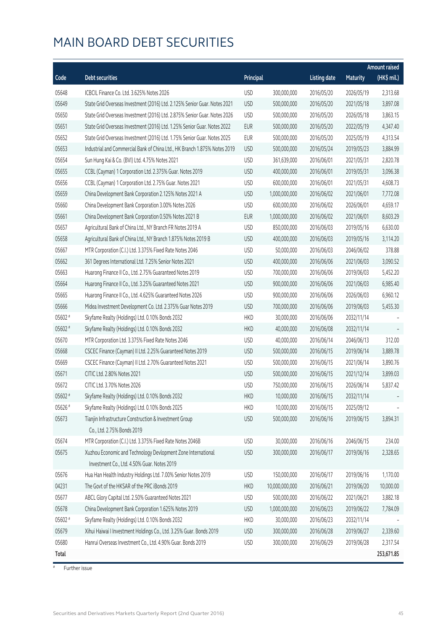#### MAIN BOARD DEBT SECURITIES

|         |                                                                                      |            |                |                     |                 | <b>Amount raised</b> |
|---------|--------------------------------------------------------------------------------------|------------|----------------|---------------------|-----------------|----------------------|
| Code    | <b>Debt securities</b>                                                               | Principal  |                | <b>Listing date</b> | <b>Maturity</b> | (HK\$ mil.)          |
| 05648   | ICBCIL Finance Co. Ltd. 3.625% Notes 2026                                            | <b>USD</b> | 300,000,000    | 2016/05/20          | 2026/05/19      | 2,313.68             |
| 05649   | State Grid Overseas Investment (2016) Ltd. 2.125% Senior Guar. Notes 2021            | <b>USD</b> | 500,000,000    | 2016/05/20          | 2021/05/18      | 3,897.08             |
| 05650   | State Grid Overseas Investment (2016) Ltd. 2.875% Senior Guar. Notes 2026            | <b>USD</b> | 500,000,000    | 2016/05/20          | 2026/05/18      | 3,863.15             |
| 05651   | State Grid Overseas Investment (2016) Ltd. 1.25% Senior Guar. Notes 2022             | <b>EUR</b> | 500,000,000    | 2016/05/20          | 2022/05/19      | 4,347.40             |
| 05652   | State Grid Overseas Investment (2016) Ltd. 1.75% Senior Guar. Notes 2025             | EUR        | 500,000,000    | 2016/05/20          | 2025/05/19      | 4,313.54             |
| 05653   | Industrial and Commercial Bank of China Ltd., HK Branch 1.875% Notes 2019            | <b>USD</b> | 500,000,000    | 2016/05/24          | 2019/05/23      | 3,884.99             |
| 05654   | Sun Hung Kai & Co. (BVI) Ltd. 4.75% Notes 2021                                       | <b>USD</b> | 361,639,000    | 2016/06/01          | 2021/05/31      | 2,820.78             |
| 05655   | CCBL (Cayman) 1 Corporation Ltd. 2.375% Guar. Notes 2019                             | <b>USD</b> | 400,000,000    | 2016/06/01          | 2019/05/31      | 3,096.38             |
| 05656   | CCBL (Cayman) 1 Corporation Ltd. 2.75% Guar. Notes 2021                              | <b>USD</b> | 600,000,000    | 2016/06/01          | 2021/05/31      | 4,608.73             |
| 05659   | China Development Bank Corporation 2.125% Notes 2021 A                               | <b>USD</b> | 1,000,000,000  | 2016/06/02          | 2021/06/01      | 7,772.08             |
| 05660   | China Development Bank Corporation 3.00% Notes 2026                                  | <b>USD</b> | 600,000,000    | 2016/06/02          | 2026/06/01      | 4,659.17             |
| 05661   | China Development Bank Corporation 0.50% Notes 2021 B                                | <b>EUR</b> | 1,000,000,000  | 2016/06/02          | 2021/06/01      | 8,603.29             |
| 05657   | Agricultural Bank of China Ltd., NY Branch FR Notes 2019 A                           | <b>USD</b> | 850,000,000    | 2016/06/03          | 2019/05/16      | 6,630.00             |
| 05658   | Agricultural Bank of China Ltd., NY Branch 1.875% Notes 2019 B                       | <b>USD</b> | 400,000,000    | 2016/06/03          | 2019/05/16      | 3,114.20             |
| 05667   | MTR Corporation (C.I.) Ltd. 3.375% Fixed Rate Notes 2046                             | <b>USD</b> | 50,000,000     | 2016/06/03          | 2046/06/02      | 378.88               |
| 05662   | 361 Degrees International Ltd. 7.25% Senior Notes 2021                               | <b>USD</b> | 400,000,000    | 2016/06/06          | 2021/06/03      | 3,090.52             |
| 05663   | Huarong Finance II Co., Ltd. 2.75% Guaranteed Notes 2019                             | <b>USD</b> | 700,000,000    | 2016/06/06          | 2019/06/03      | 5,452.20             |
| 05664   | Huarong Finance II Co., Ltd. 3.25% Guaranteed Notes 2021                             | <b>USD</b> | 900,000,000    | 2016/06/06          | 2021/06/03      | 6,985.40             |
| 05665   | Huarong Finance II Co., Ltd. 4.625% Guaranteed Notes 2026                            | <b>USD</b> | 900,000,000    | 2016/06/06          | 2026/06/03      | 6,960.12             |
| 05666   | Midea Investment Development Co. Ltd. 2.375% Guar Notes 2019                         | <b>USD</b> | 700,000,000    | 2016/06/06          | 2019/06/03      | 5,455.30             |
| 05602 # | Skyfame Realty (Holdings) Ltd. 0.10% Bonds 2032                                      | <b>HKD</b> | 30,000,000     | 2016/06/06          | 2032/11/14      |                      |
| 05602 # | Skyfame Realty (Holdings) Ltd. 0.10% Bonds 2032                                      | <b>HKD</b> | 40,000,000     | 2016/06/08          | 2032/11/14      |                      |
| 05670   | MTR Corporation Ltd. 3.375% Fixed Rate Notes 2046                                    | <b>USD</b> | 40,000,000     | 2016/06/14          | 2046/06/13      | 312.00               |
| 05668   | CSCEC Finance (Cayman) II Ltd. 2.25% Guaranteed Notes 2019                           | <b>USD</b> | 500,000,000    | 2016/06/15          | 2019/06/14      | 3,889.78             |
| 05669   | CSCEC Finance (Cayman) II Ltd. 2.70% Guaranteed Notes 2021                           | <b>USD</b> | 500,000,000    | 2016/06/15          | 2021/06/14      | 3,890.76             |
| 05671   | CITIC Ltd. 2.80% Notes 2021                                                          | <b>USD</b> | 500,000,000    | 2016/06/15          | 2021/12/14      | 3,899.03             |
| 05672   | CITIC Ltd. 3.70% Notes 2026                                                          | <b>USD</b> | 750,000,000    | 2016/06/15          | 2026/06/14      | 5,837.42             |
| 05602 # | Skyfame Realty (Holdings) Ltd. 0.10% Bonds 2032                                      | <b>HKD</b> | 10,000,000     | 2016/06/15          | 2032/11/14      |                      |
| 05626 # | Skyfame Realty (Holdings) Ltd. 0.10% Bonds 2025                                      | <b>HKD</b> | 10,000,000     | 2016/06/15          | 2025/09/12      |                      |
| 05673   | Tianjin Infrastructure Construction & Investment Group<br>Co., Ltd. 2.75% Bonds 2019 | <b>USD</b> | 500,000,000    | 2016/06/16          | 2019/06/15      | 3,894.31             |
| 05674   | MTR Corporation (C.I.) Ltd. 3.375% Fixed Rate Notes 2046B                            | <b>USD</b> | 30,000,000     | 2016/06/16          | 2046/06/15      | 234.00               |
| 05675   | Xuzhou Economic and Technology Devlopment Zone International                         | <b>USD</b> | 300,000,000    | 2016/06/17          | 2019/06/16      | 2,328.65             |
|         | Investment Co., Ltd. 4.50% Guar. Notes 2019                                          |            |                |                     |                 |                      |
| 05676   | Hua Han Health Industry Holdings Ltd. 7.00% Senior Notes 2019                        | <b>USD</b> | 150,000,000    | 2016/06/17          | 2019/06/16      | 1,170.00             |
| 04231   | The Govt of the HKSAR of the PRC iBonds 2019                                         | <b>HKD</b> | 10,000,000,000 | 2016/06/21          | 2019/06/20      | 10,000.00            |
| 05677   | ABCL Glory Capital Ltd. 2.50% Guaranteed Notes 2021                                  | <b>USD</b> | 500,000,000    | 2016/06/22          | 2021/06/21      | 3,882.18             |
| 05678   | China Development Bank Corporation 1.625% Notes 2019                                 | <b>USD</b> | 1,000,000,000  | 2016/06/23          | 2019/06/22      | 7,784.09             |
| 05602 # | Skyfame Realty (Holdings) Ltd. 0.10% Bonds 2032                                      | <b>HKD</b> | 30,000,000     | 2016/06/23          | 2032/11/14      |                      |
| 05679   | Xihui Haiwai I Investment Holdings Co., Ltd. 3.25% Guar. Bonds 2019                  | <b>USD</b> | 300,000,000    | 2016/06/28          | 2019/06/27      | 2,339.60             |
| 05680   | Hanrui Overseas Investment Co., Ltd. 4.90% Guar. Bonds 2019                          | <b>USD</b> | 300,000,000    | 2016/06/29          | 2019/06/28      | 2,317.54             |
| Total   |                                                                                      |            |                |                     |                 | 253,671.85           |
|         |                                                                                      |            |                |                     |                 |                      |

# Further issue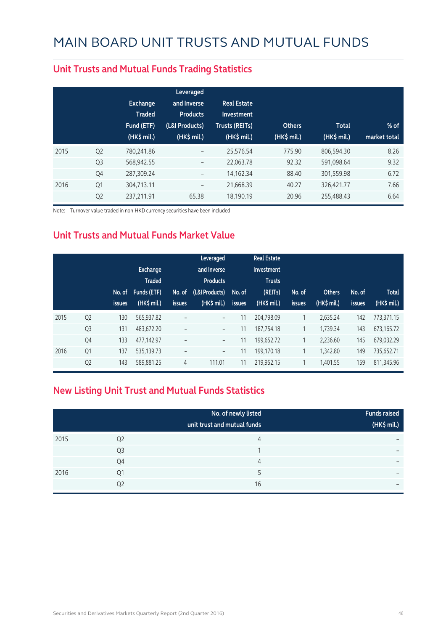|      |                | <b>Exchange</b><br><b>Traded</b><br>Fund (ETF)<br>$(HK\$ mil.) | Leveraged<br>and Inverse<br><b>Products</b><br>(L&I Products)<br>(HK\$ mil.) | <b>Real Estate</b><br>Investment<br><b>Trusts (REITs)</b><br>$(HK$$ mil.) | <b>Others</b><br>$(HK\$ mil.) | <b>Total</b><br>$(HK\$ mil.) | $%$ of<br>market total |
|------|----------------|----------------------------------------------------------------|------------------------------------------------------------------------------|---------------------------------------------------------------------------|-------------------------------|------------------------------|------------------------|
| 2015 | Q <sub>2</sub> | 780,241.86                                                     | -                                                                            | 25,576.54                                                                 | 775.90                        | 806,594.30                   | 8.26                   |
|      | Q <sub>3</sub> | 568,942.55                                                     | $\overline{\phantom{a}}$                                                     | 22,063.78                                                                 | 92.32                         | 591,098.64                   | 9.32                   |
|      | Q4             | 287,309.24                                                     | $\qquad \qquad -$                                                            | 14,162.34                                                                 | 88.40                         | 301,559.98                   | 6.72                   |
| 2016 | Q1             | 304,713.11                                                     | $\overline{\phantom{a}}$                                                     | 21,668.39                                                                 | 40.27                         | 326,421.77                   | 7.66                   |
|      | Q <sub>2</sub> | 237,211.91                                                     | 65.38                                                                        | 18,190.19                                                                 | 20.96                         | 255,488.43                   | 6.64                   |

#### **Unit Trusts and Mutual Funds Trading Statistics**

Note: Turnover value traded in non-HKD currency securities have been included

#### **Unit Trusts and Mutual Funds Market Value**

|      |                | No. of<br><b>issues</b> | <b>Exchange</b><br><b>Traded</b><br><b>Funds (ETF)</b><br>(HK\$ mil.) | No. of<br><b>issues</b> | Leveraged<br>and Inverse<br><b>Products</b><br>(L&I Products)<br>$(HK$$ mil.) | No. of<br><b>issues</b> | <b>Real Estate</b><br>Investment<br><b>Trusts</b><br>(REITs)<br>(HK\$ mil.) | No. of<br><b>issues</b> | <b>Others</b><br>(HK\$ mil.) | No. of<br>issues | <b>Total</b><br>(HK\$ mil.) |
|------|----------------|-------------------------|-----------------------------------------------------------------------|-------------------------|-------------------------------------------------------------------------------|-------------------------|-----------------------------------------------------------------------------|-------------------------|------------------------------|------------------|-----------------------------|
| 2015 | Q <sub>2</sub> | 130                     | 565,937.82                                                            | $\qquad \qquad -$       | $\overline{\phantom{a}}$                                                      | 11                      | 204,798.09                                                                  | 1                       | 2.635.24                     | 142              | 773,371.15                  |
|      | Q <sub>3</sub> | 131                     | 483,672.20                                                            | $\qquad \qquad -$       | -                                                                             | 11                      | 187,754.18                                                                  | 1                       | 1,739.34                     | 143              | 673,165.72                  |
|      | Q4             | 133                     | 477,142.97                                                            | $\qquad \qquad -$       | $\overline{\phantom{a}}$                                                      | 11                      | 199,652.72                                                                  | 1                       | 2,236.60                     | 145              | 679,032.29                  |
| 2016 | Q1             | 137                     | 535,139.73                                                            | $\qquad \qquad -$       | $\overline{\phantom{a}}$                                                      | 11                      | 199,170.18                                                                  | 1                       | 1.342.80                     | 149              | 735,652.71                  |
|      | Q <sub>2</sub> | 143                     | 589,881.25                                                            | 4                       | 111.01                                                                        | 11                      | 219,952.15                                                                  | 1                       | 1,401.55                     | 159              | 811,345.96                  |

#### **New Listing Unit Trust and Mutual Funds Statistics**

|      |                | No. of newly listed<br>unit trust and mutual funds | <b>Funds raised</b><br>(HK\$ mil.) |
|------|----------------|----------------------------------------------------|------------------------------------|
| 2015 | Q <sub>2</sub> | 4                                                  | $\overline{\phantom{0}}$           |
|      | Q3             | ◢                                                  | $\overline{\phantom{0}}$           |
|      | Q4             | 4                                                  | $\overline{\phantom{0}}$           |
| 2016 | Q1             |                                                    | $\overline{\phantom{0}}$           |
|      | Q <sub>2</sub> | 16                                                 | $\overline{\phantom{0}}$           |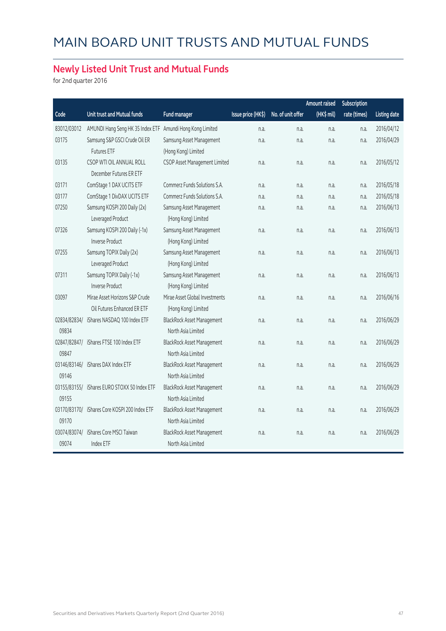#### **Newly Listed Unit Trust and Mutual Funds**

for 2nd quarter 2016

|                       |                                                               |                                                         |                    |                   | <b>Amount raised</b> | Subscription |                     |
|-----------------------|---------------------------------------------------------------|---------------------------------------------------------|--------------------|-------------------|----------------------|--------------|---------------------|
| Code                  | Unit trust and Mutual funds                                   | <b>Fund manager</b>                                     | Issue price (HK\$) | No. of unit offer | (HK\$ mil)           | rate (times) | <b>Listing date</b> |
| 83012/03012           | AMUNDI Hang Seng HK 35 Index ETF                              | Amundi Hong Kong Limited                                | n.a.               | n.a.              | n.a.                 | n.a.         | 2016/04/12          |
| 03175                 | Samsung S&P GSCI Crude Oil ER                                 | Samsung Asset Management                                | n.a.               | n.a.              | n.a.                 | n.a.         | 2016/04/29          |
|                       | <b>Futures ETF</b>                                            | (Hong Kong) Limited                                     |                    |                   |                      |              |                     |
| 03135                 | CSOP WTI OIL ANNUAL ROLL<br>December Futures ER ETF           | CSOP Asset Management Limited                           | n.a.               | n.a.              | n.a.                 | n.a.         | 2016/05/12          |
| 03171                 | ComStage 1 DAX UCITS ETF                                      | Commerz Funds Solutions S.A.                            | n.a.               | n.a.              | n.a.                 | n.a.         | 2016/05/18          |
| 03177                 | ComStage 1 DivDAX UCITS ETF                                   | Commerz Funds Solutions S.A.                            | n.a.               | n.a.              | n.a.                 | n.a.         | 2016/05/18          |
| 07250                 | Samsung KOSPI 200 Daily (2x)<br>Leveraged Product             | Samsung Asset Management<br>(Hong Kong) Limited         | n.a.               | n.a.              | n.a.                 | n.a.         | 2016/06/13          |
| 07326                 | Samsung KOSPI 200 Daily (-1x)<br><b>Inverse Product</b>       | Samsung Asset Management<br>(Hong Kong) Limited         | n.a.               | n.a.              | n.a.                 | n.a.         | 2016/06/13          |
| 07255                 | Samsung TOPIX Daily (2x)<br>Leveraged Product                 | Samsung Asset Management<br>(Hong Kong) Limited         | n.a.               | n.a.              | n.a.                 | n.a.         | 2016/06/13          |
| 07311                 | Samsung TOPIX Daily (-1x)<br><b>Inverse Product</b>           | Samsung Asset Management<br>(Hong Kong) Limited         | n.a.               | n.a.              | n.a.                 | n.a.         | 2016/06/13          |
| 03097                 | Mirae Asset Horizons S&P Crude<br>Oil Futures Enhanced ER ETF | Mirae Asset Global Investments<br>(Hong Kong) Limited   | n.a.               | n.a.              | n.a.                 | n.a.         | 2016/06/16          |
| 02834/82834/<br>09834 | iShares NASDAQ 100 Index ETF                                  | <b>BlackRock Asset Management</b><br>North Asia Limited | n.a.               | n.a.              | n.a.                 | n.a.         | 2016/06/29          |
| 02847/82847/<br>09847 | iShares FTSE 100 Index ETF                                    | <b>BlackRock Asset Management</b><br>North Asia Limited | n.a.               | n.a.              | n.a.                 | n.a.         | 2016/06/29          |
| 03146/83146/<br>09146 | iShares DAX Index ETF                                         | <b>BlackRock Asset Management</b><br>North Asia Limited | n.a.               | n.a.              | n.a.                 | n.a.         | 2016/06/29          |
| 03155/83155/<br>09155 | iShares EURO STOXX 50 Index ETF                               | <b>BlackRock Asset Management</b><br>North Asia Limited | n.a.               | n.a.              | n.a.                 | n.a.         | 2016/06/29          |
| 03170/83170/<br>09170 | iShares Core KOSPI 200 Index ETF                              | BlackRock Asset Management<br>North Asia Limited        | n.a.               | n.a.              | n.a.                 | n.a.         | 2016/06/29          |
| 03074/83074/<br>09074 | iShares Core MSCI Taiwan<br>Index ETF                         | <b>BlackRock Asset Management</b><br>North Asia Limited | n.a.               | n.a.              | n.a.                 | n.a.         | 2016/06/29          |
|                       |                                                               |                                                         |                    |                   |                      |              |                     |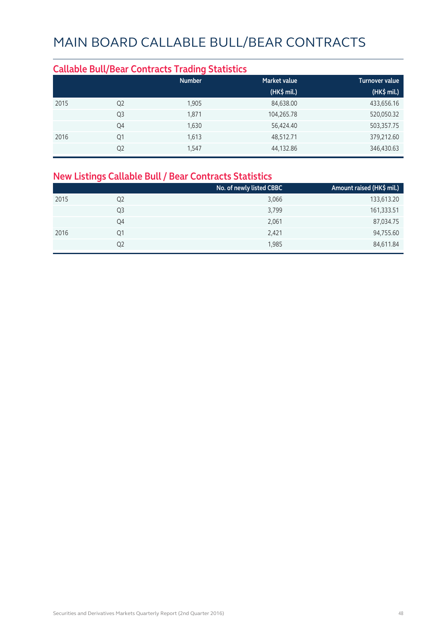#### **Callable Bull/Bear Contracts Trading Statistics Market value Community Community Community** Turnover value  **(HK\$ mil.) (HK\$ mil.)** 2015 Q2 1,905 84,638.00 433,656.16 Q3 1,871 104,265.78 520,050.32 Q4 1,630 56,424.40 503,357.75 2016 Q1 1,613 48,512.71 379,212.60 Q2 1,547 44,132.86 346,430.63

#### **New Listings Callable Bull / Bear Contracts Statistics**

|      |                | No. of newly listed CBBC | Amount raised (HK\$ mil.) |
|------|----------------|--------------------------|---------------------------|
| 2015 | Q <sub>2</sub> | 3,066                    | 133,613.20                |
|      | Q3             | 3,799                    | 161,333.51                |
|      | Q4             | 2,061                    | 87,034.75                 |
| 2016 | Q <sub>1</sub> | 2,421                    | 94,755.60                 |
|      | Q2             | 1,985                    | 84,611.84                 |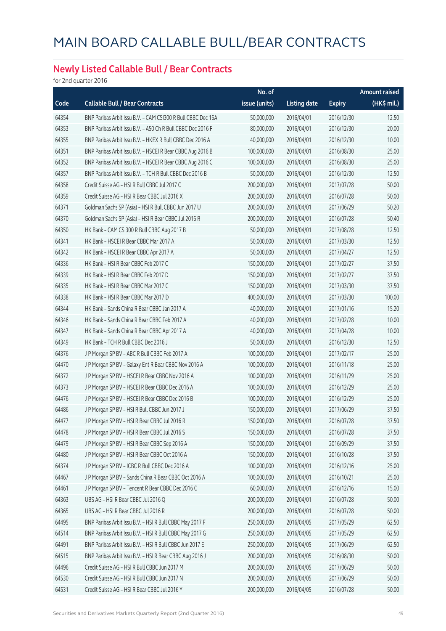#### **Newly Listed Callable Bull / Bear Contracts**

for 2nd quarter 2016

|       |                                                              | No. of        |                     |               | <b>Amount raised</b> |
|-------|--------------------------------------------------------------|---------------|---------------------|---------------|----------------------|
| Code  | <b>Callable Bull / Bear Contracts</b>                        | issue (units) | <b>Listing date</b> | <b>Expiry</b> | $(HK$$ mil.)         |
| 64354 | BNP Paribas Arbit Issu B.V. - CAM CSI300 R Bull CBBC Dec 16A | 50,000,000    | 2016/04/01          | 2016/12/30    | 12.50                |
| 64353 | BNP Paribas Arbit Issu B.V. - A50 Ch R Bull CBBC Dec 2016 F  | 80,000,000    | 2016/04/01          | 2016/12/30    | 20.00                |
| 64355 | BNP Paribas Arbit Issu B.V. - HKEX R Bull CBBC Dec 2016 A    | 40,000,000    | 2016/04/01          | 2016/12/30    | 10.00                |
| 64351 | BNP Paribas Arbit Issu B.V. - HSCEI R Bear CBBC Aug 2016 B   | 100,000,000   | 2016/04/01          | 2016/08/30    | 25.00                |
| 64352 | BNP Paribas Arbit Issu B.V. - HSCEI R Bear CBBC Aug 2016 C   | 100,000,000   | 2016/04/01          | 2016/08/30    | 25.00                |
| 64357 | BNP Paribas Arbit Issu B.V. - TCH R Bull CBBC Dec 2016 B     | 50,000,000    | 2016/04/01          | 2016/12/30    | 12.50                |
| 64358 | Credit Suisse AG - HSI R Bull CBBC Jul 2017 C                | 200,000,000   | 2016/04/01          | 2017/07/28    | 50.00                |
| 64359 | Credit Suisse AG - HSI R Bear CBBC Jul 2016 X                | 200,000,000   | 2016/04/01          | 2016/07/28    | 50.00                |
| 64371 | Goldman Sachs SP (Asia) - HSI R Bull CBBC Jun 2017 U         | 200,000,000   | 2016/04/01          | 2017/06/29    | 50.20                |
| 64370 | Goldman Sachs SP (Asia) - HSI R Bear CBBC Jul 2016 R         | 200,000,000   | 2016/04/01          | 2016/07/28    | 50.40                |
| 64350 | HK Bank - CAM CSI300 R Bull CBBC Aug 2017 B                  | 50,000,000    | 2016/04/01          | 2017/08/28    | 12.50                |
| 64341 | HK Bank - HSCEI R Bear CBBC Mar 2017 A                       | 50,000,000    | 2016/04/01          | 2017/03/30    | 12.50                |
| 64342 | HK Bank - HSCEI R Bear CBBC Apr 2017 A                       | 50,000,000    | 2016/04/01          | 2017/04/27    | 12.50                |
| 64336 | HK Bank - HSI R Bear CBBC Feb 2017 C                         | 150,000,000   | 2016/04/01          | 2017/02/27    | 37.50                |
| 64339 | HK Bank - HSI R Bear CBBC Feb 2017 D                         | 150,000,000   | 2016/04/01          | 2017/02/27    | 37.50                |
| 64335 | HK Bank - HSI R Bear CBBC Mar 2017 C                         | 150,000,000   | 2016/04/01          | 2017/03/30    | 37.50                |
| 64338 | HK Bank - HSI R Bear CBBC Mar 2017 D                         | 400,000,000   | 2016/04/01          | 2017/03/30    | 100.00               |
| 64344 | HK Bank - Sands China R Bear CBBC Jan 2017 A                 | 40,000,000    | 2016/04/01          | 2017/01/16    | 15.20                |
| 64346 | HK Bank - Sands China R Bear CBBC Feb 2017 A                 | 40,000,000    | 2016/04/01          | 2017/02/28    | 10.00                |
| 64347 | HK Bank - Sands China R Bear CBBC Apr 2017 A                 | 40,000,000    | 2016/04/01          | 2017/04/28    | 10.00                |
| 64349 | HK Bank - TCH R Bull CBBC Dec 2016 J                         | 50,000,000    | 2016/04/01          | 2016/12/30    | 12.50                |
| 64376 | J P Morgan SP BV - ABC R Bull CBBC Feb 2017 A                | 100,000,000   | 2016/04/01          | 2017/02/17    | 25.00                |
| 64470 | J P Morgan SP BV - Galaxy Ent R Bear CBBC Nov 2016 A         | 100,000,000   | 2016/04/01          | 2016/11/18    | 25.00                |
| 64372 | J P Morgan SP BV - HSCEI R Bear CBBC Nov 2016 A              | 100,000,000   | 2016/04/01          | 2016/11/29    | 25.00                |
| 64373 | J P Morgan SP BV - HSCEI R Bear CBBC Dec 2016 A              | 100,000,000   | 2016/04/01          | 2016/12/29    | 25.00                |
| 64476 | J P Morgan SP BV - HSCEI R Bear CBBC Dec 2016 B              | 100,000,000   | 2016/04/01          | 2016/12/29    | 25.00                |
| 64486 | J P Morgan SP BV - HSI R Bull CBBC Jun 2017 J                | 150,000,000   | 2016/04/01          | 2017/06/29    | 37.50                |
| 64477 | J P Morgan SP BV - HSI R Bear CBBC Jul 2016 R                | 150,000,000   | 2016/04/01          | 2016/07/28    | 37.50                |
| 64478 | J P Morgan SP BV - HSI R Bear CBBC Jul 2016 S                | 150,000,000   | 2016/04/01          | 2016/07/28    | 37.50                |
| 64479 | J P Morgan SP BV - HSI R Bear CBBC Sep 2016 A                | 150,000,000   | 2016/04/01          | 2016/09/29    | 37.50                |
| 64480 | J P Morgan SP BV - HSI R Bear CBBC Oct 2016 A                | 150,000,000   | 2016/04/01          | 2016/10/28    | 37.50                |
| 64374 | J P Morgan SP BV - ICBC R Bull CBBC Dec 2016 A               | 100,000,000   | 2016/04/01          | 2016/12/16    | 25.00                |
| 64467 | J P Morgan SP BV - Sands China R Bear CBBC Oct 2016 A        | 100,000,000   | 2016/04/01          | 2016/10/21    | 25.00                |
| 64461 | J P Morgan SP BV - Tencent R Bear CBBC Dec 2016 C            | 60,000,000    | 2016/04/01          | 2016/12/16    | 15.00                |
| 64363 | UBS AG - HSI R Bear CBBC Jul 2016 Q                          | 200,000,000   | 2016/04/01          | 2016/07/28    | 50.00                |
| 64365 | UBS AG - HSI R Bear CBBC Jul 2016 R                          | 200,000,000   | 2016/04/01          | 2016/07/28    | 50.00                |
| 64495 | BNP Paribas Arbit Issu B.V. - HSI R Bull CBBC May 2017 F     | 250,000,000   | 2016/04/05          | 2017/05/29    | 62.50                |
| 64514 | BNP Paribas Arbit Issu B.V. - HSI R Bull CBBC May 2017 G     | 250,000,000   | 2016/04/05          | 2017/05/29    | 62.50                |
| 64491 | BNP Paribas Arbit Issu B.V. - HSI R Bull CBBC Jun 2017 E     | 250,000,000   | 2016/04/05          | 2017/06/29    | 62.50                |
| 64515 | BNP Paribas Arbit Issu B.V. - HSI R Bear CBBC Aug 2016 J     | 200,000,000   | 2016/04/05          | 2016/08/30    | 50.00                |
| 64496 | Credit Suisse AG - HSI R Bull CBBC Jun 2017 M                | 200,000,000   | 2016/04/05          | 2017/06/29    | 50.00                |
| 64530 | Credit Suisse AG - HSI R Bull CBBC Jun 2017 N                | 200,000,000   | 2016/04/05          | 2017/06/29    | 50.00                |
| 64531 | Credit Suisse AG - HSI R Bear CBBC Jul 2016 Y                | 200,000,000   | 2016/04/05          | 2016/07/28    | 50.00                |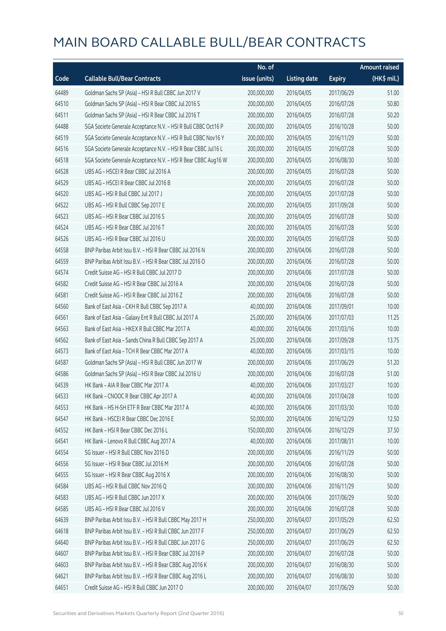|       |                                                                | No. of        |                     |               | <b>Amount raised</b> |
|-------|----------------------------------------------------------------|---------------|---------------------|---------------|----------------------|
| Code  | <b>Callable Bull/Bear Contracts</b>                            | issue (units) | <b>Listing date</b> | <b>Expiry</b> | (HK\$ mil.)          |
| 64489 | Goldman Sachs SP (Asia) - HSI R Bull CBBC Jun 2017 V           | 200,000,000   | 2016/04/05          | 2017/06/29    | 51.00                |
| 64510 | Goldman Sachs SP (Asia) - HSI R Bear CBBC Jul 2016 S           | 200,000,000   | 2016/04/05          | 2016/07/28    | 50.80                |
| 64511 | Goldman Sachs SP (Asia) - HSI R Bear CBBC Jul 2016 T           | 200,000,000   | 2016/04/05          | 2016/07/28    | 50.20                |
| 64488 | SGA Societe Generale Acceptance N.V. - HSI R Bull CBBC Oct16 P | 200,000,000   | 2016/04/05          | 2016/10/28    | 50.00                |
| 64519 | SGA Societe Generale Acceptance N.V. - HSI R Bull CBBC Nov16 Y | 200,000,000   | 2016/04/05          | 2016/11/29    | 50.00                |
| 64516 | SGA Societe Generale Acceptance N.V. - HSI R Bear CBBC Jul16 L | 200,000,000   | 2016/04/05          | 2016/07/28    | 50.00                |
| 64518 | SGA Societe Generale Acceptance N.V. - HSI R Bear CBBC Aug16 W | 200,000,000   | 2016/04/05          | 2016/08/30    | 50.00                |
| 64528 | UBS AG - HSCEI R Bear CBBC Jul 2016 A                          | 200,000,000   | 2016/04/05          | 2016/07/28    | 50.00                |
| 64529 | UBS AG - HSCEI R Bear CBBC Jul 2016 B                          | 200,000,000   | 2016/04/05          | 2016/07/28    | 50.00                |
| 64520 | UBS AG - HSI R Bull CBBC Jul 2017 J                            | 200,000,000   | 2016/04/05          | 2017/07/28    | 50.00                |
| 64522 | UBS AG - HSI R Bull CBBC Sep 2017 E                            | 200,000,000   | 2016/04/05          | 2017/09/28    | 50.00                |
| 64523 | UBS AG - HSI R Bear CBBC Jul 2016 S                            | 200,000,000   | 2016/04/05          | 2016/07/28    | 50.00                |
| 64524 | UBS AG - HSI R Bear CBBC Jul 2016 T                            | 200,000,000   | 2016/04/05          | 2016/07/28    | 50.00                |
| 64526 | UBS AG - HSI R Bear CBBC Jul 2016 U                            | 200,000,000   | 2016/04/05          | 2016/07/28    | 50.00                |
| 64558 | BNP Paribas Arbit Issu B.V. - HSI R Bear CBBC Jul 2016 N       | 200,000,000   | 2016/04/06          | 2016/07/28    | 50.00                |
| 64559 | BNP Paribas Arbit Issu B.V. - HSI R Bear CBBC Jul 2016 O       | 200,000,000   | 2016/04/06          | 2016/07/28    | 50.00                |
| 64574 | Credit Suisse AG - HSI R Bull CBBC Jul 2017 D                  | 200,000,000   | 2016/04/06          | 2017/07/28    | 50.00                |
| 64582 | Credit Suisse AG - HSI R Bear CBBC Jul 2016 A                  | 200,000,000   | 2016/04/06          | 2016/07/28    | 50.00                |
| 64581 | Credit Suisse AG - HSI R Bear CBBC Jul 2016 Z                  | 200,000,000   | 2016/04/06          | 2016/07/28    | 50.00                |
| 64560 | Bank of East Asia - CKH R Bull CBBC Sep 2017 A                 | 40,000,000    | 2016/04/06          | 2017/09/01    | 10.00                |
| 64561 | Bank of East Asia - Galaxy Ent R Bull CBBC Jul 2017 A          | 25,000,000    | 2016/04/06          | 2017/07/03    | 11.25                |
| 64563 | Bank of East Asia - HKEX R Bull CBBC Mar 2017 A                | 40,000,000    | 2016/04/06          | 2017/03/16    | 10.00                |
| 64562 | Bank of East Asia - Sands China R Bull CBBC Sep 2017 A         | 25,000,000    | 2016/04/06          | 2017/09/28    | 13.75                |
| 64573 | Bank of East Asia - TCH R Bear CBBC Mar 2017 A                 | 40,000,000    | 2016/04/06          | 2017/03/15    | 10.00                |
| 64587 | Goldman Sachs SP (Asia) - HSI R Bull CBBC Jun 2017 W           | 200,000,000   | 2016/04/06          | 2017/06/29    | 51.20                |
| 64586 | Goldman Sachs SP (Asia) - HSI R Bear CBBC Jul 2016 U           | 200,000,000   | 2016/04/06          | 2016/07/28    | 51.00                |
| 64539 | HK Bank - AIA R Bear CBBC Mar 2017 A                           | 40,000,000    | 2016/04/06          | 2017/03/27    | 10.00                |
| 64533 | HK Bank - CNOOC R Bear CBBC Apr 2017 A                         | 40,000,000    | 2016/04/06          | 2017/04/28    | 10.00                |
| 64553 | HK Bank - HS H-SH ETF R Bear CBBC Mar 2017 A                   | 40,000,000    | 2016/04/06          | 2017/03/30    | 10.00                |
| 64547 | HK Bank - HSCEI R Bear CBBC Dec 2016 E                         | 50,000,000    | 2016/04/06          | 2016/12/29    | 12.50                |
| 64552 | HK Bank - HSI R Bear CBBC Dec 2016 L                           | 150,000,000   | 2016/04/06          | 2016/12/29    | 37.50                |
| 64541 | HK Bank - Lenovo R Bull CBBC Aug 2017 A                        | 40,000,000    | 2016/04/06          | 2017/08/31    | 10.00                |
| 64554 | SG Issuer - HSI R Bull CBBC Nov 2016 D                         | 200,000,000   | 2016/04/06          | 2016/11/29    | 50.00                |
| 64556 | SG Issuer - HSI R Bear CBBC Jul 2016 M                         | 200,000,000   | 2016/04/06          | 2016/07/28    | 50.00                |
| 64555 | SG Issuer - HSI R Bear CBBC Aug 2016 X                         | 200,000,000   | 2016/04/06          | 2016/08/30    | 50.00                |
| 64584 | UBS AG - HSI R Bull CBBC Nov 2016 Q                            | 200,000,000   | 2016/04/06          | 2016/11/29    | 50.00                |
| 64583 | UBS AG - HSI R Bull CBBC Jun 2017 X                            | 200,000,000   | 2016/04/06          | 2017/06/29    | 50.00                |
| 64585 | UBS AG - HSI R Bear CBBC Jul 2016 V                            | 200,000,000   | 2016/04/06          | 2016/07/28    | 50.00                |
| 64639 | BNP Paribas Arbit Issu B.V. - HSI R Bull CBBC May 2017 H       | 250,000,000   | 2016/04/07          | 2017/05/29    | 62.50                |
| 64618 | BNP Paribas Arbit Issu B.V. - HSI R Bull CBBC Jun 2017 F       | 250,000,000   | 2016/04/07          | 2017/06/29    | 62.50                |
| 64640 | BNP Paribas Arbit Issu B.V. - HSI R Bull CBBC Jun 2017 G       | 250,000,000   | 2016/04/07          | 2017/06/29    | 62.50                |
| 64607 | BNP Paribas Arbit Issu B.V. - HSI R Bear CBBC Jul 2016 P       | 200,000,000   | 2016/04/07          | 2016/07/28    | 50.00                |
| 64603 | BNP Paribas Arbit Issu B.V. - HSI R Bear CBBC Aug 2016 K       | 200,000,000   | 2016/04/07          | 2016/08/30    | 50.00                |
| 64621 | BNP Paribas Arbit Issu B.V. - HSI R Bear CBBC Aug 2016 L       | 200,000,000   | 2016/04/07          | 2016/08/30    | 50.00                |
| 64651 | Credit Suisse AG - HSI R Bull CBBC Jun 2017 O                  | 200,000,000   | 2016/04/07          | 2017/06/29    | 50.00                |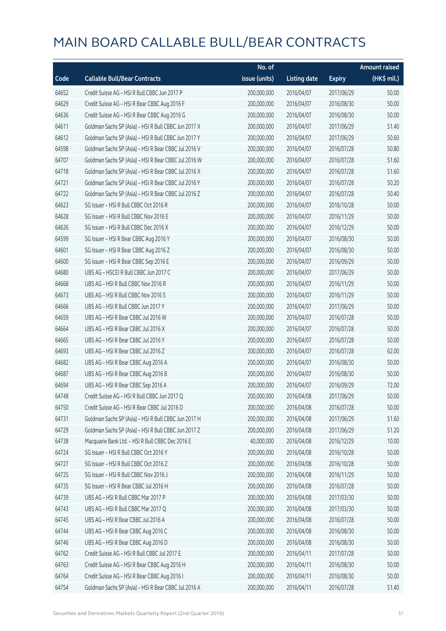|       |                                                      | No. of        |                     |               | <b>Amount raised</b> |
|-------|------------------------------------------------------|---------------|---------------------|---------------|----------------------|
| Code  | <b>Callable Bull/Bear Contracts</b>                  | issue (units) | <b>Listing date</b> | <b>Expiry</b> | (HK\$ mil.)          |
| 64652 | Credit Suisse AG - HSI R Bull CBBC Jun 2017 P        | 200,000,000   | 2016/04/07          | 2017/06/29    | 50.00                |
| 64629 | Credit Suisse AG - HSI R Bear CBBC Aug 2016 F        | 200,000,000   | 2016/04/07          | 2016/08/30    | 50.00                |
| 64636 | Credit Suisse AG - HSI R Bear CBBC Aug 2016 G        | 200,000,000   | 2016/04/07          | 2016/08/30    | 50.00                |
| 64611 | Goldman Sachs SP (Asia) - HSI R Bull CBBC Jun 2017 X | 200,000,000   | 2016/04/07          | 2017/06/29    | 51.40                |
| 64612 | Goldman Sachs SP (Asia) - HSI R Bull CBBC Jun 2017 Y | 200,000,000   | 2016/04/07          | 2017/06/29    | 50.60                |
| 64598 | Goldman Sachs SP (Asia) - HSI R Bear CBBC Jul 2016 V | 200,000,000   | 2016/04/07          | 2016/07/28    | 50.80                |
| 64707 | Goldman Sachs SP (Asia) - HSI R Bear CBBC Jul 2016 W | 200,000,000   | 2016/04/07          | 2016/07/28    | 51.60                |
| 64718 | Goldman Sachs SP (Asia) - HSI R Bear CBBC Jul 2016 X | 200,000,000   | 2016/04/07          | 2016/07/28    | 51.60                |
| 64721 | Goldman Sachs SP (Asia) - HSI R Bear CBBC Jul 2016 Y | 200,000,000   | 2016/04/07          | 2016/07/28    | 50.20                |
| 64722 | Goldman Sachs SP (Asia) - HSI R Bear CBBC Jul 2016 Z | 200,000,000   | 2016/04/07          | 2016/07/28    | 50.40                |
| 64623 | SG Issuer - HSI R Bull CBBC Oct 2016 R               | 200,000,000   | 2016/04/07          | 2016/10/28    | 50.00                |
| 64628 | SG Issuer - HSI R Bull CBBC Nov 2016 E               | 200,000,000   | 2016/04/07          | 2016/11/29    | 50.00                |
| 64626 | SG Issuer - HSI R Bull CBBC Dec 2016 X               | 200,000,000   | 2016/04/07          | 2016/12/29    | 50.00                |
| 64599 | SG Issuer - HSI R Bear CBBC Aug 2016 Y               | 200,000,000   | 2016/04/07          | 2016/08/30    | 50.00                |
| 64601 | SG Issuer - HSI R Bear CBBC Aug 2016 Z               | 200,000,000   | 2016/04/07          | 2016/08/30    | 50.00                |
| 64600 | SG Issuer - HSI R Bear CBBC Sep 2016 E               | 200,000,000   | 2016/04/07          | 2016/09/29    | 50.00                |
| 64680 | UBS AG - HSCEI R Bull CBBC Jun 2017 C                | 200,000,000   | 2016/04/07          | 2017/06/29    | 50.00                |
| 64668 | UBS AG - HSI R Bull CBBC Nov 2016 R                  | 200,000,000   | 2016/04/07          | 2016/11/29    | 50.00                |
| 64673 | UBS AG - HSI R Bull CBBC Nov 2016 S                  | 200,000,000   | 2016/04/07          | 2016/11/29    | 50.00                |
| 64666 | UBS AG - HSI R Bull CBBC Jun 2017 Y                  | 200,000,000   | 2016/04/07          | 2017/06/29    | 50.00                |
| 64659 | UBS AG - HSI R Bear CBBC Jul 2016 W                  | 200,000,000   | 2016/04/07          | 2016/07/28    | 50.00                |
| 64664 | UBS AG - HSI R Bear CBBC Jul 2016 X                  | 200,000,000   | 2016/04/07          | 2016/07/28    | 50.00                |
| 64665 | UBS AG - HSI R Bear CBBC Jul 2016 Y                  | 200,000,000   | 2016/04/07          | 2016/07/28    | 50.00                |
| 64693 | UBS AG - HSI R Bear CBBC Jul 2016 Z                  | 200,000,000   | 2016/04/07          | 2016/07/28    | 62.00                |
| 64682 | UBS AG - HSI R Bear CBBC Aug 2016 A                  | 200,000,000   | 2016/04/07          | 2016/08/30    | 50.00                |
| 64687 | UBS AG - HSI R Bear CBBC Aug 2016 B                  | 200,000,000   | 2016/04/07          | 2016/08/30    | 50.00                |
| 64694 | UBS AG - HSI R Bear CBBC Sep 2016 A                  | 200,000,000   | 2016/04/07          | 2016/09/29    | 72.00                |
| 64748 | Credit Suisse AG - HSI R Bull CBBC Jun 2017 Q        | 200,000,000   | 2016/04/08          | 2017/06/29    | 50.00                |
| 64750 | Credit Suisse AG - HSI R Bear CBBC Jul 2016 D        | 200,000,000   | 2016/04/08          | 2016/07/28    | 50.00                |
| 64731 | Goldman Sachs SP (Asia) - HSI R Bull CBBC Jun 2017 H | 200,000,000   | 2016/04/08          | 2017/06/29    | 51.60                |
| 64729 | Goldman Sachs SP (Asia) - HSI R Bull CBBC Jun 2017 Z | 200,000,000   | 2016/04/08          | 2017/06/29    | 51.20                |
| 64738 | Macquarie Bank Ltd. - HSI R Bull CBBC Dec 2016 E     | 40,000,000    | 2016/04/08          | 2016/12/29    | 10.00                |
| 64724 | SG Issuer - HSI R Bull CBBC Oct 2016 Y               | 200,000,000   | 2016/04/08          | 2016/10/28    | 50.00                |
| 64727 | SG Issuer - HSI R Bull CBBC Oct 2016 Z               | 200,000,000   | 2016/04/08          | 2016/10/28    | 50.00                |
| 64725 | SG Issuer - HSI R Bull CBBC Nov 2016 J               | 200,000,000   | 2016/04/08          | 2016/11/29    | 50.00                |
| 64735 | SG Issuer - HSI R Bear CBBC Jul 2016 H               | 200,000,000   | 2016/04/08          | 2016/07/28    | 50.00                |
| 64739 | UBS AG - HSI R Bull CBBC Mar 2017 P                  | 200,000,000   | 2016/04/08          | 2017/03/30    | 50.00                |
| 64743 | UBS AG - HSI R Bull CBBC Mar 2017 Q                  | 200,000,000   | 2016/04/08          | 2017/03/30    | 50.00                |
| 64745 | UBS AG - HSI R Bear CBBC Jul 2016 A                  | 200,000,000   | 2016/04/08          | 2016/07/28    | 50.00                |
| 64744 | UBS AG - HSI R Bear CBBC Aug 2016 C                  | 200,000,000   | 2016/04/08          | 2016/08/30    | 50.00                |
| 64746 | UBS AG - HSI R Bear CBBC Aug 2016 D                  | 200,000,000   | 2016/04/08          | 2016/08/30    | 50.00                |
| 64762 | Credit Suisse AG - HSI R Bull CBBC Jul 2017 E        | 200,000,000   | 2016/04/11          | 2017/07/28    | 50.00                |
| 64763 | Credit Suisse AG - HSI R Bear CBBC Aug 2016 H        | 200,000,000   | 2016/04/11          | 2016/08/30    | 50.00                |
| 64764 | Credit Suisse AG - HSI R Bear CBBC Aug 2016 I        | 200,000,000   | 2016/04/11          | 2016/08/30    | 50.00                |
| 64754 | Goldman Sachs SP (Asia) - HSI R Bear CBBC Jul 2016 A | 200,000,000   | 2016/04/11          | 2016/07/28    | 51.40                |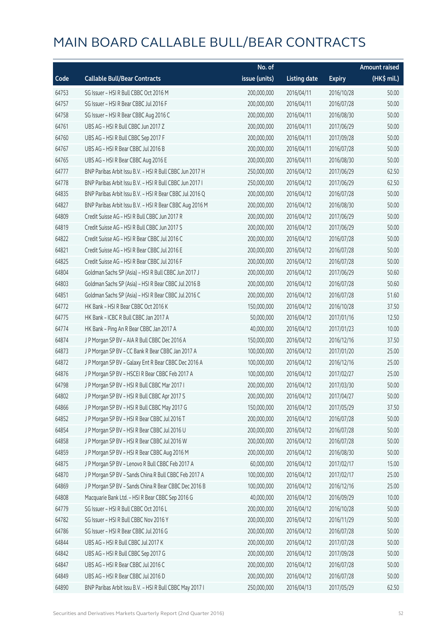|       |                                                          | No. of        |                     |               | <b>Amount raised</b> |
|-------|----------------------------------------------------------|---------------|---------------------|---------------|----------------------|
| Code  | <b>Callable Bull/Bear Contracts</b>                      | issue (units) | <b>Listing date</b> | <b>Expiry</b> | (HK\$ mil.)          |
| 64753 | SG Issuer - HSI R Bull CBBC Oct 2016 M                   | 200,000,000   | 2016/04/11          | 2016/10/28    | 50.00                |
| 64757 | SG Issuer - HSI R Bear CBBC Jul 2016 F                   | 200,000,000   | 2016/04/11          | 2016/07/28    | 50.00                |
| 64758 | SG Issuer - HSI R Bear CBBC Aug 2016 C                   | 200,000,000   | 2016/04/11          | 2016/08/30    | 50.00                |
| 64761 | UBS AG - HSI R Bull CBBC Jun 2017 Z                      | 200,000,000   | 2016/04/11          | 2017/06/29    | 50.00                |
| 64760 | UBS AG - HSI R Bull CBBC Sep 2017 F                      | 200,000,000   | 2016/04/11          | 2017/09/28    | 50.00                |
| 64767 | UBS AG - HSI R Bear CBBC Jul 2016 B                      | 200,000,000   | 2016/04/11          | 2016/07/28    | 50.00                |
| 64765 | UBS AG - HSI R Bear CBBC Aug 2016 E                      | 200,000,000   | 2016/04/11          | 2016/08/30    | 50.00                |
| 64777 | BNP Paribas Arbit Issu B.V. - HSI R Bull CBBC Jun 2017 H | 250,000,000   | 2016/04/12          | 2017/06/29    | 62.50                |
| 64778 | BNP Paribas Arbit Issu B.V. - HSI R Bull CBBC Jun 2017 I | 250,000,000   | 2016/04/12          | 2017/06/29    | 62.50                |
| 64835 | BNP Paribas Arbit Issu B.V. - HSI R Bear CBBC Jul 2016 Q | 200,000,000   | 2016/04/12          | 2016/07/28    | 50.00                |
| 64827 | BNP Paribas Arbit Issu B.V. - HSI R Bear CBBC Aug 2016 M | 200,000,000   | 2016/04/12          | 2016/08/30    | 50.00                |
| 64809 | Credit Suisse AG - HSI R Bull CBBC Jun 2017 R            | 200,000,000   | 2016/04/12          | 2017/06/29    | 50.00                |
| 64819 | Credit Suisse AG - HSI R Bull CBBC Jun 2017 S            | 200,000,000   | 2016/04/12          | 2017/06/29    | 50.00                |
| 64822 | Credit Suisse AG - HSI R Bear CBBC Jul 2016 C            | 200,000,000   | 2016/04/12          | 2016/07/28    | 50.00                |
| 64821 | Credit Suisse AG - HSI R Bear CBBC Jul 2016 E            | 200,000,000   | 2016/04/12          | 2016/07/28    | 50.00                |
| 64825 | Credit Suisse AG - HSI R Bear CBBC Jul 2016 F            | 200,000,000   | 2016/04/12          | 2016/07/28    | 50.00                |
| 64804 | Goldman Sachs SP (Asia) - HSI R Bull CBBC Jun 2017 J     | 200,000,000   | 2016/04/12          | 2017/06/29    | 50.60                |
| 64803 | Goldman Sachs SP (Asia) - HSI R Bear CBBC Jul 2016 B     | 200,000,000   | 2016/04/12          | 2016/07/28    | 50.60                |
| 64851 | Goldman Sachs SP (Asia) - HSI R Bear CBBC Jul 2016 C     | 200,000,000   | 2016/04/12          | 2016/07/28    | 51.60                |
| 64772 | HK Bank - HSI R Bear CBBC Oct 2016 K                     | 150,000,000   | 2016/04/12          | 2016/10/28    | 37.50                |
| 64775 | HK Bank - ICBC R Bull CBBC Jan 2017 A                    | 50,000,000    | 2016/04/12          | 2017/01/16    | 12.50                |
| 64774 | HK Bank - Ping An R Bear CBBC Jan 2017 A                 | 40,000,000    | 2016/04/12          | 2017/01/23    | 10.00                |
| 64874 | J P Morgan SP BV - AIA R Bull CBBC Dec 2016 A            | 150,000,000   | 2016/04/12          | 2016/12/16    | 37.50                |
| 64873 | J P Morgan SP BV - CC Bank R Bear CBBC Jan 2017 A        | 100,000,000   | 2016/04/12          | 2017/01/20    | 25.00                |
| 64872 | J P Morgan SP BV - Galaxy Ent R Bear CBBC Dec 2016 A     | 100,000,000   | 2016/04/12          | 2016/12/16    | 25.00                |
| 64876 | J P Morgan SP BV - HSCEI R Bear CBBC Feb 2017 A          | 100,000,000   | 2016/04/12          | 2017/02/27    | 25.00                |
| 64798 | J P Morgan SP BV - HSI R Bull CBBC Mar 2017 I            | 200,000,000   | 2016/04/12          | 2017/03/30    | 50.00                |
| 64802 | J P Morgan SP BV - HSI R Bull CBBC Apr 2017 S            | 200,000,000   | 2016/04/12          | 2017/04/27    | 50.00                |
| 64866 | J P Morgan SP BV - HSI R Bull CBBC May 2017 G            | 150,000,000   | 2016/04/12          | 2017/05/29    | 37.50                |
| 64852 | J P Morgan SP BV - HSI R Bear CBBC Jul 2016 T            | 200,000,000   | 2016/04/12          | 2016/07/28    | 50.00                |
| 64854 | J P Morgan SP BV - HSI R Bear CBBC Jul 2016 U            | 200,000,000   | 2016/04/12          | 2016/07/28    | 50.00                |
| 64858 | J P Morgan SP BV - HSI R Bear CBBC Jul 2016 W            | 200,000,000   | 2016/04/12          | 2016/07/28    | 50.00                |
| 64859 | J P Morgan SP BV - HSI R Bear CBBC Aug 2016 M            | 200,000,000   | 2016/04/12          | 2016/08/30    | 50.00                |
| 64875 | J P Morgan SP BV - Lenovo R Bull CBBC Feb 2017 A         | 60,000,000    | 2016/04/12          | 2017/02/17    | 15.00                |
| 64870 | J P Morgan SP BV - Sands China R Bull CBBC Feb 2017 A    | 100,000,000   | 2016/04/12          | 2017/02/17    | 25.00                |
| 64869 | J P Morgan SP BV - Sands China R Bear CBBC Dec 2016 B    | 100,000,000   | 2016/04/12          | 2016/12/16    | 25.00                |
| 64808 | Macquarie Bank Ltd. - HSI R Bear CBBC Sep 2016 G         | 40,000,000    | 2016/04/12          | 2016/09/29    | 10.00                |
| 64779 | SG Issuer - HSI R Bull CBBC Oct 2016 L                   | 200,000,000   | 2016/04/12          | 2016/10/28    | 50.00                |
| 64782 | SG Issuer - HSI R Bull CBBC Nov 2016 Y                   | 200,000,000   | 2016/04/12          | 2016/11/29    | 50.00                |
| 64786 | SG Issuer - HSI R Bear CBBC Jul 2016 G                   | 200,000,000   | 2016/04/12          | 2016/07/28    | 50.00                |
| 64844 | UBS AG - HSI R Bull CBBC Jul 2017 K                      | 200,000,000   | 2016/04/12          | 2017/07/28    | 50.00                |
| 64842 | UBS AG - HSI R Bull CBBC Sep 2017 G                      | 200,000,000   | 2016/04/12          | 2017/09/28    | 50.00                |
| 64847 | UBS AG - HSI R Bear CBBC Jul 2016 C                      | 200,000,000   | 2016/04/12          | 2016/07/28    | 50.00                |
| 64849 | UBS AG - HSI R Bear CBBC Jul 2016 D                      | 200,000,000   | 2016/04/12          | 2016/07/28    | 50.00                |
| 64890 | BNP Paribas Arbit Issu B.V. - HSI R Bull CBBC May 2017 I | 250,000,000   | 2016/04/13          | 2017/05/29    | 62.50                |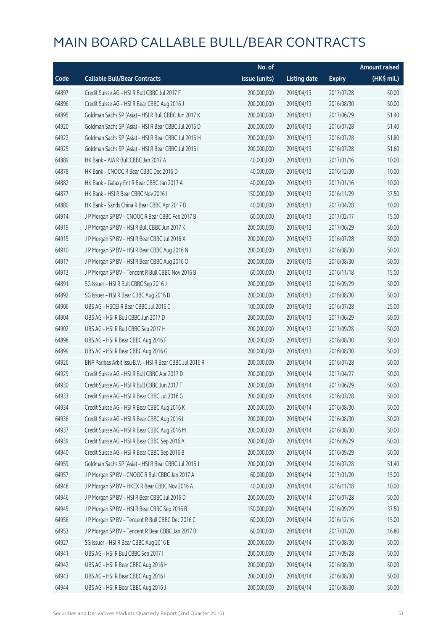|       |                                                          | No. of        |                     |               | <b>Amount raised</b> |
|-------|----------------------------------------------------------|---------------|---------------------|---------------|----------------------|
| Code  | <b>Callable Bull/Bear Contracts</b>                      | issue (units) | <b>Listing date</b> | <b>Expiry</b> | (HK\$ mil.)          |
| 64897 | Credit Suisse AG - HSI R Bull CBBC Jul 2017 F            | 200,000,000   | 2016/04/13          | 2017/07/28    | 50.00                |
| 64896 | Credit Suisse AG - HSI R Bear CBBC Aug 2016 J            | 200,000,000   | 2016/04/13          | 2016/08/30    | 50.00                |
| 64895 | Goldman Sachs SP (Asia) - HSI R Bull CBBC Jun 2017 K     | 200,000,000   | 2016/04/13          | 2017/06/29    | 51.40                |
| 64920 | Goldman Sachs SP (Asia) - HSI R Bear CBBC Jul 2016 D     | 200,000,000   | 2016/04/13          | 2016/07/28    | 51.40                |
| 64922 | Goldman Sachs SP (Asia) - HSI R Bear CBBC Jul 2016 H     | 200,000,000   | 2016/04/13          | 2016/07/28    | 51.80                |
| 64925 | Goldman Sachs SP (Asia) - HSI R Bear CBBC Jul 2016 I     | 200,000,000   | 2016/04/13          | 2016/07/28    | 51.60                |
| 64889 | HK Bank - AIA R Bull CBBC Jan 2017 A                     | 40,000,000    | 2016/04/13          | 2017/01/16    | 10.00                |
| 64878 | HK Bank - CNOOC R Bear CBBC Dec 2016 D                   | 40,000,000    | 2016/04/13          | 2016/12/30    | 10.00                |
| 64882 | HK Bank - Galaxy Ent R Bear CBBC Jan 2017 A              | 40,000,000    | 2016/04/13          | 2017/01/16    | 10.00                |
| 64877 | HK Bank - HSI R Bear CBBC Nov 2016 I                     | 150,000,000   | 2016/04/13          | 2016/11/29    | 37.50                |
| 64880 | HK Bank - Sands China R Bear CBBC Apr 2017 B             | 40,000,000    | 2016/04/13          | 2017/04/28    | 10.00                |
| 64914 | J P Morgan SP BV - CNOOC R Bear CBBC Feb 2017 B          | 60,000,000    | 2016/04/13          | 2017/02/17    | 15.00                |
| 64919 | J P Morgan SP BV - HSI R Bull CBBC Jun 2017 K            | 200,000,000   | 2016/04/13          | 2017/06/29    | 50.00                |
| 64915 | J P Morgan SP BV - HSI R Bear CBBC Jul 2016 X            | 200,000,000   | 2016/04/13          | 2016/07/28    | 50.00                |
| 64910 | J P Morgan SP BV - HSI R Bear CBBC Aug 2016 N            | 200,000,000   | 2016/04/13          | 2016/08/30    | 50.00                |
| 64917 | J P Morgan SP BV - HSI R Bear CBBC Aug 2016 O            | 200,000,000   | 2016/04/13          | 2016/08/30    | 50.00                |
| 64913 | J P Morgan SP BV - Tencent R Bull CBBC Nov 2016 B        | 60,000,000    | 2016/04/13          | 2016/11/18    | 15.00                |
| 64891 | SG Issuer - HSI R Bull CBBC Sep 2016 J                   | 200,000,000   | 2016/04/13          | 2016/09/29    | 50.00                |
| 64892 | SG Issuer - HSI R Bear CBBC Aug 2016 D                   | 200,000,000   | 2016/04/13          | 2016/08/30    | 50.00                |
| 64906 | UBS AG - HSCEI R Bear CBBC Jul 2016 C                    | 100,000,000   | 2016/04/13          | 2016/07/28    | 25.00                |
| 64904 | UBS AG - HSI R Bull CBBC Jun 2017 D                      | 200,000,000   | 2016/04/13          | 2017/06/29    | 50.00                |
| 64902 | UBS AG - HSI R Bull CBBC Sep 2017 H                      | 200,000,000   | 2016/04/13          | 2017/09/28    | 50.00                |
| 64898 | UBS AG - HSI R Bear CBBC Aug 2016 F                      | 200,000,000   | 2016/04/13          | 2016/08/30    | 50.00                |
| 64899 | UBS AG - HSI R Bear CBBC Aug 2016 G                      | 200,000,000   | 2016/04/13          | 2016/08/30    | 50.00                |
| 64926 | BNP Paribas Arbit Issu B.V. - HSI R Bear CBBC Jul 2016 R | 200,000,000   | 2016/04/14          | 2016/07/28    | 50.00                |
| 64929 | Credit Suisse AG - HSI R Bull CBBC Apr 2017 D            | 200,000,000   | 2016/04/14          | 2017/04/27    | 50.00                |
| 64930 | Credit Suisse AG - HSI R Bull CBBC Jun 2017 T            | 200,000,000   | 2016/04/14          | 2017/06/29    | 50.00                |
| 64933 | Credit Suisse AG - HSI R Bear CBBC Jul 2016 G            | 200,000,000   | 2016/04/14          | 2016/07/28    | 50.00                |
| 64934 | Credit Suisse AG - HSI R Bear CBBC Aug 2016 K            | 200,000,000   | 2016/04/14          | 2016/08/30    | 50.00                |
| 64936 | Credit Suisse AG - HSI R Bear CBBC Aug 2016 L            | 200,000,000   | 2016/04/14          | 2016/08/30    | 50.00                |
| 64937 | Credit Suisse AG - HSI R Bear CBBC Aug 2016 M            | 200,000,000   | 2016/04/14          | 2016/08/30    | 50.00                |
| 64939 | Credit Suisse AG - HSI R Bear CBBC Sep 2016 A            | 200,000,000   | 2016/04/14          | 2016/09/29    | 50.00                |
| 64940 | Credit Suisse AG - HSI R Bear CBBC Sep 2016 B            | 200,000,000   | 2016/04/14          | 2016/09/29    | 50.00                |
| 64959 | Goldman Sachs SP (Asia) - HSI R Bear CBBC Jul 2016 J     | 200,000,000   | 2016/04/14          | 2016/07/28    | 51.40                |
| 64957 | J P Morgan SP BV - CNOOC R Bull CBBC Jan 2017 A          | 60,000,000    | 2016/04/14          | 2017/01/20    | 15.00                |
| 64948 | J P Morgan SP BV - HKEX R Bear CBBC Nov 2016 A           | 40,000,000    | 2016/04/14          | 2016/11/18    | 10.00                |
| 64946 | J P Morgan SP BV - HSI R Bear CBBC Jul 2016 D            | 200,000,000   | 2016/04/14          | 2016/07/28    | 50.00                |
| 64945 | J P Morgan SP BV - HSI R Bear CBBC Sep 2016 B            | 150,000,000   | 2016/04/14          | 2016/09/29    | 37.50                |
| 64956 | J P Morgan SP BV - Tencent R Bull CBBC Dec 2016 C        | 60,000,000    | 2016/04/14          | 2016/12/16    | 15.00                |
| 64953 | J P Morgan SP BV - Tencent R Bear CBBC Jan 2017 B        | 60,000,000    | 2016/04/14          | 2017/01/20    | 16.80                |
| 64927 | SG Issuer - HSI R Bear CBBC Aug 2016 E                   | 200,000,000   | 2016/04/14          | 2016/08/30    | 50.00                |
| 64941 | UBS AG - HSI R Bull CBBC Sep 2017 I                      | 200,000,000   | 2016/04/14          | 2017/09/28    | 50.00                |
| 64942 | UBS AG - HSI R Bear CBBC Aug 2016 H                      | 200,000,000   | 2016/04/14          | 2016/08/30    | 50.00                |
| 64943 | UBS AG - HSI R Bear CBBC Aug 2016 I                      | 200,000,000   | 2016/04/14          | 2016/08/30    | 50.00                |
| 64944 | UBS AG - HSI R Bear CBBC Aug 2016 J                      | 200,000,000   | 2016/04/14          | 2016/08/30    | 50.00                |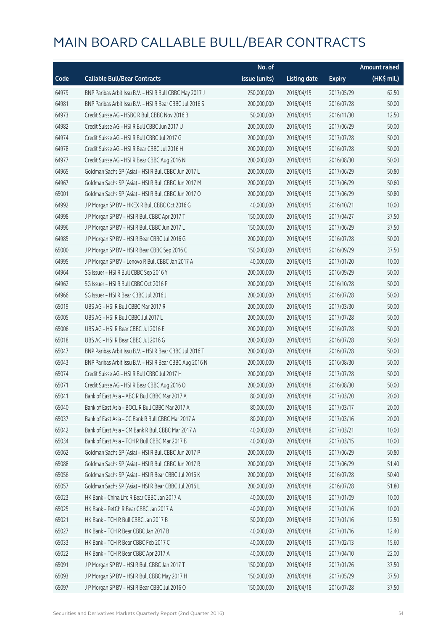|       |                                                          | No. of        |                     |               | <b>Amount raised</b>  |
|-------|----------------------------------------------------------|---------------|---------------------|---------------|-----------------------|
| Code  | <b>Callable Bull/Bear Contracts</b>                      | issue (units) | <b>Listing date</b> | <b>Expiry</b> | $(HK\frac{1}{2}mil.)$ |
| 64979 | BNP Paribas Arbit Issu B.V. - HSI R Bull CBBC May 2017 J | 250,000,000   | 2016/04/15          | 2017/05/29    | 62.50                 |
| 64981 | BNP Paribas Arbit Issu B.V. - HSI R Bear CBBC Jul 2016 S | 200,000,000   | 2016/04/15          | 2016/07/28    | 50.00                 |
| 64973 | Credit Suisse AG - HSBC R Bull CBBC Nov 2016 B           | 50,000,000    | 2016/04/15          | 2016/11/30    | 12.50                 |
| 64982 | Credit Suisse AG - HSI R Bull CBBC Jun 2017 U            | 200,000,000   | 2016/04/15          | 2017/06/29    | 50.00                 |
| 64974 | Credit Suisse AG - HSI R Bull CBBC Jul 2017 G            | 200,000,000   | 2016/04/15          | 2017/07/28    | 50.00                 |
| 64978 | Credit Suisse AG - HSI R Bear CBBC Jul 2016 H            | 200,000,000   | 2016/04/15          | 2016/07/28    | 50.00                 |
| 64977 | Credit Suisse AG - HSI R Bear CBBC Aug 2016 N            | 200,000,000   | 2016/04/15          | 2016/08/30    | 50.00                 |
| 64965 | Goldman Sachs SP (Asia) - HSI R Bull CBBC Jun 2017 L     | 200,000,000   | 2016/04/15          | 2017/06/29    | 50.80                 |
| 64967 | Goldman Sachs SP (Asia) - HSI R Bull CBBC Jun 2017 M     | 200,000,000   | 2016/04/15          | 2017/06/29    | 50.60                 |
| 65001 | Goldman Sachs SP (Asia) - HSI R Bull CBBC Jun 2017 O     | 200,000,000   | 2016/04/15          | 2017/06/29    | 50.80                 |
| 64992 | J P Morgan SP BV - HKEX R Bull CBBC Oct 2016 G           | 40,000,000    | 2016/04/15          | 2016/10/21    | 10.00                 |
| 64998 | J P Morgan SP BV - HSI R Bull CBBC Apr 2017 T            | 150,000,000   | 2016/04/15          | 2017/04/27    | 37.50                 |
| 64996 | J P Morgan SP BV - HSI R Bull CBBC Jun 2017 L            | 150,000,000   | 2016/04/15          | 2017/06/29    | 37.50                 |
| 64985 | J P Morgan SP BV - HSI R Bear CBBC Jul 2016 G            | 200,000,000   | 2016/04/15          | 2016/07/28    | 50.00                 |
| 65000 | J P Morgan SP BV - HSI R Bear CBBC Sep 2016 C            | 150,000,000   | 2016/04/15          | 2016/09/29    | 37.50                 |
| 64995 | J P Morgan SP BV - Lenovo R Bull CBBC Jan 2017 A         | 40,000,000    | 2016/04/15          | 2017/01/20    | 10.00                 |
| 64964 | SG Issuer - HSI R Bull CBBC Sep 2016 Y                   | 200,000,000   | 2016/04/15          | 2016/09/29    | 50.00                 |
| 64962 | SG Issuer - HSI R Bull CBBC Oct 2016 P                   | 200,000,000   | 2016/04/15          | 2016/10/28    | 50.00                 |
| 64966 | SG Issuer - HSI R Bear CBBC Jul 2016 J                   | 200,000,000   | 2016/04/15          | 2016/07/28    | 50.00                 |
| 65019 | UBS AG - HSI R Bull CBBC Mar 2017 R                      | 200,000,000   | 2016/04/15          | 2017/03/30    | 50.00                 |
| 65005 | UBS AG - HSI R Bull CBBC Jul 2017 L                      | 200,000,000   | 2016/04/15          | 2017/07/28    | 50.00                 |
| 65006 | UBS AG - HSI R Bear CBBC Jul 2016 E                      | 200,000,000   | 2016/04/15          | 2016/07/28    | 50.00                 |
| 65018 | UBS AG - HSI R Bear CBBC Jul 2016 G                      | 200,000,000   | 2016/04/15          | 2016/07/28    | 50.00                 |
| 65047 | BNP Paribas Arbit Issu B.V. - HSI R Bear CBBC Jul 2016 T | 200,000,000   | 2016/04/18          | 2016/07/28    | 50.00                 |
| 65043 | BNP Paribas Arbit Issu B.V. - HSI R Bear CBBC Aug 2016 N | 200,000,000   | 2016/04/18          | 2016/08/30    | 50.00                 |
| 65074 | Credit Suisse AG - HSI R Bull CBBC Jul 2017 H            | 200,000,000   | 2016/04/18          | 2017/07/28    | 50.00                 |
| 65071 | Credit Suisse AG - HSI R Bear CBBC Aug 2016 O            | 200,000,000   | 2016/04/18          | 2016/08/30    | 50.00                 |
| 65041 | Bank of East Asia – ABC R Bull CBBC Mar 2017 A           | 80,000,000    | 2016/04/18          | 2017/03/20    | 20.00                 |
| 65040 | Bank of East Asia - BOCL R Bull CBBC Mar 2017 A          | 80,000,000    | 2016/04/18          | 2017/03/17    | 20.00                 |
| 65037 | Bank of East Asia - CC Bank R Bull CBBC Mar 2017 A       | 80,000,000    | 2016/04/18          | 2017/03/16    | 20.00                 |
| 65042 | Bank of East Asia - CM Bank R Bull CBBC Mar 2017 A       | 40,000,000    | 2016/04/18          | 2017/03/21    | 10.00                 |
| 65034 | Bank of East Asia - TCH R Bull CBBC Mar 2017 B           | 40,000,000    | 2016/04/18          | 2017/03/15    | 10.00                 |
| 65062 | Goldman Sachs SP (Asia) - HSI R Bull CBBC Jun 2017 P     | 200,000,000   | 2016/04/18          | 2017/06/29    | 50.80                 |
| 65088 | Goldman Sachs SP (Asia) - HSI R Bull CBBC Jun 2017 R     | 200,000,000   | 2016/04/18          | 2017/06/29    | 51.40                 |
| 65056 | Goldman Sachs SP (Asia) - HSI R Bear CBBC Jul 2016 K     | 200,000,000   | 2016/04/18          | 2016/07/28    | 50.40                 |
| 65057 | Goldman Sachs SP (Asia) - HSI R Bear CBBC Jul 2016 L     | 200,000,000   | 2016/04/18          | 2016/07/28    | 51.80                 |
| 65023 | HK Bank - China Life R Bear CBBC Jan 2017 A              | 40,000,000    | 2016/04/18          | 2017/01/09    | 10.00                 |
| 65025 | HK Bank - PetCh R Bear CBBC Jan 2017 A                   | 40,000,000    | 2016/04/18          | 2017/01/16    | 10.00                 |
| 65021 | HK Bank - TCH R Bull CBBC Jan 2017 B                     | 50,000,000    | 2016/04/18          | 2017/01/16    | 12.50                 |
| 65027 | HK Bank - TCH R Bear CBBC Jan 2017 B                     | 40,000,000    | 2016/04/18          | 2017/01/16    | 12.40                 |
| 65033 | HK Bank - TCH R Bear CBBC Feb 2017 C                     | 40,000,000    | 2016/04/18          | 2017/02/13    | 15.60                 |
| 65022 | HK Bank - TCH R Bear CBBC Apr 2017 A                     | 40,000,000    | 2016/04/18          | 2017/04/10    | 22.00                 |
| 65091 | J P Morgan SP BV - HSI R Bull CBBC Jan 2017 T            | 150,000,000   | 2016/04/18          | 2017/01/26    | 37.50                 |
| 65093 | J P Morgan SP BV - HSI R Bull CBBC May 2017 H            | 150,000,000   | 2016/04/18          | 2017/05/29    | 37.50                 |
| 65097 | J P Morgan SP BV - HSI R Bear CBBC Jul 2016 O            | 150,000,000   | 2016/04/18          | 2016/07/28    | 37.50                 |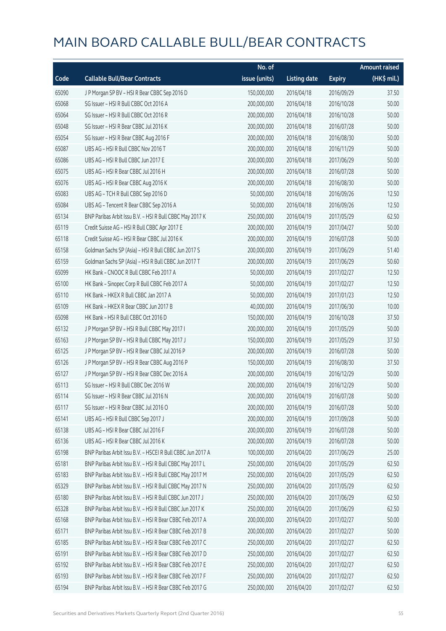|       |                                                            | No. of        |                     |               | <b>Amount raised</b> |
|-------|------------------------------------------------------------|---------------|---------------------|---------------|----------------------|
| Code  | <b>Callable Bull/Bear Contracts</b>                        | issue (units) | <b>Listing date</b> | <b>Expiry</b> | (HK\$ mil.)          |
| 65090 | J P Morgan SP BV - HSI R Bear CBBC Sep 2016 D              | 150,000,000   | 2016/04/18          | 2016/09/29    | 37.50                |
| 65068 | SG Issuer - HSI R Bull CBBC Oct 2016 A                     | 200,000,000   | 2016/04/18          | 2016/10/28    | 50.00                |
| 65064 | SG Issuer - HSI R Bull CBBC Oct 2016 R                     | 200,000,000   | 2016/04/18          | 2016/10/28    | 50.00                |
| 65048 | SG Issuer - HSI R Bear CBBC Jul 2016 K                     | 200,000,000   | 2016/04/18          | 2016/07/28    | 50.00                |
| 65054 | SG Issuer - HSI R Bear CBBC Aug 2016 F                     | 200,000,000   | 2016/04/18          | 2016/08/30    | 50.00                |
| 65087 | UBS AG - HSI R Bull CBBC Nov 2016 T                        | 200,000,000   | 2016/04/18          | 2016/11/29    | 50.00                |
| 65086 | UBS AG - HSI R Bull CBBC Jun 2017 E                        | 200,000,000   | 2016/04/18          | 2017/06/29    | 50.00                |
| 65075 | UBS AG - HSI R Bear CBBC Jul 2016 H                        | 200,000,000   | 2016/04/18          | 2016/07/28    | 50.00                |
| 65076 | UBS AG - HSI R Bear CBBC Aug 2016 K                        | 200,000,000   | 2016/04/18          | 2016/08/30    | 50.00                |
| 65083 | UBS AG - TCH R Bull CBBC Sep 2016 D                        | 50,000,000    | 2016/04/18          | 2016/09/26    | 12.50                |
| 65084 | UBS AG - Tencent R Bear CBBC Sep 2016 A                    | 50,000,000    | 2016/04/18          | 2016/09/26    | 12.50                |
| 65134 | BNP Paribas Arbit Issu B.V. - HSI R Bull CBBC May 2017 K   | 250,000,000   | 2016/04/19          | 2017/05/29    | 62.50                |
| 65119 | Credit Suisse AG - HSI R Bull CBBC Apr 2017 E              | 200,000,000   | 2016/04/19          | 2017/04/27    | 50.00                |
| 65118 | Credit Suisse AG - HSI R Bear CBBC Jul 2016 K              | 200,000,000   | 2016/04/19          | 2016/07/28    | 50.00                |
| 65158 | Goldman Sachs SP (Asia) - HSI R Bull CBBC Jun 2017 S       | 200,000,000   | 2016/04/19          | 2017/06/29    | 51.40                |
| 65159 | Goldman Sachs SP (Asia) - HSI R Bull CBBC Jun 2017 T       | 200,000,000   | 2016/04/19          | 2017/06/29    | 50.60                |
| 65099 | HK Bank - CNOOC R Bull CBBC Feb 2017 A                     | 50,000,000    | 2016/04/19          | 2017/02/27    | 12.50                |
| 65100 | HK Bank - Sinopec Corp R Bull CBBC Feb 2017 A              | 50,000,000    | 2016/04/19          | 2017/02/27    | 12.50                |
| 65110 | HK Bank - HKEX R Bull CBBC Jan 2017 A                      | 50,000,000    | 2016/04/19          | 2017/01/23    | 12.50                |
| 65109 | HK Bank - HKEX R Bear CBBC Jun 2017 B                      | 40,000,000    | 2016/04/19          | 2017/06/30    | 10.00                |
| 65098 | HK Bank - HSI R Bull CBBC Oct 2016 D                       | 150,000,000   | 2016/04/19          | 2016/10/28    | 37.50                |
| 65132 | J P Morgan SP BV - HSI R Bull CBBC May 2017 I              | 200,000,000   | 2016/04/19          | 2017/05/29    | 50.00                |
| 65163 | J P Morgan SP BV - HSI R Bull CBBC May 2017 J              | 150,000,000   | 2016/04/19          | 2017/05/29    | 37.50                |
| 65125 | J P Morgan SP BV - HSI R Bear CBBC Jul 2016 P              | 200,000,000   | 2016/04/19          | 2016/07/28    | 50.00                |
| 65126 | J P Morgan SP BV - HSI R Bear CBBC Aug 2016 P              | 150,000,000   | 2016/04/19          | 2016/08/30    | 37.50                |
| 65127 | J P Morgan SP BV - HSI R Bear CBBC Dec 2016 A              | 200,000,000   | 2016/04/19          | 2016/12/29    | 50.00                |
| 65113 | SG Issuer - HSI R Bull CBBC Dec 2016 W                     | 200,000,000   | 2016/04/19          | 2016/12/29    | 50.00                |
| 65114 | SG Issuer - HSI R Bear CBBC Jul 2016 N                     | 200,000,000   | 2016/04/19          | 2016/07/28    | 50.00                |
| 65117 | SG Issuer - HSI R Bear CBBC Jul 2016 O                     | 200,000,000   | 2016/04/19          | 2016/07/28    | 50.00                |
| 65141 | UBS AG - HSI R Bull CBBC Sep 2017 J                        | 200,000,000   | 2016/04/19          | 2017/09/28    | 50.00                |
| 65138 | UBS AG - HSI R Bear CBBC Jul 2016 F                        | 200,000,000   | 2016/04/19          | 2016/07/28    | 50.00                |
| 65136 | UBS AG - HSI R Bear CBBC Jul 2016 K                        | 200,000,000   | 2016/04/19          | 2016/07/28    | 50.00                |
| 65198 | BNP Paribas Arbit Issu B.V. - HSCEI R Bull CBBC Jun 2017 A | 100,000,000   | 2016/04/20          | 2017/06/29    | 25.00                |
| 65181 | BNP Paribas Arbit Issu B.V. - HSI R Bull CBBC May 2017 L   | 250,000,000   | 2016/04/20          | 2017/05/29    | 62.50                |
| 65183 | BNP Paribas Arbit Issu B.V. - HSI R Bull CBBC May 2017 M   | 250,000,000   | 2016/04/20          | 2017/05/29    | 62.50                |
| 65329 | BNP Paribas Arbit Issu B.V. - HSI R Bull CBBC May 2017 N   | 250,000,000   | 2016/04/20          | 2017/05/29    | 62.50                |
| 65180 | BNP Paribas Arbit Issu B.V. - HSI R Bull CBBC Jun 2017 J   | 250,000,000   | 2016/04/20          | 2017/06/29    | 62.50                |
| 65328 | BNP Paribas Arbit Issu B.V. - HSI R Bull CBBC Jun 2017 K   | 250,000,000   | 2016/04/20          | 2017/06/29    | 62.50                |
| 65168 | BNP Paribas Arbit Issu B.V. - HSI R Bear CBBC Feb 2017 A   | 200,000,000   | 2016/04/20          | 2017/02/27    | 50.00                |
| 65171 | BNP Paribas Arbit Issu B.V. - HSI R Bear CBBC Feb 2017 B   | 200,000,000   | 2016/04/20          | 2017/02/27    | 50.00                |
| 65185 | BNP Paribas Arbit Issu B.V. - HSI R Bear CBBC Feb 2017 C   | 250,000,000   | 2016/04/20          | 2017/02/27    | 62.50                |
| 65191 | BNP Paribas Arbit Issu B.V. - HSI R Bear CBBC Feb 2017 D   | 250,000,000   | 2016/04/20          | 2017/02/27    | 62.50                |
| 65192 | BNP Paribas Arbit Issu B.V. - HSI R Bear CBBC Feb 2017 E   | 250,000,000   | 2016/04/20          | 2017/02/27    | 62.50                |
| 65193 | BNP Paribas Arbit Issu B.V. - HSI R Bear CBBC Feb 2017 F   | 250,000,000   | 2016/04/20          | 2017/02/27    | 62.50                |
| 65194 | BNP Paribas Arbit Issu B.V. - HSI R Bear CBBC Feb 2017 G   | 250,000,000   | 2016/04/20          | 2017/02/27    | 62.50                |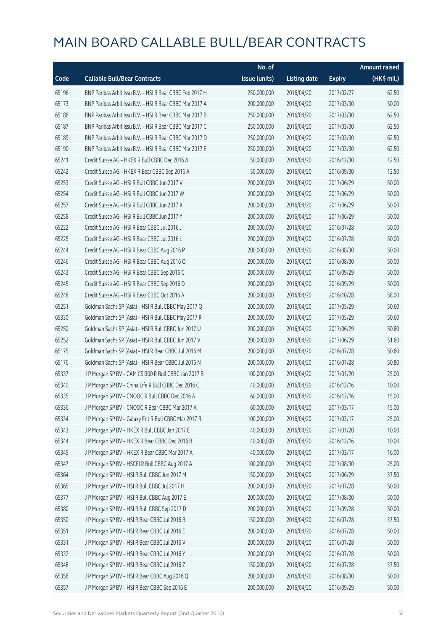|       |                                                          | No. of        |                     |               | <b>Amount raised</b>  |
|-------|----------------------------------------------------------|---------------|---------------------|---------------|-----------------------|
| Code  | <b>Callable Bull/Bear Contracts</b>                      | issue (units) | <b>Listing date</b> | <b>Expiry</b> | $(HK\frac{1}{2}mil.)$ |
| 65196 | BNP Paribas Arbit Issu B.V. - HSI R Bear CBBC Feb 2017 H | 250,000,000   | 2016/04/20          | 2017/02/27    | 62.50                 |
| 65173 | BNP Paribas Arbit Issu B.V. - HSI R Bear CBBC Mar 2017 A | 200,000,000   | 2016/04/20          | 2017/03/30    | 50.00                 |
| 65186 | BNP Paribas Arbit Issu B.V. - HSI R Bear CBBC Mar 2017 B | 250,000,000   | 2016/04/20          | 2017/03/30    | 62.50                 |
| 65187 | BNP Paribas Arbit Issu B.V. - HSI R Bear CBBC Mar 2017 C | 250,000,000   | 2016/04/20          | 2017/03/30    | 62.50                 |
| 65189 | BNP Paribas Arbit Issu B.V. - HSI R Bear CBBC Mar 2017 D | 250,000,000   | 2016/04/20          | 2017/03/30    | 62.50                 |
| 65190 | BNP Paribas Arbit Issu B.V. - HSI R Bear CBBC Mar 2017 E | 250,000,000   | 2016/04/20          | 2017/03/30    | 62.50                 |
| 65241 | Credit Suisse AG - HKEX R Bull CBBC Dec 2016 A           | 50,000,000    | 2016/04/20          | 2016/12/30    | 12.50                 |
| 65242 | Credit Suisse AG - HKEX R Bear CBBC Sep 2016 A           | 50,000,000    | 2016/04/20          | 2016/09/30    | 12.50                 |
| 65253 | Credit Suisse AG - HSI R Bull CBBC Jun 2017 V            | 200,000,000   | 2016/04/20          | 2017/06/29    | 50.00                 |
| 65254 | Credit Suisse AG - HSI R Bull CBBC Jun 2017 W            | 200,000,000   | 2016/04/20          | 2017/06/29    | 50.00                 |
| 65257 | Credit Suisse AG - HSI R Bull CBBC Jun 2017 X            | 200,000,000   | 2016/04/20          | 2017/06/29    | 50.00                 |
| 65258 | Credit Suisse AG - HSI R Bull CBBC Jun 2017 Y            | 200,000,000   | 2016/04/20          | 2017/06/29    | 50.00                 |
| 65222 | Credit Suisse AG - HSI R Bear CBBC Jul 2016 J            | 200,000,000   | 2016/04/20          | 2016/07/28    | 50.00                 |
| 65225 | Credit Suisse AG - HSI R Bear CBBC Jul 2016 L            | 200,000,000   | 2016/04/20          | 2016/07/28    | 50.00                 |
| 65244 | Credit Suisse AG - HSI R Bear CBBC Aug 2016 P            | 200,000,000   | 2016/04/20          | 2016/08/30    | 50.00                 |
| 65246 | Credit Suisse AG - HSI R Bear CBBC Aug 2016 Q            | 200,000,000   | 2016/04/20          | 2016/08/30    | 50.00                 |
| 65243 | Credit Suisse AG - HSI R Bear CBBC Sep 2016 C            | 200,000,000   | 2016/04/20          | 2016/09/29    | 50.00                 |
| 65245 | Credit Suisse AG - HSI R Bear CBBC Sep 2016 D            | 200,000,000   | 2016/04/20          | 2016/09/29    | 50.00                 |
| 65248 | Credit Suisse AG - HSI R Bear CBBC Oct 2016 A            | 200,000,000   | 2016/04/20          | 2016/10/28    | 58.00                 |
| 65251 | Goldman Sachs SP (Asia) - HSI R Bull CBBC May 2017 Q     | 200,000,000   | 2016/04/20          | 2017/05/29    | 50.60                 |
| 65330 | Goldman Sachs SP (Asia) - HSI R Bull CBBC May 2017 R     | 200,000,000   | 2016/04/20          | 2017/05/29    | 50.60                 |
| 65250 | Goldman Sachs SP (Asia) - HSI R Bull CBBC Jun 2017 U     | 200,000,000   | 2016/04/20          | 2017/06/29    | 50.80                 |
| 65252 | Goldman Sachs SP (Asia) - HSI R Bull CBBC Jun 2017 V     | 200,000,000   | 2016/04/20          | 2017/06/29    | 51.60                 |
| 65175 | Goldman Sachs SP (Asia) - HSI R Bear CBBC Jul 2016 M     | 200,000,000   | 2016/04/20          | 2016/07/28    | 50.60                 |
| 65176 | Goldman Sachs SP (Asia) - HSI R Bear CBBC Jul 2016 N     | 200,000,000   | 2016/04/20          | 2016/07/28    | 50.80                 |
| 65337 | J P Morgan SP BV - CAM CSI300 R Bull CBBC Jan 2017 B     | 100,000,000   | 2016/04/20          | 2017/01/20    | 25.00                 |
| 65340 | J P Morgan SP BV - China Life R Bull CBBC Dec 2016 C     | 40,000,000    | 2016/04/20          | 2016/12/16    | 10.00                 |
| 65335 | J P Morgan SP BV - CNOOC R Bull CBBC Dec 2016 A          | 60,000,000    | 2016/04/20          | 2016/12/16    | 15.00                 |
| 65336 | J P Morgan SP BV - CNOOC R Bear CBBC Mar 2017 A          | 60,000,000    | 2016/04/20          | 2017/03/17    | 15.00                 |
| 65334 | J P Morgan SP BV - Galaxy Ent R Bull CBBC Mar 2017 B     | 100,000,000   | 2016/04/20          | 2017/03/17    | 25.00                 |
| 65343 | J P Morgan SP BV - HKEX R Bull CBBC Jan 2017 E           | 40,000,000    | 2016/04/20          | 2017/01/20    | 10.00                 |
| 65344 | J P Morgan SP BV - HKEX R Bear CBBC Dec 2016 B           | 40,000,000    | 2016/04/20          | 2016/12/16    | 10.00                 |
| 65345 | J P Morgan SP BV - HKEX R Bear CBBC Mar 2017 A           | 40,000,000    | 2016/04/20          | 2017/03/17    | 16.00                 |
| 65347 | J P Morgan SP BV - HSCEI R Bull CBBC Aug 2017 A          | 100,000,000   | 2016/04/20          | 2017/08/30    | 25.00                 |
| 65364 | J P Morgan SP BV - HSI R Bull CBBC Jun 2017 M            | 150,000,000   | 2016/04/20          | 2017/06/29    | 37.50                 |
| 65365 | J P Morgan SP BV - HSI R Bull CBBC Jul 2017 H            | 200,000,000   | 2016/04/20          | 2017/07/28    | 50.00                 |
| 65377 | J P Morgan SP BV - HSI R Bull CBBC Aug 2017 E            | 200,000,000   | 2016/04/20          | 2017/08/30    | 50.00                 |
| 65380 | J P Morgan SP BV - HSI R Bull CBBC Sep 2017 D            | 200,000,000   | 2016/04/20          | 2017/09/28    | 50.00                 |
| 65350 | J P Morgan SP BV - HSI R Bear CBBC Jul 2016 B            | 150,000,000   | 2016/04/20          | 2016/07/28    | 37.50                 |
| 65351 | J P Morgan SP BV - HSI R Bear CBBC Jul 2016 E            | 200,000,000   | 2016/04/20          | 2016/07/28    | 50.00                 |
| 65331 | J P Morgan SP BV - HSI R Bear CBBC Jul 2016 V            | 200,000,000   | 2016/04/20          | 2016/07/28    | 50.00                 |
| 65332 | J P Morgan SP BV - HSI R Bear CBBC Jul 2016 Y            | 200,000,000   | 2016/04/20          | 2016/07/28    | 50.00                 |
| 65348 | J P Morgan SP BV - HSI R Bear CBBC Jul 2016 Z            | 150,000,000   | 2016/04/20          | 2016/07/28    | 37.50                 |
| 65356 | J P Morgan SP BV - HSI R Bear CBBC Aug 2016 Q            | 200,000,000   | 2016/04/20          | 2016/08/30    | 50.00                 |
| 65357 | J P Morgan SP BV - HSI R Bear CBBC Sep 2016 E            | 200,000,000   | 2016/04/20          | 2016/09/29    | 50.00                 |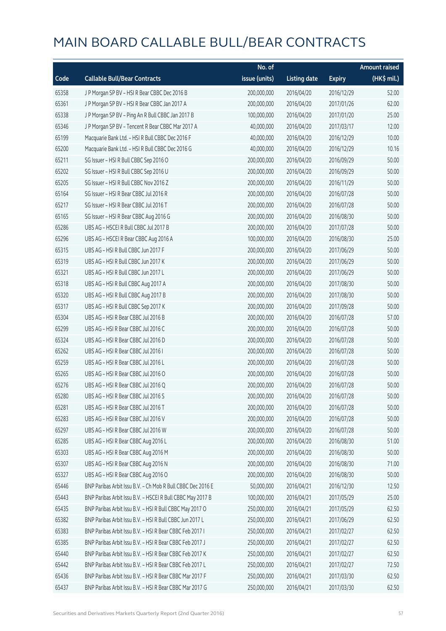|       |                                                             | No. of        |                     |               | <b>Amount raised</b> |
|-------|-------------------------------------------------------------|---------------|---------------------|---------------|----------------------|
| Code  | <b>Callable Bull/Bear Contracts</b>                         | issue (units) | <b>Listing date</b> | <b>Expiry</b> | (HK\$ mil.)          |
| 65358 | J P Morgan SP BV - HSI R Bear CBBC Dec 2016 B               | 200,000,000   | 2016/04/20          | 2016/12/29    | 52.00                |
| 65361 | J P Morgan SP BV - HSI R Bear CBBC Jan 2017 A               | 200,000,000   | 2016/04/20          | 2017/01/26    | 62.00                |
| 65338 | J P Morgan SP BV - Ping An R Bull CBBC Jan 2017 B           | 100,000,000   | 2016/04/20          | 2017/01/20    | 25.00                |
| 65346 | J P Morgan SP BV - Tencent R Bear CBBC Mar 2017 A           | 40,000,000    | 2016/04/20          | 2017/03/17    | 12.00                |
| 65199 | Macquarie Bank Ltd. - HSI R Bull CBBC Dec 2016 F            | 40,000,000    | 2016/04/20          | 2016/12/29    | 10.00                |
| 65200 | Macquarie Bank Ltd. - HSI R Bull CBBC Dec 2016 G            | 40,000,000    | 2016/04/20          | 2016/12/29    | 10.16                |
| 65211 | SG Issuer - HSI R Bull CBBC Sep 2016 O                      | 200,000,000   | 2016/04/20          | 2016/09/29    | 50.00                |
| 65202 | SG Issuer - HSI R Bull CBBC Sep 2016 U                      | 200,000,000   | 2016/04/20          | 2016/09/29    | 50.00                |
| 65205 | SG Issuer - HSI R Bull CBBC Nov 2016 Z                      | 200,000,000   | 2016/04/20          | 2016/11/29    | 50.00                |
| 65164 | SG Issuer - HSI R Bear CBBC Jul 2016 R                      | 200,000,000   | 2016/04/20          | 2016/07/28    | 50.00                |
| 65217 | SG Issuer - HSI R Bear CBBC Jul 2016 T                      | 200,000,000   | 2016/04/20          | 2016/07/28    | 50.00                |
| 65165 | SG Issuer - HSI R Bear CBBC Aug 2016 G                      | 200,000,000   | 2016/04/20          | 2016/08/30    | 50.00                |
| 65286 | UBS AG - HSCEI R Bull CBBC Jul 2017 B                       | 200,000,000   | 2016/04/20          | 2017/07/28    | 50.00                |
| 65296 | UBS AG - HSCEI R Bear CBBC Aug 2016 A                       | 100,000,000   | 2016/04/20          | 2016/08/30    | 25.00                |
| 65315 | UBS AG - HSI R Bull CBBC Jun 2017 F                         | 200,000,000   | 2016/04/20          | 2017/06/29    | 50.00                |
| 65319 | UBS AG - HSI R Bull CBBC Jun 2017 K                         | 200,000,000   | 2016/04/20          | 2017/06/29    | 50.00                |
| 65321 | UBS AG - HSI R Bull CBBC Jun 2017 L                         | 200,000,000   | 2016/04/20          | 2017/06/29    | 50.00                |
| 65318 | UBS AG - HSI R Bull CBBC Aug 2017 A                         | 200,000,000   | 2016/04/20          | 2017/08/30    | 50.00                |
| 65320 | UBS AG - HSI R Bull CBBC Aug 2017 B                         | 200,000,000   | 2016/04/20          | 2017/08/30    | 50.00                |
| 65317 | UBS AG - HSI R Bull CBBC Sep 2017 K                         | 200,000,000   | 2016/04/20          | 2017/09/28    | 50.00                |
| 65304 | UBS AG - HSI R Bear CBBC Jul 2016 B                         | 200,000,000   | 2016/04/20          | 2016/07/28    | 57.00                |
| 65299 | UBS AG - HSI R Bear CBBC Jul 2016 C                         | 200,000,000   | 2016/04/20          | 2016/07/28    | 50.00                |
| 65324 | UBS AG - HSI R Bear CBBC Jul 2016 D                         | 200,000,000   | 2016/04/20          | 2016/07/28    | 50.00                |
| 65262 | UBS AG - HSI R Bear CBBC Jul 2016 I                         | 200,000,000   | 2016/04/20          | 2016/07/28    | 50.00                |
| 65259 | UBS AG - HSI R Bear CBBC Jul 2016 L                         | 200,000,000   | 2016/04/20          | 2016/07/28    | 50.00                |
| 65265 | UBS AG - HSI R Bear CBBC Jul 2016 O                         | 200,000,000   | 2016/04/20          | 2016/07/28    | 50.00                |
| 65276 | UBS AG - HSI R Bear CBBC Jul 2016 Q                         | 200,000,000   | 2016/04/20          | 2016/07/28    | 50.00                |
| 65280 | UBS AG - HSI R Bear CBBC Jul 2016 S                         | 200,000,000   | 2016/04/20          | 2016/07/28    | 50.00                |
| 65281 | UBS AG - HSI R Bear CBBC Jul 2016 T                         | 200,000,000   | 2016/04/20          | 2016/07/28    | 50.00                |
| 65283 | UBS AG - HSI R Bear CBBC Jul 2016 V                         | 200,000,000   | 2016/04/20          | 2016/07/28    | 50.00                |
| 65297 | UBS AG - HSI R Bear CBBC Jul 2016 W                         | 200,000,000   | 2016/04/20          | 2016/07/28    | 50.00                |
| 65285 | UBS AG - HSI R Bear CBBC Aug 2016 L                         | 200,000,000   | 2016/04/20          | 2016/08/30    | 51.00                |
| 65303 | UBS AG - HSI R Bear CBBC Aug 2016 M                         | 200,000,000   | 2016/04/20          | 2016/08/30    | 50.00                |
| 65307 | UBS AG - HSI R Bear CBBC Aug 2016 N                         | 200,000,000   | 2016/04/20          | 2016/08/30    | 71.00                |
| 65327 | UBS AG - HSI R Bear CBBC Aug 2016 O                         | 200,000,000   | 2016/04/20          | 2016/08/30    | 50.00                |
| 65446 | BNP Paribas Arbit Issu B.V. - Ch Mob R Bull CBBC Dec 2016 E | 50,000,000    | 2016/04/21          | 2016/12/30    | 12.50                |
| 65443 | BNP Paribas Arbit Issu B.V. - HSCEI R Bull CBBC May 2017 B  | 100,000,000   | 2016/04/21          | 2017/05/29    | 25.00                |
| 65435 | BNP Paribas Arbit Issu B.V. - HSI R Bull CBBC May 2017 O    | 250,000,000   | 2016/04/21          | 2017/05/29    | 62.50                |
| 65382 | BNP Paribas Arbit Issu B.V. - HSI R Bull CBBC Jun 2017 L    | 250,000,000   | 2016/04/21          | 2017/06/29    | 62.50                |
| 65383 | BNP Paribas Arbit Issu B.V. - HSI R Bear CBBC Feb 2017 I    | 250,000,000   | 2016/04/21          | 2017/02/27    | 62.50                |
| 65385 | BNP Paribas Arbit Issu B.V. - HSI R Bear CBBC Feb 2017 J    | 250,000,000   | 2016/04/21          | 2017/02/27    | 62.50                |
| 65440 | BNP Paribas Arbit Issu B.V. - HSI R Bear CBBC Feb 2017 K    | 250,000,000   | 2016/04/21          | 2017/02/27    | 62.50                |
| 65442 | BNP Paribas Arbit Issu B.V. - HSI R Bear CBBC Feb 2017 L    | 250,000,000   | 2016/04/21          | 2017/02/27    | 72.50                |
| 65436 | BNP Paribas Arbit Issu B.V. - HSI R Bear CBBC Mar 2017 F    | 250,000,000   | 2016/04/21          | 2017/03/30    | 62.50                |
| 65437 | BNP Paribas Arbit Issu B.V. - HSI R Bear CBBC Mar 2017 G    | 250,000,000   | 2016/04/21          | 2017/03/30    | 62.50                |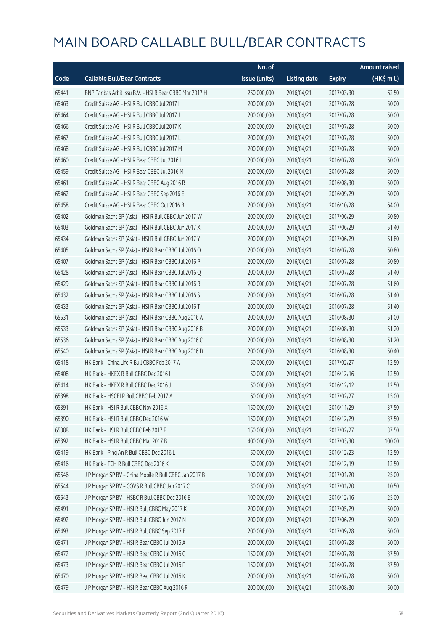|       |                                                          | No. of        |                     |               | <b>Amount raised</b>  |
|-------|----------------------------------------------------------|---------------|---------------------|---------------|-----------------------|
| Code  | <b>Callable Bull/Bear Contracts</b>                      | issue (units) | <b>Listing date</b> | <b>Expiry</b> | $(HK\frac{1}{2}mil.)$ |
| 65441 | BNP Paribas Arbit Issu B.V. - HSI R Bear CBBC Mar 2017 H | 250,000,000   | 2016/04/21          | 2017/03/30    | 62.50                 |
| 65463 | Credit Suisse AG - HSI R Bull CBBC Jul 2017 I            | 200,000,000   | 2016/04/21          | 2017/07/28    | 50.00                 |
| 65464 | Credit Suisse AG - HSI R Bull CBBC Jul 2017 J            | 200,000,000   | 2016/04/21          | 2017/07/28    | 50.00                 |
| 65466 | Credit Suisse AG - HSI R Bull CBBC Jul 2017 K            | 200,000,000   | 2016/04/21          | 2017/07/28    | 50.00                 |
| 65467 | Credit Suisse AG - HSI R Bull CBBC Jul 2017 L            | 200,000,000   | 2016/04/21          | 2017/07/28    | 50.00                 |
| 65468 | Credit Suisse AG - HSI R Bull CBBC Jul 2017 M            | 200,000,000   | 2016/04/21          | 2017/07/28    | 50.00                 |
| 65460 | Credit Suisse AG - HSI R Bear CBBC Jul 2016 I            | 200,000,000   | 2016/04/21          | 2016/07/28    | 50.00                 |
| 65459 | Credit Suisse AG - HSI R Bear CBBC Jul 2016 M            | 200,000,000   | 2016/04/21          | 2016/07/28    | 50.00                 |
| 65461 | Credit Suisse AG - HSI R Bear CBBC Aug 2016 R            | 200,000,000   | 2016/04/21          | 2016/08/30    | 50.00                 |
| 65462 | Credit Suisse AG - HSI R Bear CBBC Sep 2016 E            | 200,000,000   | 2016/04/21          | 2016/09/29    | 50.00                 |
| 65458 | Credit Suisse AG - HSI R Bear CBBC Oct 2016 B            | 200,000,000   | 2016/04/21          | 2016/10/28    | 64.00                 |
| 65402 | Goldman Sachs SP (Asia) - HSI R Bull CBBC Jun 2017 W     | 200,000,000   | 2016/04/21          | 2017/06/29    | 50.80                 |
| 65403 | Goldman Sachs SP (Asia) - HSI R Bull CBBC Jun 2017 X     | 200,000,000   | 2016/04/21          | 2017/06/29    | 51.40                 |
| 65434 | Goldman Sachs SP (Asia) - HSI R Bull CBBC Jun 2017 Y     | 200,000,000   | 2016/04/21          | 2017/06/29    | 51.80                 |
| 65405 | Goldman Sachs SP (Asia) - HSI R Bear CBBC Jul 2016 O     | 200,000,000   | 2016/04/21          | 2016/07/28    | 50.80                 |
| 65407 | Goldman Sachs SP (Asia) - HSI R Bear CBBC Jul 2016 P     | 200,000,000   | 2016/04/21          | 2016/07/28    | 50.80                 |
| 65428 | Goldman Sachs SP (Asia) - HSI R Bear CBBC Jul 2016 Q     | 200,000,000   | 2016/04/21          | 2016/07/28    | 51.40                 |
| 65429 | Goldman Sachs SP (Asia) - HSI R Bear CBBC Jul 2016 R     | 200,000,000   | 2016/04/21          | 2016/07/28    | 51.60                 |
| 65432 | Goldman Sachs SP (Asia) - HSI R Bear CBBC Jul 2016 S     | 200,000,000   | 2016/04/21          | 2016/07/28    | 51.40                 |
| 65433 | Goldman Sachs SP (Asia) - HSI R Bear CBBC Jul 2016 T     | 200,000,000   | 2016/04/21          | 2016/07/28    | 51.40                 |
| 65531 | Goldman Sachs SP (Asia) - HSI R Bear CBBC Aug 2016 A     | 200,000,000   | 2016/04/21          | 2016/08/30    | 51.00                 |
| 65533 | Goldman Sachs SP (Asia) - HSI R Bear CBBC Aug 2016 B     | 200,000,000   | 2016/04/21          | 2016/08/30    | 51.20                 |
| 65536 | Goldman Sachs SP (Asia) - HSI R Bear CBBC Aug 2016 C     | 200,000,000   | 2016/04/21          | 2016/08/30    | 51.20                 |
| 65540 | Goldman Sachs SP (Asia) - HSI R Bear CBBC Aug 2016 D     | 200,000,000   | 2016/04/21          | 2016/08/30    | 50.40                 |
| 65418 | HK Bank - China Life R Bull CBBC Feb 2017 A              | 50,000,000    | 2016/04/21          | 2017/02/27    | 12.50                 |
| 65408 | HK Bank - HKEX R Bull CBBC Dec 2016 I                    | 50,000,000    | 2016/04/21          | 2016/12/16    | 12.50                 |
| 65414 | HK Bank - HKEX R Bull CBBC Dec 2016 J                    | 50,000,000    | 2016/04/21          | 2016/12/12    | 12.50                 |
| 65398 | HK Bank - HSCEI R Bull CBBC Feb 2017 A                   | 60,000,000    | 2016/04/21          | 2017/02/27    | 15.00                 |
| 65391 | HK Bank - HSI R Bull CBBC Nov 2016 X                     | 150,000,000   | 2016/04/21          | 2016/11/29    | 37.50                 |
| 65390 | HK Bank - HSI R Bull CBBC Dec 2016 W                     | 150,000,000   | 2016/04/21          | 2016/12/29    | 37.50                 |
| 65388 | HK Bank - HSI R Bull CBBC Feb 2017 F                     | 150,000,000   | 2016/04/21          | 2017/02/27    | 37.50                 |
| 65392 | HK Bank - HSI R Bull CBBC Mar 2017 B                     | 400,000,000   | 2016/04/21          | 2017/03/30    | 100.00                |
| 65419 | HK Bank - Ping An R Bull CBBC Dec 2016 L                 | 50,000,000    | 2016/04/21          | 2016/12/23    | 12.50                 |
| 65416 | HK Bank - TCH R Bull CBBC Dec 2016 K                     | 50,000,000    | 2016/04/21          | 2016/12/19    | 12.50                 |
| 65546 | J P Morgan SP BV - China Mobile R Bull CBBC Jan 2017 B   | 100,000,000   | 2016/04/21          | 2017/01/20    | 25.00                 |
| 65544 | J P Morgan SP BV - COVS R Bull CBBC Jan 2017 C           | 30,000,000    | 2016/04/21          | 2017/01/20    | 10.50                 |
| 65543 | J P Morgan SP BV - HSBC R Bull CBBC Dec 2016 B           | 100,000,000   | 2016/04/21          | 2016/12/16    | 25.00                 |
| 65491 | J P Morgan SP BV - HSI R Bull CBBC May 2017 K            | 200,000,000   | 2016/04/21          | 2017/05/29    | 50.00                 |
| 65492 | J P Morgan SP BV - HSI R Bull CBBC Jun 2017 N            | 200,000,000   | 2016/04/21          | 2017/06/29    | 50.00                 |
| 65493 | J P Morgan SP BV - HSI R Bull CBBC Sep 2017 E            | 200,000,000   | 2016/04/21          | 2017/09/28    | 50.00                 |
| 65471 | J P Morgan SP BV - HSI R Bear CBBC Jul 2016 A            | 200,000,000   | 2016/04/21          | 2016/07/28    | 50.00                 |
| 65472 | J P Morgan SP BV - HSI R Bear CBBC Jul 2016 C            | 150,000,000   | 2016/04/21          | 2016/07/28    | 37.50                 |
| 65473 | J P Morgan SP BV - HSI R Bear CBBC Jul 2016 F            | 150,000,000   | 2016/04/21          | 2016/07/28    | 37.50                 |
| 65470 | J P Morgan SP BV - HSI R Bear CBBC Jul 2016 K            | 200,000,000   | 2016/04/21          | 2016/07/28    | 50.00                 |
| 65479 | J P Morgan SP BV - HSI R Bear CBBC Aug 2016 R            | 200,000,000   | 2016/04/21          | 2016/08/30    | 50.00                 |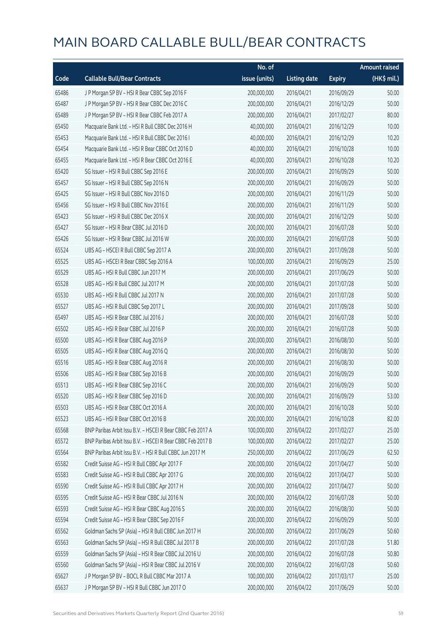|       |                                                            | No. of        |                     |               | <b>Amount raised</b> |
|-------|------------------------------------------------------------|---------------|---------------------|---------------|----------------------|
| Code  | <b>Callable Bull/Bear Contracts</b>                        | issue (units) | <b>Listing date</b> | <b>Expiry</b> | (HK\$ mil.)          |
| 65486 | J P Morgan SP BV - HSI R Bear CBBC Sep 2016 F              | 200,000,000   | 2016/04/21          | 2016/09/29    | 50.00                |
| 65487 | J P Morgan SP BV - HSI R Bear CBBC Dec 2016 C              | 200,000,000   | 2016/04/21          | 2016/12/29    | 50.00                |
| 65489 | J P Morgan SP BV - HSI R Bear CBBC Feb 2017 A              | 200,000,000   | 2016/04/21          | 2017/02/27    | 80.00                |
| 65450 | Macquarie Bank Ltd. - HSI R Bull CBBC Dec 2016 H           | 40,000,000    | 2016/04/21          | 2016/12/29    | 10.00                |
| 65453 | Macquarie Bank Ltd. - HSI R Bull CBBC Dec 2016 I           | 40,000,000    | 2016/04/21          | 2016/12/29    | 10.20                |
| 65454 | Macquarie Bank Ltd. - HSI R Bear CBBC Oct 2016 D           | 40,000,000    | 2016/04/21          | 2016/10/28    | 10.00                |
| 65455 | Macquarie Bank Ltd. - HSI R Bear CBBC Oct 2016 E           | 40,000,000    | 2016/04/21          | 2016/10/28    | 10.20                |
| 65420 | SG Issuer - HSI R Bull CBBC Sep 2016 E                     | 200,000,000   | 2016/04/21          | 2016/09/29    | 50.00                |
| 65457 | SG Issuer - HSI R Bull CBBC Sep 2016 N                     | 200,000,000   | 2016/04/21          | 2016/09/29    | 50.00                |
| 65425 | SG Issuer - HSI R Bull CBBC Nov 2016 D                     | 200,000,000   | 2016/04/21          | 2016/11/29    | 50.00                |
| 65456 | SG Issuer - HSI R Bull CBBC Nov 2016 E                     | 200,000,000   | 2016/04/21          | 2016/11/29    | 50.00                |
| 65423 | SG Issuer - HSI R Bull CBBC Dec 2016 X                     | 200,000,000   | 2016/04/21          | 2016/12/29    | 50.00                |
| 65427 | SG Issuer - HSI R Bear CBBC Jul 2016 D                     | 200,000,000   | 2016/04/21          | 2016/07/28    | 50.00                |
| 65426 | SG Issuer - HSI R Bear CBBC Jul 2016 W                     | 200,000,000   | 2016/04/21          | 2016/07/28    | 50.00                |
| 65524 | UBS AG - HSCEI R Bull CBBC Sep 2017 A                      | 200,000,000   | 2016/04/21          | 2017/09/28    | 50.00                |
| 65525 | UBS AG - HSCEI R Bear CBBC Sep 2016 A                      | 100,000,000   | 2016/04/21          | 2016/09/29    | 25.00                |
| 65529 | UBS AG - HSI R Bull CBBC Jun 2017 M                        | 200,000,000   | 2016/04/21          | 2017/06/29    | 50.00                |
| 65528 | UBS AG - HSI R Bull CBBC Jul 2017 M                        | 200,000,000   | 2016/04/21          | 2017/07/28    | 50.00                |
| 65530 | UBS AG - HSI R Bull CBBC Jul 2017 N                        | 200,000,000   | 2016/04/21          | 2017/07/28    | 50.00                |
| 65527 | UBS AG - HSI R Bull CBBC Sep 2017 L                        | 200,000,000   | 2016/04/21          | 2017/09/28    | 50.00                |
| 65497 | UBS AG - HSI R Bear CBBC Jul 2016 J                        | 200,000,000   | 2016/04/21          | 2016/07/28    | 50.00                |
| 65502 | UBS AG - HSI R Bear CBBC Jul 2016 P                        | 200,000,000   | 2016/04/21          | 2016/07/28    | 50.00                |
| 65500 | UBS AG - HSI R Bear CBBC Aug 2016 P                        | 200,000,000   | 2016/04/21          | 2016/08/30    | 50.00                |
| 65505 | UBS AG - HSI R Bear CBBC Aug 2016 Q                        | 200,000,000   | 2016/04/21          | 2016/08/30    | 50.00                |
| 65516 | UBS AG - HSI R Bear CBBC Aug 2016 R                        | 200,000,000   | 2016/04/21          | 2016/08/30    | 50.00                |
| 65506 | UBS AG - HSI R Bear CBBC Sep 2016 B                        | 200,000,000   | 2016/04/21          | 2016/09/29    | 50.00                |
| 65513 | UBS AG - HSI R Bear CBBC Sep 2016 C                        | 200,000,000   | 2016/04/21          | 2016/09/29    | 50.00                |
| 65520 | UBS AG - HSI R Bear CBBC Sep 2016 D                        | 200,000,000   | 2016/04/21          | 2016/09/29    | 53.00                |
| 65503 | UBS AG - HSI R Bear CBBC Oct 2016 A                        | 200,000,000   | 2016/04/21          | 2016/10/28    | 50.00                |
| 65523 | UBS AG - HSI R Bear CBBC Oct 2016 B                        | 200,000,000   | 2016/04/21          | 2016/10/28    | 82.00                |
| 65568 | BNP Paribas Arbit Issu B.V. - HSCEI R Bear CBBC Feb 2017 A | 100,000,000   | 2016/04/22          | 2017/02/27    | 25.00                |
| 65572 | BNP Paribas Arbit Issu B.V. - HSCEI R Bear CBBC Feb 2017 B | 100,000,000   | 2016/04/22          | 2017/02/27    | 25.00                |
| 65564 | BNP Paribas Arbit Issu B.V. - HSI R Bull CBBC Jun 2017 M   | 250,000,000   | 2016/04/22          | 2017/06/29    | 62.50                |
| 65582 | Credit Suisse AG - HSI R Bull CBBC Apr 2017 F              | 200,000,000   | 2016/04/22          | 2017/04/27    | 50.00                |
| 65583 | Credit Suisse AG - HSI R Bull CBBC Apr 2017 G              | 200,000,000   | 2016/04/22          | 2017/04/27    | 50.00                |
| 65590 | Credit Suisse AG - HSI R Bull CBBC Apr 2017 H              | 200,000,000   | 2016/04/22          | 2017/04/27    | 50.00                |
| 65595 | Credit Suisse AG - HSI R Bear CBBC Jul 2016 N              | 200,000,000   | 2016/04/22          | 2016/07/28    | 50.00                |
| 65593 | Credit Suisse AG - HSI R Bear CBBC Aug 2016 S              | 200,000,000   | 2016/04/22          | 2016/08/30    | 50.00                |
| 65594 | Credit Suisse AG - HSI R Bear CBBC Sep 2016 F              | 200,000,000   | 2016/04/22          | 2016/09/29    | 50.00                |
| 65562 | Goldman Sachs SP (Asia) - HSI R Bull CBBC Jun 2017 H       | 200,000,000   | 2016/04/22          | 2017/06/29    | 50.60                |
| 65563 | Goldman Sachs SP (Asia) - HSI R Bull CBBC Jul 2017 B       | 200,000,000   | 2016/04/22          | 2017/07/28    | 51.80                |
| 65559 | Goldman Sachs SP (Asia) - HSI R Bear CBBC Jul 2016 U       | 200,000,000   | 2016/04/22          | 2016/07/28    | 50.80                |
| 65560 | Goldman Sachs SP (Asia) - HSI R Bear CBBC Jul 2016 V       | 200,000,000   | 2016/04/22          | 2016/07/28    | 50.60                |
| 65627 | J P Morgan SP BV - BOCL R Bull CBBC Mar 2017 A             | 100,000,000   | 2016/04/22          | 2017/03/17    | 25.00                |
| 65637 | J P Morgan SP BV - HSI R Bull CBBC Jun 2017 O              | 200,000,000   | 2016/04/22          | 2017/06/29    | 50.00                |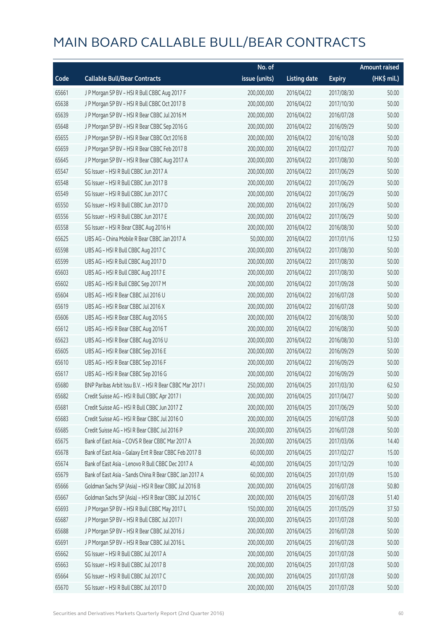|       |                                                          | No. of        |                     |               | <b>Amount raised</b> |
|-------|----------------------------------------------------------|---------------|---------------------|---------------|----------------------|
| Code  | <b>Callable Bull/Bear Contracts</b>                      | issue (units) | <b>Listing date</b> | <b>Expiry</b> | $(HK$$ mil.)         |
| 65661 | J P Morgan SP BV - HSI R Bull CBBC Aug 2017 F            | 200,000,000   | 2016/04/22          | 2017/08/30    | 50.00                |
| 65638 | JP Morgan SP BV - HSIR Bull CBBC Oct 2017 B              | 200,000,000   | 2016/04/22          | 2017/10/30    | 50.00                |
| 65639 | J P Morgan SP BV - HSI R Bear CBBC Jul 2016 M            | 200,000,000   | 2016/04/22          | 2016/07/28    | 50.00                |
| 65648 | J P Morgan SP BV - HSI R Bear CBBC Sep 2016 G            | 200,000,000   | 2016/04/22          | 2016/09/29    | 50.00                |
| 65655 | JP Morgan SP BV - HSIR Bear CBBC Oct 2016 B              | 200,000,000   | 2016/04/22          | 2016/10/28    | 50.00                |
| 65659 | J P Morgan SP BV - HSI R Bear CBBC Feb 2017 B            | 200,000,000   | 2016/04/22          | 2017/02/27    | 70.00                |
| 65645 | J P Morgan SP BV - HSI R Bear CBBC Aug 2017 A            | 200,000,000   | 2016/04/22          | 2017/08/30    | 50.00                |
| 65547 | SG Issuer - HSI R Bull CBBC Jun 2017 A                   | 200,000,000   | 2016/04/22          | 2017/06/29    | 50.00                |
| 65548 | SG Issuer - HSI R Bull CBBC Jun 2017 B                   | 200,000,000   | 2016/04/22          | 2017/06/29    | 50.00                |
| 65549 | SG Issuer - HSI R Bull CBBC Jun 2017 C                   | 200,000,000   | 2016/04/22          | 2017/06/29    | 50.00                |
| 65550 | SG Issuer - HSI R Bull CBBC Jun 2017 D                   | 200,000,000   | 2016/04/22          | 2017/06/29    | 50.00                |
| 65556 | SG Issuer - HSI R Bull CBBC Jun 2017 E                   | 200,000,000   | 2016/04/22          | 2017/06/29    | 50.00                |
| 65558 | SG Issuer - HSI R Bear CBBC Aug 2016 H                   | 200,000,000   | 2016/04/22          | 2016/08/30    | 50.00                |
| 65625 | UBS AG - China Mobile R Bear CBBC Jan 2017 A             | 50,000,000    | 2016/04/22          | 2017/01/16    | 12.50                |
| 65598 | UBS AG - HSI R Bull CBBC Aug 2017 C                      | 200,000,000   | 2016/04/22          | 2017/08/30    | 50.00                |
| 65599 | UBS AG - HSI R Bull CBBC Aug 2017 D                      | 200,000,000   | 2016/04/22          | 2017/08/30    | 50.00                |
| 65603 | UBS AG - HSI R Bull CBBC Aug 2017 E                      | 200,000,000   | 2016/04/22          | 2017/08/30    | 50.00                |
| 65602 | UBS AG - HSI R Bull CBBC Sep 2017 M                      | 200,000,000   | 2016/04/22          | 2017/09/28    | 50.00                |
| 65604 | UBS AG - HSI R Bear CBBC Jul 2016 U                      | 200,000,000   | 2016/04/22          | 2016/07/28    | 50.00                |
| 65619 | UBS AG - HSI R Bear CBBC Jul 2016 X                      | 200,000,000   | 2016/04/22          | 2016/07/28    | 50.00                |
| 65606 | UBS AG - HSI R Bear CBBC Aug 2016 S                      | 200,000,000   | 2016/04/22          | 2016/08/30    | 50.00                |
| 65612 | UBS AG - HSI R Bear CBBC Aug 2016 T                      | 200,000,000   | 2016/04/22          | 2016/08/30    | 50.00                |
| 65623 | UBS AG - HSI R Bear CBBC Aug 2016 U                      | 200,000,000   | 2016/04/22          | 2016/08/30    | 53.00                |
| 65605 | UBS AG - HSI R Bear CBBC Sep 2016 E                      | 200,000,000   | 2016/04/22          | 2016/09/29    | 50.00                |
| 65610 | UBS AG - HSI R Bear CBBC Sep 2016 F                      | 200,000,000   | 2016/04/22          | 2016/09/29    | 50.00                |
| 65617 | UBS AG - HSI R Bear CBBC Sep 2016 G                      | 200,000,000   | 2016/04/22          | 2016/09/29    | 50.00                |
| 65680 | BNP Paribas Arbit Issu B.V. - HSI R Bear CBBC Mar 2017 I | 250,000,000   | 2016/04/25          | 2017/03/30    | 62.50                |
| 65682 | Credit Suisse AG - HSI R Bull CBBC Apr 2017 I            | 200,000,000   | 2016/04/25          | 2017/04/27    | 50.00                |
| 65681 | Credit Suisse AG - HSI R Bull CBBC Jun 2017 Z            | 200,000,000   | 2016/04/25          | 2017/06/29    | 50.00                |
| 65683 | Credit Suisse AG - HSI R Bear CBBC Jul 2016 O            | 200,000,000   | 2016/04/25          | 2016/07/28    | 50.00                |
| 65685 | Credit Suisse AG - HSI R Bear CBBC Jul 2016 P            | 200,000,000   | 2016/04/25          | 2016/07/28    | 50.00                |
| 65675 | Bank of East Asia - COVS R Bear CBBC Mar 2017 A          | 20,000,000    | 2016/04/25          | 2017/03/06    | 14.40                |
| 65678 | Bank of East Asia - Galaxy Ent R Bear CBBC Feb 2017 B    | 60,000,000    | 2016/04/25          | 2017/02/27    | 15.00                |
| 65674 | Bank of East Asia - Lenovo R Bull CBBC Dec 2017 A        | 40,000,000    | 2016/04/25          | 2017/12/29    | 10.00                |
| 65679 | Bank of East Asia - Sands China R Bear CBBC Jan 2017 A   | 60,000,000    | 2016/04/25          | 2017/01/09    | 15.00                |
| 65666 | Goldman Sachs SP (Asia) - HSI R Bear CBBC Jul 2016 B     | 200,000,000   | 2016/04/25          | 2016/07/28    | 50.80                |
| 65667 | Goldman Sachs SP (Asia) - HSI R Bear CBBC Jul 2016 C     | 200,000,000   | 2016/04/25          | 2016/07/28    | 51.40                |
| 65693 | J P Morgan SP BV - HSI R Bull CBBC May 2017 L            | 150,000,000   | 2016/04/25          | 2017/05/29    | 37.50                |
| 65687 | J P Morgan SP BV - HSI R Bull CBBC Jul 2017 I            | 200,000,000   | 2016/04/25          | 2017/07/28    | 50.00                |
| 65688 | J P Morgan SP BV - HSI R Bear CBBC Jul 2016 J            | 200,000,000   | 2016/04/25          | 2016/07/28    | 50.00                |
| 65691 | J P Morgan SP BV - HSI R Bear CBBC Jul 2016 L            | 200,000,000   | 2016/04/25          | 2016/07/28    | 50.00                |
| 65662 | SG Issuer - HSI R Bull CBBC Jul 2017 A                   | 200,000,000   | 2016/04/25          | 2017/07/28    | 50.00                |
| 65663 | SG Issuer - HSI R Bull CBBC Jul 2017 B                   | 200,000,000   | 2016/04/25          | 2017/07/28    | 50.00                |
| 65664 | SG Issuer - HSI R Bull CBBC Jul 2017 C                   | 200,000,000   | 2016/04/25          | 2017/07/28    | 50.00                |
| 65670 | SG Issuer - HSI R Bull CBBC Jul 2017 D                   | 200,000,000   | 2016/04/25          | 2017/07/28    | 50.00                |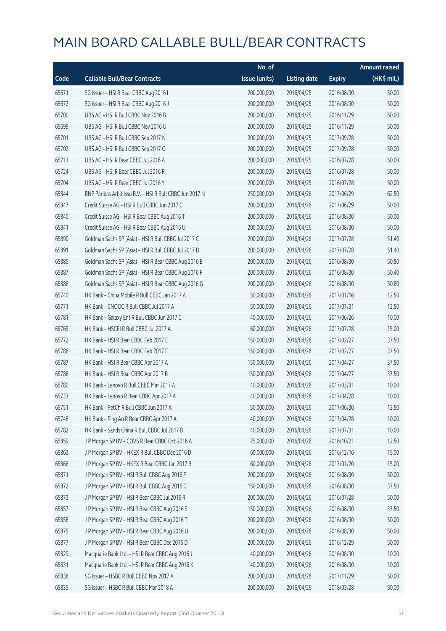|       |                                                          | No. of        |                     |               | <b>Amount raised</b>  |
|-------|----------------------------------------------------------|---------------|---------------------|---------------|-----------------------|
| Code  | <b>Callable Bull/Bear Contracts</b>                      | issue (units) | <b>Listing date</b> | <b>Expiry</b> | $(HK\frac{1}{2}mil.)$ |
| 65671 | SG Issuer - HSI R Bear CBBC Aug 2016 I                   | 200,000,000   | 2016/04/25          | 2016/08/30    | 50.00                 |
| 65672 | SG Issuer - HSI R Bear CBBC Aug 2016 J                   | 200,000,000   | 2016/04/25          | 2016/08/30    | 50.00                 |
| 65700 | UBS AG - HSI R Bull CBBC Nov 2016 B                      | 200,000,000   | 2016/04/25          | 2016/11/29    | 50.00                 |
| 65699 | UBS AG - HSI R Bull CBBC Nov 2016 U                      | 200,000,000   | 2016/04/25          | 2016/11/29    | 50.00                 |
| 65701 | UBS AG - HSI R Bull CBBC Sep 2017 N                      | 200,000,000   | 2016/04/25          | 2017/09/28    | 50.00                 |
| 65702 | UBS AG - HSI R Bull CBBC Sep 2017 O                      | 200,000,000   | 2016/04/25          | 2017/09/28    | 50.00                 |
| 65713 | UBS AG - HSI R Bear CBBC Jul 2016 A                      | 200,000,000   | 2016/04/25          | 2016/07/28    | 50.00                 |
| 65724 | UBS AG - HSI R Bear CBBC Jul 2016 R                      | 200,000,000   | 2016/04/25          | 2016/07/28    | 50.00                 |
| 65704 | UBS AG - HSI R Bear CBBC Jul 2016 Y                      | 200,000,000   | 2016/04/25          | 2016/07/28    | 50.00                 |
| 65844 | BNP Paribas Arbit Issu B.V. - HSI R Bull CBBC Jun 2017 N | 250,000,000   | 2016/04/26          | 2017/06/29    | 62.50                 |
| 65847 | Credit Suisse AG - HSI R Bull CBBC Jun 2017 C            | 200,000,000   | 2016/04/26          | 2017/06/29    | 50.00                 |
| 65840 | Credit Suisse AG - HSI R Bear CBBC Aug 2016 T            | 200,000,000   | 2016/04/26          | 2016/08/30    | 50.00                 |
| 65841 | Credit Suisse AG - HSI R Bear CBBC Aug 2016 U            | 200,000,000   | 2016/04/26          | 2016/08/30    | 50.00                 |
| 65890 | Goldman Sachs SP (Asia) - HSI R Bull CBBC Jul 2017 C     | 200,000,000   | 2016/04/26          | 2017/07/28    | 51.40                 |
| 65891 | Goldman Sachs SP (Asia) - HSI R Bull CBBC Jul 2017 D     | 200,000,000   | 2016/04/26          | 2017/07/28    | 51.40                 |
| 65885 | Goldman Sachs SP (Asia) - HSI R Bear CBBC Aug 2016 E     | 200,000,000   | 2016/04/26          | 2016/08/30    | 50.80                 |
| 65887 | Goldman Sachs SP (Asia) - HSI R Bear CBBC Aug 2016 F     | 200,000,000   | 2016/04/26          | 2016/08/30    | 50.40                 |
| 65888 | Goldman Sachs SP (Asia) - HSI R Bear CBBC Aug 2016 G     | 200,000,000   | 2016/04/26          | 2016/08/30    | 50.80                 |
| 65740 | HK Bank - China Mobile R Bull CBBC Jan 2017 A            | 50,000,000    | 2016/04/26          | 2017/01/16    | 12.50                 |
| 65771 | HK Bank - CNOOC R Bull CBBC Jul 2017 A                   | 50,000,000    | 2016/04/26          | 2017/07/31    | 12.50                 |
| 65781 | HK Bank - Galaxy Ent R Bull CBBC Jun 2017 C              | 40,000,000    | 2016/04/26          | 2017/06/26    | 10.00                 |
| 65765 | HK Bank - HSCEI R Bull CBBC Jul 2017 A                   | 60,000,000    | 2016/04/26          | 2017/07/28    | 15.00                 |
| 65772 | HK Bank - HSI R Bear CBBC Feb 2017 E                     | 150,000,000   | 2016/04/26          | 2017/02/27    | 37.50                 |
| 65786 | HK Bank - HSI R Bear CBBC Feb 2017 F                     | 150,000,000   | 2016/04/26          | 2017/02/27    | 37.50                 |
| 65787 | HK Bank - HSI R Bear CBBC Apr 2017 A                     | 150,000,000   | 2016/04/26          | 2017/04/27    | 37.50                 |
| 65788 | HK Bank - HSI R Bear CBBC Apr 2017 B                     | 150,000,000   | 2016/04/26          | 2017/04/27    | 37.50                 |
| 65780 | HK Bank - Lenovo R Bull CBBC Mar 2017 A                  | 40,000,000    | 2016/04/26          | 2017/03/31    | 10.00                 |
| 65733 | HK Bank - Lenovo R Bear CBBC Apr 2017 A                  | 40,000,000    | 2016/04/26          | 2017/04/28    | 10.00                 |
| 65751 | HK Bank - PetCh R Bull CBBC Jun 2017 A                   | 50,000,000    | 2016/04/26          | 2017/06/30    | 12.50                 |
| 65748 | HK Bank - Ping An R Bear CBBC Apr 2017 A                 | 40,000,000    | 2016/04/26          | 2017/04/28    | 10.00                 |
| 65782 | HK Bank - Sands China R Bull CBBC Jul 2017 B             | 40,000,000    | 2016/04/26          | 2017/07/31    | 10.00                 |
| 65859 | J P Morgan SP BV - COVS R Bear CBBC Oct 2016 A           | 25,000,000    | 2016/04/26          | 2016/10/21    | 12.50                 |
| 65863 | J P Morgan SP BV - HKEX R Bull CBBC Dec 2016 D           | 60,000,000    | 2016/04/26          | 2016/12/16    | 15.00                 |
| 65866 | J P Morgan SP BV - HKEX R Bear CBBC Jan 2017 B           | 60,000,000    | 2016/04/26          | 2017/01/20    | 15.00                 |
| 65871 | J P Morgan SP BV - HSI R Bull CBBC Aug 2016 F            | 200,000,000   | 2016/04/26          | 2016/08/30    | 50.00                 |
| 65872 | J P Morgan SP BV - HSI R Bull CBBC Aug 2016 G            | 150,000,000   | 2016/04/26          | 2016/08/30    | 37.50                 |
| 65873 | J P Morgan SP BV - HSI R Bear CBBC Jul 2016 R            | 200,000,000   | 2016/04/26          | 2016/07/28    | 50.00                 |
| 65857 | J P Morgan SP BV - HSI R Bear CBBC Aug 2016 S            | 150,000,000   | 2016/04/26          | 2016/08/30    | 37.50                 |
| 65858 | J P Morgan SP BV - HSI R Bear CBBC Aug 2016 T            | 200,000,000   | 2016/04/26          | 2016/08/30    | 50.00                 |
| 65875 | J P Morgan SP BV - HSI R Bear CBBC Aug 2016 U            | 200,000,000   | 2016/04/26          | 2016/08/30    | 50.00                 |
| 65877 | J P Morgan SP BV - HSI R Bear CBBC Dec 2016 D            | 200,000,000   | 2016/04/26          | 2016/12/29    | 50.00                 |
| 65829 | Macquarie Bank Ltd. - HSI R Bear CBBC Aug 2016 J         | 40,000,000    | 2016/04/26          | 2016/08/30    | 10.20                 |
| 65831 | Macquarie Bank Ltd. - HSI R Bear CBBC Aug 2016 K         | 40,000,000    | 2016/04/26          | 2016/08/30    | 10.00                 |
| 65838 | SG Issuer - HSBC R Bull CBBC Nov 2017 A                  | 200,000,000   | 2016/04/26          | 2017/11/29    | 50.00                 |
| 65835 | SG Issuer - HSBC R Bull CBBC Mar 2018 A                  | 200,000,000   | 2016/04/26          | 2018/03/28    | 50.00                 |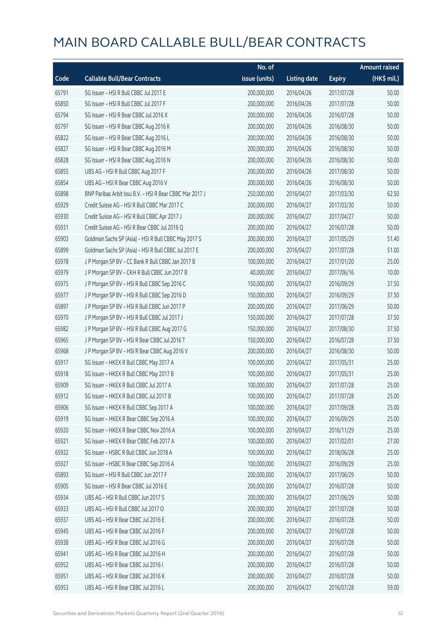|       |                                                          | No. of        |                     |               | <b>Amount raised</b>  |
|-------|----------------------------------------------------------|---------------|---------------------|---------------|-----------------------|
| Code  | <b>Callable Bull/Bear Contracts</b>                      | issue (units) | <b>Listing date</b> | <b>Expiry</b> | $(HK\frac{1}{2}mil.)$ |
| 65791 | SG Issuer - HSI R Bull CBBC Jul 2017 E                   | 200,000,000   | 2016/04/26          | 2017/07/28    | 50.00                 |
| 65850 | SG Issuer - HSI R Bull CBBC Jul 2017 F                   | 200,000,000   | 2016/04/26          | 2017/07/28    | 50.00                 |
| 65794 | SG Issuer - HSI R Bear CBBC Jul 2016 X                   | 200,000,000   | 2016/04/26          | 2016/07/28    | 50.00                 |
| 65797 | SG Issuer - HSI R Bear CBBC Aug 2016 K                   | 200,000,000   | 2016/04/26          | 2016/08/30    | 50.00                 |
| 65822 | SG Issuer - HSI R Bear CBBC Aug 2016 L                   | 200,000,000   | 2016/04/26          | 2016/08/30    | 50.00                 |
| 65827 | SG Issuer - HSI R Bear CBBC Aug 2016 M                   | 200,000,000   | 2016/04/26          | 2016/08/30    | 50.00                 |
| 65828 | SG Issuer - HSI R Bear CBBC Aug 2016 N                   | 200,000,000   | 2016/04/26          | 2016/08/30    | 50.00                 |
| 65855 | UBS AG - HSI R Bull CBBC Aug 2017 F                      | 200,000,000   | 2016/04/26          | 2017/08/30    | 50.00                 |
| 65854 | UBS AG - HSI R Bear CBBC Aug 2016 V                      | 200,000,000   | 2016/04/26          | 2016/08/30    | 50.00                 |
| 65898 | BNP Paribas Arbit Issu B.V. - HSI R Bear CBBC Mar 2017 J | 250,000,000   | 2016/04/27          | 2017/03/30    | 62.50                 |
| 65929 | Credit Suisse AG - HSI R Bull CBBC Mar 2017 C            | 200,000,000   | 2016/04/27          | 2017/03/30    | 50.00                 |
| 65930 | Credit Suisse AG - HSI R Bull CBBC Apr 2017 J            | 200,000,000   | 2016/04/27          | 2017/04/27    | 50.00                 |
| 65931 | Credit Suisse AG - HSI R Bear CBBC Jul 2016 Q            | 200,000,000   | 2016/04/27          | 2016/07/28    | 50.00                 |
| 65903 | Goldman Sachs SP (Asia) - HSI R Bull CBBC May 2017 S     | 200,000,000   | 2016/04/27          | 2017/05/29    | 51.40                 |
| 65899 | Goldman Sachs SP (Asia) - HSI R Bull CBBC Jul 2017 E     | 200,000,000   | 2016/04/27          | 2017/07/28    | 51.00                 |
| 65978 | J P Morgan SP BV - CC Bank R Bull CBBC Jan 2017 B        | 100,000,000   | 2016/04/27          | 2017/01/20    | 25.00                 |
| 65979 | J P Morgan SP BV - CKH R Bull CBBC Jun 2017 B            | 40,000,000    | 2016/04/27          | 2017/06/16    | 10.00                 |
| 65975 | J P Morgan SP BV - HSI R Bull CBBC Sep 2016 C            | 150,000,000   | 2016/04/27          | 2016/09/29    | 37.50                 |
| 65977 | J P Morgan SP BV - HSI R Bull CBBC Sep 2016 D            | 150,000,000   | 2016/04/27          | 2016/09/29    | 37.50                 |
| 65897 | J P Morgan SP BV - HSI R Bull CBBC Jun 2017 P            | 200,000,000   | 2016/04/27          | 2017/06/29    | 50.00                 |
| 65970 | J P Morgan SP BV - HSI R Bull CBBC Jul 2017 J            | 150,000,000   | 2016/04/27          | 2017/07/28    | 37.50                 |
| 65982 | J P Morgan SP BV - HSI R Bull CBBC Aug 2017 G            | 150,000,000   | 2016/04/27          | 2017/08/30    | 37.50                 |
| 65965 | J P Morgan SP BV - HSI R Bear CBBC Jul 2016 T            | 150,000,000   | 2016/04/27          | 2016/07/28    | 37.50                 |
| 65968 | J P Morgan SP BV - HSI R Bear CBBC Aug 2016 V            | 200,000,000   | 2016/04/27          | 2016/08/30    | 50.00                 |
| 65917 | SG Issuer - HKEX R Bull CBBC May 2017 A                  | 100,000,000   | 2016/04/27          | 2017/05/31    | 25.00                 |
| 65918 | SG Issuer - HKEX R Bull CBBC May 2017 B                  | 100,000,000   | 2016/04/27          | 2017/05/31    | 25.00                 |
| 65909 | SG Issuer - HKEX R Bull CBBC Jul 2017 A                  | 100,000,000   | 2016/04/27          | 2017/07/28    | 25.00                 |
| 65912 | SG Issuer - HKEX R Bull CBBC Jul 2017 B                  | 100,000,000   | 2016/04/27          | 2017/07/28    | 25.00                 |
| 65906 | SG Issuer - HKEX R Bull CBBC Sep 2017 A                  | 100,000,000   | 2016/04/27          | 2017/09/28    | 25.00                 |
| 65919 | SG Issuer - HKEX R Bear CBBC Sep 2016 A                  | 100,000,000   | 2016/04/27          | 2016/09/29    | 25.00                 |
| 65920 | SG Issuer - HKEX R Bear CBBC Nov 2016 A                  | 100,000,000   | 2016/04/27          | 2016/11/29    | 25.00                 |
| 65921 | SG Issuer - HKEX R Bear CBBC Feb 2017 A                  | 100,000,000   | 2016/04/27          | 2017/02/01    | 27.00                 |
| 65922 | SG Issuer - HSBC R Bull CBBC Jun 2018 A                  | 100,000,000   | 2016/04/27          | 2018/06/28    | 25.00                 |
| 65927 | SG Issuer - HSBC R Bear CBBC Sep 2016 A                  | 100,000,000   | 2016/04/27          | 2016/09/29    | 25.00                 |
| 65893 | SG Issuer - HSI R Bull CBBC Jun 2017 F                   | 200,000,000   | 2016/04/27          | 2017/06/29    | 50.00                 |
| 65905 | SG Issuer - HSI R Bear CBBC Jul 2016 E                   | 200,000,000   | 2016/04/27          | 2016/07/28    | 50.00                 |
| 65934 | UBS AG - HSI R Bull CBBC Jun 2017 S                      | 200,000,000   | 2016/04/27          | 2017/06/29    | 50.00                 |
| 65933 | UBS AG - HSI R Bull CBBC Jul 2017 O                      | 200,000,000   | 2016/04/27          | 2017/07/28    | 50.00                 |
| 65937 | UBS AG - HSI R Bear CBBC Jul 2016 E                      | 200,000,000   | 2016/04/27          | 2016/07/28    | 50.00                 |
| 65945 | UBS AG - HSI R Bear CBBC Jul 2016 F                      | 200,000,000   | 2016/04/27          | 2016/07/28    | 50.00                 |
| 65938 | UBS AG - HSI R Bear CBBC Jul 2016 G                      | 200,000,000   | 2016/04/27          | 2016/07/28    | 50.00                 |
| 65941 | UBS AG - HSI R Bear CBBC Jul 2016 H                      | 200,000,000   | 2016/04/27          | 2016/07/28    | 50.00                 |
| 65952 | UBS AG - HSI R Bear CBBC Jul 2016 I                      | 200,000,000   | 2016/04/27          | 2016/07/28    | 50.00                 |
| 65951 | UBS AG - HSI R Bear CBBC Jul 2016 K                      | 200,000,000   | 2016/04/27          | 2016/07/28    | 50.00                 |
| 65953 | UBS AG - HSI R Bear CBBC Jul 2016 L                      | 200,000,000   | 2016/04/27          | 2016/07/28    | 59.00                 |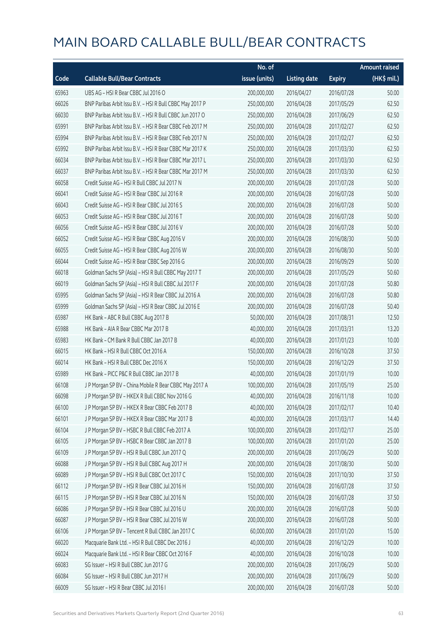|       |                                                          | No. of        |                     |               | <b>Amount raised</b> |
|-------|----------------------------------------------------------|---------------|---------------------|---------------|----------------------|
| Code  | <b>Callable Bull/Bear Contracts</b>                      | issue (units) | <b>Listing date</b> | <b>Expiry</b> | (HK\$ mil.)          |
| 65963 | UBS AG - HSI R Bear CBBC Jul 2016 O                      | 200,000,000   | 2016/04/27          | 2016/07/28    | 50.00                |
| 66026 | BNP Paribas Arbit Issu B.V. - HSI R Bull CBBC May 2017 P | 250,000,000   | 2016/04/28          | 2017/05/29    | 62.50                |
| 66030 | BNP Paribas Arbit Issu B.V. - HSI R Bull CBBC Jun 2017 O | 250,000,000   | 2016/04/28          | 2017/06/29    | 62.50                |
| 65991 | BNP Paribas Arbit Issu B.V. - HSI R Bear CBBC Feb 2017 M | 250,000,000   | 2016/04/28          | 2017/02/27    | 62.50                |
| 65994 | BNP Paribas Arbit Issu B.V. - HSI R Bear CBBC Feb 2017 N | 250,000,000   | 2016/04/28          | 2017/02/27    | 62.50                |
| 65992 | BNP Paribas Arbit Issu B.V. - HSI R Bear CBBC Mar 2017 K | 250,000,000   | 2016/04/28          | 2017/03/30    | 62.50                |
| 66034 | BNP Paribas Arbit Issu B.V. - HSI R Bear CBBC Mar 2017 L | 250,000,000   | 2016/04/28          | 2017/03/30    | 62.50                |
| 66037 | BNP Paribas Arbit Issu B.V. - HSI R Bear CBBC Mar 2017 M | 250,000,000   | 2016/04/28          | 2017/03/30    | 62.50                |
| 66058 | Credit Suisse AG - HSI R Bull CBBC Jul 2017 N            | 200,000,000   | 2016/04/28          | 2017/07/28    | 50.00                |
| 66041 | Credit Suisse AG - HSI R Bear CBBC Jul 2016 R            | 200,000,000   | 2016/04/28          | 2016/07/28    | 50.00                |
| 66043 | Credit Suisse AG - HSI R Bear CBBC Jul 2016 S            | 200,000,000   | 2016/04/28          | 2016/07/28    | 50.00                |
| 66053 | Credit Suisse AG - HSI R Bear CBBC Jul 2016 T            | 200,000,000   | 2016/04/28          | 2016/07/28    | 50.00                |
| 66056 | Credit Suisse AG - HSI R Bear CBBC Jul 2016 V            | 200,000,000   | 2016/04/28          | 2016/07/28    | 50.00                |
| 66052 | Credit Suisse AG - HSI R Bear CBBC Aug 2016 V            | 200,000,000   | 2016/04/28          | 2016/08/30    | 50.00                |
| 66055 | Credit Suisse AG - HSI R Bear CBBC Aug 2016 W            | 200,000,000   | 2016/04/28          | 2016/08/30    | 50.00                |
| 66044 | Credit Suisse AG - HSI R Bear CBBC Sep 2016 G            | 200,000,000   | 2016/04/28          | 2016/09/29    | 50.00                |
| 66018 | Goldman Sachs SP (Asia) - HSI R Bull CBBC May 2017 T     | 200,000,000   | 2016/04/28          | 2017/05/29    | 50.60                |
| 66019 | Goldman Sachs SP (Asia) - HSI R Bull CBBC Jul 2017 F     | 200,000,000   | 2016/04/28          | 2017/07/28    | 50.80                |
| 65995 | Goldman Sachs SP (Asia) - HSI R Bear CBBC Jul 2016 A     | 200,000,000   | 2016/04/28          | 2016/07/28    | 50.80                |
| 65999 | Goldman Sachs SP (Asia) - HSI R Bear CBBC Jul 2016 E     | 200,000,000   | 2016/04/28          | 2016/07/28    | 50.40                |
| 65987 | HK Bank - ABC R Bull CBBC Aug 2017 B                     | 50,000,000    | 2016/04/28          | 2017/08/31    | 12.50                |
| 65988 | HK Bank - AIA R Bear CBBC Mar 2017 B                     | 40,000,000    | 2016/04/28          | 2017/03/31    | 13.20                |
| 65983 | HK Bank - CM Bank R Bull CBBC Jan 2017 B                 | 40,000,000    | 2016/04/28          | 2017/01/23    | 10.00                |
| 66015 | HK Bank - HSI R Bull CBBC Oct 2016 A                     | 150,000,000   | 2016/04/28          | 2016/10/28    | 37.50                |
| 66014 | HK Bank - HSI R Bull CBBC Dec 2016 X                     | 150,000,000   | 2016/04/28          | 2016/12/29    | 37.50                |
| 65989 | HK Bank - PICC P&C R Bull CBBC Jan 2017 B                | 40,000,000    | 2016/04/28          | 2017/01/19    | 10.00                |
| 66108 | J P Morgan SP BV - China Mobile R Bear CBBC May 2017 A   | 100,000,000   | 2016/04/28          | 2017/05/19    | 25.00                |
| 66098 | J P Morgan SP BV - HKEX R Bull CBBC Nov 2016 G           | 40,000,000    | 2016/04/28          | 2016/11/18    | 10.00                |
| 66100 | J P Morgan SP BV - HKEX R Bear CBBC Feb 2017 B           | 40,000,000    | 2016/04/28          | 2017/02/17    | 10.40                |
| 66101 | JP Morgan SP BV - HKEX R Bear CBBC Mar 2017 B            | 40,000,000    | 2016/04/28          | 2017/03/17    | 14.40                |
| 66104 | J P Morgan SP BV - HSBC R Bull CBBC Feb 2017 A           | 100,000,000   | 2016/04/28          | 2017/02/17    | 25.00                |
| 66105 | J P Morgan SP BV - HSBC R Bear CBBC Jan 2017 B           | 100,000,000   | 2016/04/28          | 2017/01/20    | 25.00                |
| 66109 | J P Morgan SP BV - HSI R Bull CBBC Jun 2017 Q            | 200,000,000   | 2016/04/28          | 2017/06/29    | 50.00                |
| 66088 | J P Morgan SP BV - HSI R Bull CBBC Aug 2017 H            | 200,000,000   | 2016/04/28          | 2017/08/30    | 50.00                |
| 66089 | J P Morgan SP BV - HSI R Bull CBBC Oct 2017 C            | 150,000,000   | 2016/04/28          | 2017/10/30    | 37.50                |
| 66112 | J P Morgan SP BV - HSI R Bear CBBC Jul 2016 H            | 150,000,000   | 2016/04/28          | 2016/07/28    | 37.50                |
| 66115 | J P Morgan SP BV - HSI R Bear CBBC Jul 2016 N            | 150,000,000   | 2016/04/28          | 2016/07/28    | 37.50                |
| 66086 | J P Morgan SP BV - HSI R Bear CBBC Jul 2016 U            | 200,000,000   | 2016/04/28          | 2016/07/28    | 50.00                |
| 66087 | J P Morgan SP BV - HSI R Bear CBBC Jul 2016 W            | 200,000,000   | 2016/04/28          | 2016/07/28    | 50.00                |
| 66106 | J P Morgan SP BV - Tencent R Bull CBBC Jan 2017 C        | 60,000,000    | 2016/04/28          | 2017/01/20    | 15.00                |
| 66020 | Macquarie Bank Ltd. - HSI R Bull CBBC Dec 2016 J         | 40,000,000    | 2016/04/28          | 2016/12/29    | 10.00                |
| 66024 | Macquarie Bank Ltd. - HSI R Bear CBBC Oct 2016 F         | 40,000,000    | 2016/04/28          | 2016/10/28    | 10.00                |
| 66083 | SG Issuer - HSI R Bull CBBC Jun 2017 G                   | 200,000,000   | 2016/04/28          | 2017/06/29    | 50.00                |
| 66084 | SG Issuer - HSI R Bull CBBC Jun 2017 H                   | 200,000,000   | 2016/04/28          | 2017/06/29    | 50.00                |
| 66009 | SG Issuer - HSI R Bear CBBC Jul 2016 I                   | 200,000,000   | 2016/04/28          | 2016/07/28    | 50.00                |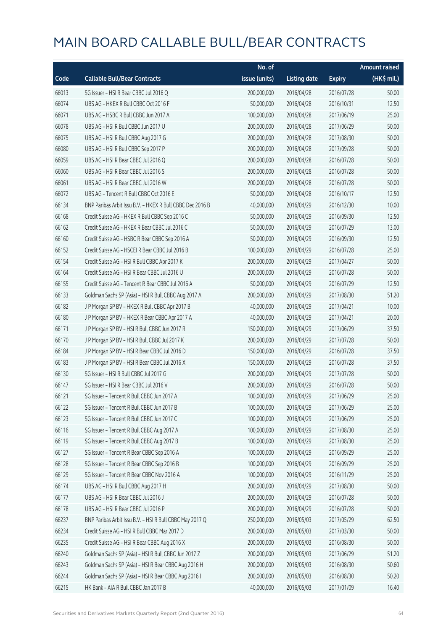|       |                                                           | No. of        |                     |               | <b>Amount raised</b> |
|-------|-----------------------------------------------------------|---------------|---------------------|---------------|----------------------|
| Code  | <b>Callable Bull/Bear Contracts</b>                       | issue (units) | <b>Listing date</b> | <b>Expiry</b> | $(HK$$ mil.)         |
| 66013 | SG Issuer - HSI R Bear CBBC Jul 2016 Q                    | 200,000,000   | 2016/04/28          | 2016/07/28    | 50.00                |
| 66074 | UBS AG - HKEX R Bull CBBC Oct 2016 F                      | 50,000,000    | 2016/04/28          | 2016/10/31    | 12.50                |
| 66071 | UBS AG - HSBC R Bull CBBC Jun 2017 A                      | 100,000,000   | 2016/04/28          | 2017/06/19    | 25.00                |
| 66078 | UBS AG - HSI R Bull CBBC Jun 2017 U                       | 200,000,000   | 2016/04/28          | 2017/06/29    | 50.00                |
| 66075 | UBS AG - HSI R Bull CBBC Aug 2017 G                       | 200,000,000   | 2016/04/28          | 2017/08/30    | 50.00                |
| 66080 | UBS AG - HSI R Bull CBBC Sep 2017 P                       | 200,000,000   | 2016/04/28          | 2017/09/28    | 50.00                |
| 66059 | UBS AG - HSI R Bear CBBC Jul 2016 Q                       | 200,000,000   | 2016/04/28          | 2016/07/28    | 50.00                |
| 66060 | UBS AG - HSI R Bear CBBC Jul 2016 S                       | 200,000,000   | 2016/04/28          | 2016/07/28    | 50.00                |
| 66061 | UBS AG - HSI R Bear CBBC Jul 2016 W                       | 200,000,000   | 2016/04/28          | 2016/07/28    | 50.00                |
| 66072 | UBS AG - Tencent R Bull CBBC Oct 2016 E                   | 50,000,000    | 2016/04/28          | 2016/10/17    | 12.50                |
| 66134 | BNP Paribas Arbit Issu B.V. - HKEX R Bull CBBC Dec 2016 B | 40,000,000    | 2016/04/29          | 2016/12/30    | 10.00                |
| 66168 | Credit Suisse AG - HKEX R Bull CBBC Sep 2016 C            | 50,000,000    | 2016/04/29          | 2016/09/30    | 12.50                |
| 66162 | Credit Suisse AG - HKEX R Bear CBBC Jul 2016 C            | 50,000,000    | 2016/04/29          | 2016/07/29    | 13.00                |
| 66160 | Credit Suisse AG - HSBC R Bear CBBC Sep 2016 A            | 50,000,000    | 2016/04/29          | 2016/09/30    | 12.50                |
| 66152 | Credit Suisse AG - HSCEI R Bear CBBC Jul 2016 B           | 100,000,000   | 2016/04/29          | 2016/07/28    | 25.00                |
| 66154 | Credit Suisse AG - HSI R Bull CBBC Apr 2017 K             | 200,000,000   | 2016/04/29          | 2017/04/27    | 50.00                |
| 66164 | Credit Suisse AG - HSI R Bear CBBC Jul 2016 U             | 200,000,000   | 2016/04/29          | 2016/07/28    | 50.00                |
| 66155 | Credit Suisse AG - Tencent R Bear CBBC Jul 2016 A         | 50,000,000    | 2016/04/29          | 2016/07/29    | 12.50                |
| 66133 | Goldman Sachs SP (Asia) - HSI R Bull CBBC Aug 2017 A      | 200,000,000   | 2016/04/29          | 2017/08/30    | 51.20                |
| 66182 | J P Morgan SP BV - HKEX R Bull CBBC Apr 2017 B            | 40,000,000    | 2016/04/29          | 2017/04/21    | 10.00                |
| 66180 | J P Morgan SP BV - HKEX R Bear CBBC Apr 2017 A            | 40,000,000    | 2016/04/29          | 2017/04/21    | 20.00                |
| 66171 | J P Morgan SP BV - HSI R Bull CBBC Jun 2017 R             | 150,000,000   | 2016/04/29          | 2017/06/29    | 37.50                |
| 66170 | J P Morgan SP BV - HSI R Bull CBBC Jul 2017 K             | 200,000,000   | 2016/04/29          | 2017/07/28    | 50.00                |
| 66184 | J P Morgan SP BV - HSI R Bear CBBC Jul 2016 D             | 150,000,000   | 2016/04/29          | 2016/07/28    | 37.50                |
| 66183 | J P Morgan SP BV - HSI R Bear CBBC Jul 2016 X             | 150,000,000   | 2016/04/29          | 2016/07/28    | 37.50                |
| 66130 | SG Issuer - HSI R Bull CBBC Jul 2017 G                    | 200,000,000   | 2016/04/29          | 2017/07/28    | 50.00                |
| 66147 | SG Issuer - HSI R Bear CBBC Jul 2016 V                    | 200,000,000   | 2016/04/29          | 2016/07/28    | 50.00                |
| 66121 | SG Issuer - Tencent R Bull CBBC Jun 2017 A                | 100,000,000   | 2016/04/29          | 2017/06/29    | 25.00                |
| 66122 | SG Issuer - Tencent R Bull CBBC Jun 2017 B                | 100,000,000   | 2016/04/29          | 2017/06/29    | 25.00                |
| 66123 | SG Issuer - Tencent R Bull CBBC Jun 2017 C                | 100,000,000   | 2016/04/29          | 2017/06/29    | 25.00                |
| 66116 | SG Issuer - Tencent R Bull CBBC Aug 2017 A                | 100,000,000   | 2016/04/29          | 2017/08/30    | 25.00                |
| 66119 | SG Issuer - Tencent R Bull CBBC Aug 2017 B                | 100,000,000   | 2016/04/29          | 2017/08/30    | 25.00                |
| 66127 | SG Issuer - Tencent R Bear CBBC Sep 2016 A                | 100,000,000   | 2016/04/29          | 2016/09/29    | 25.00                |
| 66128 | SG Issuer - Tencent R Bear CBBC Sep 2016 B                | 100,000,000   | 2016/04/29          | 2016/09/29    | 25.00                |
| 66129 | SG Issuer - Tencent R Bear CBBC Nov 2016 A                | 100,000,000   | 2016/04/29          | 2016/11/29    | 25.00                |
| 66174 | UBS AG - HSI R Bull CBBC Aug 2017 H                       | 200,000,000   | 2016/04/29          | 2017/08/30    | 50.00                |
| 66177 | UBS AG - HSI R Bear CBBC Jul 2016 J                       | 200,000,000   | 2016/04/29          | 2016/07/28    | 50.00                |
| 66178 | UBS AG - HSI R Bear CBBC Jul 2016 P                       | 200,000,000   | 2016/04/29          | 2016/07/28    | 50.00                |
| 66237 | BNP Paribas Arbit Issu B.V. - HSI R Bull CBBC May 2017 Q  | 250,000,000   | 2016/05/03          | 2017/05/29    | 62.50                |
| 66234 | Credit Suisse AG - HSI R Bull CBBC Mar 2017 D             | 200,000,000   | 2016/05/03          | 2017/03/30    | 50.00                |
| 66235 | Credit Suisse AG - HSI R Bear CBBC Aug 2016 X             | 200,000,000   | 2016/05/03          | 2016/08/30    | 50.00                |
| 66240 | Goldman Sachs SP (Asia) - HSI R Bull CBBC Jun 2017 Z      | 200,000,000   | 2016/05/03          | 2017/06/29    | 51.20                |
| 66243 | Goldman Sachs SP (Asia) - HSI R Bear CBBC Aug 2016 H      | 200,000,000   | 2016/05/03          | 2016/08/30    | 50.60                |
| 66244 | Goldman Sachs SP (Asia) - HSI R Bear CBBC Aug 2016 I      | 200,000,000   | 2016/05/03          | 2016/08/30    | 50.20                |
| 66215 | HK Bank - AIA R Bull CBBC Jan 2017 B                      | 40,000,000    | 2016/05/03          | 2017/01/09    | 16.40                |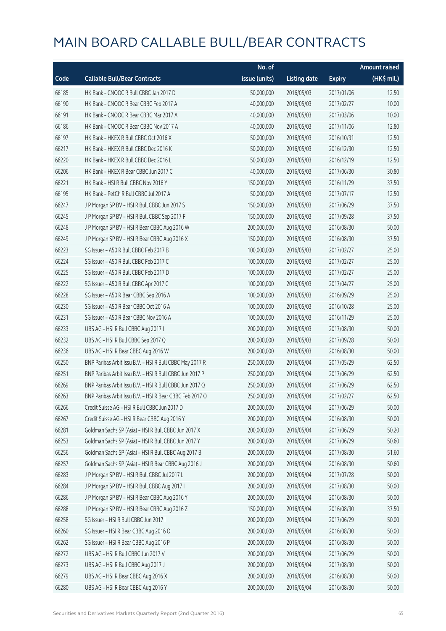|       |                                                          | No. of        |                     |               | <b>Amount raised</b>  |
|-------|----------------------------------------------------------|---------------|---------------------|---------------|-----------------------|
| Code  | <b>Callable Bull/Bear Contracts</b>                      | issue (units) | <b>Listing date</b> | <b>Expiry</b> | $(HK\frac{1}{2}mil.)$ |
| 66185 | HK Bank - CNOOC R Bull CBBC Jan 2017 D                   | 50,000,000    | 2016/05/03          | 2017/01/06    | 12.50                 |
| 66190 | HK Bank - CNOOC R Bear CBBC Feb 2017 A                   | 40,000,000    | 2016/05/03          | 2017/02/27    | 10.00                 |
| 66191 | HK Bank - CNOOC R Bear CBBC Mar 2017 A                   | 40,000,000    | 2016/05/03          | 2017/03/06    | 10.00                 |
| 66186 | HK Bank - CNOOC R Bear CBBC Nov 2017 A                   | 40,000,000    | 2016/05/03          | 2017/11/06    | 12.80                 |
| 66197 | HK Bank - HKEX R Bull CBBC Oct 2016 X                    | 50,000,000    | 2016/05/03          | 2016/10/31    | 12.50                 |
| 66217 | HK Bank - HKEX R Bull CBBC Dec 2016 K                    | 50,000,000    | 2016/05/03          | 2016/12/30    | 12.50                 |
| 66220 | HK Bank - HKEX R Bull CBBC Dec 2016 L                    | 50,000,000    | 2016/05/03          | 2016/12/19    | 12.50                 |
| 66206 | HK Bank - HKEX R Bear CBBC Jun 2017 C                    | 40,000,000    | 2016/05/03          | 2017/06/30    | 30.80                 |
| 66221 | HK Bank - HSI R Bull CBBC Nov 2016 Y                     | 150,000,000   | 2016/05/03          | 2016/11/29    | 37.50                 |
| 66195 | HK Bank - PetCh R Bull CBBC Jul 2017 A                   | 50,000,000    | 2016/05/03          | 2017/07/17    | 12.50                 |
| 66247 | J P Morgan SP BV - HSI R Bull CBBC Jun 2017 S            | 150,000,000   | 2016/05/03          | 2017/06/29    | 37.50                 |
| 66245 | J P Morgan SP BV - HSI R Bull CBBC Sep 2017 F            | 150,000,000   | 2016/05/03          | 2017/09/28    | 37.50                 |
| 66248 | J P Morgan SP BV - HSI R Bear CBBC Aug 2016 W            | 200,000,000   | 2016/05/03          | 2016/08/30    | 50.00                 |
| 66249 | J P Morgan SP BV - HSI R Bear CBBC Aug 2016 X            | 150,000,000   | 2016/05/03          | 2016/08/30    | 37.50                 |
| 66223 | SG Issuer - A50 R Bull CBBC Feb 2017 B                   | 100,000,000   | 2016/05/03          | 2017/02/27    | 25.00                 |
| 66224 | SG Issuer - A50 R Bull CBBC Feb 2017 C                   | 100,000,000   | 2016/05/03          | 2017/02/27    | 25.00                 |
| 66225 | SG Issuer - A50 R Bull CBBC Feb 2017 D                   | 100,000,000   | 2016/05/03          | 2017/02/27    | 25.00                 |
| 66222 | SG Issuer - A50 R Bull CBBC Apr 2017 C                   | 100,000,000   | 2016/05/03          | 2017/04/27    | 25.00                 |
| 66228 | SG Issuer - A50 R Bear CBBC Sep 2016 A                   | 100,000,000   | 2016/05/03          | 2016/09/29    | 25.00                 |
| 66230 | SG Issuer - A50 R Bear CBBC Oct 2016 A                   | 100,000,000   | 2016/05/03          | 2016/10/28    | 25.00                 |
| 66231 | SG Issuer - A50 R Bear CBBC Nov 2016 A                   | 100,000,000   | 2016/05/03          | 2016/11/29    | 25.00                 |
| 66233 | UBS AG - HSI R Bull CBBC Aug 2017 I                      | 200,000,000   | 2016/05/03          | 2017/08/30    | 50.00                 |
| 66232 | UBS AG - HSI R Bull CBBC Sep 2017 Q                      | 200,000,000   | 2016/05/03          | 2017/09/28    | 50.00                 |
| 66236 | UBS AG - HSI R Bear CBBC Aug 2016 W                      | 200,000,000   | 2016/05/03          | 2016/08/30    | 50.00                 |
| 66250 | BNP Paribas Arbit Issu B.V. - HSI R Bull CBBC May 2017 R | 250,000,000   | 2016/05/04          | 2017/05/29    | 62.50                 |
| 66251 | BNP Paribas Arbit Issu B.V. - HSI R Bull CBBC Jun 2017 P | 250,000,000   | 2016/05/04          | 2017/06/29    | 62.50                 |
| 66269 | BNP Paribas Arbit Issu B.V. - HSI R Bull CBBC Jun 2017 Q | 250,000,000   | 2016/05/04          | 2017/06/29    | 62.50                 |
| 66263 | BNP Paribas Arbit Issu B.V. - HSI R Bear CBBC Feb 2017 O | 250,000,000   | 2016/05/04          | 2017/02/27    | 62.50                 |
| 66266 | Credit Suisse AG - HSI R Bull CBBC Jun 2017 D            | 200,000,000   | 2016/05/04          | 2017/06/29    | 50.00                 |
| 66267 | Credit Suisse AG - HSI R Bear CBBC Aug 2016 Y            | 200,000,000   | 2016/05/04          | 2016/08/30    | 50.00                 |
| 66281 | Goldman Sachs SP (Asia) - HSI R Bull CBBC Jun 2017 X     | 200,000,000   | 2016/05/04          | 2017/06/29    | 50.20                 |
| 66253 | Goldman Sachs SP (Asia) - HSI R Bull CBBC Jun 2017 Y     | 200,000,000   | 2016/05/04          | 2017/06/29    | 50.60                 |
| 66256 | Goldman Sachs SP (Asia) - HSI R Bull CBBC Aug 2017 B     | 200,000,000   | 2016/05/04          | 2017/08/30    | 51.60                 |
| 66257 | Goldman Sachs SP (Asia) - HSI R Bear CBBC Aug 2016 J     | 200,000,000   | 2016/05/04          | 2016/08/30    | 50.60                 |
| 66283 | J P Morgan SP BV - HSI R Bull CBBC Jul 2017 L            | 200,000,000   | 2016/05/04          | 2017/07/28    | 50.00                 |
| 66284 | J P Morgan SP BV - HSI R Bull CBBC Aug 2017 I            | 200,000,000   | 2016/05/04          | 2017/08/30    | 50.00                 |
| 66286 | J P Morgan SP BV - HSI R Bear CBBC Aug 2016 Y            | 200,000,000   | 2016/05/04          | 2016/08/30    | 50.00                 |
| 66288 | J P Morgan SP BV - HSI R Bear CBBC Aug 2016 Z            | 150,000,000   | 2016/05/04          | 2016/08/30    | 37.50                 |
| 66258 | SG Issuer - HSI R Bull CBBC Jun 2017 I                   | 200,000,000   | 2016/05/04          | 2017/06/29    | 50.00                 |
| 66260 | SG Issuer - HSI R Bear CBBC Aug 2016 O                   | 200,000,000   | 2016/05/04          | 2016/08/30    | 50.00                 |
| 66262 | SG Issuer - HSI R Bear CBBC Aug 2016 P                   | 200,000,000   | 2016/05/04          | 2016/08/30    | 50.00                 |
| 66272 | UBS AG - HSI R Bull CBBC Jun 2017 V                      | 200,000,000   | 2016/05/04          | 2017/06/29    | 50.00                 |
| 66273 | UBS AG - HSI R Bull CBBC Aug 2017 J                      | 200,000,000   | 2016/05/04          | 2017/08/30    | 50.00                 |
| 66279 | UBS AG - HSI R Bear CBBC Aug 2016 X                      | 200,000,000   | 2016/05/04          | 2016/08/30    | 50.00                 |
| 66280 | UBS AG - HSI R Bear CBBC Aug 2016 Y                      | 200,000,000   | 2016/05/04          | 2016/08/30    | 50.00                 |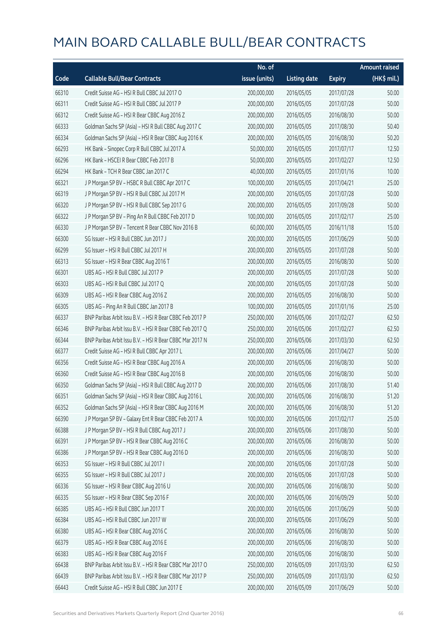|       |                                                          | No. of        |                     |               | <b>Amount raised</b>  |
|-------|----------------------------------------------------------|---------------|---------------------|---------------|-----------------------|
| Code  | <b>Callable Bull/Bear Contracts</b>                      | issue (units) | <b>Listing date</b> | <b>Expiry</b> | $(HK\frac{1}{2}mil.)$ |
| 66310 | Credit Suisse AG - HSI R Bull CBBC Jul 2017 O            | 200,000,000   | 2016/05/05          | 2017/07/28    | 50.00                 |
| 66311 | Credit Suisse AG - HSI R Bull CBBC Jul 2017 P            | 200,000,000   | 2016/05/05          | 2017/07/28    | 50.00                 |
| 66312 | Credit Suisse AG - HSI R Bear CBBC Aug 2016 Z            | 200,000,000   | 2016/05/05          | 2016/08/30    | 50.00                 |
| 66333 | Goldman Sachs SP (Asia) - HSI R Bull CBBC Aug 2017 C     | 200,000,000   | 2016/05/05          | 2017/08/30    | 50.40                 |
| 66334 | Goldman Sachs SP (Asia) - HSI R Bear CBBC Aug 2016 K     | 200,000,000   | 2016/05/05          | 2016/08/30    | 50.20                 |
| 66293 | HK Bank - Sinopec Corp R Bull CBBC Jul 2017 A            | 50,000,000    | 2016/05/05          | 2017/07/17    | 12.50                 |
| 66296 | HK Bank - HSCEI R Bear CBBC Feb 2017 B                   | 50,000,000    | 2016/05/05          | 2017/02/27    | 12.50                 |
| 66294 | HK Bank - TCH R Bear CBBC Jan 2017 C                     | 40,000,000    | 2016/05/05          | 2017/01/16    | 10.00                 |
| 66321 | J P Morgan SP BV - HSBC R Bull CBBC Apr 2017 C           | 100,000,000   | 2016/05/05          | 2017/04/21    | 25.00                 |
| 66319 | J P Morgan SP BV - HSI R Bull CBBC Jul 2017 M            | 200,000,000   | 2016/05/05          | 2017/07/28    | 50.00                 |
| 66320 | J P Morgan SP BV - HSI R Bull CBBC Sep 2017 G            | 200,000,000   | 2016/05/05          | 2017/09/28    | 50.00                 |
| 66322 | J P Morgan SP BV - Ping An R Bull CBBC Feb 2017 D        | 100,000,000   | 2016/05/05          | 2017/02/17    | 25.00                 |
| 66330 | J P Morgan SP BV - Tencent R Bear CBBC Nov 2016 B        | 60,000,000    | 2016/05/05          | 2016/11/18    | 15.00                 |
| 66300 | SG Issuer - HSI R Bull CBBC Jun 2017 J                   | 200,000,000   | 2016/05/05          | 2017/06/29    | 50.00                 |
| 66299 | SG Issuer - HSI R Bull CBBC Jul 2017 H                   | 200,000,000   | 2016/05/05          | 2017/07/28    | 50.00                 |
| 66313 | SG Issuer - HSI R Bear CBBC Aug 2016 T                   | 200,000,000   | 2016/05/05          | 2016/08/30    | 50.00                 |
| 66301 | UBS AG - HSI R Bull CBBC Jul 2017 P                      | 200,000,000   | 2016/05/05          | 2017/07/28    | 50.00                 |
| 66303 | UBS AG - HSI R Bull CBBC Jul 2017 Q                      | 200,000,000   | 2016/05/05          | 2017/07/28    | 50.00                 |
| 66309 | UBS AG - HSI R Bear CBBC Aug 2016 Z                      | 200,000,000   | 2016/05/05          | 2016/08/30    | 50.00                 |
| 66305 | UBS AG - Ping An R Bull CBBC Jan 2017 B                  | 100,000,000   | 2016/05/05          | 2017/01/16    | 25.00                 |
| 66337 | BNP Paribas Arbit Issu B.V. - HSI R Bear CBBC Feb 2017 P | 250,000,000   | 2016/05/06          | 2017/02/27    | 62.50                 |
| 66346 | BNP Paribas Arbit Issu B.V. - HSI R Bear CBBC Feb 2017 Q | 250,000,000   | 2016/05/06          | 2017/02/27    | 62.50                 |
| 66344 | BNP Paribas Arbit Issu B.V. - HSI R Bear CBBC Mar 2017 N | 250,000,000   | 2016/05/06          | 2017/03/30    | 62.50                 |
| 66377 | Credit Suisse AG - HSI R Bull CBBC Apr 2017 L            | 200,000,000   | 2016/05/06          | 2017/04/27    | 50.00                 |
| 66356 | Credit Suisse AG - HSI R Bear CBBC Aug 2016 A            | 200,000,000   | 2016/05/06          | 2016/08/30    | 50.00                 |
| 66360 | Credit Suisse AG - HSI R Bear CBBC Aug 2016 B            | 200,000,000   | 2016/05/06          | 2016/08/30    | 50.00                 |
| 66350 | Goldman Sachs SP (Asia) - HSI R Bull CBBC Aug 2017 D     | 200,000,000   | 2016/05/06          | 2017/08/30    | 51.40                 |
| 66351 | Goldman Sachs SP (Asia) - HSI R Bear CBBC Aug 2016 L     | 200,000,000   | 2016/05/06          | 2016/08/30    | 51.20                 |
| 66352 | Goldman Sachs SP (Asia) - HSI R Bear CBBC Aug 2016 M     | 200,000,000   | 2016/05/06          | 2016/08/30    | 51.20                 |
| 66390 | J P Morgan SP BV - Galaxy Ent R Bear CBBC Feb 2017 A     | 100,000,000   | 2016/05/06          | 2017/02/17    | 25.00                 |
| 66388 | J P Morgan SP BV - HSI R Bull CBBC Aug 2017 J            | 200,000,000   | 2016/05/06          | 2017/08/30    | 50.00                 |
| 66391 | J P Morgan SP BV - HSI R Bear CBBC Aug 2016 C            | 200,000,000   | 2016/05/06          | 2016/08/30    | 50.00                 |
| 66386 | J P Morgan SP BV - HSI R Bear CBBC Aug 2016 D            | 200,000,000   | 2016/05/06          | 2016/08/30    | 50.00                 |
| 66353 | SG Issuer - HSI R Bull CBBC Jul 2017 I                   | 200,000,000   | 2016/05/06          | 2017/07/28    | 50.00                 |
| 66355 | SG Issuer - HSI R Bull CBBC Jul 2017 J                   | 200,000,000   | 2016/05/06          | 2017/07/28    | 50.00                 |
| 66336 | SG Issuer - HSI R Bear CBBC Aug 2016 U                   | 200,000,000   | 2016/05/06          | 2016/08/30    | 50.00                 |
| 66335 | SG Issuer - HSI R Bear CBBC Sep 2016 F                   | 200,000,000   | 2016/05/06          | 2016/09/29    | 50.00                 |
| 66385 | UBS AG - HSI R Bull CBBC Jun 2017 T                      | 200,000,000   | 2016/05/06          | 2017/06/29    | 50.00                 |
| 66384 | UBS AG - HSI R Bull CBBC Jun 2017 W                      | 200,000,000   | 2016/05/06          | 2017/06/29    | 50.00                 |
| 66380 | UBS AG - HSI R Bear CBBC Aug 2016 C                      | 200,000,000   | 2016/05/06          | 2016/08/30    | 50.00                 |
| 66379 | UBS AG - HSI R Bear CBBC Aug 2016 E                      | 200,000,000   | 2016/05/06          | 2016/08/30    | 50.00                 |
| 66383 | UBS AG - HSI R Bear CBBC Aug 2016 F                      | 200,000,000   | 2016/05/06          | 2016/08/30    | 50.00                 |
| 66438 | BNP Paribas Arbit Issu B.V. - HSI R Bear CBBC Mar 2017 O | 250,000,000   | 2016/05/09          | 2017/03/30    | 62.50                 |
| 66439 | BNP Paribas Arbit Issu B.V. - HSI R Bear CBBC Mar 2017 P | 250,000,000   | 2016/05/09          | 2017/03/30    | 62.50                 |
| 66443 | Credit Suisse AG - HSI R Bull CBBC Jun 2017 E            | 200,000,000   | 2016/05/09          | 2017/06/29    | 50.00                 |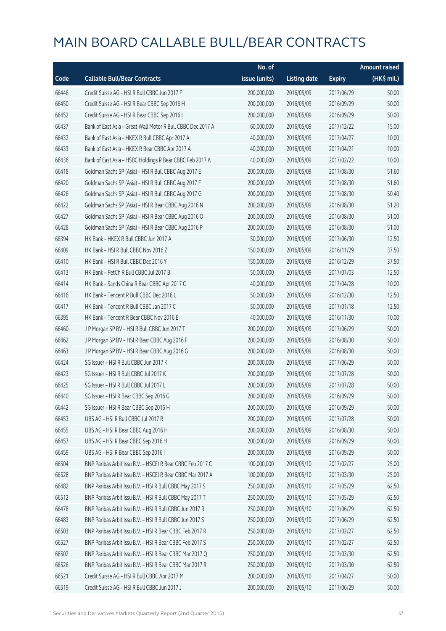|       |                                                             | No. of        |                     |               | <b>Amount raised</b> |
|-------|-------------------------------------------------------------|---------------|---------------------|---------------|----------------------|
| Code  | <b>Callable Bull/Bear Contracts</b>                         | issue (units) | <b>Listing date</b> | <b>Expiry</b> | (HK\$ mil.)          |
| 66446 | Credit Suisse AG - HSI R Bull CBBC Jun 2017 F               | 200,000,000   | 2016/05/09          | 2017/06/29    | 50.00                |
| 66450 | Credit Suisse AG - HSI R Bear CBBC Sep 2016 H               | 200,000,000   | 2016/05/09          | 2016/09/29    | 50.00                |
| 66452 | Credit Suisse AG - HSI R Bear CBBC Sep 2016 I               | 200,000,000   | 2016/05/09          | 2016/09/29    | 50.00                |
| 66437 | Bank of East Asia - Great Wall Motor R Bull CBBC Dec 2017 A | 60,000,000    | 2016/05/09          | 2017/12/22    | 15.00                |
| 66432 | Bank of East Asia - HKEX R Bull CBBC Apr 2017 A             | 40,000,000    | 2016/05/09          | 2017/04/27    | 10.00                |
| 66433 | Bank of East Asia - HKEX R Bear CBBC Apr 2017 A             | 40,000,000    | 2016/05/09          | 2017/04/21    | 10.00                |
| 66436 | Bank of East Asia - HSBC Holdings R Bear CBBC Feb 2017 A    | 40,000,000    | 2016/05/09          | 2017/02/22    | 10.00                |
| 66418 | Goldman Sachs SP (Asia) - HSI R Bull CBBC Aug 2017 E        | 200,000,000   | 2016/05/09          | 2017/08/30    | 51.60                |
| 66420 | Goldman Sachs SP (Asia) - HSI R Bull CBBC Aug 2017 F        | 200,000,000   | 2016/05/09          | 2017/08/30    | 51.60                |
| 66426 | Goldman Sachs SP (Asia) - HSI R Bull CBBC Aug 2017 G        | 200,000,000   | 2016/05/09          | 2017/08/30    | 50.40                |
| 66422 | Goldman Sachs SP (Asia) - HSI R Bear CBBC Aug 2016 N        | 200,000,000   | 2016/05/09          | 2016/08/30    | 51.20                |
| 66427 | Goldman Sachs SP (Asia) - HSI R Bear CBBC Aug 2016 O        | 200,000,000   | 2016/05/09          | 2016/08/30    | 51.00                |
| 66428 | Goldman Sachs SP (Asia) - HSI R Bear CBBC Aug 2016 P        | 200,000,000   | 2016/05/09          | 2016/08/30    | 51.00                |
| 66394 | HK Bank - HKEX R Bull CBBC Jun 2017 A                       | 50,000,000    | 2016/05/09          | 2017/06/30    | 12.50                |
| 66409 | HK Bank - HSI R Bull CBBC Nov 2016 Z                        | 150,000,000   | 2016/05/09          | 2016/11/29    | 37.50                |
| 66410 | HK Bank - HSI R Bull CBBC Dec 2016 Y                        | 150,000,000   | 2016/05/09          | 2016/12/29    | 37.50                |
| 66413 | HK Bank - PetCh R Bull CBBC Jul 2017 B                      | 50,000,000    | 2016/05/09          | 2017/07/03    | 12.50                |
| 66414 | HK Bank - Sands China R Bear CBBC Apr 2017 C                | 40,000,000    | 2016/05/09          | 2017/04/28    | 10.00                |
| 66416 | HK Bank - Tencent R Bull CBBC Dec 2016 L                    | 50,000,000    | 2016/05/09          | 2016/12/30    | 12.50                |
| 66417 | HK Bank - Tencent R Bull CBBC Jan 2017 C                    | 50,000,000    | 2016/05/09          | 2017/01/18    | 12.50                |
| 66395 | HK Bank - Tencent R Bear CBBC Nov 2016 E                    | 40,000,000    | 2016/05/09          | 2016/11/30    | 10.00                |
| 66460 | J P Morgan SP BV - HSI R Bull CBBC Jun 2017 T               | 200,000,000   | 2016/05/09          | 2017/06/29    | 50.00                |
| 66462 | J P Morgan SP BV - HSI R Bear CBBC Aug 2016 F               | 200,000,000   | 2016/05/09          | 2016/08/30    | 50.00                |
| 66463 | J P Morgan SP BV - HSI R Bear CBBC Aug 2016 G               | 200,000,000   | 2016/05/09          | 2016/08/30    | 50.00                |
| 66424 | SG Issuer - HSI R Bull CBBC Jun 2017 K                      | 200,000,000   | 2016/05/09          | 2017/06/29    | 50.00                |
| 66423 | SG Issuer - HSI R Bull CBBC Jul 2017 K                      | 200,000,000   | 2016/05/09          | 2017/07/28    | 50.00                |
| 66425 | SG Issuer - HSI R Bull CBBC Jul 2017 L                      | 200,000,000   | 2016/05/09          | 2017/07/28    | 50.00                |
| 66440 | SG Issuer - HSI R Bear CBBC Sep 2016 G                      | 200,000,000   | 2016/05/09          | 2016/09/29    | 50.00                |
| 66442 | SG Issuer - HSI R Bear CBBC Sep 2016 H                      | 200,000,000   | 2016/05/09          | 2016/09/29    | 50.00                |
| 66453 | UBS AG - HSI R Bull CBBC Jul 2017 R                         | 200,000,000   | 2016/05/09          | 2017/07/28    | 50.00                |
| 66455 | UBS AG - HSI R Bear CBBC Aug 2016 H                         | 200,000,000   | 2016/05/09          | 2016/08/30    | 50.00                |
| 66457 | UBS AG - HSI R Bear CBBC Sep 2016 H                         | 200,000,000   | 2016/05/09          | 2016/09/29    | 50.00                |
| 66459 | UBS AG - HSI R Bear CBBC Sep 2016 I                         | 200,000,000   | 2016/05/09          | 2016/09/29    | 50.00                |
| 66504 | BNP Paribas Arbit Issu B.V. - HSCEI R Bear CBBC Feb 2017 C  | 100,000,000   | 2016/05/10          | 2017/02/27    | 25.00                |
| 66528 | BNP Paribas Arbit Issu B.V. - HSCEI R Bear CBBC Mar 2017 A  | 100,000,000   | 2016/05/10          | 2017/03/30    | 25.00                |
| 66482 | BNP Paribas Arbit Issu B.V. - HSI R Bull CBBC May 2017 S    | 250,000,000   | 2016/05/10          | 2017/05/29    | 62.50                |
| 66512 | BNP Paribas Arbit Issu B.V. - HSI R Bull CBBC May 2017 T    | 250,000,000   | 2016/05/10          | 2017/05/29    | 62.50                |
| 66478 | BNP Paribas Arbit Issu B.V. - HSI R Bull CBBC Jun 2017 R    | 250,000,000   | 2016/05/10          | 2017/06/29    | 62.50                |
| 66483 | BNP Paribas Arbit Issu B.V. - HSI R Bull CBBC Jun 2017 S    | 250,000,000   | 2016/05/10          | 2017/06/29    | 62.50                |
| 66503 | BNP Paribas Arbit Issu B.V. - HSI R Bear CBBC Feb 2017 R    | 250,000,000   | 2016/05/10          | 2017/02/27    | 62.50                |
| 66527 | BNP Paribas Arbit Issu B.V. - HSI R Bear CBBC Feb 2017 S    | 250,000,000   | 2016/05/10          | 2017/02/27    | 62.50                |
| 66502 | BNP Paribas Arbit Issu B.V. - HSI R Bear CBBC Mar 2017 Q    | 250,000,000   | 2016/05/10          | 2017/03/30    | 62.50                |
| 66526 | BNP Paribas Arbit Issu B.V. - HSI R Bear CBBC Mar 2017 R    | 250,000,000   | 2016/05/10          | 2017/03/30    | 62.50                |
| 66521 | Credit Suisse AG - HSI R Bull CBBC Apr 2017 M               | 200,000,000   | 2016/05/10          | 2017/04/27    | 50.00                |
| 66519 | Credit Suisse AG - HSI R Bull CBBC Jun 2017 J               | 200,000,000   | 2016/05/10          | 2017/06/29    | 50.00                |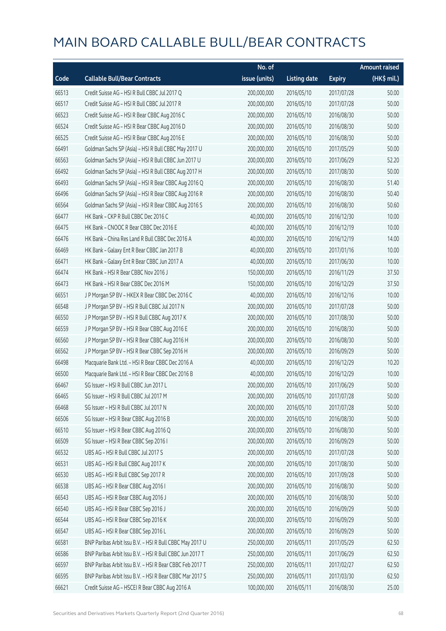|       |                                                          | No. of        |                     |               | <b>Amount raised</b>  |
|-------|----------------------------------------------------------|---------------|---------------------|---------------|-----------------------|
| Code  | <b>Callable Bull/Bear Contracts</b>                      | issue (units) | <b>Listing date</b> | <b>Expiry</b> | $(HK\frac{1}{2}mil.)$ |
| 66513 | Credit Suisse AG - HSI R Bull CBBC Jul 2017 Q            | 200,000,000   | 2016/05/10          | 2017/07/28    | 50.00                 |
| 66517 | Credit Suisse AG - HSI R Bull CBBC Jul 2017 R            | 200,000,000   | 2016/05/10          | 2017/07/28    | 50.00                 |
| 66523 | Credit Suisse AG - HSI R Bear CBBC Aug 2016 C            | 200,000,000   | 2016/05/10          | 2016/08/30    | 50.00                 |
| 66524 | Credit Suisse AG - HSI R Bear CBBC Aug 2016 D            | 200,000,000   | 2016/05/10          | 2016/08/30    | 50.00                 |
| 66525 | Credit Suisse AG - HSI R Bear CBBC Aug 2016 E            | 200,000,000   | 2016/05/10          | 2016/08/30    | 50.00                 |
| 66491 | Goldman Sachs SP (Asia) - HSI R Bull CBBC May 2017 U     | 200,000,000   | 2016/05/10          | 2017/05/29    | 50.00                 |
| 66563 | Goldman Sachs SP (Asia) - HSI R Bull CBBC Jun 2017 U     | 200,000,000   | 2016/05/10          | 2017/06/29    | 52.20                 |
| 66492 | Goldman Sachs SP (Asia) - HSI R Bull CBBC Aug 2017 H     | 200,000,000   | 2016/05/10          | 2017/08/30    | 50.00                 |
| 66493 | Goldman Sachs SP (Asia) - HSI R Bear CBBC Aug 2016 Q     | 200,000,000   | 2016/05/10          | 2016/08/30    | 51.40                 |
| 66496 | Goldman Sachs SP (Asia) - HSI R Bear CBBC Aug 2016 R     | 200,000,000   | 2016/05/10          | 2016/08/30    | 50.40                 |
| 66564 | Goldman Sachs SP (Asia) - HSI R Bear CBBC Aug 2016 S     | 200,000,000   | 2016/05/10          | 2016/08/30    | 50.60                 |
| 66477 | HK Bank - CKP R Bull CBBC Dec 2016 C                     | 40,000,000    | 2016/05/10          | 2016/12/30    | 10.00                 |
| 66475 | HK Bank - CNOOC R Bear CBBC Dec 2016 E                   | 40,000,000    | 2016/05/10          | 2016/12/19    | 10.00                 |
| 66476 | HK Bank - China Res Land R Bull CBBC Dec 2016 A          | 40,000,000    | 2016/05/10          | 2016/12/19    | 14.00                 |
| 66469 | HK Bank - Galaxy Ent R Bear CBBC Jan 2017 B              | 40,000,000    | 2016/05/10          | 2017/01/16    | 10.00                 |
| 66471 | HK Bank - Galaxy Ent R Bear CBBC Jun 2017 A              | 40,000,000    | 2016/05/10          | 2017/06/30    | 10.00                 |
| 66474 | HK Bank - HSI R Bear CBBC Nov 2016 J                     | 150,000,000   | 2016/05/10          | 2016/11/29    | 37.50                 |
| 66473 | HK Bank - HSI R Bear CBBC Dec 2016 M                     | 150,000,000   | 2016/05/10          | 2016/12/29    | 37.50                 |
| 66551 | J P Morgan SP BV - HKEX R Bear CBBC Dec 2016 C           | 40,000,000    | 2016/05/10          | 2016/12/16    | 10.00                 |
| 66548 | J P Morgan SP BV - HSI R Bull CBBC Jul 2017 N            | 200,000,000   | 2016/05/10          | 2017/07/28    | 50.00                 |
| 66550 | J P Morgan SP BV - HSI R Bull CBBC Aug 2017 K            | 200,000,000   | 2016/05/10          | 2017/08/30    | 50.00                 |
| 66559 | J P Morgan SP BV - HSI R Bear CBBC Aug 2016 E            | 200,000,000   | 2016/05/10          | 2016/08/30    | 50.00                 |
| 66560 | J P Morgan SP BV - HSI R Bear CBBC Aug 2016 H            | 200,000,000   | 2016/05/10          | 2016/08/30    | 50.00                 |
| 66562 | J P Morgan SP BV - HSI R Bear CBBC Sep 2016 H            | 200,000,000   | 2016/05/10          | 2016/09/29    | 50.00                 |
| 66498 | Macquarie Bank Ltd. - HSI R Bear CBBC Dec 2016 A         | 40,000,000    | 2016/05/10          | 2016/12/29    | 10.20                 |
| 66500 | Macquarie Bank Ltd. - HSI R Bear CBBC Dec 2016 B         | 40,000,000    | 2016/05/10          | 2016/12/29    | 10.00                 |
| 66467 | SG Issuer - HSI R Bull CBBC Jun 2017 L                   | 200,000,000   | 2016/05/10          | 2017/06/29    | 50.00                 |
| 66465 | SG Issuer - HSI R Bull CBBC Jul 2017 M                   | 200,000,000   | 2016/05/10          | 2017/07/28    | 50.00                 |
| 66468 | SG Issuer - HSI R Bull CBBC Jul 2017 N                   | 200,000,000   | 2016/05/10          | 2017/07/28    | 50.00                 |
| 66506 | SG Issuer - HSI R Bear CBBC Aug 2016 B                   | 200,000,000   | 2016/05/10          | 2016/08/30    | 50.00                 |
| 66510 | SG Issuer - HSI R Bear CBBC Aug 2016 Q                   | 200,000,000   | 2016/05/10          | 2016/08/30    | 50.00                 |
| 66509 | SG Issuer - HSI R Bear CBBC Sep 2016 I                   | 200,000,000   | 2016/05/10          | 2016/09/29    | 50.00                 |
| 66532 | UBS AG - HSI R Bull CBBC Jul 2017 S                      | 200,000,000   | 2016/05/10          | 2017/07/28    | 50.00                 |
| 66531 | UBS AG - HSI R Bull CBBC Aug 2017 K                      | 200,000,000   | 2016/05/10          | 2017/08/30    | 50.00                 |
| 66530 | UBS AG - HSI R Bull CBBC Sep 2017 R                      | 200,000,000   | 2016/05/10          | 2017/09/28    | 50.00                 |
| 66538 | UBS AG - HSI R Bear CBBC Aug 2016 I                      | 200,000,000   | 2016/05/10          | 2016/08/30    | 50.00                 |
| 66543 | UBS AG - HSI R Bear CBBC Aug 2016 J                      | 200,000,000   | 2016/05/10          | 2016/08/30    | 50.00                 |
| 66540 | UBS AG - HSI R Bear CBBC Sep 2016 J                      | 200,000,000   | 2016/05/10          | 2016/09/29    | 50.00                 |
| 66544 | UBS AG - HSI R Bear CBBC Sep 2016 K                      | 200,000,000   | 2016/05/10          | 2016/09/29    | 50.00                 |
| 66547 | UBS AG - HSI R Bear CBBC Sep 2016 L                      | 200,000,000   | 2016/05/10          | 2016/09/29    | 50.00                 |
| 66581 | BNP Paribas Arbit Issu B.V. - HSI R Bull CBBC May 2017 U | 250,000,000   | 2016/05/11          | 2017/05/29    | 62.50                 |
| 66586 | BNP Paribas Arbit Issu B.V. - HSI R Bull CBBC Jun 2017 T | 250,000,000   | 2016/05/11          | 2017/06/29    | 62.50                 |
| 66597 | BNP Paribas Arbit Issu B.V. - HSI R Bear CBBC Feb 2017 T | 250,000,000   | 2016/05/11          | 2017/02/27    | 62.50                 |
| 66595 | BNP Paribas Arbit Issu B.V. - HSI R Bear CBBC Mar 2017 S | 250,000,000   | 2016/05/11          | 2017/03/30    | 62.50                 |
| 66621 | Credit Suisse AG - HSCEI R Bear CBBC Aug 2016 A          | 100,000,000   | 2016/05/11          | 2016/08/30    | 25.00                 |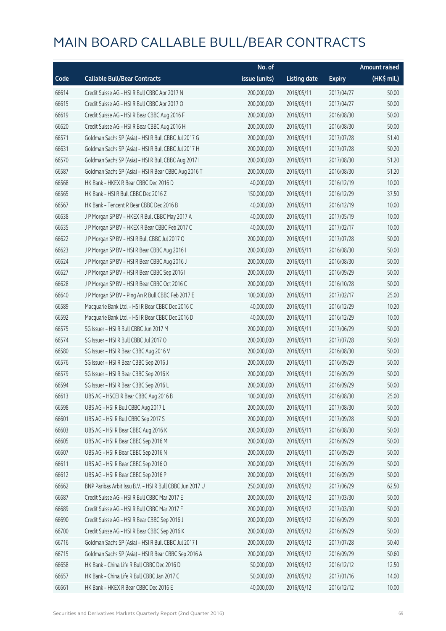|       |                                                          | No. of        |                     |               | <b>Amount raised</b> |
|-------|----------------------------------------------------------|---------------|---------------------|---------------|----------------------|
| Code  | <b>Callable Bull/Bear Contracts</b>                      | issue (units) | <b>Listing date</b> | <b>Expiry</b> | (HK\$ mil.)          |
| 66614 | Credit Suisse AG - HSI R Bull CBBC Apr 2017 N            | 200,000,000   | 2016/05/11          | 2017/04/27    | 50.00                |
| 66615 | Credit Suisse AG - HSI R Bull CBBC Apr 2017 O            | 200,000,000   | 2016/05/11          | 2017/04/27    | 50.00                |
| 66619 | Credit Suisse AG - HSI R Bear CBBC Aug 2016 F            | 200,000,000   | 2016/05/11          | 2016/08/30    | 50.00                |
| 66620 | Credit Suisse AG - HSI R Bear CBBC Aug 2016 H            | 200,000,000   | 2016/05/11          | 2016/08/30    | 50.00                |
| 66571 | Goldman Sachs SP (Asia) - HSI R Bull CBBC Jul 2017 G     | 200,000,000   | 2016/05/11          | 2017/07/28    | 51.40                |
| 66631 | Goldman Sachs SP (Asia) - HSI R Bull CBBC Jul 2017 H     | 200,000,000   | 2016/05/11          | 2017/07/28    | 50.20                |
| 66570 | Goldman Sachs SP (Asia) - HSI R Bull CBBC Aug 2017 I     | 200,000,000   | 2016/05/11          | 2017/08/30    | 51.20                |
| 66587 | Goldman Sachs SP (Asia) - HSI R Bear CBBC Aug 2016 T     | 200,000,000   | 2016/05/11          | 2016/08/30    | 51.20                |
| 66568 | HK Bank - HKEX R Bear CBBC Dec 2016 D                    | 40,000,000    | 2016/05/11          | 2016/12/19    | 10.00                |
| 66565 | HK Bank - HSI R Bull CBBC Dec 2016 Z                     | 150,000,000   | 2016/05/11          | 2016/12/29    | 37.50                |
| 66567 | HK Bank - Tencent R Bear CBBC Dec 2016 B                 | 40,000,000    | 2016/05/11          | 2016/12/19    | 10.00                |
| 66638 | J P Morgan SP BV - HKEX R Bull CBBC May 2017 A           | 40,000,000    | 2016/05/11          | 2017/05/19    | 10.00                |
| 66635 | J P Morgan SP BV - HKEX R Bear CBBC Feb 2017 C           | 40,000,000    | 2016/05/11          | 2017/02/17    | 10.00                |
| 66622 | J P Morgan SP BV - HSI R Bull CBBC Jul 2017 O            | 200,000,000   | 2016/05/11          | 2017/07/28    | 50.00                |
| 66623 | J P Morgan SP BV - HSI R Bear CBBC Aug 2016 I            | 200,000,000   | 2016/05/11          | 2016/08/30    | 50.00                |
| 66624 | J P Morgan SP BV - HSI R Bear CBBC Aug 2016 J            | 200,000,000   | 2016/05/11          | 2016/08/30    | 50.00                |
| 66627 | J P Morgan SP BV - HSI R Bear CBBC Sep 2016 I            | 200,000,000   | 2016/05/11          | 2016/09/29    | 50.00                |
| 66628 | J P Morgan SP BV - HSI R Bear CBBC Oct 2016 C            | 200,000,000   | 2016/05/11          | 2016/10/28    | 50.00                |
| 66640 | J P Morgan SP BV - Ping An R Bull CBBC Feb 2017 E        | 100,000,000   | 2016/05/11          | 2017/02/17    | 25.00                |
| 66589 | Macquarie Bank Ltd. - HSI R Bear CBBC Dec 2016 C         | 40,000,000    | 2016/05/11          | 2016/12/29    | 10.20                |
| 66592 | Macquarie Bank Ltd. - HSI R Bear CBBC Dec 2016 D         | 40,000,000    | 2016/05/11          | 2016/12/29    | 10.00                |
| 66575 | SG Issuer - HSI R Bull CBBC Jun 2017 M                   | 200,000,000   | 2016/05/11          | 2017/06/29    | 50.00                |
| 66574 | SG Issuer - HSI R Bull CBBC Jul 2017 O                   | 200,000,000   | 2016/05/11          | 2017/07/28    | 50.00                |
| 66580 | SG Issuer - HSI R Bear CBBC Aug 2016 V                   | 200,000,000   | 2016/05/11          | 2016/08/30    | 50.00                |
| 66576 | SG Issuer - HSI R Bear CBBC Sep 2016 J                   | 200,000,000   | 2016/05/11          | 2016/09/29    | 50.00                |
| 66579 | SG Issuer - HSI R Bear CBBC Sep 2016 K                   | 200,000,000   | 2016/05/11          | 2016/09/29    | 50.00                |
| 66594 | SG Issuer - HSI R Bear CBBC Sep 2016 L                   | 200,000,000   | 2016/05/11          | 2016/09/29    | 50.00                |
| 66613 | UBS AG - HSCEI R Bear CBBC Aug 2016 B                    | 100,000,000   | 2016/05/11          | 2016/08/30    | 25.00                |
| 66598 | UBS AG - HSI R Bull CBBC Aug 2017 L                      | 200,000,000   | 2016/05/11          | 2017/08/30    | 50.00                |
| 66601 | UBS AG - HSI R Bull CBBC Sep 2017 S                      | 200,000,000   | 2016/05/11          | 2017/09/28    | 50.00                |
| 66603 | UBS AG - HSI R Bear CBBC Aug 2016 K                      | 200,000,000   | 2016/05/11          | 2016/08/30    | 50.00                |
| 66605 | UBS AG - HSI R Bear CBBC Sep 2016 M                      | 200,000,000   | 2016/05/11          | 2016/09/29    | 50.00                |
| 66607 | UBS AG - HSI R Bear CBBC Sep 2016 N                      | 200,000,000   | 2016/05/11          | 2016/09/29    | 50.00                |
| 66611 | UBS AG - HSI R Bear CBBC Sep 2016 O                      | 200,000,000   | 2016/05/11          | 2016/09/29    | 50.00                |
| 66612 | UBS AG - HSI R Bear CBBC Sep 2016 P                      | 200,000,000   | 2016/05/11          | 2016/09/29    | 50.00                |
| 66662 | BNP Paribas Arbit Issu B.V. - HSI R Bull CBBC Jun 2017 U | 250,000,000   | 2016/05/12          | 2017/06/29    | 62.50                |
| 66687 | Credit Suisse AG - HSI R Bull CBBC Mar 2017 E            | 200,000,000   | 2016/05/12          | 2017/03/30    | 50.00                |
| 66689 | Credit Suisse AG - HSI R Bull CBBC Mar 2017 F            | 200,000,000   | 2016/05/12          | 2017/03/30    | 50.00                |
| 66690 | Credit Suisse AG - HSI R Bear CBBC Sep 2016 J            | 200,000,000   | 2016/05/12          | 2016/09/29    | 50.00                |
| 66700 | Credit Suisse AG - HSI R Bear CBBC Sep 2016 K            | 200,000,000   | 2016/05/12          | 2016/09/29    | 50.00                |
| 66716 | Goldman Sachs SP (Asia) - HSI R Bull CBBC Jul 2017 I     | 200,000,000   | 2016/05/12          | 2017/07/28    | 50.40                |
| 66715 | Goldman Sachs SP (Asia) - HSI R Bear CBBC Sep 2016 A     | 200,000,000   | 2016/05/12          | 2016/09/29    | 50.60                |
| 66658 | HK Bank - China Life R Bull CBBC Dec 2016 D              | 50,000,000    | 2016/05/12          | 2016/12/12    | 12.50                |
| 66657 | HK Bank - China Life R Bull CBBC Jan 2017 C              | 50,000,000    | 2016/05/12          | 2017/01/16    | 14.00                |
| 66661 | HK Bank - HKEX R Bear CBBC Dec 2016 E                    | 40,000,000    | 2016/05/12          | 2016/12/12    | 10.00                |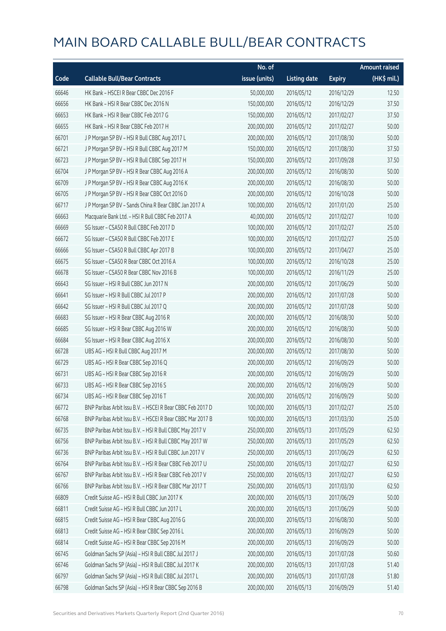|       |                                                            | No. of        |                     |               | <b>Amount raised</b> |
|-------|------------------------------------------------------------|---------------|---------------------|---------------|----------------------|
| Code  | <b>Callable Bull/Bear Contracts</b>                        | issue (units) | <b>Listing date</b> | <b>Expiry</b> | (HK\$ mil.)          |
| 66646 | HK Bank - HSCEI R Bear CBBC Dec 2016 F                     | 50,000,000    | 2016/05/12          | 2016/12/29    | 12.50                |
| 66656 | HK Bank - HSI R Bear CBBC Dec 2016 N                       | 150,000,000   | 2016/05/12          | 2016/12/29    | 37.50                |
| 66653 | HK Bank - HSI R Bear CBBC Feb 2017 G                       | 150,000,000   | 2016/05/12          | 2017/02/27    | 37.50                |
| 66655 | HK Bank - HSI R Bear CBBC Feb 2017 H                       | 200,000,000   | 2016/05/12          | 2017/02/27    | 50.00                |
| 66701 | J P Morgan SP BV - HSI R Bull CBBC Aug 2017 L              | 200,000,000   | 2016/05/12          | 2017/08/30    | 50.00                |
| 66721 | J P Morgan SP BV - HSI R Bull CBBC Aug 2017 M              | 150,000,000   | 2016/05/12          | 2017/08/30    | 37.50                |
| 66723 | J P Morgan SP BV - HSI R Bull CBBC Sep 2017 H              | 150,000,000   | 2016/05/12          | 2017/09/28    | 37.50                |
| 66704 | J P Morgan SP BV - HSI R Bear CBBC Aug 2016 A              | 200,000,000   | 2016/05/12          | 2016/08/30    | 50.00                |
| 66709 | J P Morgan SP BV - HSI R Bear CBBC Aug 2016 K              | 200,000,000   | 2016/05/12          | 2016/08/30    | 50.00                |
| 66705 | J P Morgan SP BV - HSI R Bear CBBC Oct 2016 D              | 200,000,000   | 2016/05/12          | 2016/10/28    | 50.00                |
| 66717 | J P Morgan SP BV - Sands China R Bear CBBC Jan 2017 A      | 100,000,000   | 2016/05/12          | 2017/01/20    | 25.00                |
| 66663 | Macquarie Bank Ltd. - HSI R Bull CBBC Feb 2017 A           | 40,000,000    | 2016/05/12          | 2017/02/27    | 10.00                |
| 66669 | SG Issuer - CSA50 R Bull CBBC Feb 2017 D                   | 100,000,000   | 2016/05/12          | 2017/02/27    | 25.00                |
| 66672 | SG Issuer - CSA50 R Bull CBBC Feb 2017 E                   | 100,000,000   | 2016/05/12          | 2017/02/27    | 25.00                |
| 66666 | SG Issuer - CSA50 R Bull CBBC Apr 2017 B                   | 100,000,000   | 2016/05/12          | 2017/04/27    | 25.00                |
| 66675 | SG Issuer - CSA50 R Bear CBBC Oct 2016 A                   | 100,000,000   | 2016/05/12          | 2016/10/28    | 25.00                |
| 66678 | SG Issuer - CSA50 R Bear CBBC Nov 2016 B                   | 100,000,000   | 2016/05/12          | 2016/11/29    | 25.00                |
| 66643 | SG Issuer - HSI R Bull CBBC Jun 2017 N                     | 200,000,000   | 2016/05/12          | 2017/06/29    | 50.00                |
| 66641 | SG Issuer - HSI R Bull CBBC Jul 2017 P                     | 200,000,000   | 2016/05/12          | 2017/07/28    | 50.00                |
| 66642 | SG Issuer - HSI R Bull CBBC Jul 2017 Q                     | 200,000,000   | 2016/05/12          | 2017/07/28    | 50.00                |
| 66683 | SG Issuer - HSI R Bear CBBC Aug 2016 R                     | 200,000,000   | 2016/05/12          | 2016/08/30    | 50.00                |
| 66685 | SG Issuer - HSI R Bear CBBC Aug 2016 W                     | 200,000,000   | 2016/05/12          | 2016/08/30    | 50.00                |
| 66684 | SG Issuer - HSI R Bear CBBC Aug 2016 X                     | 200,000,000   | 2016/05/12          | 2016/08/30    | 50.00                |
| 66728 | UBS AG - HSI R Bull CBBC Aug 2017 M                        | 200,000,000   | 2016/05/12          | 2017/08/30    | 50.00                |
| 66729 | UBS AG - HSI R Bear CBBC Sep 2016 Q                        | 200,000,000   | 2016/05/12          | 2016/09/29    | 50.00                |
| 66731 | UBS AG - HSI R Bear CBBC Sep 2016 R                        | 200,000,000   | 2016/05/12          | 2016/09/29    | 50.00                |
| 66733 | UBS AG - HSI R Bear CBBC Sep 2016 S                        | 200,000,000   | 2016/05/12          | 2016/09/29    | 50.00                |
| 66734 | UBS AG - HSI R Bear CBBC Sep 2016 T                        | 200,000,000   | 2016/05/12          | 2016/09/29    | 50.00                |
| 66772 | BNP Paribas Arbit Issu B.V. - HSCEI R Bear CBBC Feb 2017 D | 100,000,000   | 2016/05/13          | 2017/02/27    | 25.00                |
| 66768 | BNP Paribas Arbit Issu B.V. - HSCEI R Bear CBBC Mar 2017 B | 100,000,000   | 2016/05/13          | 2017/03/30    | 25.00                |
| 66735 | BNP Paribas Arbit Issu B.V. - HSI R Bull CBBC May 2017 V   | 250,000,000   | 2016/05/13          | 2017/05/29    | 62.50                |
| 66756 | BNP Paribas Arbit Issu B.V. - HSI R Bull CBBC May 2017 W   | 250,000,000   | 2016/05/13          | 2017/05/29    | 62.50                |
| 66736 | BNP Paribas Arbit Issu B.V. - HSI R Bull CBBC Jun 2017 V   | 250,000,000   | 2016/05/13          | 2017/06/29    | 62.50                |
| 66764 | BNP Paribas Arbit Issu B.V. - HSI R Bear CBBC Feb 2017 U   | 250,000,000   | 2016/05/13          | 2017/02/27    | 62.50                |
| 66767 | BNP Paribas Arbit Issu B.V. - HSI R Bear CBBC Feb 2017 V   | 250,000,000   | 2016/05/13          | 2017/02/27    | 62.50                |
| 66766 | BNP Paribas Arbit Issu B.V. - HSI R Bear CBBC Mar 2017 T   | 250,000,000   | 2016/05/13          | 2017/03/30    | 62.50                |
| 66809 | Credit Suisse AG - HSI R Bull CBBC Jun 2017 K              | 200,000,000   | 2016/05/13          | 2017/06/29    | 50.00                |
| 66811 | Credit Suisse AG - HSI R Bull CBBC Jun 2017 L              | 200,000,000   | 2016/05/13          | 2017/06/29    | 50.00                |
| 66815 | Credit Suisse AG - HSI R Bear CBBC Aug 2016 G              | 200,000,000   | 2016/05/13          | 2016/08/30    | 50.00                |
| 66813 | Credit Suisse AG - HSI R Bear CBBC Sep 2016 L              | 200,000,000   | 2016/05/13          | 2016/09/29    | 50.00                |
| 66814 | Credit Suisse AG - HSI R Bear CBBC Sep 2016 M              | 200,000,000   | 2016/05/13          | 2016/09/29    | 50.00                |
| 66745 | Goldman Sachs SP (Asia) - HSI R Bull CBBC Jul 2017 J       | 200,000,000   | 2016/05/13          | 2017/07/28    | 50.60                |
| 66746 | Goldman Sachs SP (Asia) - HSI R Bull CBBC Jul 2017 K       | 200,000,000   | 2016/05/13          | 2017/07/28    | 51.40                |
| 66797 | Goldman Sachs SP (Asia) - HSI R Bull CBBC Jul 2017 L       | 200,000,000   | 2016/05/13          | 2017/07/28    | 51.80                |
| 66798 | Goldman Sachs SP (Asia) - HSI R Bear CBBC Sep 2016 B       | 200,000,000   | 2016/05/13          | 2016/09/29    | 51.40                |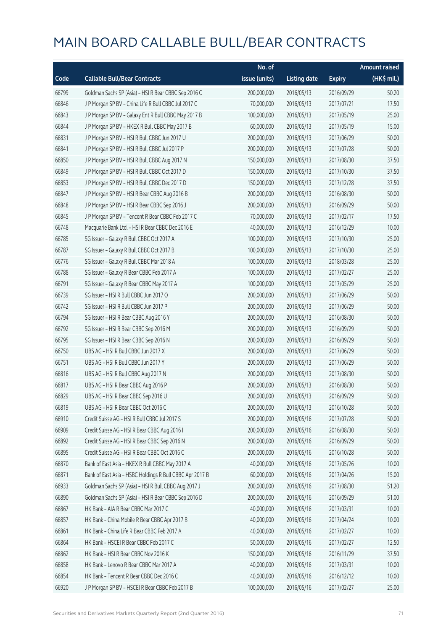|       |                                                          | No. of        |                     |               | <b>Amount raised</b> |
|-------|----------------------------------------------------------|---------------|---------------------|---------------|----------------------|
| Code  | <b>Callable Bull/Bear Contracts</b>                      | issue (units) | <b>Listing date</b> | <b>Expiry</b> | $(HK$$ mil.)         |
| 66799 | Goldman Sachs SP (Asia) - HSI R Bear CBBC Sep 2016 C     | 200,000,000   | 2016/05/13          | 2016/09/29    | 50.20                |
| 66846 | J P Morgan SP BV - China Life R Bull CBBC Jul 2017 C     | 70,000,000    | 2016/05/13          | 2017/07/21    | 17.50                |
| 66843 | J P Morgan SP BV - Galaxy Ent R Bull CBBC May 2017 B     | 100,000,000   | 2016/05/13          | 2017/05/19    | 25.00                |
| 66844 | J P Morgan SP BV - HKEX R Bull CBBC May 2017 B           | 60,000,000    | 2016/05/13          | 2017/05/19    | 15.00                |
| 66831 | J P Morgan SP BV - HSI R Bull CBBC Jun 2017 U            | 200,000,000   | 2016/05/13          | 2017/06/29    | 50.00                |
| 66841 | J P Morgan SP BV - HSI R Bull CBBC Jul 2017 P            | 200,000,000   | 2016/05/13          | 2017/07/28    | 50.00                |
| 66850 | J P Morgan SP BV - HSI R Bull CBBC Aug 2017 N            | 150,000,000   | 2016/05/13          | 2017/08/30    | 37.50                |
| 66849 | J P Morgan SP BV - HSI R Bull CBBC Oct 2017 D            | 150,000,000   | 2016/05/13          | 2017/10/30    | 37.50                |
| 66853 | J P Morgan SP BV - HSI R Bull CBBC Dec 2017 D            | 150,000,000   | 2016/05/13          | 2017/12/28    | 37.50                |
| 66847 | J P Morgan SP BV - HSI R Bear CBBC Aug 2016 B            | 200,000,000   | 2016/05/13          | 2016/08/30    | 50.00                |
| 66848 | J P Morgan SP BV - HSI R Bear CBBC Sep 2016 J            | 200,000,000   | 2016/05/13          | 2016/09/29    | 50.00                |
| 66845 | J P Morgan SP BV - Tencent R Bear CBBC Feb 2017 C        | 70,000,000    | 2016/05/13          | 2017/02/17    | 17.50                |
| 66748 | Macquarie Bank Ltd. - HSI R Bear CBBC Dec 2016 E         | 40,000,000    | 2016/05/13          | 2016/12/29    | 10.00                |
| 66785 | SG Issuer - Galaxy R Bull CBBC Oct 2017 A                | 100,000,000   | 2016/05/13          | 2017/10/30    | 25.00                |
| 66787 | SG Issuer - Galaxy R Bull CBBC Oct 2017 B                | 100,000,000   | 2016/05/13          | 2017/10/30    | 25.00                |
| 66776 | SG Issuer - Galaxy R Bull CBBC Mar 2018 A                | 100,000,000   | 2016/05/13          | 2018/03/28    | 25.00                |
| 66788 | SG Issuer - Galaxy R Bear CBBC Feb 2017 A                | 100,000,000   | 2016/05/13          | 2017/02/27    | 25.00                |
| 66791 | SG Issuer - Galaxy R Bear CBBC May 2017 A                | 100,000,000   | 2016/05/13          | 2017/05/29    | 25.00                |
| 66739 | SG Issuer - HSI R Bull CBBC Jun 2017 O                   | 200,000,000   | 2016/05/13          | 2017/06/29    | 50.00                |
| 66742 | SG Issuer - HSI R Bull CBBC Jun 2017 P                   | 200,000,000   | 2016/05/13          | 2017/06/29    | 50.00                |
| 66794 | SG Issuer - HSI R Bear CBBC Aug 2016 Y                   | 200,000,000   | 2016/05/13          | 2016/08/30    | 50.00                |
| 66792 | SG Issuer - HSI R Bear CBBC Sep 2016 M                   | 200,000,000   | 2016/05/13          | 2016/09/29    | 50.00                |
| 66795 | SG Issuer - HSI R Bear CBBC Sep 2016 N                   | 200,000,000   | 2016/05/13          | 2016/09/29    | 50.00                |
| 66750 | UBS AG - HSI R Bull CBBC Jun 2017 X                      | 200,000,000   | 2016/05/13          | 2017/06/29    | 50.00                |
| 66751 | UBS AG - HSI R Bull CBBC Jun 2017 Y                      | 200,000,000   | 2016/05/13          | 2017/06/29    | 50.00                |
| 66816 | UBS AG - HSI R Bull CBBC Aug 2017 N                      | 200,000,000   | 2016/05/13          | 2017/08/30    | 50.00                |
| 66817 | UBS AG - HSI R Bear CBBC Aug 2016 P                      | 200,000,000   | 2016/05/13          | 2016/08/30    | 50.00                |
| 66829 | UBS AG - HSI R Bear CBBC Sep 2016 U                      | 200,000,000   | 2016/05/13          | 2016/09/29    | 50.00                |
| 66819 | UBS AG - HSI R Bear CBBC Oct 2016 C                      | 200,000,000   | 2016/05/13          | 2016/10/28    | 50.00                |
| 66910 | Credit Suisse AG - HSI R Bull CBBC Jul 2017 S            | 200,000,000   | 2016/05/16          | 2017/07/28    | 50.00                |
| 66909 | Credit Suisse AG - HSI R Bear CBBC Aug 2016 I            | 200,000,000   | 2016/05/16          | 2016/08/30    | 50.00                |
| 66892 | Credit Suisse AG - HSI R Bear CBBC Sep 2016 N            | 200,000,000   | 2016/05/16          | 2016/09/29    | 50.00                |
| 66895 | Credit Suisse AG - HSI R Bear CBBC Oct 2016 C            | 200,000,000   | 2016/05/16          | 2016/10/28    | 50.00                |
| 66870 | Bank of East Asia - HKEX R Bull CBBC May 2017 A          | 40,000,000    | 2016/05/16          | 2017/05/26    | 10.00                |
| 66871 | Bank of East Asia - HSBC Holdings R Bull CBBC Apr 2017 B | 60,000,000    | 2016/05/16          | 2017/04/26    | 15.00                |
| 66933 | Goldman Sachs SP (Asia) - HSI R Bull CBBC Aug 2017 J     | 200,000,000   | 2016/05/16          | 2017/08/30    | 51.20                |
| 66890 | Goldman Sachs SP (Asia) - HSI R Bear CBBC Sep 2016 D     | 200,000,000   | 2016/05/16          | 2016/09/29    | 51.00                |
| 66867 | HK Bank - AIA R Bear CBBC Mar 2017 C                     | 40,000,000    | 2016/05/16          | 2017/03/31    | 10.00                |
| 66857 | HK Bank - China Mobile R Bear CBBC Apr 2017 B            | 40,000,000    | 2016/05/16          | 2017/04/24    | 10.00                |
| 66861 | HK Bank - China Life R Bear CBBC Feb 2017 A              | 40,000,000    | 2016/05/16          | 2017/02/27    | 10.00                |
| 66864 | HK Bank - HSCEI R Bear CBBC Feb 2017 C                   | 50,000,000    | 2016/05/16          | 2017/02/27    | 12.50                |
| 66862 | HK Bank - HSI R Bear CBBC Nov 2016 K                     | 150,000,000   | 2016/05/16          | 2016/11/29    | 37.50                |
| 66858 | HK Bank - Lenovo R Bear CBBC Mar 2017 A                  | 40,000,000    | 2016/05/16          | 2017/03/31    | 10.00                |
| 66854 | HK Bank - Tencent R Bear CBBC Dec 2016 C                 | 40,000,000    | 2016/05/16          | 2016/12/12    | 10.00                |
| 66920 | J P Morgan SP BV - HSCEI R Bear CBBC Feb 2017 B          | 100,000,000   | 2016/05/16          | 2017/02/27    | 25.00                |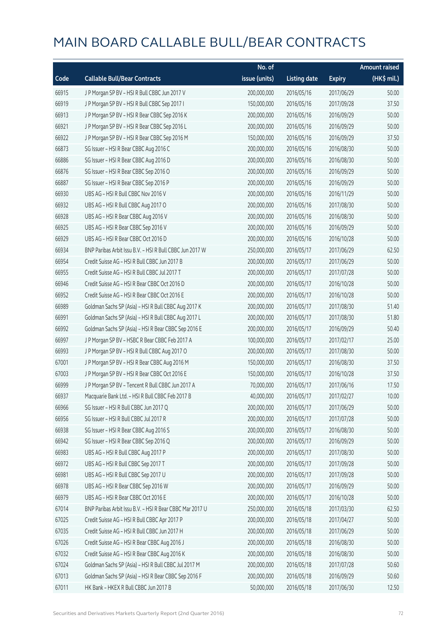|       |                                                          | No. of        |                     |               | <b>Amount raised</b> |
|-------|----------------------------------------------------------|---------------|---------------------|---------------|----------------------|
| Code  | <b>Callable Bull/Bear Contracts</b>                      | issue (units) | <b>Listing date</b> | <b>Expiry</b> | $(HK$$ mil.)         |
| 66915 | J P Morgan SP BV - HSI R Bull CBBC Jun 2017 V            | 200,000,000   | 2016/05/16          | 2017/06/29    | 50.00                |
| 66919 | J P Morgan SP BV - HSI R Bull CBBC Sep 2017 I            | 150,000,000   | 2016/05/16          | 2017/09/28    | 37.50                |
| 66913 | J P Morgan SP BV - HSI R Bear CBBC Sep 2016 K            | 200,000,000   | 2016/05/16          | 2016/09/29    | 50.00                |
| 66921 | J P Morgan SP BV - HSI R Bear CBBC Sep 2016 L            | 200,000,000   | 2016/05/16          | 2016/09/29    | 50.00                |
| 66922 | J P Morgan SP BV - HSI R Bear CBBC Sep 2016 M            | 150,000,000   | 2016/05/16          | 2016/09/29    | 37.50                |
| 66873 | SG Issuer - HSI R Bear CBBC Aug 2016 C                   | 200,000,000   | 2016/05/16          | 2016/08/30    | 50.00                |
| 66886 | SG Issuer - HSI R Bear CBBC Aug 2016 D                   | 200,000,000   | 2016/05/16          | 2016/08/30    | 50.00                |
| 66876 | SG Issuer - HSI R Bear CBBC Sep 2016 O                   | 200,000,000   | 2016/05/16          | 2016/09/29    | 50.00                |
| 66887 | SG Issuer - HSI R Bear CBBC Sep 2016 P                   | 200,000,000   | 2016/05/16          | 2016/09/29    | 50.00                |
| 66930 | UBS AG - HSI R Bull CBBC Nov 2016 V                      | 200,000,000   | 2016/05/16          | 2016/11/29    | 50.00                |
| 66932 | UBS AG - HSI R Bull CBBC Aug 2017 O                      | 200,000,000   | 2016/05/16          | 2017/08/30    | 50.00                |
| 66928 | UBS AG - HSI R Bear CBBC Aug 2016 V                      | 200,000,000   | 2016/05/16          | 2016/08/30    | 50.00                |
| 66925 | UBS AG - HSI R Bear CBBC Sep 2016 V                      | 200,000,000   | 2016/05/16          | 2016/09/29    | 50.00                |
| 66929 | UBS AG - HSI R Bear CBBC Oct 2016 D                      | 200,000,000   | 2016/05/16          | 2016/10/28    | 50.00                |
| 66934 | BNP Paribas Arbit Issu B.V. - HSI R Bull CBBC Jun 2017 W | 250,000,000   | 2016/05/17          | 2017/06/29    | 62.50                |
| 66954 | Credit Suisse AG - HSI R Bull CBBC Jun 2017 B            | 200,000,000   | 2016/05/17          | 2017/06/29    | 50.00                |
| 66955 | Credit Suisse AG - HSI R Bull CBBC Jul 2017 T            | 200,000,000   | 2016/05/17          | 2017/07/28    | 50.00                |
| 66946 | Credit Suisse AG - HSI R Bear CBBC Oct 2016 D            | 200,000,000   | 2016/05/17          | 2016/10/28    | 50.00                |
| 66952 | Credit Suisse AG - HSI R Bear CBBC Oct 2016 E            | 200,000,000   | 2016/05/17          | 2016/10/28    | 50.00                |
| 66989 | Goldman Sachs SP (Asia) - HSI R Bull CBBC Aug 2017 K     | 200,000,000   | 2016/05/17          | 2017/08/30    | 51.40                |
| 66991 | Goldman Sachs SP (Asia) - HSI R Bull CBBC Aug 2017 L     | 200,000,000   | 2016/05/17          | 2017/08/30    | 51.80                |
| 66992 | Goldman Sachs SP (Asia) - HSI R Bear CBBC Sep 2016 E     | 200,000,000   | 2016/05/17          | 2016/09/29    | 50.40                |
| 66997 | J P Morgan SP BV - HSBC R Bear CBBC Feb 2017 A           | 100,000,000   | 2016/05/17          | 2017/02/17    | 25.00                |
| 66993 | J P Morgan SP BV - HSI R Bull CBBC Aug 2017 O            | 200,000,000   | 2016/05/17          | 2017/08/30    | 50.00                |
| 67001 | J P Morgan SP BV - HSI R Bear CBBC Aug 2016 M            | 150,000,000   | 2016/05/17          | 2016/08/30    | 37.50                |
| 67003 | J P Morgan SP BV - HSI R Bear CBBC Oct 2016 E            | 150,000,000   | 2016/05/17          | 2016/10/28    | 37.50                |
| 66999 | J P Morgan SP BV - Tencent R Bull CBBC Jun 2017 A        | 70,000,000    | 2016/05/17          | 2017/06/16    | 17.50                |
| 66937 | Macquarie Bank Ltd. - HSI R Bull CBBC Feb 2017 B         | 40,000,000    | 2016/05/17          | 2017/02/27    | 10.00                |
| 66966 | SG Issuer - HSI R Bull CBBC Jun 2017 Q                   | 200,000,000   | 2016/05/17          | 2017/06/29    | 50.00                |
| 66956 | SG Issuer - HSI R Bull CBBC Jul 2017 R                   | 200,000,000   | 2016/05/17          | 2017/07/28    | 50.00                |
| 66938 | SG Issuer - HSI R Bear CBBC Aug 2016 S                   | 200,000,000   | 2016/05/17          | 2016/08/30    | 50.00                |
| 66942 | SG Issuer - HSI R Bear CBBC Sep 2016 Q                   | 200,000,000   | 2016/05/17          | 2016/09/29    | 50.00                |
| 66983 | UBS AG - HSI R Bull CBBC Aug 2017 P                      | 200,000,000   | 2016/05/17          | 2017/08/30    | 50.00                |
| 66972 | UBS AG - HSI R Bull CBBC Sep 2017 T                      | 200,000,000   | 2016/05/17          | 2017/09/28    | 50.00                |
| 66981 | UBS AG - HSI R Bull CBBC Sep 2017 U                      | 200,000,000   | 2016/05/17          | 2017/09/28    | 50.00                |
| 66978 | UBS AG - HSI R Bear CBBC Sep 2016 W                      | 200,000,000   | 2016/05/17          | 2016/09/29    | 50.00                |
| 66979 | UBS AG - HSI R Bear CBBC Oct 2016 E                      | 200,000,000   | 2016/05/17          | 2016/10/28    | 50.00                |
| 67014 | BNP Paribas Arbit Issu B.V. - HSI R Bear CBBC Mar 2017 U | 250,000,000   | 2016/05/18          | 2017/03/30    | 62.50                |
| 67025 | Credit Suisse AG - HSI R Bull CBBC Apr 2017 P            | 200,000,000   | 2016/05/18          | 2017/04/27    | 50.00                |
| 67035 | Credit Suisse AG - HSI R Bull CBBC Jun 2017 H            | 200,000,000   | 2016/05/18          | 2017/06/29    | 50.00                |
| 67026 | Credit Suisse AG - HSI R Bear CBBC Aug 2016 J            | 200,000,000   | 2016/05/18          | 2016/08/30    | 50.00                |
| 67032 | Credit Suisse AG - HSI R Bear CBBC Aug 2016 K            | 200,000,000   | 2016/05/18          | 2016/08/30    | 50.00                |
| 67024 | Goldman Sachs SP (Asia) - HSI R Bull CBBC Jul 2017 M     | 200,000,000   | 2016/05/18          | 2017/07/28    | 50.60                |
| 67013 | Goldman Sachs SP (Asia) - HSI R Bear CBBC Sep 2016 F     | 200,000,000   | 2016/05/18          | 2016/09/29    | 50.60                |
| 67011 | HK Bank - HKEX R Bull CBBC Jun 2017 B                    | 50,000,000    | 2016/05/18          | 2017/06/30    | 12.50                |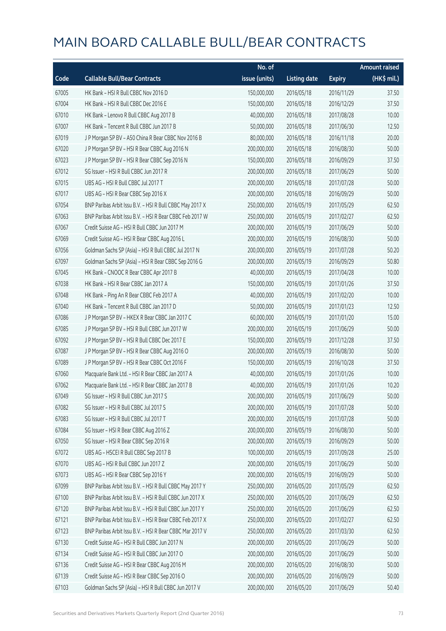|       |                                                          | No. of        |                     |               | <b>Amount raised</b> |
|-------|----------------------------------------------------------|---------------|---------------------|---------------|----------------------|
| Code  | <b>Callable Bull/Bear Contracts</b>                      | issue (units) | <b>Listing date</b> | <b>Expiry</b> | $(HK$$ mil.)         |
| 67005 | HK Bank - HSI R Bull CBBC Nov 2016 D                     | 150,000,000   | 2016/05/18          | 2016/11/29    | 37.50                |
| 67004 | HK Bank - HSI R Bull CBBC Dec 2016 E                     | 150,000,000   | 2016/05/18          | 2016/12/29    | 37.50                |
| 67010 | HK Bank - Lenovo R Bull CBBC Aug 2017 B                  | 40,000,000    | 2016/05/18          | 2017/08/28    | 10.00                |
| 67007 | HK Bank - Tencent R Bull CBBC Jun 2017 B                 | 50,000,000    | 2016/05/18          | 2017/06/30    | 12.50                |
| 67019 | J P Morgan SP BV - A50 China R Bear CBBC Nov 2016 B      | 80,000,000    | 2016/05/18          | 2016/11/18    | 20.00                |
| 67020 | J P Morgan SP BV - HSI R Bear CBBC Aug 2016 N            | 200,000,000   | 2016/05/18          | 2016/08/30    | 50.00                |
| 67023 | J P Morgan SP BV - HSI R Bear CBBC Sep 2016 N            | 150,000,000   | 2016/05/18          | 2016/09/29    | 37.50                |
| 67012 | SG Issuer - HSI R Bull CBBC Jun 2017 R                   | 200,000,000   | 2016/05/18          | 2017/06/29    | 50.00                |
| 67015 | UBS AG - HSI R Bull CBBC Jul 2017 T                      | 200,000,000   | 2016/05/18          | 2017/07/28    | 50.00                |
| 67017 | UBS AG - HSI R Bear CBBC Sep 2016 X                      | 200,000,000   | 2016/05/18          | 2016/09/29    | 50.00                |
| 67054 | BNP Paribas Arbit Issu B.V. - HSI R Bull CBBC May 2017 X | 250,000,000   | 2016/05/19          | 2017/05/29    | 62.50                |
| 67063 | BNP Paribas Arbit Issu B.V. - HSI R Bear CBBC Feb 2017 W | 250,000,000   | 2016/05/19          | 2017/02/27    | 62.50                |
| 67067 | Credit Suisse AG - HSI R Bull CBBC Jun 2017 M            | 200,000,000   | 2016/05/19          | 2017/06/29    | 50.00                |
| 67069 | Credit Suisse AG - HSI R Bear CBBC Aug 2016 L            | 200,000,000   | 2016/05/19          | 2016/08/30    | 50.00                |
| 67056 | Goldman Sachs SP (Asia) - HSI R Bull CBBC Jul 2017 N     | 200,000,000   | 2016/05/19          | 2017/07/28    | 50.20                |
| 67097 | Goldman Sachs SP (Asia) - HSI R Bear CBBC Sep 2016 G     | 200,000,000   | 2016/05/19          | 2016/09/29    | 50.80                |
| 67045 | HK Bank - CNOOC R Bear CBBC Apr 2017 B                   | 40,000,000    | 2016/05/19          | 2017/04/28    | 10.00                |
| 67038 | HK Bank - HSI R Bear CBBC Jan 2017 A                     | 150,000,000   | 2016/05/19          | 2017/01/26    | 37.50                |
| 67048 | HK Bank - Ping An R Bear CBBC Feb 2017 A                 | 40,000,000    | 2016/05/19          | 2017/02/20    | 10.00                |
| 67040 | HK Bank - Tencent R Bull CBBC Jan 2017 D                 | 50,000,000    | 2016/05/19          | 2017/01/23    | 12.50                |
| 67086 | J P Morgan SP BV - HKEX R Bear CBBC Jan 2017 C           | 60,000,000    | 2016/05/19          | 2017/01/20    | 15.00                |
| 67085 | J P Morgan SP BV - HSI R Bull CBBC Jun 2017 W            | 200,000,000   | 2016/05/19          | 2017/06/29    | 50.00                |
| 67092 | J P Morgan SP BV - HSI R Bull CBBC Dec 2017 E            | 150,000,000   | 2016/05/19          | 2017/12/28    | 37.50                |
| 67087 | J P Morgan SP BV - HSI R Bear CBBC Aug 2016 O            | 200,000,000   | 2016/05/19          | 2016/08/30    | 50.00                |
| 67089 | J P Morgan SP BV - HSI R Bear CBBC Oct 2016 F            | 150,000,000   | 2016/05/19          | 2016/10/28    | 37.50                |
| 67060 | Macquarie Bank Ltd. - HSI R Bear CBBC Jan 2017 A         | 40,000,000    | 2016/05/19          | 2017/01/26    | 10.00                |
| 67062 | Macquarie Bank Ltd. - HSI R Bear CBBC Jan 2017 B         | 40,000,000    | 2016/05/19          | 2017/01/26    | 10.20                |
| 67049 | SG Issuer - HSI R Bull CBBC Jun 2017 S                   | 200,000,000   | 2016/05/19          | 2017/06/29    | 50.00                |
| 67082 | SG Issuer - HSI R Bull CBBC Jul 2017 S                   | 200,000,000   | 2016/05/19          | 2017/07/28    | 50.00                |
| 67083 | SG Issuer - HSI R Bull CBBC Jul 2017 T                   | 200,000,000   | 2016/05/19          | 2017/07/28    | 50.00                |
| 67084 | SG Issuer - HSI R Bear CBBC Aug 2016 Z                   | 200,000,000   | 2016/05/19          | 2016/08/30    | 50.00                |
| 67050 | SG Issuer - HSI R Bear CBBC Sep 2016 R                   | 200,000,000   | 2016/05/19          | 2016/09/29    | 50.00                |
| 67072 | UBS AG - HSCEI R Bull CBBC Sep 2017 B                    | 100,000,000   | 2016/05/19          | 2017/09/28    | 25.00                |
| 67070 | UBS AG - HSI R Bull CBBC Jun 2017 Z                      | 200,000,000   | 2016/05/19          | 2017/06/29    | 50.00                |
| 67073 | UBS AG - HSI R Bear CBBC Sep 2016 Y                      | 200,000,000   | 2016/05/19          | 2016/09/29    | 50.00                |
| 67099 | BNP Paribas Arbit Issu B.V. - HSI R Bull CBBC May 2017 Y | 250,000,000   | 2016/05/20          | 2017/05/29    | 62.50                |
| 67100 | BNP Paribas Arbit Issu B.V. - HSI R Bull CBBC Jun 2017 X | 250,000,000   | 2016/05/20          | 2017/06/29    | 62.50                |
| 67120 | BNP Paribas Arbit Issu B.V. - HSI R Bull CBBC Jun 2017 Y | 250,000,000   | 2016/05/20          | 2017/06/29    | 62.50                |
| 67121 | BNP Paribas Arbit Issu B.V. - HSI R Bear CBBC Feb 2017 X | 250,000,000   | 2016/05/20          | 2017/02/27    | 62.50                |
| 67123 | BNP Paribas Arbit Issu B.V. - HSI R Bear CBBC Mar 2017 V | 250,000,000   | 2016/05/20          | 2017/03/30    | 62.50                |
| 67130 | Credit Suisse AG - HSI R Bull CBBC Jun 2017 N            | 200,000,000   | 2016/05/20          | 2017/06/29    | 50.00                |
| 67134 | Credit Suisse AG - HSI R Bull CBBC Jun 2017 O            | 200,000,000   | 2016/05/20          | 2017/06/29    | 50.00                |
| 67136 | Credit Suisse AG - HSI R Bear CBBC Aug 2016 M            | 200,000,000   | 2016/05/20          | 2016/08/30    | 50.00                |
| 67139 | Credit Suisse AG - HSI R Bear CBBC Sep 2016 O            | 200,000,000   | 2016/05/20          | 2016/09/29    | 50.00                |
| 67103 | Goldman Sachs SP (Asia) - HSI R Bull CBBC Jun 2017 V     | 200,000,000   | 2016/05/20          | 2017/06/29    | 50.40                |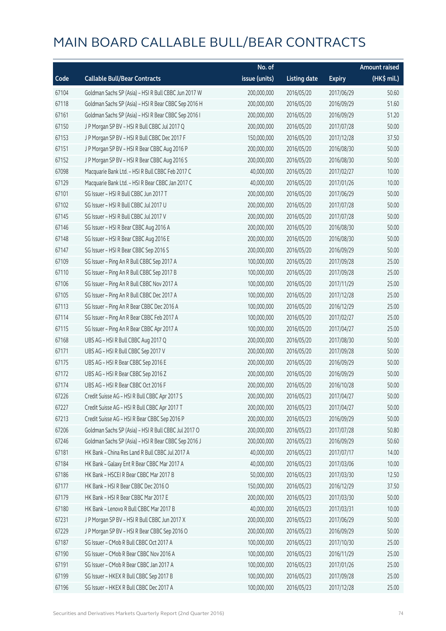|       |                                                      | No. of        |                     |               | <b>Amount raised</b> |
|-------|------------------------------------------------------|---------------|---------------------|---------------|----------------------|
| Code  | <b>Callable Bull/Bear Contracts</b>                  | issue (units) | <b>Listing date</b> | <b>Expiry</b> | $(HK$$ mil.)         |
| 67104 | Goldman Sachs SP (Asia) - HSI R Bull CBBC Jun 2017 W | 200,000,000   | 2016/05/20          | 2017/06/29    | 50.60                |
| 67118 | Goldman Sachs SP (Asia) - HSI R Bear CBBC Sep 2016 H | 200,000,000   | 2016/05/20          | 2016/09/29    | 51.60                |
| 67161 | Goldman Sachs SP (Asia) - HSI R Bear CBBC Sep 2016 I | 200,000,000   | 2016/05/20          | 2016/09/29    | 51.20                |
| 67150 | J P Morgan SP BV - HSI R Bull CBBC Jul 2017 Q        | 200,000,000   | 2016/05/20          | 2017/07/28    | 50.00                |
| 67153 | J P Morgan SP BV - HSI R Bull CBBC Dec 2017 F        | 150,000,000   | 2016/05/20          | 2017/12/28    | 37.50                |
| 67151 | J P Morgan SP BV - HSI R Bear CBBC Aug 2016 P        | 200,000,000   | 2016/05/20          | 2016/08/30    | 50.00                |
| 67152 | J P Morgan SP BV - HSI R Bear CBBC Aug 2016 S        | 200,000,000   | 2016/05/20          | 2016/08/30    | 50.00                |
| 67098 | Macquarie Bank Ltd. - HSI R Bull CBBC Feb 2017 C     | 40,000,000    | 2016/05/20          | 2017/02/27    | 10.00                |
| 67129 | Macquarie Bank Ltd. - HSI R Bear CBBC Jan 2017 C     | 40,000,000    | 2016/05/20          | 2017/01/26    | 10.00                |
| 67101 | SG Issuer - HSI R Bull CBBC Jun 2017 T               | 200,000,000   | 2016/05/20          | 2017/06/29    | 50.00                |
| 67102 | SG Issuer - HSI R Bull CBBC Jul 2017 U               | 200,000,000   | 2016/05/20          | 2017/07/28    | 50.00                |
| 67145 | SG Issuer - HSI R Bull CBBC Jul 2017 V               | 200,000,000   | 2016/05/20          | 2017/07/28    | 50.00                |
| 67146 | SG Issuer - HSI R Bear CBBC Aug 2016 A               | 200,000,000   | 2016/05/20          | 2016/08/30    | 50.00                |
| 67148 | SG Issuer - HSI R Bear CBBC Aug 2016 E               | 200,000,000   | 2016/05/20          | 2016/08/30    | 50.00                |
| 67147 | SG Issuer - HSI R Bear CBBC Sep 2016 S               | 200,000,000   | 2016/05/20          | 2016/09/29    | 50.00                |
| 67109 | SG Issuer - Ping An R Bull CBBC Sep 2017 A           | 100,000,000   | 2016/05/20          | 2017/09/28    | 25.00                |
| 67110 | SG Issuer - Ping An R Bull CBBC Sep 2017 B           | 100,000,000   | 2016/05/20          | 2017/09/28    | 25.00                |
| 67106 | SG Issuer - Ping An R Bull CBBC Nov 2017 A           | 100,000,000   | 2016/05/20          | 2017/11/29    | 25.00                |
| 67105 | SG Issuer - Ping An R Bull CBBC Dec 2017 A           | 100,000,000   | 2016/05/20          | 2017/12/28    | 25.00                |
| 67113 | SG Issuer - Ping An R Bear CBBC Dec 2016 A           | 100,000,000   | 2016/05/20          | 2016/12/29    | 25.00                |
| 67114 | SG Issuer - Ping An R Bear CBBC Feb 2017 A           | 100,000,000   | 2016/05/20          | 2017/02/27    | 25.00                |
| 67115 | SG Issuer - Ping An R Bear CBBC Apr 2017 A           | 100,000,000   | 2016/05/20          | 2017/04/27    | 25.00                |
| 67168 | UBS AG - HSI R Bull CBBC Aug 2017 Q                  | 200,000,000   | 2016/05/20          | 2017/08/30    | 50.00                |
| 67171 | UBS AG - HSI R Bull CBBC Sep 2017 V                  | 200,000,000   | 2016/05/20          | 2017/09/28    | 50.00                |
| 67175 | UBS AG - HSI R Bear CBBC Sep 2016 E                  | 200,000,000   | 2016/05/20          | 2016/09/29    | 50.00                |
| 67172 | UBS AG - HSI R Bear CBBC Sep 2016 Z                  | 200,000,000   | 2016/05/20          | 2016/09/29    | 50.00                |
| 67174 | UBS AG - HSI R Bear CBBC Oct 2016 F                  | 200,000,000   | 2016/05/20          | 2016/10/28    | 50.00                |
| 67226 | Credit Suisse AG - HSI R Bull CBBC Apr 2017 S        | 200,000,000   | 2016/05/23          | 2017/04/27    | 50.00                |
| 67227 | Credit Suisse AG - HSI R Bull CBBC Apr 2017 T        | 200,000,000   | 2016/05/23          | 2017/04/27    | 50.00                |
| 67213 | Credit Suisse AG - HSI R Bear CBBC Sep 2016 P        | 200,000,000   | 2016/05/23          | 2016/09/29    | 50.00                |
| 67206 | Goldman Sachs SP (Asia) - HSI R Bull CBBC Jul 2017 O | 200,000,000   | 2016/05/23          | 2017/07/28    | 50.80                |
| 67246 | Goldman Sachs SP (Asia) - HSI R Bear CBBC Sep 2016 J | 200,000,000   | 2016/05/23          | 2016/09/29    | 50.60                |
| 67181 | HK Bank - China Res Land R Bull CBBC Jul 2017 A      | 40,000,000    | 2016/05/23          | 2017/07/17    | 14.00                |
| 67184 | HK Bank - Galaxy Ent R Bear CBBC Mar 2017 A          | 40,000,000    | 2016/05/23          | 2017/03/06    | 10.00                |
| 67186 | HK Bank - HSCEI R Bear CBBC Mar 2017 B               | 50,000,000    | 2016/05/23          | 2017/03/30    | 12.50                |
| 67177 | HK Bank - HSI R Bear CBBC Dec 2016 O                 | 150,000,000   | 2016/05/23          | 2016/12/29    | 37.50                |
| 67179 | HK Bank - HSI R Bear CBBC Mar 2017 E                 | 200,000,000   | 2016/05/23          | 2017/03/30    | 50.00                |
| 67180 | HK Bank - Lenovo R Bull CBBC Mar 2017 B              | 40,000,000    | 2016/05/23          | 2017/03/31    | 10.00                |
| 67231 | J P Morgan SP BV - HSI R Bull CBBC Jun 2017 X        | 200,000,000   | 2016/05/23          | 2017/06/29    | 50.00                |
| 67229 | J P Morgan SP BV - HSI R Bear CBBC Sep 2016 O        | 200,000,000   | 2016/05/23          | 2016/09/29    | 50.00                |
| 67187 | SG Issuer - CMob R Bull CBBC Oct 2017 A              | 100,000,000   | 2016/05/23          | 2017/10/30    | 25.00                |
| 67190 | SG Issuer - CMob R Bear CBBC Nov 2016 A              | 100,000,000   | 2016/05/23          | 2016/11/29    | 25.00                |
| 67191 | SG Issuer - CMob R Bear CBBC Jan 2017 A              | 100,000,000   | 2016/05/23          | 2017/01/26    | 25.00                |
| 67199 | SG Issuer - HKEX R Bull CBBC Sep 2017 B              | 100,000,000   | 2016/05/23          | 2017/09/28    | 25.00                |
| 67196 | SG Issuer - HKEX R Bull CBBC Dec 2017 A              | 100,000,000   | 2016/05/23          | 2017/12/28    | 25.00                |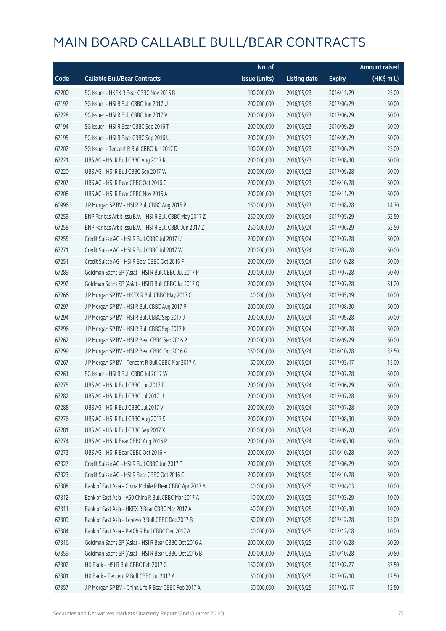|         |                                                          | No. of        |                     |               | Amount raised |
|---------|----------------------------------------------------------|---------------|---------------------|---------------|---------------|
| Code    | <b>Callable Bull/Bear Contracts</b>                      | issue (units) | <b>Listing date</b> | <b>Expiry</b> | (HK\$ mil.)   |
| 67200   | SG Issuer - HKEX R Bear CBBC Nov 2016 B                  | 100,000,000   | 2016/05/23          | 2016/11/29    | 25.00         |
| 67192   | SG Issuer - HSI R Bull CBBC Jun 2017 U                   | 200,000,000   | 2016/05/23          | 2017/06/29    | 50.00         |
| 67228   | SG Issuer - HSI R Bull CBBC Jun 2017 V                   | 200,000,000   | 2016/05/23          | 2017/06/29    | 50.00         |
| 67194   | SG Issuer - HSI R Bear CBBC Sep 2016 T                   | 200,000,000   | 2016/05/23          | 2016/09/29    | 50.00         |
| 67195   | SG Issuer - HSI R Bear CBBC Sep 2016 U                   | 200,000,000   | 2016/05/23          | 2016/09/29    | 50.00         |
| 67202   | SG Issuer - Tencent R Bull CBBC Jun 2017 D               | 100,000,000   | 2016/05/23          | 2017/06/29    | 25.00         |
| 67221   | UBS AG - HSI R Bull CBBC Aug 2017 R                      | 200,000,000   | 2016/05/23          | 2017/08/30    | 50.00         |
| 67220   | UBS AG - HSI R Bull CBBC Sep 2017 W                      | 200,000,000   | 2016/05/23          | 2017/09/28    | 50.00         |
| 67207   | UBS AG - HSI R Bear CBBC Oct 2016 G                      | 200,000,000   | 2016/05/23          | 2016/10/28    | 50.00         |
| 67208   | UBS AG - HSI R Bear CBBC Nov 2016 A                      | 200,000,000   | 2016/05/23          | 2016/11/29    | 50.00         |
| 60996 # | J P Morgan SP BV - HSI R Bull CBBC Aug 2015 P            | 150,000,000   | 2016/05/23          | 2015/08/28    | 14.70         |
| 67259   | BNP Paribas Arbit Issu B.V. - HSI R Bull CBBC May 2017 Z | 250,000,000   | 2016/05/24          | 2017/05/29    | 62.50         |
| 67258   | BNP Paribas Arbit Issu B.V. - HSI R Bull CBBC Jun 2017 Z | 250,000,000   | 2016/05/24          | 2017/06/29    | 62.50         |
| 67255   | Credit Suisse AG - HSI R Bull CBBC Jul 2017 U            | 200,000,000   | 2016/05/24          | 2017/07/28    | 50.00         |
| 67271   | Credit Suisse AG - HSI R Bull CBBC Jul 2017 W            | 200,000,000   | 2016/05/24          | 2017/07/28    | 50.00         |
| 67251   | Credit Suisse AG - HSI R Bear CBBC Oct 2016 F            | 200,000,000   | 2016/05/24          | 2016/10/28    | 50.00         |
| 67289   | Goldman Sachs SP (Asia) - HSI R Bull CBBC Jul 2017 P     | 200,000,000   | 2016/05/24          | 2017/07/28    | 50.40         |
| 67292   | Goldman Sachs SP (Asia) - HSI R Bull CBBC Jul 2017 Q     | 200,000,000   | 2016/05/24          | 2017/07/28    | 51.20         |
| 67266   | J P Morgan SP BV - HKEX R Bull CBBC May 2017 C           | 40,000,000    | 2016/05/24          | 2017/05/19    | 10.00         |
| 67297   | J P Morgan SP BV - HSI R Bull CBBC Aug 2017 P            | 200,000,000   | 2016/05/24          | 2017/08/30    | 50.00         |
| 67294   | J P Morgan SP BV - HSI R Bull CBBC Sep 2017 J            | 200,000,000   | 2016/05/24          | 2017/09/28    | 50.00         |
| 67296   | J P Morgan SP BV - HSI R Bull CBBC Sep 2017 K            | 200,000,000   | 2016/05/24          | 2017/09/28    | 50.00         |
| 67262   | J P Morgan SP BV - HSI R Bear CBBC Sep 2016 P            | 200,000,000   | 2016/05/24          | 2016/09/29    | 50.00         |
| 67299   | J P Morgan SP BV - HSI R Bear CBBC Oct 2016 G            | 150,000,000   | 2016/05/24          | 2016/10/28    | 37.50         |
| 67267   | J P Morgan SP BV - Tencent R Bull CBBC Mar 2017 A        | 60,000,000    | 2016/05/24          | 2017/03/17    | 15.00         |
| 67261   | SG Issuer - HSI R Bull CBBC Jul 2017 W                   | 200,000,000   | 2016/05/24          | 2017/07/28    | 50.00         |
| 67275   | UBS AG - HSI R Bull CBBC Jun 2017 F                      | 200,000,000   | 2016/05/24          | 2017/06/29    | 50.00         |
| 67282   | UBS AG - HSI R Bull CBBC Jul 2017 U                      | 200,000,000   | 2016/05/24          | 2017/07/28    | 50.00         |
| 67288   | UBS AG - HSI R Bull CBBC Jul 2017 V                      | 200,000,000   | 2016/05/24          | 2017/07/28    | 50.00         |
| 67276   | UBS AG - HSI R Bull CBBC Aug 2017 S                      | 200,000,000   | 2016/05/24          | 2017/08/30    | 50.00         |
| 67281   | UBS AG - HSI R Bull CBBC Sep 2017 X                      | 200,000,000   | 2016/05/24          | 2017/09/28    | 50.00         |
| 67274   | UBS AG - HSI R Bear CBBC Aug 2016 P                      | 200,000,000   | 2016/05/24          | 2016/08/30    | 50.00         |
| 67273   | UBS AG - HSI R Bear CBBC Oct 2016 H                      | 200,000,000   | 2016/05/24          | 2016/10/28    | 50.00         |
| 67327   | Credit Suisse AG - HSI R Bull CBBC Jun 2017 P            | 200,000,000   | 2016/05/25          | 2017/06/29    | 50.00         |
| 67323   | Credit Suisse AG - HSI R Bear CBBC Oct 2016 G            | 200,000,000   | 2016/05/25          | 2016/10/28    | 50.00         |
| 67308   | Bank of East Asia - China Mobile R Bear CBBC Apr 2017 A  | 40,000,000    | 2016/05/25          | 2017/04/03    | 10.00         |
| 67312   | Bank of East Asia - A50 China R Bull CBBC Mar 2017 A     | 40,000,000    | 2016/05/25          | 2017/03/29    | 10.00         |
| 67311   | Bank of East Asia - HKEX R Bear CBBC Mar 2017 A          | 40,000,000    | 2016/05/25          | 2017/03/30    | 10.00         |
| 67309   | Bank of East Asia - Lenovo R Bull CBBC Dec 2017 B        | 60,000,000    | 2016/05/25          | 2017/12/28    | 15.00         |
| 67304   | Bank of East Asia - PetCh R Bull CBBC Dec 2017 A         | 40,000,000    | 2016/05/25          | 2017/12/08    | 10.00         |
| 67316   | Goldman Sachs SP (Asia) - HSI R Bear CBBC Oct 2016 A     | 200,000,000   | 2016/05/25          | 2016/10/28    | 50.20         |
| 67359   | Goldman Sachs SP (Asia) - HSI R Bear CBBC Oct 2016 B     | 200,000,000   | 2016/05/25          | 2016/10/28    | 50.80         |
| 67302   | HK Bank - HSI R Bull CBBC Feb 2017 G                     | 150,000,000   | 2016/05/25          | 2017/02/27    | 37.50         |
| 67301   | HK Bank - Tencent R Bull CBBC Jul 2017 A                 | 50,000,000    | 2016/05/25          | 2017/07/10    | 12.50         |
| 67357   | J P Morgan SP BV - China Life R Bear CBBC Feb 2017 A     | 50,000,000    | 2016/05/25          | 2017/02/17    | 12.50         |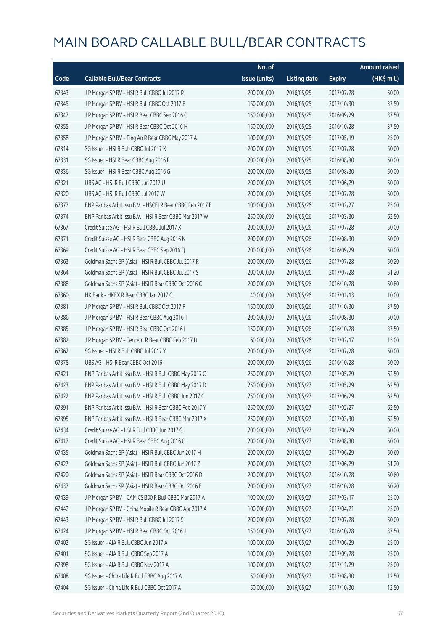|       |                                                            | No. of        |                     |               | <b>Amount raised</b> |
|-------|------------------------------------------------------------|---------------|---------------------|---------------|----------------------|
| Code  | <b>Callable Bull/Bear Contracts</b>                        | issue (units) | <b>Listing date</b> | <b>Expiry</b> | (HK\$ mil.)          |
| 67343 | J P Morgan SP BV - HSI R Bull CBBC Jul 2017 R              | 200,000,000   | 2016/05/25          | 2017/07/28    | 50.00                |
| 67345 | J P Morgan SP BV - HSI R Bull CBBC Oct 2017 E              | 150,000,000   | 2016/05/25          | 2017/10/30    | 37.50                |
| 67347 | J P Morgan SP BV - HSI R Bear CBBC Sep 2016 Q              | 150,000,000   | 2016/05/25          | 2016/09/29    | 37.50                |
| 67355 | J P Morgan SP BV - HSI R Bear CBBC Oct 2016 H              | 150,000,000   | 2016/05/25          | 2016/10/28    | 37.50                |
| 67358 | J P Morgan SP BV - Ping An R Bear CBBC May 2017 A          | 100,000,000   | 2016/05/25          | 2017/05/19    | 25.00                |
| 67314 | SG Issuer - HSI R Bull CBBC Jul 2017 X                     | 200,000,000   | 2016/05/25          | 2017/07/28    | 50.00                |
| 67331 | SG Issuer - HSI R Bear CBBC Aug 2016 F                     | 200,000,000   | 2016/05/25          | 2016/08/30    | 50.00                |
| 67336 | SG Issuer - HSI R Bear CBBC Aug 2016 G                     | 200,000,000   | 2016/05/25          | 2016/08/30    | 50.00                |
| 67321 | UBS AG - HSI R Bull CBBC Jun 2017 U                        | 200,000,000   | 2016/05/25          | 2017/06/29    | 50.00                |
| 67320 | UBS AG - HSI R Bull CBBC Jul 2017 W                        | 200,000,000   | 2016/05/25          | 2017/07/28    | 50.00                |
| 67377 | BNP Paribas Arbit Issu B.V. - HSCEI R Bear CBBC Feb 2017 E | 100,000,000   | 2016/05/26          | 2017/02/27    | 25.00                |
| 67374 | BNP Paribas Arbit Issu B.V. - HSI R Bear CBBC Mar 2017 W   | 250,000,000   | 2016/05/26          | 2017/03/30    | 62.50                |
| 67367 | Credit Suisse AG - HSI R Bull CBBC Jul 2017 X              | 200,000,000   | 2016/05/26          | 2017/07/28    | 50.00                |
| 67371 | Credit Suisse AG - HSI R Bear CBBC Aug 2016 N              | 200,000,000   | 2016/05/26          | 2016/08/30    | 50.00                |
| 67369 | Credit Suisse AG - HSI R Bear CBBC Sep 2016 Q              | 200,000,000   | 2016/05/26          | 2016/09/29    | 50.00                |
| 67363 | Goldman Sachs SP (Asia) - HSI R Bull CBBC Jul 2017 R       | 200,000,000   | 2016/05/26          | 2017/07/28    | 50.20                |
| 67364 | Goldman Sachs SP (Asia) - HSI R Bull CBBC Jul 2017 S       | 200,000,000   | 2016/05/26          | 2017/07/28    | 51.20                |
| 67388 | Goldman Sachs SP (Asia) - HSI R Bear CBBC Oct 2016 C       | 200,000,000   | 2016/05/26          | 2016/10/28    | 50.80                |
| 67360 | HK Bank - HKEX R Bear CBBC Jan 2017 C                      | 40,000,000    | 2016/05/26          | 2017/01/13    | 10.00                |
| 67381 | J P Morgan SP BV - HSI R Bull CBBC Oct 2017 F              | 150,000,000   | 2016/05/26          | 2017/10/30    | 37.50                |
| 67386 | J P Morgan SP BV - HSI R Bear CBBC Aug 2016 T              | 200,000,000   | 2016/05/26          | 2016/08/30    | 50.00                |
| 67385 | JP Morgan SP BV - HSIR Bear CBBC Oct 2016 I                | 150,000,000   | 2016/05/26          | 2016/10/28    | 37.50                |
| 67382 | J P Morgan SP BV - Tencent R Bear CBBC Feb 2017 D          | 60,000,000    | 2016/05/26          | 2017/02/17    | 15.00                |
| 67362 | SG Issuer - HSI R Bull CBBC Jul 2017 Y                     | 200,000,000   | 2016/05/26          | 2017/07/28    | 50.00                |
| 67378 | UBS AG - HSI R Bear CBBC Oct 2016 I                        | 200,000,000   | 2016/05/26          | 2016/10/28    | 50.00                |
| 67421 | BNP Paribas Arbit Issu B.V. - HSI R Bull CBBC May 2017 C   | 250,000,000   | 2016/05/27          | 2017/05/29    | 62.50                |
| 67423 | BNP Paribas Arbit Issu B.V. - HSI R Bull CBBC May 2017 D   | 250,000,000   | 2016/05/27          | 2017/05/29    | 62.50                |
| 67422 | BNP Paribas Arbit Issu B.V. - HSI R Bull CBBC Jun 2017 C   | 250,000,000   | 2016/05/27          | 2017/06/29    | 62.50                |
| 67391 | BNP Paribas Arbit Issu B.V. - HSI R Bear CBBC Feb 2017 Y   | 250,000,000   | 2016/05/27          | 2017/02/27    | 62.50                |
| 67395 | BNP Paribas Arbit Issu B.V. - HSI R Bear CBBC Mar 2017 X   | 250,000,000   | 2016/05/27          | 2017/03/30    | 62.50                |
| 67434 | Credit Suisse AG - HSI R Bull CBBC Jun 2017 G              | 200,000,000   | 2016/05/27          | 2017/06/29    | 50.00                |
| 67417 | Credit Suisse AG - HSI R Bear CBBC Aug 2016 O              | 200,000,000   | 2016/05/27          | 2016/08/30    | 50.00                |
| 67435 | Goldman Sachs SP (Asia) - HSI R Bull CBBC Jun 2017 H       | 200,000,000   | 2016/05/27          | 2017/06/29    | 50.60                |
| 67427 | Goldman Sachs SP (Asia) - HSI R Bull CBBC Jun 2017 Z       | 200,000,000   | 2016/05/27          | 2017/06/29    | 51.20                |
| 67420 | Goldman Sachs SP (Asia) - HSI R Bear CBBC Oct 2016 D       | 200,000,000   | 2016/05/27          | 2016/10/28    | 50.60                |
| 67437 | Goldman Sachs SP (Asia) - HSI R Bear CBBC Oct 2016 E       | 200,000,000   | 2016/05/27          | 2016/10/28    | 50.20                |
| 67439 | J P Morgan SP BV - CAM CSI300 R Bull CBBC Mar 2017 A       | 100,000,000   | 2016/05/27          | 2017/03/17    | 25.00                |
| 67442 | J P Morgan SP BV - China Mobile R Bear CBBC Apr 2017 A     | 100,000,000   | 2016/05/27          | 2017/04/21    | 25.00                |
| 67443 | J P Morgan SP BV - HSI R Bull CBBC Jul 2017 S              | 200,000,000   | 2016/05/27          | 2017/07/28    | 50.00                |
| 67424 | J P Morgan SP BV - HSI R Bear CBBC Oct 2016 J              | 150,000,000   | 2016/05/27          | 2016/10/28    | 37.50                |
| 67402 | SG Issuer - AIA R Bull CBBC Jun 2017 A                     | 100,000,000   | 2016/05/27          | 2017/06/29    | 25.00                |
| 67401 | SG Issuer - AIA R Bull CBBC Sep 2017 A                     | 100,000,000   | 2016/05/27          | 2017/09/28    | 25.00                |
| 67398 | SG Issuer - AIA R Bull CBBC Nov 2017 A                     | 100,000,000   | 2016/05/27          | 2017/11/29    | 25.00                |
| 67408 | SG Issuer - China Life R Bull CBBC Aug 2017 A              | 50,000,000    | 2016/05/27          | 2017/08/30    | 12.50                |
| 67404 | SG Issuer - China Life R Bull CBBC Oct 2017 A              | 50,000,000    | 2016/05/27          | 2017/10/30    | 12.50                |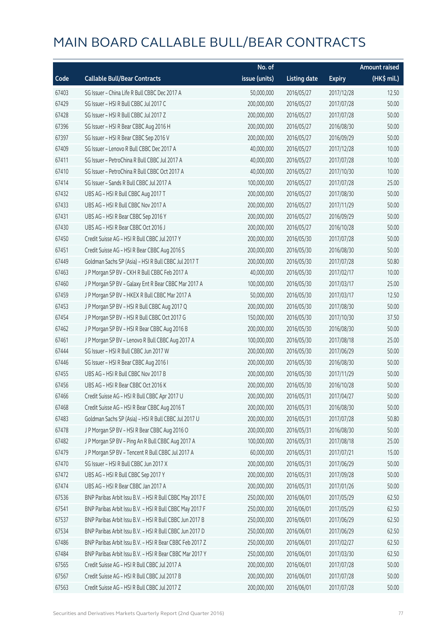|       |                                                          | No. of        |                     |               | <b>Amount raised</b> |
|-------|----------------------------------------------------------|---------------|---------------------|---------------|----------------------|
| Code  | <b>Callable Bull/Bear Contracts</b>                      | issue (units) | <b>Listing date</b> | <b>Expiry</b> | (HK\$ mil.)          |
| 67403 | SG Issuer - China Life R Bull CBBC Dec 2017 A            | 50,000,000    | 2016/05/27          | 2017/12/28    | 12.50                |
| 67429 | SG Issuer - HSI R Bull CBBC Jul 2017 C                   | 200,000,000   | 2016/05/27          | 2017/07/28    | 50.00                |
| 67428 | SG Issuer - HSI R Bull CBBC Jul 2017 Z                   | 200,000,000   | 2016/05/27          | 2017/07/28    | 50.00                |
| 67396 | SG Issuer - HSI R Bear CBBC Aug 2016 H                   | 200,000,000   | 2016/05/27          | 2016/08/30    | 50.00                |
| 67397 | SG Issuer - HSI R Bear CBBC Sep 2016 V                   | 200,000,000   | 2016/05/27          | 2016/09/29    | 50.00                |
| 67409 | SG Issuer - Lenovo R Bull CBBC Dec 2017 A                | 40,000,000    | 2016/05/27          | 2017/12/28    | 10.00                |
| 67411 | SG Issuer - PetroChina R Bull CBBC Jul 2017 A            | 40,000,000    | 2016/05/27          | 2017/07/28    | 10.00                |
| 67410 | SG Issuer - PetroChina R Bull CBBC Oct 2017 A            | 40,000,000    | 2016/05/27          | 2017/10/30    | 10.00                |
| 67414 | SG Issuer - Sands R Bull CBBC Jul 2017 A                 | 100,000,000   | 2016/05/27          | 2017/07/28    | 25.00                |
| 67432 | UBS AG - HSI R Bull CBBC Aug 2017 T                      | 200,000,000   | 2016/05/27          | 2017/08/30    | 50.00                |
| 67433 | UBS AG - HSI R Bull CBBC Nov 2017 A                      | 200,000,000   | 2016/05/27          | 2017/11/29    | 50.00                |
| 67431 | UBS AG - HSI R Bear CBBC Sep 2016 Y                      | 200,000,000   | 2016/05/27          | 2016/09/29    | 50.00                |
| 67430 | UBS AG - HSI R Bear CBBC Oct 2016 J                      | 200,000,000   | 2016/05/27          | 2016/10/28    | 50.00                |
| 67450 | Credit Suisse AG - HSI R Bull CBBC Jul 2017 Y            | 200,000,000   | 2016/05/30          | 2017/07/28    | 50.00                |
| 67451 | Credit Suisse AG - HSI R Bear CBBC Aug 2016 S            | 200,000,000   | 2016/05/30          | 2016/08/30    | 50.00                |
| 67449 | Goldman Sachs SP (Asia) - HSI R Bull CBBC Jul 2017 T     | 200,000,000   | 2016/05/30          | 2017/07/28    | 50.80                |
| 67463 | J P Morgan SP BV - CKH R Bull CBBC Feb 2017 A            | 40,000,000    | 2016/05/30          | 2017/02/17    | 10.00                |
| 67460 | J P Morgan SP BV - Galaxy Ent R Bear CBBC Mar 2017 A     | 100,000,000   | 2016/05/30          | 2017/03/17    | 25.00                |
| 67459 | J P Morgan SP BV - HKEX R Bull CBBC Mar 2017 A           | 50,000,000    | 2016/05/30          | 2017/03/17    | 12.50                |
| 67453 | J P Morgan SP BV - HSI R Bull CBBC Aug 2017 Q            | 200,000,000   | 2016/05/30          | 2017/08/30    | 50.00                |
| 67454 | J P Morgan SP BV - HSI R Bull CBBC Oct 2017 G            | 150,000,000   | 2016/05/30          | 2017/10/30    | 37.50                |
| 67462 | J P Morgan SP BV - HSI R Bear CBBC Aug 2016 B            | 200,000,000   | 2016/05/30          | 2016/08/30    | 50.00                |
| 67461 | J P Morgan SP BV - Lenovo R Bull CBBC Aug 2017 A         | 100,000,000   | 2016/05/30          | 2017/08/18    | 25.00                |
| 67444 | SG Issuer - HSI R Bull CBBC Jun 2017 W                   | 200,000,000   | 2016/05/30          | 2017/06/29    | 50.00                |
| 67446 | SG Issuer - HSI R Bear CBBC Aug 2016 I                   | 200,000,000   | 2016/05/30          | 2016/08/30    | 50.00                |
| 67455 | UBS AG - HSI R Bull CBBC Nov 2017 B                      | 200,000,000   | 2016/05/30          | 2017/11/29    | 50.00                |
| 67456 | UBS AG - HSI R Bear CBBC Oct 2016 K                      | 200,000,000   | 2016/05/30          | 2016/10/28    | 50.00                |
| 67466 | Credit Suisse AG - HSI R Bull CBBC Apr 2017 U            | 200,000,000   | 2016/05/31          | 2017/04/27    | 50.00                |
| 67468 | Credit Suisse AG - HSI R Bear CBBC Aug 2016 T            | 200,000,000   | 2016/05/31          | 2016/08/30    | 50.00                |
| 67483 | Goldman Sachs SP (Asia) - HSI R Bull CBBC Jul 2017 U     | 200,000,000   | 2016/05/31          | 2017/07/28    | 50.80                |
| 67478 | J P Morgan SP BV - HSI R Bear CBBC Aug 2016 O            | 200,000,000   | 2016/05/31          | 2016/08/30    | 50.00                |
| 67482 | J P Morgan SP BV - Ping An R Bull CBBC Aug 2017 A        | 100,000,000   | 2016/05/31          | 2017/08/18    | 25.00                |
| 67479 | J P Morgan SP BV - Tencent R Bull CBBC Jul 2017 A        | 60,000,000    | 2016/05/31          | 2017/07/21    | 15.00                |
| 67470 | SG Issuer - HSI R Bull CBBC Jun 2017 X                   | 200,000,000   | 2016/05/31          | 2017/06/29    | 50.00                |
| 67472 | UBS AG - HSI R Bull CBBC Sep 2017 Y                      | 200,000,000   | 2016/05/31          | 2017/09/28    | 50.00                |
| 67474 | UBS AG - HSI R Bear CBBC Jan 2017 A                      | 200,000,000   | 2016/05/31          | 2017/01/26    | 50.00                |
| 67536 | BNP Paribas Arbit Issu B.V. - HSI R Bull CBBC May 2017 E | 250,000,000   | 2016/06/01          | 2017/05/29    | 62.50                |
| 67541 | BNP Paribas Arbit Issu B.V. - HSI R Bull CBBC May 2017 F | 250,000,000   | 2016/06/01          | 2017/05/29    | 62.50                |
| 67537 | BNP Paribas Arbit Issu B.V. - HSI R Bull CBBC Jun 2017 B | 250,000,000   | 2016/06/01          | 2017/06/29    | 62.50                |
| 67534 | BNP Paribas Arbit Issu B.V. - HSI R Bull CBBC Jun 2017 D | 250,000,000   | 2016/06/01          | 2017/06/29    | 62.50                |
| 67486 | BNP Paribas Arbit Issu B.V. - HSI R Bear CBBC Feb 2017 Z | 250,000,000   | 2016/06/01          | 2017/02/27    | 62.50                |
| 67484 | BNP Paribas Arbit Issu B.V. - HSI R Bear CBBC Mar 2017 Y | 250,000,000   | 2016/06/01          | 2017/03/30    | 62.50                |
| 67565 | Credit Suisse AG - HSI R Bull CBBC Jul 2017 A            | 200,000,000   | 2016/06/01          | 2017/07/28    | 50.00                |
| 67567 | Credit Suisse AG - HSI R Bull CBBC Jul 2017 B            | 200,000,000   | 2016/06/01          | 2017/07/28    | 50.00                |
| 67563 | Credit Suisse AG - HSI R Bull CBBC Jul 2017 Z            | 200,000,000   | 2016/06/01          | 2017/07/28    | 50.00                |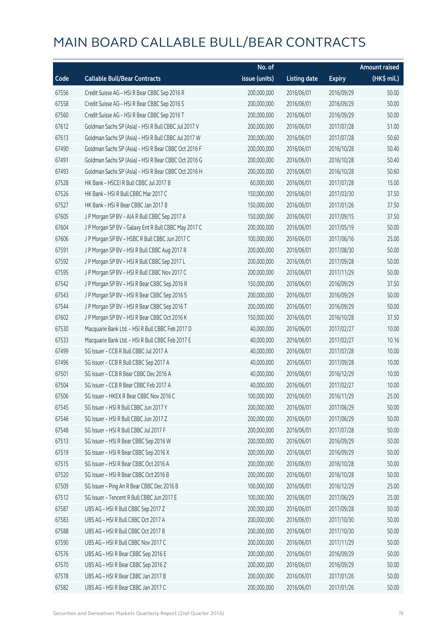|       |                                                      | No. of        |                     |               | <b>Amount raised</b> |
|-------|------------------------------------------------------|---------------|---------------------|---------------|----------------------|
| Code  | <b>Callable Bull/Bear Contracts</b>                  | issue (units) | <b>Listing date</b> | <b>Expiry</b> | $(HK$$ mil.)         |
| 67556 | Credit Suisse AG - HSI R Bear CBBC Sep 2016 R        | 200,000,000   | 2016/06/01          | 2016/09/29    | 50.00                |
| 67558 | Credit Suisse AG - HSI R Bear CBBC Sep 2016 S        | 200,000,000   | 2016/06/01          | 2016/09/29    | 50.00                |
| 67560 | Credit Suisse AG - HSI R Bear CBBC Sep 2016 T        | 200,000,000   | 2016/06/01          | 2016/09/29    | 50.00                |
| 67612 | Goldman Sachs SP (Asia) - HSI R Bull CBBC Jul 2017 V | 200,000,000   | 2016/06/01          | 2017/07/28    | 51.00                |
| 67613 | Goldman Sachs SP (Asia) - HSI R Bull CBBC Jul 2017 W | 200,000,000   | 2016/06/01          | 2017/07/28    | 50.60                |
| 67490 | Goldman Sachs SP (Asia) - HSI R Bear CBBC Oct 2016 F | 200,000,000   | 2016/06/01          | 2016/10/28    | 50.40                |
| 67491 | Goldman Sachs SP (Asia) - HSI R Bear CBBC Oct 2016 G | 200,000,000   | 2016/06/01          | 2016/10/28    | 50.40                |
| 67493 | Goldman Sachs SP (Asia) - HSI R Bear CBBC Oct 2016 H | 200,000,000   | 2016/06/01          | 2016/10/28    | 50.60                |
| 67528 | HK Bank - HSCEI R Bull CBBC Jul 2017 B               | 60,000,000    | 2016/06/01          | 2017/07/28    | 15.00                |
| 67526 | HK Bank - HSI R Bull CBBC Mar 2017 C                 | 150,000,000   | 2016/06/01          | 2017/03/30    | 37.50                |
| 67527 | HK Bank - HSI R Bear CBBC Jan 2017 B                 | 150,000,000   | 2016/06/01          | 2017/01/26    | 37.50                |
| 67605 | J P Morgan SP BV - AIA R Bull CBBC Sep 2017 A        | 150,000,000   | 2016/06/01          | 2017/09/15    | 37.50                |
| 67604 | J P Morgan SP BV - Galaxy Ent R Bull CBBC May 2017 C | 200,000,000   | 2016/06/01          | 2017/05/19    | 50.00                |
| 67606 | J P Morgan SP BV - HSBC R Bull CBBC Jun 2017 C       | 100,000,000   | 2016/06/01          | 2017/06/16    | 25.00                |
| 67591 | J P Morgan SP BV - HSI R Bull CBBC Aug 2017 R        | 200,000,000   | 2016/06/01          | 2017/08/30    | 50.00                |
| 67592 | J P Morgan SP BV - HSI R Bull CBBC Sep 2017 L        | 200,000,000   | 2016/06/01          | 2017/09/28    | 50.00                |
| 67595 | J P Morgan SP BV - HSI R Bull CBBC Nov 2017 C        | 200,000,000   | 2016/06/01          | 2017/11/29    | 50.00                |
| 67542 | J P Morgan SP BV - HSI R Bear CBBC Sep 2016 R        | 150,000,000   | 2016/06/01          | 2016/09/29    | 37.50                |
| 67543 | J P Morgan SP BV - HSI R Bear CBBC Sep 2016 S        | 200,000,000   | 2016/06/01          | 2016/09/29    | 50.00                |
| 67544 | J P Morgan SP BV - HSI R Bear CBBC Sep 2016 T        | 200,000,000   | 2016/06/01          | 2016/09/29    | 50.00                |
| 67602 | J P Morgan SP BV - HSI R Bear CBBC Oct 2016 K        | 150,000,000   | 2016/06/01          | 2016/10/28    | 37.50                |
| 67530 | Macquarie Bank Ltd. - HSI R Bull CBBC Feb 2017 D     | 40,000,000    | 2016/06/01          | 2017/02/27    | 10.00                |
| 67533 | Macquarie Bank Ltd. - HSI R Bull CBBC Feb 2017 E     | 40,000,000    | 2016/06/01          | 2017/02/27    | 10.16                |
| 67499 | SG Issuer - CCB R Bull CBBC Jul 2017 A               | 40,000,000    | 2016/06/01          | 2017/07/28    | 10.00                |
| 67496 | SG Issuer - CCB R Bull CBBC Sep 2017 A               | 40,000,000    | 2016/06/01          | 2017/09/28    | 10.00                |
| 67501 | SG Issuer - CCB R Bear CBBC Dec 2016 A               | 40,000,000    | 2016/06/01          | 2016/12/29    | 10.00                |
| 67504 | SG Issuer - CCB R Bear CBBC Feb 2017 A               | 40,000,000    | 2016/06/01          | 2017/02/27    | 10.00                |
| 67506 | SG Issuer - HKEX R Bear CBBC Nov 2016 C              | 100,000,000   | 2016/06/01          | 2016/11/29    | 25.00                |
| 67545 | SG Issuer - HSI R Bull CBBC Jun 2017 Y               | 200,000,000   | 2016/06/01          | 2017/06/29    | 50.00                |
| 67546 | SG Issuer - HSI R Bull CBBC Jun 2017 Z               | 200,000,000   | 2016/06/01          | 2017/06/29    | 50.00                |
| 67548 | SG Issuer - HSI R Bull CBBC Jul 2017 F               | 200,000,000   | 2016/06/01          | 2017/07/28    | 50.00                |
| 67513 | SG Issuer - HSI R Bear CBBC Sep 2016 W               | 200,000,000   | 2016/06/01          | 2016/09/29    | 50.00                |
| 67519 | SG Issuer - HSI R Bear CBBC Sep 2016 X               | 200,000,000   | 2016/06/01          | 2016/09/29    | 50.00                |
| 67515 | SG Issuer - HSI R Bear CBBC Oct 2016 A               | 200,000,000   | 2016/06/01          | 2016/10/28    | 50.00                |
| 67520 | SG Issuer - HSI R Bear CBBC Oct 2016 B               | 200,000,000   | 2016/06/01          | 2016/10/28    | 50.00                |
| 67509 | SG Issuer - Ping An R Bear CBBC Dec 2016 B           | 100,000,000   | 2016/06/01          | 2016/12/29    | 25.00                |
| 67512 | SG Issuer - Tencent R Bull CBBC Jun 2017 E           | 100,000,000   | 2016/06/01          | 2017/06/29    | 25.00                |
| 67587 | UBS AG - HSI R Bull CBBC Sep 2017 Z                  | 200,000,000   | 2016/06/01          | 2017/09/28    | 50.00                |
| 67583 | UBS AG - HSI R Bull CBBC Oct 2017 A                  | 200,000,000   | 2016/06/01          | 2017/10/30    | 50.00                |
| 67588 | UBS AG - HSI R Bull CBBC Oct 2017 B                  | 200,000,000   | 2016/06/01          | 2017/10/30    | 50.00                |
| 67590 | UBS AG - HSI R Bull CBBC Nov 2017 C                  | 200,000,000   | 2016/06/01          | 2017/11/29    | 50.00                |
| 67576 | UBS AG - HSI R Bear CBBC Sep 2016 E                  | 200,000,000   | 2016/06/01          | 2016/09/29    | 50.00                |
| 67570 | UBS AG - HSI R Bear CBBC Sep 2016 Z                  | 200,000,000   | 2016/06/01          | 2016/09/29    | 50.00                |
| 67578 | UBS AG - HSI R Bear CBBC Jan 2017 B                  | 200,000,000   | 2016/06/01          | 2017/01/26    | 50.00                |
| 67582 | UBS AG - HSI R Bear CBBC Jan 2017 C                  | 200,000,000   | 2016/06/01          | 2017/01/26    | 50.00                |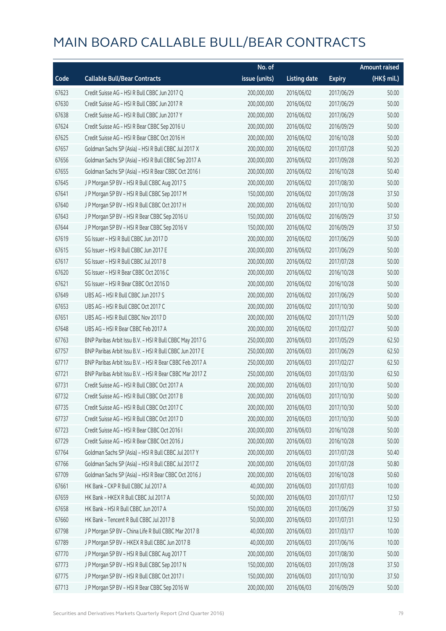|       |                                                          | No. of        |                     |               | <b>Amount raised</b>  |
|-------|----------------------------------------------------------|---------------|---------------------|---------------|-----------------------|
| Code  | <b>Callable Bull/Bear Contracts</b>                      | issue (units) | <b>Listing date</b> | <b>Expiry</b> | $(HK\frac{1}{2}mil.)$ |
| 67623 | Credit Suisse AG - HSI R Bull CBBC Jun 2017 Q            | 200,000,000   | 2016/06/02          | 2017/06/29    | 50.00                 |
| 67630 | Credit Suisse AG - HSI R Bull CBBC Jun 2017 R            | 200,000,000   | 2016/06/02          | 2017/06/29    | 50.00                 |
| 67638 | Credit Suisse AG - HSI R Bull CBBC Jun 2017 Y            | 200,000,000   | 2016/06/02          | 2017/06/29    | 50.00                 |
| 67624 | Credit Suisse AG - HSI R Bear CBBC Sep 2016 U            | 200,000,000   | 2016/06/02          | 2016/09/29    | 50.00                 |
| 67625 | Credit Suisse AG - HSI R Bear CBBC Oct 2016 H            | 200,000,000   | 2016/06/02          | 2016/10/28    | 50.00                 |
| 67657 | Goldman Sachs SP (Asia) - HSI R Bull CBBC Jul 2017 X     | 200,000,000   | 2016/06/02          | 2017/07/28    | 50.20                 |
| 67656 | Goldman Sachs SP (Asia) - HSI R Bull CBBC Sep 2017 A     | 200,000,000   | 2016/06/02          | 2017/09/28    | 50.20                 |
| 67655 | Goldman Sachs SP (Asia) - HSI R Bear CBBC Oct 2016 I     | 200,000,000   | 2016/06/02          | 2016/10/28    | 50.40                 |
| 67645 | J P Morgan SP BV - HSI R Bull CBBC Aug 2017 S            | 200,000,000   | 2016/06/02          | 2017/08/30    | 50.00                 |
| 67641 | J P Morgan SP BV - HSI R Bull CBBC Sep 2017 M            | 150,000,000   | 2016/06/02          | 2017/09/28    | 37.50                 |
| 67640 | J P Morgan SP BV - HSI R Bull CBBC Oct 2017 H            | 200,000,000   | 2016/06/02          | 2017/10/30    | 50.00                 |
| 67643 | J P Morgan SP BV - HSI R Bear CBBC Sep 2016 U            | 150,000,000   | 2016/06/02          | 2016/09/29    | 37.50                 |
| 67644 | J P Morgan SP BV - HSI R Bear CBBC Sep 2016 V            | 150,000,000   | 2016/06/02          | 2016/09/29    | 37.50                 |
| 67619 | SG Issuer - HSI R Bull CBBC Jun 2017 D                   | 200,000,000   | 2016/06/02          | 2017/06/29    | 50.00                 |
| 67615 | SG Issuer - HSI R Bull CBBC Jun 2017 E                   | 200,000,000   | 2016/06/02          | 2017/06/29    | 50.00                 |
| 67617 | SG Issuer - HSI R Bull CBBC Jul 2017 B                   | 200,000,000   | 2016/06/02          | 2017/07/28    | 50.00                 |
| 67620 | SG Issuer - HSI R Bear CBBC Oct 2016 C                   | 200,000,000   | 2016/06/02          | 2016/10/28    | 50.00                 |
| 67621 | SG Issuer - HSI R Bear CBBC Oct 2016 D                   | 200,000,000   | 2016/06/02          | 2016/10/28    | 50.00                 |
| 67649 | UBS AG - HSI R Bull CBBC Jun 2017 S                      | 200,000,000   | 2016/06/02          | 2017/06/29    | 50.00                 |
| 67653 | UBS AG - HSI R Bull CBBC Oct 2017 C                      | 200,000,000   | 2016/06/02          | 2017/10/30    | 50.00                 |
| 67651 | UBS AG - HSI R Bull CBBC Nov 2017 D                      | 200,000,000   | 2016/06/02          | 2017/11/29    | 50.00                 |
| 67648 | UBS AG - HSI R Bear CBBC Feb 2017 A                      | 200,000,000   | 2016/06/02          | 2017/02/27    | 50.00                 |
| 67763 | BNP Paribas Arbit Issu B.V. - HSI R Bull CBBC May 2017 G | 250,000,000   | 2016/06/03          | 2017/05/29    | 62.50                 |
| 67757 | BNP Paribas Arbit Issu B.V. - HSI R Bull CBBC Jun 2017 E | 250,000,000   | 2016/06/03          | 2017/06/29    | 62.50                 |
| 67717 | BNP Paribas Arbit Issu B.V. - HSI R Bear CBBC Feb 2017 A | 250,000,000   | 2016/06/03          | 2017/02/27    | 62.50                 |
| 67721 | BNP Paribas Arbit Issu B.V. - HSI R Bear CBBC Mar 2017 Z | 250,000,000   | 2016/06/03          | 2017/03/30    | 62.50                 |
| 67731 | Credit Suisse AG - HSI R Bull CBBC Oct 2017 A            | 200,000,000   | 2016/06/03          | 2017/10/30    | 50.00                 |
| 67732 | Credit Suisse AG - HSI R Bull CBBC Oct 2017 B            | 200,000,000   | 2016/06/03          | 2017/10/30    | 50.00                 |
| 67735 | Credit Suisse AG - HSI R Bull CBBC Oct 2017 C            | 200,000,000   | 2016/06/03          | 2017/10/30    | 50.00                 |
| 67737 | Credit Suisse AG - HSI R Bull CBBC Oct 2017 D            | 200,000,000   | 2016/06/03          | 2017/10/30    | 50.00                 |
| 67723 | Credit Suisse AG - HSI R Bear CBBC Oct 2016 I            | 200,000,000   | 2016/06/03          | 2016/10/28    | 50.00                 |
| 67729 | Credit Suisse AG - HSI R Bear CBBC Oct 2016 J            | 200,000,000   | 2016/06/03          | 2016/10/28    | 50.00                 |
| 67764 | Goldman Sachs SP (Asia) - HSI R Bull CBBC Jul 2017 Y     | 200,000,000   | 2016/06/03          | 2017/07/28    | 50.40                 |
| 67766 | Goldman Sachs SP (Asia) - HSI R Bull CBBC Jul 2017 Z     | 200,000,000   | 2016/06/03          | 2017/07/28    | 50.80                 |
| 67709 | Goldman Sachs SP (Asia) - HSI R Bear CBBC Oct 2016 J     | 200,000,000   | 2016/06/03          | 2016/10/28    | 50.60                 |
| 67661 | HK Bank - CKP R Bull CBBC Jul 2017 A                     | 40,000,000    | 2016/06/03          | 2017/07/03    | 10.00                 |
| 67659 | HK Bank - HKEX R Bull CBBC Jul 2017 A                    | 50,000,000    | 2016/06/03          | 2017/07/17    | 12.50                 |
| 67658 | HK Bank - HSI R Bull CBBC Jun 2017 A                     | 150,000,000   | 2016/06/03          | 2017/06/29    | 37.50                 |
| 67660 | HK Bank - Tencent R Bull CBBC Jul 2017 B                 | 50,000,000    | 2016/06/03          | 2017/07/31    | 12.50                 |
| 67798 | J P Morgan SP BV - China Life R Bull CBBC Mar 2017 B     | 40,000,000    | 2016/06/03          | 2017/03/17    | 10.00                 |
| 67789 | J P Morgan SP BV - HKEX R Bull CBBC Jun 2017 B           | 40,000,000    | 2016/06/03          | 2017/06/16    | 10.00                 |
| 67770 | J P Morgan SP BV - HSI R Bull CBBC Aug 2017 T            | 200,000,000   | 2016/06/03          | 2017/08/30    | 50.00                 |
| 67773 | J P Morgan SP BV - HSI R Bull CBBC Sep 2017 N            | 150,000,000   | 2016/06/03          | 2017/09/28    | 37.50                 |
| 67775 | JP Morgan SP BV - HSIR Bull CBBC Oct 2017 I              | 150,000,000   | 2016/06/03          | 2017/10/30    | 37.50                 |
| 67713 | J P Morgan SP BV - HSI R Bear CBBC Sep 2016 W            | 200,000,000   | 2016/06/03          | 2016/09/29    | 50.00                 |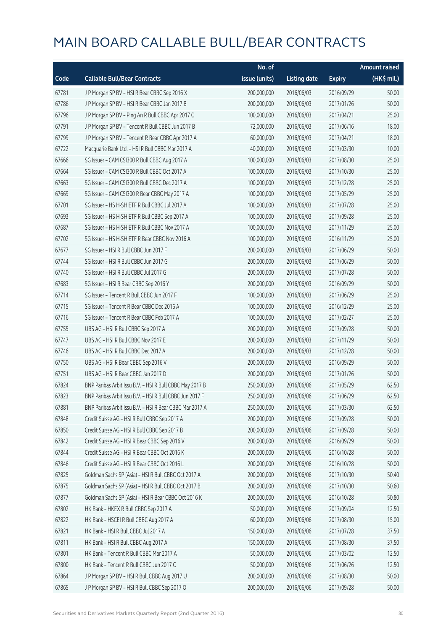|       |                                                          | No. of        |                     |               | <b>Amount raised</b> |
|-------|----------------------------------------------------------|---------------|---------------------|---------------|----------------------|
| Code  | <b>Callable Bull/Bear Contracts</b>                      | issue (units) | <b>Listing date</b> | <b>Expiry</b> | (HK\$ mil.)          |
| 67781 | J P Morgan SP BV - HSI R Bear CBBC Sep 2016 X            | 200,000,000   | 2016/06/03          | 2016/09/29    | 50.00                |
| 67786 | J P Morgan SP BV - HSI R Bear CBBC Jan 2017 B            | 200,000,000   | 2016/06/03          | 2017/01/26    | 50.00                |
| 67796 | J P Morgan SP BV - Ping An R Bull CBBC Apr 2017 C        | 100,000,000   | 2016/06/03          | 2017/04/21    | 25.00                |
| 67791 | J P Morgan SP BV - Tencent R Bull CBBC Jun 2017 B        | 72,000,000    | 2016/06/03          | 2017/06/16    | 18.00                |
| 67799 | J P Morgan SP BV - Tencent R Bear CBBC Apr 2017 A        | 60,000,000    | 2016/06/03          | 2017/04/21    | 18.00                |
| 67722 | Macquarie Bank Ltd. - HSI R Bull CBBC Mar 2017 A         | 40,000,000    | 2016/06/03          | 2017/03/30    | 10.00                |
| 67666 | SG Issuer - CAM CSI300 R Bull CBBC Aug 2017 A            | 100,000,000   | 2016/06/03          | 2017/08/30    | 25.00                |
| 67664 | SG Issuer - CAM CSI300 R Bull CBBC Oct 2017 A            | 100,000,000   | 2016/06/03          | 2017/10/30    | 25.00                |
| 67663 | SG Issuer - CAM CSI300 R Bull CBBC Dec 2017 A            | 100,000,000   | 2016/06/03          | 2017/12/28    | 25.00                |
| 67669 | SG Issuer - CAM CSI300 R Bear CBBC May 2017 A            | 100,000,000   | 2016/06/03          | 2017/05/29    | 25.00                |
| 67701 | SG Issuer - HS H-SH ETF R Bull CBBC Jul 2017 A           | 100,000,000   | 2016/06/03          | 2017/07/28    | 25.00                |
| 67693 | SG Issuer - HS H-SH ETF R Bull CBBC Sep 2017 A           | 100,000,000   | 2016/06/03          | 2017/09/28    | 25.00                |
| 67687 | SG Issuer - HS H-SH ETF R Bull CBBC Nov 2017 A           | 100,000,000   | 2016/06/03          | 2017/11/29    | 25.00                |
| 67702 | SG Issuer - HS H-SH ETF R Bear CBBC Nov 2016 A           | 100,000,000   | 2016/06/03          | 2016/11/29    | 25.00                |
| 67677 | SG Issuer - HSI R Bull CBBC Jun 2017 F                   | 200,000,000   | 2016/06/03          | 2017/06/29    | 50.00                |
| 67744 | SG Issuer - HSI R Bull CBBC Jun 2017 G                   | 200,000,000   | 2016/06/03          | 2017/06/29    | 50.00                |
| 67740 | SG Issuer - HSI R Bull CBBC Jul 2017 G                   | 200,000,000   | 2016/06/03          | 2017/07/28    | 50.00                |
| 67683 | SG Issuer - HSI R Bear CBBC Sep 2016 Y                   | 200,000,000   | 2016/06/03          | 2016/09/29    | 50.00                |
| 67714 | SG Issuer - Tencent R Bull CBBC Jun 2017 F               | 100,000,000   | 2016/06/03          | 2017/06/29    | 25.00                |
| 67715 | SG Issuer - Tencent R Bear CBBC Dec 2016 A               | 100,000,000   | 2016/06/03          | 2016/12/29    | 25.00                |
| 67716 | SG Issuer - Tencent R Bear CBBC Feb 2017 A               | 100,000,000   | 2016/06/03          | 2017/02/27    | 25.00                |
| 67755 | UBS AG - HSI R Bull CBBC Sep 2017 A                      | 200,000,000   | 2016/06/03          | 2017/09/28    | 50.00                |
| 67747 | UBS AG - HSI R Bull CBBC Nov 2017 E                      | 200,000,000   | 2016/06/03          | 2017/11/29    | 50.00                |
| 67746 | UBS AG - HSI R Bull CBBC Dec 2017 A                      | 200,000,000   | 2016/06/03          | 2017/12/28    | 50.00                |
| 67750 | UBS AG - HSI R Bear CBBC Sep 2016 V                      | 200,000,000   | 2016/06/03          | 2016/09/29    | 50.00                |
| 67751 | UBS AG - HSI R Bear CBBC Jan 2017 D                      | 200,000,000   | 2016/06/03          | 2017/01/26    | 50.00                |
| 67824 | BNP Paribas Arbit Issu B.V. - HSI R Bull CBBC May 2017 B | 250,000,000   | 2016/06/06          | 2017/05/29    | 62.50                |
| 67823 | BNP Paribas Arbit Issu B.V. - HSI R Bull CBBC Jun 2017 F | 250,000,000   | 2016/06/06          | 2017/06/29    | 62.50                |
| 67881 | BNP Paribas Arbit Issu B.V. - HSI R Bear CBBC Mar 2017 A | 250,000,000   | 2016/06/06          | 2017/03/30    | 62.50                |
| 67848 | Credit Suisse AG - HSI R Bull CBBC Sep 2017 A            | 200,000,000   | 2016/06/06          | 2017/09/28    | 50.00                |
| 67850 | Credit Suisse AG - HSI R Bull CBBC Sep 2017 B            | 200,000,000   | 2016/06/06          | 2017/09/28    | 50.00                |
| 67842 | Credit Suisse AG - HSI R Bear CBBC Sep 2016 V            | 200,000,000   | 2016/06/06          | 2016/09/29    | 50.00                |
| 67844 | Credit Suisse AG - HSI R Bear CBBC Oct 2016 K            | 200,000,000   | 2016/06/06          | 2016/10/28    | 50.00                |
| 67846 | Credit Suisse AG - HSI R Bear CBBC Oct 2016 L            | 200,000,000   | 2016/06/06          | 2016/10/28    | 50.00                |
| 67825 | Goldman Sachs SP (Asia) - HSI R Bull CBBC Oct 2017 A     | 200,000,000   | 2016/06/06          | 2017/10/30    | 50.40                |
| 67875 | Goldman Sachs SP (Asia) - HSI R Bull CBBC Oct 2017 B     | 200,000,000   | 2016/06/06          | 2017/10/30    | 50.60                |
| 67877 | Goldman Sachs SP (Asia) - HSI R Bear CBBC Oct 2016 K     | 200,000,000   | 2016/06/06          | 2016/10/28    | 50.80                |
| 67802 | HK Bank - HKEX R Bull CBBC Sep 2017 A                    | 50,000,000    | 2016/06/06          | 2017/09/04    | 12.50                |
| 67822 | HK Bank - HSCEI R Bull CBBC Aug 2017 A                   | 60,000,000    | 2016/06/06          | 2017/08/30    | 15.00                |
| 67821 | HK Bank - HSI R Bull CBBC Jul 2017 A                     | 150,000,000   | 2016/06/06          | 2017/07/28    | 37.50                |
| 67811 | HK Bank - HSI R Bull CBBC Aug 2017 A                     | 150,000,000   | 2016/06/06          | 2017/08/30    | 37.50                |
| 67801 | HK Bank - Tencent R Bull CBBC Mar 2017 A                 | 50,000,000    | 2016/06/06          | 2017/03/02    | 12.50                |
| 67800 | HK Bank - Tencent R Bull CBBC Jun 2017 C                 | 50,000,000    | 2016/06/06          | 2017/06/26    | 12.50                |
| 67864 | J P Morgan SP BV - HSI R Bull CBBC Aug 2017 U            | 200,000,000   | 2016/06/06          | 2017/08/30    | 50.00                |
| 67865 | J P Morgan SP BV - HSI R Bull CBBC Sep 2017 O            | 200,000,000   | 2016/06/06          | 2017/09/28    | 50.00                |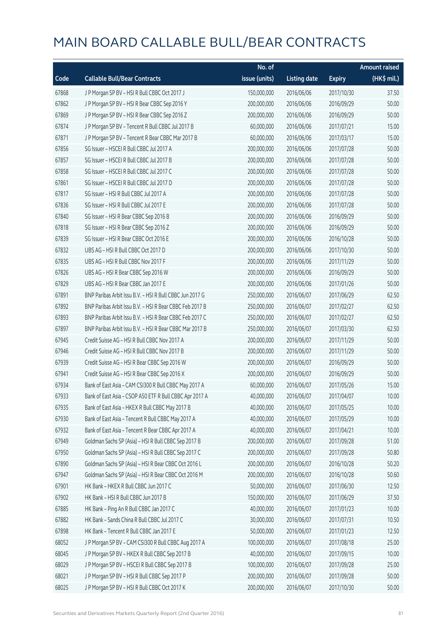|       |                                                          | No. of        |                     |               | <b>Amount raised</b> |
|-------|----------------------------------------------------------|---------------|---------------------|---------------|----------------------|
| Code  | <b>Callable Bull/Bear Contracts</b>                      | issue (units) | <b>Listing date</b> | <b>Expiry</b> | (HK\$ mil.)          |
| 67868 | J P Morgan SP BV - HSI R Bull CBBC Oct 2017 J            | 150,000,000   | 2016/06/06          | 2017/10/30    | 37.50                |
| 67862 | J P Morgan SP BV - HSI R Bear CBBC Sep 2016 Y            | 200,000,000   | 2016/06/06          | 2016/09/29    | 50.00                |
| 67869 | JP Morgan SP BV - HSIR Bear CBBC Sep 2016 Z              | 200,000,000   | 2016/06/06          | 2016/09/29    | 50.00                |
| 67874 | J P Morgan SP BV - Tencent R Bull CBBC Jul 2017 B        | 60,000,000    | 2016/06/06          | 2017/07/21    | 15.00                |
| 67871 | J P Morgan SP BV - Tencent R Bear CBBC Mar 2017 B        | 60,000,000    | 2016/06/06          | 2017/03/17    | 15.00                |
| 67856 | SG Issuer - HSCEI R Bull CBBC Jul 2017 A                 | 200,000,000   | 2016/06/06          | 2017/07/28    | 50.00                |
| 67857 | SG Issuer - HSCEI R Bull CBBC Jul 2017 B                 | 200,000,000   | 2016/06/06          | 2017/07/28    | 50.00                |
| 67858 | SG Issuer - HSCEI R Bull CBBC Jul 2017 C                 | 200,000,000   | 2016/06/06          | 2017/07/28    | 50.00                |
| 67861 | SG Issuer - HSCEI R Bull CBBC Jul 2017 D                 | 200,000,000   | 2016/06/06          | 2017/07/28    | 50.00                |
| 67817 | SG Issuer - HSI R Bull CBBC Jul 2017 A                   | 200,000,000   | 2016/06/06          | 2017/07/28    | 50.00                |
| 67836 | SG Issuer - HSI R Bull CBBC Jul 2017 E                   | 200,000,000   | 2016/06/06          | 2017/07/28    | 50.00                |
| 67840 | SG Issuer - HSI R Bear CBBC Sep 2016 B                   | 200,000,000   | 2016/06/06          | 2016/09/29    | 50.00                |
| 67818 | SG Issuer - HSI R Bear CBBC Sep 2016 Z                   | 200,000,000   | 2016/06/06          | 2016/09/29    | 50.00                |
| 67839 | SG Issuer - HSI R Bear CBBC Oct 2016 E                   | 200,000,000   | 2016/06/06          | 2016/10/28    | 50.00                |
| 67832 | UBS AG - HSI R Bull CBBC Oct 2017 D                      | 200,000,000   | 2016/06/06          | 2017/10/30    | 50.00                |
| 67835 | UBS AG - HSI R Bull CBBC Nov 2017 F                      | 200,000,000   | 2016/06/06          | 2017/11/29    | 50.00                |
| 67826 | UBS AG - HSI R Bear CBBC Sep 2016 W                      | 200,000,000   | 2016/06/06          | 2016/09/29    | 50.00                |
| 67829 | UBS AG - HSI R Bear CBBC Jan 2017 E                      | 200,000,000   | 2016/06/06          | 2017/01/26    | 50.00                |
| 67891 | BNP Paribas Arbit Issu B.V. - HSI R Bull CBBC Jun 2017 G | 250,000,000   | 2016/06/07          | 2017/06/29    | 62.50                |
| 67892 | BNP Paribas Arbit Issu B.V. - HSI R Bear CBBC Feb 2017 B | 250,000,000   | 2016/06/07          | 2017/02/27    | 62.50                |
| 67893 | BNP Paribas Arbit Issu B.V. - HSI R Bear CBBC Feb 2017 C | 250,000,000   | 2016/06/07          | 2017/02/27    | 62.50                |
| 67897 | BNP Paribas Arbit Issu B.V. - HSI R Bear CBBC Mar 2017 B | 250,000,000   | 2016/06/07          | 2017/03/30    | 62.50                |
| 67945 | Credit Suisse AG - HSI R Bull CBBC Nov 2017 A            | 200,000,000   | 2016/06/07          | 2017/11/29    | 50.00                |
| 67946 | Credit Suisse AG - HSI R Bull CBBC Nov 2017 B            | 200,000,000   | 2016/06/07          | 2017/11/29    | 50.00                |
| 67939 | Credit Suisse AG - HSI R Bear CBBC Sep 2016 W            | 200,000,000   | 2016/06/07          | 2016/09/29    | 50.00                |
| 67941 | Credit Suisse AG - HSI R Bear CBBC Sep 2016 X            | 200,000,000   | 2016/06/07          | 2016/09/29    | 50.00                |
| 67934 | Bank of East Asia - CAM CSI300 R Bull CBBC May 2017 A    | 60,000,000    | 2016/06/07          | 2017/05/26    | 15.00                |
| 67933 | Bank of East Asia - CSOP A50 ETF R Bull CBBC Apr 2017 A  | 40,000,000    | 2016/06/07          | 2017/04/07    | 10.00                |
| 67935 | Bank of East Asia - HKEX R Bull CBBC May 2017 B          | 40,000,000    | 2016/06/07          | 2017/05/25    | 10.00                |
| 67930 | Bank of East Asia - Tencent R Bull CBBC May 2017 A       | 40,000,000    | 2016/06/07          | 2017/05/29    | 10.00                |
| 67932 | Bank of East Asia - Tencent R Bear CBBC Apr 2017 A       | 40,000,000    | 2016/06/07          | 2017/04/21    | 10.00                |
| 67949 | Goldman Sachs SP (Asia) - HSI R Bull CBBC Sep 2017 B     | 200,000,000   | 2016/06/07          | 2017/09/28    | 51.00                |
| 67950 | Goldman Sachs SP (Asia) - HSI R Bull CBBC Sep 2017 C     | 200,000,000   | 2016/06/07          | 2017/09/28    | 50.80                |
| 67890 | Goldman Sachs SP (Asia) - HSI R Bear CBBC Oct 2016 L     | 200,000,000   | 2016/06/07          | 2016/10/28    | 50.20                |
| 67947 | Goldman Sachs SP (Asia) - HSI R Bear CBBC Oct 2016 M     | 200,000,000   | 2016/06/07          | 2016/10/28    | 50.60                |
| 67901 | HK Bank - HKEX R Bull CBBC Jun 2017 C                    | 50,000,000    | 2016/06/07          | 2017/06/30    | 12.50                |
| 67902 | HK Bank - HSI R Bull CBBC Jun 2017 B                     | 150,000,000   | 2016/06/07          | 2017/06/29    | 37.50                |
| 67885 | HK Bank - Ping An R Bull CBBC Jan 2017 C                 | 40,000,000    | 2016/06/07          | 2017/01/23    | 10.00                |
| 67882 | HK Bank - Sands China R Bull CBBC Jul 2017 C             | 30,000,000    | 2016/06/07          | 2017/07/31    | 10.50                |
| 67898 | HK Bank - Tencent R Bull CBBC Jan 2017 E                 | 50,000,000    | 2016/06/07          | 2017/01/23    | 12.50                |
| 68052 | J P Morgan SP BV - CAM CSI300 R Bull CBBC Aug 2017 A     | 100,000,000   | 2016/06/07          | 2017/08/18    | 25.00                |
| 68045 | J P Morgan SP BV - HKEX R Bull CBBC Sep 2017 B           | 40,000,000    | 2016/06/07          | 2017/09/15    | 10.00                |
| 68029 | J P Morgan SP BV - HSCEI R Bull CBBC Sep 2017 B          | 100,000,000   | 2016/06/07          | 2017/09/28    | 25.00                |
| 68021 | J P Morgan SP BV - HSI R Bull CBBC Sep 2017 P            | 200,000,000   | 2016/06/07          | 2017/09/28    | 50.00                |
| 68025 | JP Morgan SP BV - HSIR Bull CBBC Oct 2017 K              | 200,000,000   | 2016/06/07          | 2017/10/30    | 50.00                |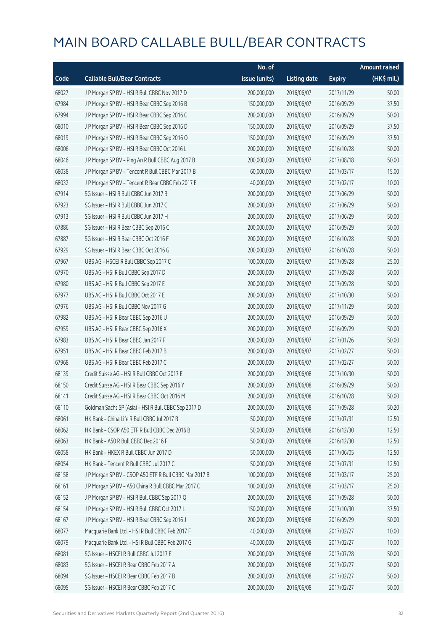|       |                                                        | No. of        |                     |               | <b>Amount raised</b> |
|-------|--------------------------------------------------------|---------------|---------------------|---------------|----------------------|
| Code  | <b>Callable Bull/Bear Contracts</b>                    | issue (units) | <b>Listing date</b> | <b>Expiry</b> | (HK\$ mil.)          |
| 68027 | J P Morgan SP BV - HSI R Bull CBBC Nov 2017 D          | 200,000,000   | 2016/06/07          | 2017/11/29    | 50.00                |
| 67984 | J P Morgan SP BV - HSI R Bear CBBC Sep 2016 B          | 150,000,000   | 2016/06/07          | 2016/09/29    | 37.50                |
| 67994 | JP Morgan SP BV - HSIR Bear CBBC Sep 2016 C            | 200,000,000   | 2016/06/07          | 2016/09/29    | 50.00                |
| 68010 | J P Morgan SP BV - HSI R Bear CBBC Sep 2016 D          | 150,000,000   | 2016/06/07          | 2016/09/29    | 37.50                |
| 68019 | JP Morgan SP BV - HSIR Bear CBBC Sep 2016 O            | 150,000,000   | 2016/06/07          | 2016/09/29    | 37.50                |
| 68006 | J P Morgan SP BV - HSI R Bear CBBC Oct 2016 L          | 200,000,000   | 2016/06/07          | 2016/10/28    | 50.00                |
| 68046 | J P Morgan SP BV - Ping An R Bull CBBC Aug 2017 B      | 200,000,000   | 2016/06/07          | 2017/08/18    | 50.00                |
| 68038 | J P Morgan SP BV - Tencent R Bull CBBC Mar 2017 B      | 60,000,000    | 2016/06/07          | 2017/03/17    | 15.00                |
| 68032 | J P Morgan SP BV - Tencent R Bear CBBC Feb 2017 E      | 40,000,000    | 2016/06/07          | 2017/02/17    | 10.00                |
| 67914 | SG Issuer - HSI R Bull CBBC Jun 2017 B                 | 200,000,000   | 2016/06/07          | 2017/06/29    | 50.00                |
| 67923 | SG Issuer - HSI R Bull CBBC Jun 2017 C                 | 200,000,000   | 2016/06/07          | 2017/06/29    | 50.00                |
| 67913 | SG Issuer - HSI R Bull CBBC Jun 2017 H                 | 200,000,000   | 2016/06/07          | 2017/06/29    | 50.00                |
| 67886 | SG Issuer - HSI R Bear CBBC Sep 2016 C                 | 200,000,000   | 2016/06/07          | 2016/09/29    | 50.00                |
| 67887 | SG Issuer - HSI R Bear CBBC Oct 2016 F                 | 200,000,000   | 2016/06/07          | 2016/10/28    | 50.00                |
| 67929 | SG Issuer - HSI R Bear CBBC Oct 2016 G                 | 200,000,000   | 2016/06/07          | 2016/10/28    | 50.00                |
| 67967 | UBS AG - HSCEI R Bull CBBC Sep 2017 C                  | 100,000,000   | 2016/06/07          | 2017/09/28    | 25.00                |
| 67970 | UBS AG - HSI R Bull CBBC Sep 2017 D                    | 200,000,000   | 2016/06/07          | 2017/09/28    | 50.00                |
| 67980 | UBS AG - HSI R Bull CBBC Sep 2017 E                    | 200,000,000   | 2016/06/07          | 2017/09/28    | 50.00                |
| 67977 | UBS AG - HSI R Bull CBBC Oct 2017 E                    | 200,000,000   | 2016/06/07          | 2017/10/30    | 50.00                |
| 67976 | UBS AG - HSI R Bull CBBC Nov 2017 G                    | 200,000,000   | 2016/06/07          | 2017/11/29    | 50.00                |
| 67982 | UBS AG - HSI R Bear CBBC Sep 2016 U                    | 200,000,000   | 2016/06/07          | 2016/09/29    | 50.00                |
| 67959 | UBS AG - HSI R Bear CBBC Sep 2016 X                    | 200,000,000   | 2016/06/07          | 2016/09/29    | 50.00                |
| 67983 | UBS AG - HSI R Bear CBBC Jan 2017 F                    | 200,000,000   | 2016/06/07          | 2017/01/26    | 50.00                |
| 67951 | UBS AG - HSI R Bear CBBC Feb 2017 B                    | 200,000,000   | 2016/06/07          | 2017/02/27    | 50.00                |
| 67968 | UBS AG - HSI R Bear CBBC Feb 2017 C                    | 200,000,000   | 2016/06/07          | 2017/02/27    | 50.00                |
| 68139 | Credit Suisse AG - HSI R Bull CBBC Oct 2017 E          | 200,000,000   | 2016/06/08          | 2017/10/30    | 50.00                |
| 68150 | Credit Suisse AG - HSI R Bear CBBC Sep 2016 Y          | 200,000,000   | 2016/06/08          | 2016/09/29    | 50.00                |
| 68141 | Credit Suisse AG - HSI R Bear CBBC Oct 2016 M          | 200,000,000   | 2016/06/08          | 2016/10/28    | 50.00                |
| 68110 | Goldman Sachs SP (Asia) - HSI R Bull CBBC Sep 2017 D   | 200,000,000   | 2016/06/08          | 2017/09/28    | 50.20                |
| 68061 | HK Bank - China Life R Bull CBBC Jul 2017 B            | 50,000,000    | 2016/06/08          | 2017/07/31    | 12.50                |
| 68062 | HK Bank - CSOP A50 ETF R Bull CBBC Dec 2016 B          | 50,000,000    | 2016/06/08          | 2016/12/30    | 12.50                |
| 68063 | HK Bank - A50 R Bull CBBC Dec 2016 F                   | 50,000,000    | 2016/06/08          | 2016/12/30    | 12.50                |
| 68058 | HK Bank - HKEX R Bull CBBC Jun 2017 D                  | 50,000,000    | 2016/06/08          | 2017/06/05    | 12.50                |
| 68054 | HK Bank - Tencent R Bull CBBC Jul 2017 C               | 50,000,000    | 2016/06/08          | 2017/07/31    | 12.50                |
| 68158 | J P Morgan SP BV - CSOP A50 ETF R Bull CBBC Mar 2017 B | 100,000,000   | 2016/06/08          | 2017/03/17    | 25.00                |
| 68161 | J P Morgan SP BV - A50 China R Bull CBBC Mar 2017 C    | 100,000,000   | 2016/06/08          | 2017/03/17    | 25.00                |
| 68152 | J P Morgan SP BV - HSI R Bull CBBC Sep 2017 Q          | 200,000,000   | 2016/06/08          | 2017/09/28    | 50.00                |
| 68154 | JP Morgan SP BV - HSIR Bull CBBC Oct 2017 L            | 150,000,000   | 2016/06/08          | 2017/10/30    | 37.50                |
| 68167 | J P Morgan SP BV - HSI R Bear CBBC Sep 2016 J          | 200,000,000   | 2016/06/08          | 2016/09/29    | 50.00                |
| 68077 | Macquarie Bank Ltd. - HSI R Bull CBBC Feb 2017 F       | 40,000,000    | 2016/06/08          | 2017/02/27    | 10.00                |
| 68079 | Macquarie Bank Ltd. - HSI R Bull CBBC Feb 2017 G       | 40,000,000    | 2016/06/08          | 2017/02/27    | 10.00                |
| 68081 | SG Issuer - HSCEI R Bull CBBC Jul 2017 E               | 200,000,000   | 2016/06/08          | 2017/07/28    | 50.00                |
| 68083 | SG Issuer - HSCEI R Bear CBBC Feb 2017 A               | 200,000,000   | 2016/06/08          | 2017/02/27    | 50.00                |
| 68094 | SG Issuer - HSCEI R Bear CBBC Feb 2017 B               | 200,000,000   | 2016/06/08          | 2017/02/27    | 50.00                |
| 68095 | SG Issuer - HSCEI R Bear CBBC Feb 2017 C               | 200,000,000   | 2016/06/08          | 2017/02/27    | 50.00                |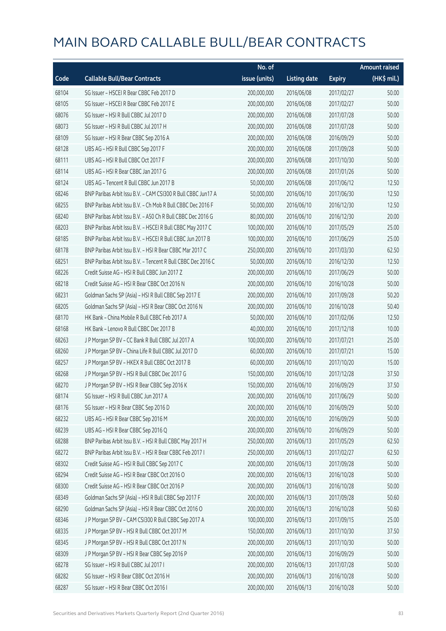|       |                                                              | No. of        |                     |               | <b>Amount raised</b>  |
|-------|--------------------------------------------------------------|---------------|---------------------|---------------|-----------------------|
| Code  | <b>Callable Bull/Bear Contracts</b>                          | issue (units) | <b>Listing date</b> | <b>Expiry</b> | $(HK\frac{1}{2}mil.)$ |
| 68104 | SG Issuer - HSCEI R Bear CBBC Feb 2017 D                     | 200,000,000   | 2016/06/08          | 2017/02/27    | 50.00                 |
| 68105 | SG Issuer - HSCEI R Bear CBBC Feb 2017 E                     | 200,000,000   | 2016/06/08          | 2017/02/27    | 50.00                 |
| 68076 | SG Issuer - HSI R Bull CBBC Jul 2017 D                       | 200,000,000   | 2016/06/08          | 2017/07/28    | 50.00                 |
| 68073 | SG Issuer - HSI R Bull CBBC Jul 2017 H                       | 200,000,000   | 2016/06/08          | 2017/07/28    | 50.00                 |
| 68109 | SG Issuer - HSI R Bear CBBC Sep 2016 A                       | 200,000,000   | 2016/06/08          | 2016/09/29    | 50.00                 |
| 68128 | UBS AG - HSI R Bull CBBC Sep 2017 F                          | 200,000,000   | 2016/06/08          | 2017/09/28    | 50.00                 |
| 68111 | UBS AG - HSI R Bull CBBC Oct 2017 F                          | 200,000,000   | 2016/06/08          | 2017/10/30    | 50.00                 |
| 68114 | UBS AG - HSI R Bear CBBC Jan 2017 G                          | 200,000,000   | 2016/06/08          | 2017/01/26    | 50.00                 |
| 68124 | UBS AG - Tencent R Bull CBBC Jun 2017 B                      | 50,000,000    | 2016/06/08          | 2017/06/12    | 12.50                 |
| 68246 | BNP Paribas Arbit Issu B.V. - CAM CSI300 R Bull CBBC Jun17 A | 50,000,000    | 2016/06/10          | 2017/06/30    | 12.50                 |
| 68255 | BNP Paribas Arbit Issu B.V. - Ch Mob R Bull CBBC Dec 2016 F  | 50,000,000    | 2016/06/10          | 2016/12/30    | 12.50                 |
| 68240 | BNP Paribas Arbit Issu B.V. - A50 Ch R Bull CBBC Dec 2016 G  | 80,000,000    | 2016/06/10          | 2016/12/30    | 20.00                 |
| 68203 | BNP Paribas Arbit Issu B.V. - HSCEI R Bull CBBC May 2017 C   | 100,000,000   | 2016/06/10          | 2017/05/29    | 25.00                 |
| 68185 | BNP Paribas Arbit Issu B.V. - HSCEI R Bull CBBC Jun 2017 B   | 100,000,000   | 2016/06/10          | 2017/06/29    | 25.00                 |
| 68178 | BNP Paribas Arbit Issu B.V. - HSI R Bear CBBC Mar 2017 C     | 250,000,000   | 2016/06/10          | 2017/03/30    | 62.50                 |
| 68251 | BNP Paribas Arbit Issu B.V. - Tencent R Bull CBBC Dec 2016 C | 50,000,000    | 2016/06/10          | 2016/12/30    | 12.50                 |
| 68226 | Credit Suisse AG - HSI R Bull CBBC Jun 2017 Z                | 200,000,000   | 2016/06/10          | 2017/06/29    | 50.00                 |
| 68218 | Credit Suisse AG - HSI R Bear CBBC Oct 2016 N                | 200,000,000   | 2016/06/10          | 2016/10/28    | 50.00                 |
| 68231 | Goldman Sachs SP (Asia) - HSI R Bull CBBC Sep 2017 E         | 200,000,000   | 2016/06/10          | 2017/09/28    | 50.20                 |
| 68205 | Goldman Sachs SP (Asia) - HSI R Bear CBBC Oct 2016 N         | 200,000,000   | 2016/06/10          | 2016/10/28    | 50.40                 |
| 68170 | HK Bank - China Mobile R Bull CBBC Feb 2017 A                | 50,000,000    | 2016/06/10          | 2017/02/06    | 12.50                 |
| 68168 | HK Bank - Lenovo R Bull CBBC Dec 2017 B                      | 40,000,000    | 2016/06/10          | 2017/12/18    | 10.00                 |
| 68263 | J P Morgan SP BV - CC Bank R Bull CBBC Jul 2017 A            | 100,000,000   | 2016/06/10          | 2017/07/21    | 25.00                 |
| 68260 | J P Morgan SP BV - China Life R Bull CBBC Jul 2017 D         | 60,000,000    | 2016/06/10          | 2017/07/21    | 15.00                 |
| 68257 | J P Morgan SP BV - HKEX R Bull CBBC Oct 2017 B               | 60,000,000    | 2016/06/10          | 2017/10/20    | 15.00                 |
| 68268 | J P Morgan SP BV - HSI R Bull CBBC Dec 2017 G                | 150,000,000   | 2016/06/10          | 2017/12/28    | 37.50                 |
| 68270 | J P Morgan SP BV - HSI R Bear CBBC Sep 2016 K                | 150,000,000   | 2016/06/10          | 2016/09/29    | 37.50                 |
| 68174 | SG Issuer - HSI R Bull CBBC Jun 2017 A                       | 200,000,000   | 2016/06/10          | 2017/06/29    | 50.00                 |
| 68176 | SG Issuer - HSI R Bear CBBC Sep 2016 D                       | 200,000,000   | 2016/06/10          | 2016/09/29    | 50.00                 |
| 68232 | UBS AG - HSI R Bear CBBC Sep 2016 M                          | 200,000,000   | 2016/06/10          | 2016/09/29    | 50.00                 |
| 68239 | UBS AG - HSI R Bear CBBC Sep 2016 Q                          | 200,000,000   | 2016/06/10          | 2016/09/29    | 50.00                 |
| 68288 | BNP Paribas Arbit Issu B.V. - HSI R Bull CBBC May 2017 H     | 250,000,000   | 2016/06/13          | 2017/05/29    | 62.50                 |
| 68272 | BNP Paribas Arbit Issu B.V. - HSI R Bear CBBC Feb 2017 I     | 250,000,000   | 2016/06/13          | 2017/02/27    | 62.50                 |
| 68302 | Credit Suisse AG - HSI R Bull CBBC Sep 2017 C                | 200,000,000   | 2016/06/13          | 2017/09/28    | 50.00                 |
| 68294 | Credit Suisse AG - HSI R Bear CBBC Oct 2016 O                | 200,000,000   | 2016/06/13          | 2016/10/28    | 50.00                 |
| 68300 | Credit Suisse AG - HSI R Bear CBBC Oct 2016 P                | 200,000,000   | 2016/06/13          | 2016/10/28    | 50.00                 |
| 68349 | Goldman Sachs SP (Asia) - HSI R Bull CBBC Sep 2017 F         | 200,000,000   | 2016/06/13          | 2017/09/28    | 50.60                 |
| 68290 | Goldman Sachs SP (Asia) - HSI R Bear CBBC Oct 2016 O         | 200,000,000   | 2016/06/13          | 2016/10/28    | 50.60                 |
| 68346 | J P Morgan SP BV - CAM CSI300 R Bull CBBC Sep 2017 A         | 100,000,000   | 2016/06/13          | 2017/09/15    | 25.00                 |
| 68335 | J P Morgan SP BV - HSI R Bull CBBC Oct 2017 M                | 150,000,000   | 2016/06/13          | 2017/10/30    | 37.50                 |
| 68345 | J P Morgan SP BV - HSI R Bull CBBC Oct 2017 N                | 200,000,000   | 2016/06/13          | 2017/10/30    | 50.00                 |
| 68309 | J P Morgan SP BV - HSI R Bear CBBC Sep 2016 P                | 200,000,000   | 2016/06/13          | 2016/09/29    | 50.00                 |
| 68278 | SG Issuer - HSI R Bull CBBC Jul 2017 I                       | 200,000,000   | 2016/06/13          | 2017/07/28    | 50.00                 |
| 68282 | SG Issuer - HSI R Bear CBBC Oct 2016 H                       | 200,000,000   | 2016/06/13          | 2016/10/28    | 50.00                 |
| 68287 | SG Issuer - HSI R Bear CBBC Oct 2016 I                       | 200,000,000   | 2016/06/13          | 2016/10/28    | 50.00                 |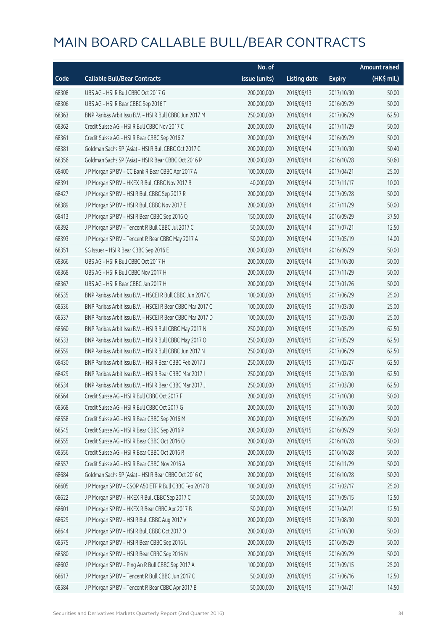|       |                                                            | No. of        |                     |               | Amount raised |
|-------|------------------------------------------------------------|---------------|---------------------|---------------|---------------|
| Code  | <b>Callable Bull/Bear Contracts</b>                        | issue (units) | <b>Listing date</b> | <b>Expiry</b> | (HK\$ mil.)   |
| 68308 | UBS AG - HSI R Bull CBBC Oct 2017 G                        | 200,000,000   | 2016/06/13          | 2017/10/30    | 50.00         |
| 68306 | UBS AG - HSI R Bear CBBC Sep 2016 T                        | 200,000,000   | 2016/06/13          | 2016/09/29    | 50.00         |
| 68363 | BNP Paribas Arbit Issu B.V. - HSI R Bull CBBC Jun 2017 M   | 250,000,000   | 2016/06/14          | 2017/06/29    | 62.50         |
| 68362 | Credit Suisse AG - HSI R Bull CBBC Nov 2017 C              | 200,000,000   | 2016/06/14          | 2017/11/29    | 50.00         |
| 68361 | Credit Suisse AG - HSI R Bear CBBC Sep 2016 Z              | 200,000,000   | 2016/06/14          | 2016/09/29    | 50.00         |
| 68381 | Goldman Sachs SP (Asia) - HSI R Bull CBBC Oct 2017 C       | 200,000,000   | 2016/06/14          | 2017/10/30    | 50.40         |
| 68356 | Goldman Sachs SP (Asia) - HSI R Bear CBBC Oct 2016 P       | 200,000,000   | 2016/06/14          | 2016/10/28    | 50.60         |
| 68400 | J P Morgan SP BV - CC Bank R Bear CBBC Apr 2017 A          | 100,000,000   | 2016/06/14          | 2017/04/21    | 25.00         |
| 68391 | J P Morgan SP BV - HKEX R Bull CBBC Nov 2017 B             | 40,000,000    | 2016/06/14          | 2017/11/17    | 10.00         |
| 68427 | J P Morgan SP BV - HSI R Bull CBBC Sep 2017 R              | 200,000,000   | 2016/06/14          | 2017/09/28    | 50.00         |
| 68389 | J P Morgan SP BV - HSI R Bull CBBC Nov 2017 E              | 200,000,000   | 2016/06/14          | 2017/11/29    | 50.00         |
| 68413 | J P Morgan SP BV - HSI R Bear CBBC Sep 2016 Q              | 150,000,000   | 2016/06/14          | 2016/09/29    | 37.50         |
| 68392 | J P Morgan SP BV - Tencent R Bull CBBC Jul 2017 C          | 50,000,000    | 2016/06/14          | 2017/07/21    | 12.50         |
| 68393 | J P Morgan SP BV - Tencent R Bear CBBC May 2017 A          | 50,000,000    | 2016/06/14          | 2017/05/19    | 14.00         |
| 68351 | SG Issuer - HSI R Bear CBBC Sep 2016 E                     | 200,000,000   | 2016/06/14          | 2016/09/29    | 50.00         |
| 68366 | UBS AG - HSI R Bull CBBC Oct 2017 H                        | 200,000,000   | 2016/06/14          | 2017/10/30    | 50.00         |
| 68368 | UBS AG - HSI R Bull CBBC Nov 2017 H                        | 200,000,000   | 2016/06/14          | 2017/11/29    | 50.00         |
| 68367 | UBS AG - HSI R Bear CBBC Jan 2017 H                        | 200,000,000   | 2016/06/14          | 2017/01/26    | 50.00         |
| 68535 | BNP Paribas Arbit Issu B.V. - HSCEI R Bull CBBC Jun 2017 C | 100,000,000   | 2016/06/15          | 2017/06/29    | 25.00         |
| 68536 | BNP Paribas Arbit Issu B.V. - HSCEI R Bear CBBC Mar 2017 C | 100,000,000   | 2016/06/15          | 2017/03/30    | 25.00         |
| 68537 | BNP Paribas Arbit Issu B.V. - HSCEI R Bear CBBC Mar 2017 D | 100,000,000   | 2016/06/15          | 2017/03/30    | 25.00         |
| 68560 | BNP Paribas Arbit Issu B.V. - HSI R Bull CBBC May 2017 N   | 250,000,000   | 2016/06/15          | 2017/05/29    | 62.50         |
| 68533 | BNP Paribas Arbit Issu B.V. - HSI R Bull CBBC May 2017 O   | 250,000,000   | 2016/06/15          | 2017/05/29    | 62.50         |
| 68559 | BNP Paribas Arbit Issu B.V. - HSI R Bull CBBC Jun 2017 N   | 250,000,000   | 2016/06/15          | 2017/06/29    | 62.50         |
| 68430 | BNP Paribas Arbit Issu B.V. - HSI R Bear CBBC Feb 2017 J   | 250,000,000   | 2016/06/15          | 2017/02/27    | 62.50         |
| 68429 | BNP Paribas Arbit Issu B.V. - HSI R Bear CBBC Mar 2017 I   | 250,000,000   | 2016/06/15          | 2017/03/30    | 62.50         |
| 68534 | BNP Paribas Arbit Issu B.V. - HSI R Bear CBBC Mar 2017 J   | 250,000,000   | 2016/06/15          | 2017/03/30    | 62.50         |
| 68564 | Credit Suisse AG - HSI R Bull CBBC Oct 2017 F              | 200,000,000   | 2016/06/15          | 2017/10/30    | 50.00         |
| 68568 | Credit Suisse AG - HSI R Bull CBBC Oct 2017 G              | 200,000,000   | 2016/06/15          | 2017/10/30    | 50.00         |
| 68558 | Credit Suisse AG - HSI R Bear CBBC Sep 2016 M              | 200,000,000   | 2016/06/15          | 2016/09/29    | 50.00         |
| 68545 | Credit Suisse AG - HSI R Bear CBBC Sep 2016 P              | 200,000,000   | 2016/06/15          | 2016/09/29    | 50.00         |
| 68555 | Credit Suisse AG - HSI R Bear CBBC Oct 2016 Q              | 200,000,000   | 2016/06/15          | 2016/10/28    | 50.00         |
| 68556 | Credit Suisse AG - HSI R Bear CBBC Oct 2016 R              | 200,000,000   | 2016/06/15          | 2016/10/28    | 50.00         |
| 68557 | Credit Suisse AG - HSI R Bear CBBC Nov 2016 A              | 200,000,000   | 2016/06/15          | 2016/11/29    | 50.00         |
| 68684 | Goldman Sachs SP (Asia) - HSI R Bear CBBC Oct 2016 Q       | 200,000,000   | 2016/06/15          | 2016/10/28    | 50.20         |
| 68605 | J P Morgan SP BV - CSOP A50 ETF R Bull CBBC Feb 2017 B     | 100,000,000   | 2016/06/15          | 2017/02/17    | 25.00         |
| 68622 | J P Morgan SP BV - HKEX R Bull CBBC Sep 2017 C             | 50,000,000    | 2016/06/15          | 2017/09/15    | 12.50         |
| 68601 | J P Morgan SP BV - HKEX R Bear CBBC Apr 2017 B             | 50,000,000    | 2016/06/15          | 2017/04/21    | 12.50         |
| 68629 | J P Morgan SP BV - HSI R Bull CBBC Aug 2017 V              | 200,000,000   | 2016/06/15          | 2017/08/30    | 50.00         |
| 68644 | J P Morgan SP BV - HSI R Bull CBBC Oct 2017 O              | 200,000,000   | 2016/06/15          | 2017/10/30    | 50.00         |
| 68575 | J P Morgan SP BV - HSI R Bear CBBC Sep 2016 L              | 200,000,000   | 2016/06/15          | 2016/09/29    | 50.00         |
| 68580 | J P Morgan SP BV - HSI R Bear CBBC Sep 2016 N              | 200,000,000   | 2016/06/15          | 2016/09/29    | 50.00         |
| 68602 | J P Morgan SP BV - Ping An R Bull CBBC Sep 2017 A          | 100,000,000   | 2016/06/15          | 2017/09/15    | 25.00         |
| 68617 | J P Morgan SP BV - Tencent R Bull CBBC Jun 2017 C          | 50,000,000    | 2016/06/15          | 2017/06/16    | 12.50         |
| 68584 | J P Morgan SP BV - Tencent R Bear CBBC Apr 2017 B          | 50,000,000    | 2016/06/15          | 2017/04/21    | 14.50         |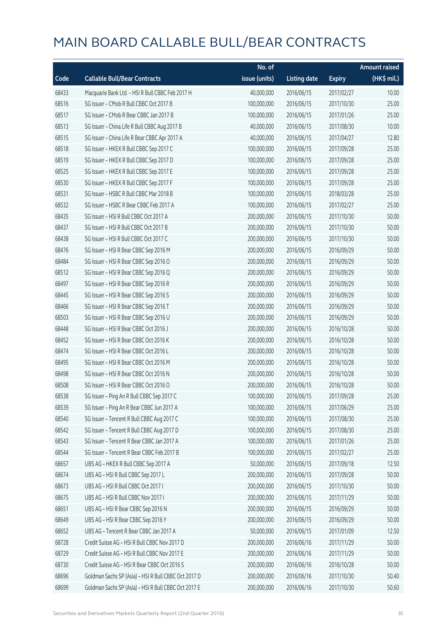|       |                                                      | No. of        |                     |               | <b>Amount raised</b>  |
|-------|------------------------------------------------------|---------------|---------------------|---------------|-----------------------|
| Code  | <b>Callable Bull/Bear Contracts</b>                  | issue (units) | <b>Listing date</b> | <b>Expiry</b> | $(HK\frac{1}{2}mil.)$ |
| 68433 | Macquarie Bank Ltd. - HSI R Bull CBBC Feb 2017 H     | 40,000,000    | 2016/06/15          | 2017/02/27    | 10.00                 |
| 68516 | SG Issuer - CMob R Bull CBBC Oct 2017 B              | 100,000,000   | 2016/06/15          | 2017/10/30    | 25.00                 |
| 68517 | SG Issuer - CMob R Bear CBBC Jan 2017 B              | 100,000,000   | 2016/06/15          | 2017/01/26    | 25.00                 |
| 68513 | SG Issuer - China Life R Bull CBBC Aug 2017 B        | 40,000,000    | 2016/06/15          | 2017/08/30    | 10.00                 |
| 68515 | SG Issuer - China Life R Bear CBBC Apr 2017 A        | 40,000,000    | 2016/06/15          | 2017/04/27    | 12.80                 |
| 68518 | SG Issuer - HKEX R Bull CBBC Sep 2017 C              | 100,000,000   | 2016/06/15          | 2017/09/28    | 25.00                 |
| 68519 | SG Issuer - HKEX R Bull CBBC Sep 2017 D              | 100,000,000   | 2016/06/15          | 2017/09/28    | 25.00                 |
| 68525 | SG Issuer - HKEX R Bull CBBC Sep 2017 E              | 100,000,000   | 2016/06/15          | 2017/09/28    | 25.00                 |
| 68530 | SG Issuer - HKEX R Bull CBBC Sep 2017 F              | 100,000,000   | 2016/06/15          | 2017/09/28    | 25.00                 |
| 68531 | SG Issuer - HSBC R Bull CBBC Mar 2018 B              | 100,000,000   | 2016/06/15          | 2018/03/28    | 25.00                 |
| 68532 | SG Issuer - HSBC R Bear CBBC Feb 2017 A              | 100,000,000   | 2016/06/15          | 2017/02/27    | 25.00                 |
| 68435 | SG Issuer - HSI R Bull CBBC Oct 2017 A               | 200,000,000   | 2016/06/15          | 2017/10/30    | 50.00                 |
| 68437 | SG Issuer - HSI R Bull CBBC Oct 2017 B               | 200,000,000   | 2016/06/15          | 2017/10/30    | 50.00                 |
| 68438 | SG Issuer - HSI R Bull CBBC Oct 2017 C               | 200,000,000   | 2016/06/15          | 2017/10/30    | 50.00                 |
| 68476 | SG Issuer - HSI R Bear CBBC Sep 2016 M               | 200,000,000   | 2016/06/15          | 2016/09/29    | 50.00                 |
| 68484 | SG Issuer - HSI R Bear CBBC Sep 2016 O               | 200,000,000   | 2016/06/15          | 2016/09/29    | 50.00                 |
| 68512 | SG Issuer - HSI R Bear CBBC Sep 2016 Q               | 200,000,000   | 2016/06/15          | 2016/09/29    | 50.00                 |
| 68497 | SG Issuer - HSI R Bear CBBC Sep 2016 R               | 200,000,000   | 2016/06/15          | 2016/09/29    | 50.00                 |
| 68445 | SG Issuer - HSI R Bear CBBC Sep 2016 S               | 200,000,000   | 2016/06/15          | 2016/09/29    | 50.00                 |
| 68466 | SG Issuer - HSI R Bear CBBC Sep 2016 T               | 200,000,000   | 2016/06/15          | 2016/09/29    | 50.00                 |
| 68503 | SG Issuer - HSI R Bear CBBC Sep 2016 U               | 200,000,000   | 2016/06/15          | 2016/09/29    | 50.00                 |
| 68448 | SG Issuer - HSI R Bear CBBC Oct 2016 J               | 200,000,000   | 2016/06/15          | 2016/10/28    | 50.00                 |
| 68452 | SG Issuer - HSI R Bear CBBC Oct 2016 K               | 200,000,000   | 2016/06/15          | 2016/10/28    | 50.00                 |
| 68474 | SG Issuer - HSI R Bear CBBC Oct 2016 L               | 200,000,000   | 2016/06/15          | 2016/10/28    | 50.00                 |
| 68495 | SG Issuer - HSI R Bear CBBC Oct 2016 M               | 200,000,000   | 2016/06/15          | 2016/10/28    | 50.00                 |
| 68498 | SG Issuer - HSI R Bear CBBC Oct 2016 N               | 200,000,000   | 2016/06/15          | 2016/10/28    | 50.00                 |
| 68508 | SG Issuer - HSI R Bear CBBC Oct 2016 O               | 200,000,000   | 2016/06/15          | 2016/10/28    | 50.00                 |
| 68538 | SG Issuer - Ping An R Bull CBBC Sep 2017 C           | 100,000,000   | 2016/06/15          | 2017/09/28    | 25.00                 |
| 68539 | SG Issuer - Ping An R Bear CBBC Jun 2017 A           | 100,000,000   | 2016/06/15          | 2017/06/29    | 25.00                 |
| 68540 | SG Issuer - Tencent R Bull CBBC Aug 2017 C           | 100,000,000   | 2016/06/15          | 2017/08/30    | 25.00                 |
| 68542 | SG Issuer - Tencent R Bull CBBC Aug 2017 D           | 100,000,000   | 2016/06/15          | 2017/08/30    | 25.00                 |
| 68543 | SG Issuer - Tencent R Bear CBBC Jan 2017 A           | 100,000,000   | 2016/06/15          | 2017/01/26    | 25.00                 |
| 68544 | SG Issuer - Tencent R Bear CBBC Feb 2017 B           | 100,000,000   | 2016/06/15          | 2017/02/27    | 25.00                 |
| 68657 | UBS AG - HKEX R Bull CBBC Sep 2017 A                 | 50,000,000    | 2016/06/15          | 2017/09/18    | 12.50                 |
| 68674 | UBS AG - HSI R Bull CBBC Sep 2017 L                  | 200,000,000   | 2016/06/15          | 2017/09/28    | 50.00                 |
| 68673 | UBS AG - HSI R Bull CBBC Oct 2017 I                  | 200,000,000   | 2016/06/15          | 2017/10/30    | 50.00                 |
| 68675 | UBS AG - HSI R Bull CBBC Nov 2017 I                  | 200,000,000   | 2016/06/15          | 2017/11/29    | 50.00                 |
| 68651 | UBS AG - HSI R Bear CBBC Sep 2016 N                  | 200,000,000   | 2016/06/15          | 2016/09/29    | 50.00                 |
| 68649 | UBS AG - HSI R Bear CBBC Sep 2016 Y                  | 200,000,000   | 2016/06/15          | 2016/09/29    | 50.00                 |
| 68652 | UBS AG - Tencent R Bear CBBC Jan 2017 A              | 50,000,000    | 2016/06/15          | 2017/01/09    | 12.50                 |
| 68728 | Credit Suisse AG - HSI R Bull CBBC Nov 2017 D        | 200,000,000   | 2016/06/16          | 2017/11/29    | 50.00                 |
| 68729 | Credit Suisse AG - HSI R Bull CBBC Nov 2017 E        | 200,000,000   | 2016/06/16          | 2017/11/29    | 50.00                 |
| 68730 | Credit Suisse AG - HSI R Bear CBBC Oct 2016 S        | 200,000,000   | 2016/06/16          | 2016/10/28    | 50.00                 |
| 68696 | Goldman Sachs SP (Asia) - HSI R Bull CBBC Oct 2017 D | 200,000,000   | 2016/06/16          | 2017/10/30    | 50.40                 |
| 68699 | Goldman Sachs SP (Asia) - HSI R Bull CBBC Oct 2017 E | 200,000,000   | 2016/06/16          | 2017/10/30    | 50.60                 |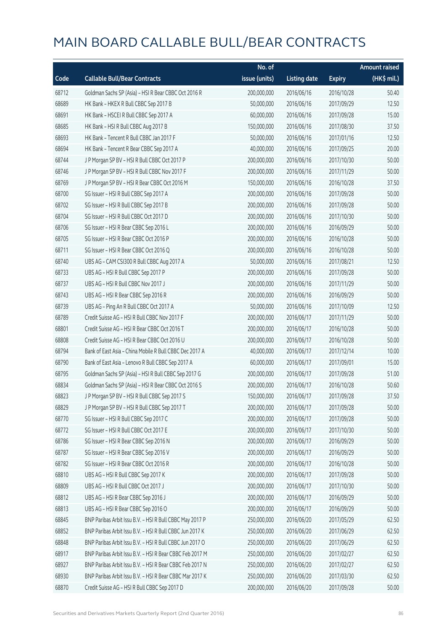|       |                                                          | No. of        |                     |               | <b>Amount raised</b>  |
|-------|----------------------------------------------------------|---------------|---------------------|---------------|-----------------------|
| Code  | <b>Callable Bull/Bear Contracts</b>                      | issue (units) | <b>Listing date</b> | <b>Expiry</b> | $(HK\frac{1}{2}mil.)$ |
| 68712 | Goldman Sachs SP (Asia) - HSI R Bear CBBC Oct 2016 R     | 200,000,000   | 2016/06/16          | 2016/10/28    | 50.40                 |
| 68689 | HK Bank - HKEX R Bull CBBC Sep 2017 B                    | 50,000,000    | 2016/06/16          | 2017/09/29    | 12.50                 |
| 68691 | HK Bank - HSCEI R Bull CBBC Sep 2017 A                   | 60,000,000    | 2016/06/16          | 2017/09/28    | 15.00                 |
| 68685 | HK Bank - HSI R Bull CBBC Aug 2017 B                     | 150,000,000   | 2016/06/16          | 2017/08/30    | 37.50                 |
| 68693 | HK Bank - Tencent R Bull CBBC Jan 2017 F                 | 50,000,000    | 2016/06/16          | 2017/01/16    | 12.50                 |
| 68694 | HK Bank - Tencent R Bear CBBC Sep 2017 A                 | 40,000,000    | 2016/06/16          | 2017/09/25    | 20.00                 |
| 68744 | J P Morgan SP BV - HSI R Bull CBBC Oct 2017 P            | 200,000,000   | 2016/06/16          | 2017/10/30    | 50.00                 |
| 68746 | J P Morgan SP BV - HSI R Bull CBBC Nov 2017 F            | 200,000,000   | 2016/06/16          | 2017/11/29    | 50.00                 |
| 68769 | J P Morgan SP BV - HSI R Bear CBBC Oct 2016 M            | 150,000,000   | 2016/06/16          | 2016/10/28    | 37.50                 |
| 68700 | SG Issuer - HSI R Bull CBBC Sep 2017 A                   | 200,000,000   | 2016/06/16          | 2017/09/28    | 50.00                 |
| 68702 | SG Issuer - HSI R Bull CBBC Sep 2017 B                   | 200,000,000   | 2016/06/16          | 2017/09/28    | 50.00                 |
| 68704 | SG Issuer - HSI R Bull CBBC Oct 2017 D                   | 200,000,000   | 2016/06/16          | 2017/10/30    | 50.00                 |
| 68706 | SG Issuer - HSI R Bear CBBC Sep 2016 L                   | 200,000,000   | 2016/06/16          | 2016/09/29    | 50.00                 |
| 68705 | SG Issuer - HSI R Bear CBBC Oct 2016 P                   | 200,000,000   | 2016/06/16          | 2016/10/28    | 50.00                 |
| 68711 | SG Issuer - HSI R Bear CBBC Oct 2016 Q                   | 200,000,000   | 2016/06/16          | 2016/10/28    | 50.00                 |
| 68740 | UBS AG - CAM CSI300 R Bull CBBC Aug 2017 A               | 50,000,000    | 2016/06/16          | 2017/08/21    | 12.50                 |
| 68733 | UBS AG - HSI R Bull CBBC Sep 2017 P                      | 200,000,000   | 2016/06/16          | 2017/09/28    | 50.00                 |
| 68737 | UBS AG - HSI R Bull CBBC Nov 2017 J                      | 200,000,000   | 2016/06/16          | 2017/11/29    | 50.00                 |
| 68743 | UBS AG - HSI R Bear CBBC Sep 2016 R                      | 200,000,000   | 2016/06/16          | 2016/09/29    | 50.00                 |
| 68739 | UBS AG - Ping An R Bull CBBC Oct 2017 A                  | 50,000,000    | 2016/06/16          | 2017/10/09    | 12.50                 |
| 68789 | Credit Suisse AG - HSI R Bull CBBC Nov 2017 F            | 200,000,000   | 2016/06/17          | 2017/11/29    | 50.00                 |
| 68801 | Credit Suisse AG - HSI R Bear CBBC Oct 2016 T            | 200,000,000   | 2016/06/17          | 2016/10/28    | 50.00                 |
| 68808 | Credit Suisse AG - HSI R Bear CBBC Oct 2016 U            | 200,000,000   | 2016/06/17          | 2016/10/28    | 50.00                 |
| 68794 | Bank of East Asia - China Mobile R Bull CBBC Dec 2017 A  | 40,000,000    | 2016/06/17          | 2017/12/14    | 10.00                 |
| 68790 | Bank of East Asia - Lenovo R Bull CBBC Sep 2017 A        | 60,000,000    | 2016/06/17          | 2017/09/01    | 15.00                 |
| 68795 | Goldman Sachs SP (Asia) - HSI R Bull CBBC Sep 2017 G     | 200,000,000   | 2016/06/17          | 2017/09/28    | 51.00                 |
| 68834 | Goldman Sachs SP (Asia) - HSI R Bear CBBC Oct 2016 S     | 200,000,000   | 2016/06/17          | 2016/10/28    | 50.60                 |
| 68823 | J P Morgan SP BV - HSI R Bull CBBC Sep 2017 S            | 150,000,000   | 2016/06/17          | 2017/09/28    | 37.50                 |
| 68829 | J P Morgan SP BV - HSI R Bull CBBC Sep 2017 T            | 200,000,000   | 2016/06/17          | 2017/09/28    | 50.00                 |
| 68770 | SG Issuer - HSI R Bull CBBC Sep 2017 C                   | 200,000,000   | 2016/06/17          | 2017/09/28    | 50.00                 |
| 68772 | SG Issuer - HSI R Bull CBBC Oct 2017 E                   | 200,000,000   | 2016/06/17          | 2017/10/30    | 50.00                 |
| 68786 | SG Issuer - HSI R Bear CBBC Sep 2016 N                   | 200,000,000   | 2016/06/17          | 2016/09/29    | 50.00                 |
| 68787 | SG Issuer - HSI R Bear CBBC Sep 2016 V                   | 200,000,000   | 2016/06/17          | 2016/09/29    | 50.00                 |
| 68782 | SG Issuer - HSI R Bear CBBC Oct 2016 R                   | 200,000,000   | 2016/06/17          | 2016/10/28    | 50.00                 |
| 68810 | UBS AG - HSI R Bull CBBC Sep 2017 K                      | 200,000,000   | 2016/06/17          | 2017/09/28    | 50.00                 |
| 68809 | UBS AG - HSI R Bull CBBC Oct 2017 J                      | 200,000,000   | 2016/06/17          | 2017/10/30    | 50.00                 |
| 68812 | UBS AG - HSI R Bear CBBC Sep 2016 J                      | 200,000,000   | 2016/06/17          | 2016/09/29    | 50.00                 |
| 68813 | UBS AG - HSI R Bear CBBC Sep 2016 O                      | 200,000,000   | 2016/06/17          | 2016/09/29    | 50.00                 |
| 68845 | BNP Paribas Arbit Issu B.V. - HSI R Bull CBBC May 2017 P | 250,000,000   | 2016/06/20          | 2017/05/29    | 62.50                 |
| 68852 | BNP Paribas Arbit Issu B.V. - HSI R Bull CBBC Jun 2017 K | 250,000,000   | 2016/06/20          | 2017/06/29    | 62.50                 |
| 68848 | BNP Paribas Arbit Issu B.V. - HSI R Bull CBBC Jun 2017 O | 250,000,000   | 2016/06/20          | 2017/06/29    | 62.50                 |
| 68917 | BNP Paribas Arbit Issu B.V. - HSI R Bear CBBC Feb 2017 M | 250,000,000   | 2016/06/20          | 2017/02/27    | 62.50                 |
| 68927 | BNP Paribas Arbit Issu B.V. - HSI R Bear CBBC Feb 2017 N | 250,000,000   | 2016/06/20          | 2017/02/27    | 62.50                 |
| 68930 | BNP Paribas Arbit Issu B.V. - HSI R Bear CBBC Mar 2017 K | 250,000,000   | 2016/06/20          | 2017/03/30    | 62.50                 |
| 68870 | Credit Suisse AG - HSI R Bull CBBC Sep 2017 D            | 200,000,000   | 2016/06/20          | 2017/09/28    | 50.00                 |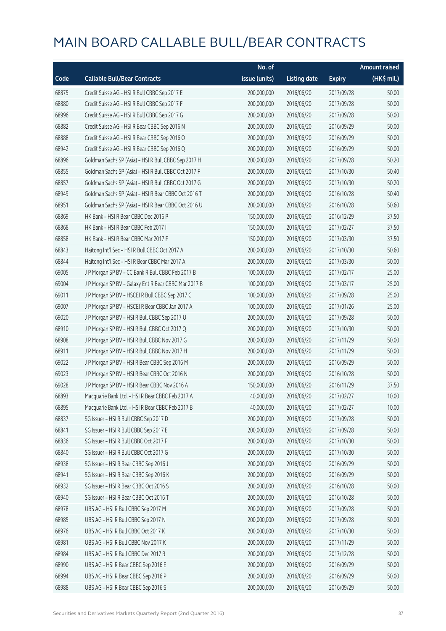|       |                                                      | No. of        |                     | <b>Amount raised</b> |             |
|-------|------------------------------------------------------|---------------|---------------------|----------------------|-------------|
| Code  | <b>Callable Bull/Bear Contracts</b>                  | issue (units) | <b>Listing date</b> | <b>Expiry</b>        | (HK\$ mil.) |
| 68875 | Credit Suisse AG - HSI R Bull CBBC Sep 2017 E        | 200,000,000   | 2016/06/20          | 2017/09/28           | 50.00       |
| 68880 | Credit Suisse AG - HSI R Bull CBBC Sep 2017 F        | 200,000,000   | 2016/06/20          | 2017/09/28           | 50.00       |
| 68996 | Credit Suisse AG - HSI R Bull CBBC Sep 2017 G        | 200,000,000   | 2016/06/20          | 2017/09/28           | 50.00       |
| 68882 | Credit Suisse AG - HSI R Bear CBBC Sep 2016 N        | 200,000,000   | 2016/06/20          | 2016/09/29           | 50.00       |
| 68888 | Credit Suisse AG - HSI R Bear CBBC Sep 2016 O        | 200,000,000   | 2016/06/20          | 2016/09/29           | 50.00       |
| 68942 | Credit Suisse AG - HSI R Bear CBBC Sep 2016 Q        | 200,000,000   | 2016/06/20          | 2016/09/29           | 50.00       |
| 68896 | Goldman Sachs SP (Asia) - HSI R Bull CBBC Sep 2017 H | 200,000,000   | 2016/06/20          | 2017/09/28           | 50.20       |
| 68855 | Goldman Sachs SP (Asia) - HSI R Bull CBBC Oct 2017 F | 200,000,000   | 2016/06/20          | 2017/10/30           | 50.40       |
| 68857 | Goldman Sachs SP (Asia) - HSI R Bull CBBC Oct 2017 G | 200,000,000   | 2016/06/20          | 2017/10/30           | 50.20       |
| 68949 | Goldman Sachs SP (Asia) - HSI R Bear CBBC Oct 2016 T | 200,000,000   | 2016/06/20          | 2016/10/28           | 50.40       |
| 68951 | Goldman Sachs SP (Asia) - HSI R Bear CBBC Oct 2016 U | 200,000,000   | 2016/06/20          | 2016/10/28           | 50.60       |
| 68869 | HK Bank - HSI R Bear CBBC Dec 2016 P                 | 150,000,000   | 2016/06/20          | 2016/12/29           | 37.50       |
| 68868 | HK Bank - HSI R Bear CBBC Feb 2017 I                 | 150,000,000   | 2016/06/20          | 2017/02/27           | 37.50       |
| 68858 | HK Bank - HSI R Bear CBBC Mar 2017 F                 | 150,000,000   | 2016/06/20          | 2017/03/30           | 37.50       |
| 68843 | Haitong Int'l Sec - HSI R Bull CBBC Oct 2017 A       | 200,000,000   | 2016/06/20          | 2017/10/30           | 50.60       |
| 68844 | Haitong Int'l Sec - HSI R Bear CBBC Mar 2017 A       | 200,000,000   | 2016/06/20          | 2017/03/30           | 50.00       |
| 69005 | J P Morgan SP BV - CC Bank R Bull CBBC Feb 2017 B    | 100,000,000   | 2016/06/20          | 2017/02/17           | 25.00       |
| 69004 | J P Morgan SP BV - Galaxy Ent R Bear CBBC Mar 2017 B | 100,000,000   | 2016/06/20          | 2017/03/17           | 25.00       |
| 69011 | J P Morgan SP BV - HSCEI R Bull CBBC Sep 2017 C      | 100,000,000   | 2016/06/20          | 2017/09/28           | 25.00       |
| 69007 | J P Morgan SP BV - HSCEI R Bear CBBC Jan 2017 A      | 100,000,000   | 2016/06/20          | 2017/01/26           | 25.00       |
| 69020 | J P Morgan SP BV - HSI R Bull CBBC Sep 2017 U        | 200,000,000   | 2016/06/20          | 2017/09/28           | 50.00       |
| 68910 | J P Morgan SP BV - HSI R Bull CBBC Oct 2017 Q        | 200,000,000   | 2016/06/20          | 2017/10/30           | 50.00       |
| 68908 | J P Morgan SP BV - HSI R Bull CBBC Nov 2017 G        | 200,000,000   | 2016/06/20          | 2017/11/29           | 50.00       |
| 68911 | J P Morgan SP BV - HSI R Bull CBBC Nov 2017 H        | 200,000,000   | 2016/06/20          | 2017/11/29           | 50.00       |
| 69022 | J P Morgan SP BV - HSI R Bear CBBC Sep 2016 M        | 200,000,000   | 2016/06/20          | 2016/09/29           | 50.00       |
| 69023 | J P Morgan SP BV - HSI R Bear CBBC Oct 2016 N        | 200,000,000   | 2016/06/20          | 2016/10/28           | 50.00       |
| 69028 | J P Morgan SP BV - HSI R Bear CBBC Nov 2016 A        | 150,000,000   | 2016/06/20          | 2016/11/29           | 37.50       |
| 68893 | Macquarie Bank Ltd. - HSI R Bear CBBC Feb 2017 A     | 40,000,000    | 2016/06/20          | 2017/02/27           | 10.00       |
| 68895 | Macquarie Bank Ltd. - HSI R Bear CBBC Feb 2017 B     | 40,000,000    | 2016/06/20          | 2017/02/27           | 10.00       |
| 68837 | SG Issuer - HSI R Bull CBBC Sep 2017 D               | 200,000,000   | 2016/06/20          | 2017/09/28           | 50.00       |
| 68841 | SG Issuer - HSI R Bull CBBC Sep 2017 E               | 200,000,000   | 2016/06/20          | 2017/09/28           | 50.00       |
| 68836 | SG Issuer - HSI R Bull CBBC Oct 2017 F               | 200,000,000   | 2016/06/20          | 2017/10/30           | 50.00       |
| 68840 | SG Issuer - HSI R Bull CBBC Oct 2017 G               | 200,000,000   | 2016/06/20          | 2017/10/30           | 50.00       |
| 68938 | SG Issuer - HSI R Bear CBBC Sep 2016 J               | 200,000,000   | 2016/06/20          | 2016/09/29           | 50.00       |
| 68941 | SG Issuer - HSI R Bear CBBC Sep 2016 K               | 200,000,000   | 2016/06/20          | 2016/09/29           | 50.00       |
| 68932 | SG Issuer - HSI R Bear CBBC Oct 2016 S               | 200,000,000   | 2016/06/20          | 2016/10/28           | 50.00       |
| 68940 | SG Issuer - HSI R Bear CBBC Oct 2016 T               | 200,000,000   | 2016/06/20          | 2016/10/28           | 50.00       |
| 68978 | UBS AG - HSI R Bull CBBC Sep 2017 M                  | 200,000,000   | 2016/06/20          | 2017/09/28           | 50.00       |
| 68985 | UBS AG - HSI R Bull CBBC Sep 2017 N                  | 200,000,000   | 2016/06/20          | 2017/09/28           | 50.00       |
| 68976 | UBS AG - HSI R Bull CBBC Oct 2017 K                  | 200,000,000   | 2016/06/20          | 2017/10/30           | 50.00       |
| 68981 | UBS AG - HSI R Bull CBBC Nov 2017 K                  | 200,000,000   | 2016/06/20          | 2017/11/29           | 50.00       |
| 68984 | UBS AG - HSI R Bull CBBC Dec 2017 B                  | 200,000,000   | 2016/06/20          | 2017/12/28           | 50.00       |
| 68990 | UBS AG - HSI R Bear CBBC Sep 2016 E                  | 200,000,000   | 2016/06/20          | 2016/09/29           | 50.00       |
| 68994 | UBS AG - HSI R Bear CBBC Sep 2016 P                  | 200,000,000   | 2016/06/20          | 2016/09/29           | 50.00       |
| 68988 | UBS AG - HSI R Bear CBBC Sep 2016 S                  | 200,000,000   | 2016/06/20          | 2016/09/29           | 50.00       |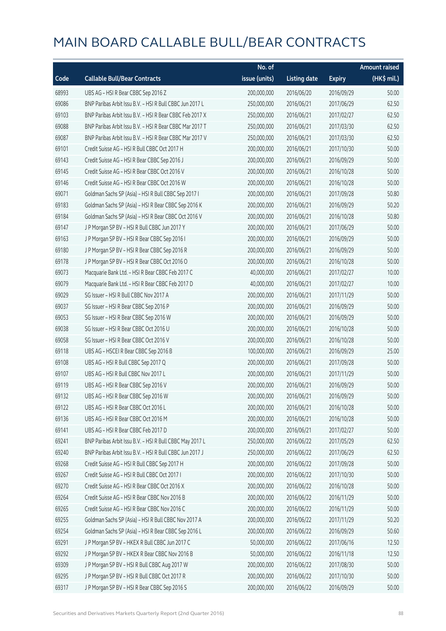|       |                                                          | No. of        |                     |               | Amount raised |
|-------|----------------------------------------------------------|---------------|---------------------|---------------|---------------|
| Code  | <b>Callable Bull/Bear Contracts</b>                      | issue (units) | <b>Listing date</b> | <b>Expiry</b> | (HK\$ mil.)   |
| 68993 | UBS AG - HSI R Bear CBBC Sep 2016 Z                      | 200,000,000   | 2016/06/20          | 2016/09/29    | 50.00         |
| 69086 | BNP Paribas Arbit Issu B.V. - HSI R Bull CBBC Jun 2017 L | 250,000,000   | 2016/06/21          | 2017/06/29    | 62.50         |
| 69103 | BNP Paribas Arbit Issu B.V. - HSI R Bear CBBC Feb 2017 X | 250,000,000   | 2016/06/21          | 2017/02/27    | 62.50         |
| 69088 | BNP Paribas Arbit Issu B.V. - HSI R Bear CBBC Mar 2017 T | 250,000,000   | 2016/06/21          | 2017/03/30    | 62.50         |
| 69087 | BNP Paribas Arbit Issu B.V. - HSI R Bear CBBC Mar 2017 V | 250,000,000   | 2016/06/21          | 2017/03/30    | 62.50         |
| 69101 | Credit Suisse AG - HSI R Bull CBBC Oct 2017 H            | 200,000,000   | 2016/06/21          | 2017/10/30    | 50.00         |
| 69143 | Credit Suisse AG - HSI R Bear CBBC Sep 2016 J            | 200,000,000   | 2016/06/21          | 2016/09/29    | 50.00         |
| 69145 | Credit Suisse AG - HSI R Bear CBBC Oct 2016 V            | 200,000,000   | 2016/06/21          | 2016/10/28    | 50.00         |
| 69146 | Credit Suisse AG - HSI R Bear CBBC Oct 2016 W            | 200,000,000   | 2016/06/21          | 2016/10/28    | 50.00         |
| 69071 | Goldman Sachs SP (Asia) - HSI R Bull CBBC Sep 2017 I     | 200,000,000   | 2016/06/21          | 2017/09/28    | 50.80         |
| 69183 | Goldman Sachs SP (Asia) - HSI R Bear CBBC Sep 2016 K     | 200,000,000   | 2016/06/21          | 2016/09/29    | 50.20         |
| 69184 | Goldman Sachs SP (Asia) - HSI R Bear CBBC Oct 2016 V     | 200,000,000   | 2016/06/21          | 2016/10/28    | 50.80         |
| 69147 | J P Morgan SP BV - HSI R Bull CBBC Jun 2017 Y            | 200,000,000   | 2016/06/21          | 2017/06/29    | 50.00         |
| 69163 | J P Morgan SP BV - HSI R Bear CBBC Sep 2016 I            | 200,000,000   | 2016/06/21          | 2016/09/29    | 50.00         |
| 69180 | J P Morgan SP BV - HSI R Bear CBBC Sep 2016 R            | 200,000,000   | 2016/06/21          | 2016/09/29    | 50.00         |
| 69178 | J P Morgan SP BV - HSI R Bear CBBC Oct 2016 O            | 200,000,000   | 2016/06/21          | 2016/10/28    | 50.00         |
| 69073 | Macquarie Bank Ltd. - HSI R Bear CBBC Feb 2017 C         | 40,000,000    | 2016/06/21          | 2017/02/27    | 10.00         |
| 69079 | Macquarie Bank Ltd. - HSI R Bear CBBC Feb 2017 D         | 40,000,000    | 2016/06/21          | 2017/02/27    | 10.00         |
| 69029 | SG Issuer - HSI R Bull CBBC Nov 2017 A                   | 200,000,000   | 2016/06/21          | 2017/11/29    | 50.00         |
| 69037 | SG Issuer - HSI R Bear CBBC Sep 2016 P                   | 200,000,000   | 2016/06/21          | 2016/09/29    | 50.00         |
| 69053 | SG Issuer - HSI R Bear CBBC Sep 2016 W                   | 200,000,000   | 2016/06/21          | 2016/09/29    | 50.00         |
| 69038 | SG Issuer - HSI R Bear CBBC Oct 2016 U                   | 200,000,000   | 2016/06/21          | 2016/10/28    | 50.00         |
| 69058 | SG Issuer - HSI R Bear CBBC Oct 2016 V                   | 200,000,000   | 2016/06/21          | 2016/10/28    | 50.00         |
| 69118 | UBS AG - HSCEI R Bear CBBC Sep 2016 B                    | 100,000,000   | 2016/06/21          | 2016/09/29    | 25.00         |
| 69108 | UBS AG - HSI R Bull CBBC Sep 2017 Q                      | 200,000,000   | 2016/06/21          | 2017/09/28    | 50.00         |
| 69107 | UBS AG - HSI R Bull CBBC Nov 2017 L                      | 200,000,000   | 2016/06/21          | 2017/11/29    | 50.00         |
| 69119 | UBS AG - HSI R Bear CBBC Sep 2016 V                      | 200,000,000   | 2016/06/21          | 2016/09/29    | 50.00         |
| 69132 | UBS AG - HSI R Bear CBBC Sep 2016 W                      | 200,000,000   | 2016/06/21          | 2016/09/29    | 50.00         |
| 69122 | UBS AG - HSI R Bear CBBC Oct 2016 L                      | 200,000,000   | 2016/06/21          | 2016/10/28    | 50.00         |
| 69136 | UBS AG - HSI R Bear CBBC Oct 2016 M                      | 200,000,000   | 2016/06/21          | 2016/10/28    | 50.00         |
| 69141 | UBS AG - HSI R Bear CBBC Feb 2017 D                      | 200,000,000   | 2016/06/21          | 2017/02/27    | 50.00         |
| 69241 | BNP Paribas Arbit Issu B.V. - HSI R Bull CBBC May 2017 L | 250,000,000   | 2016/06/22          | 2017/05/29    | 62.50         |
| 69240 | BNP Paribas Arbit Issu B.V. - HSI R Bull CBBC Jun 2017 J | 250,000,000   | 2016/06/22          | 2017/06/29    | 62.50         |
| 69268 | Credit Suisse AG - HSI R Bull CBBC Sep 2017 H            | 200,000,000   | 2016/06/22          | 2017/09/28    | 50.00         |
| 69267 | Credit Suisse AG - HSI R Bull CBBC Oct 2017 I            | 200,000,000   | 2016/06/22          | 2017/10/30    | 50.00         |
| 69270 | Credit Suisse AG - HSI R Bear CBBC Oct 2016 X            | 200,000,000   | 2016/06/22          | 2016/10/28    | 50.00         |
| 69264 | Credit Suisse AG - HSI R Bear CBBC Nov 2016 B            | 200,000,000   | 2016/06/22          | 2016/11/29    | 50.00         |
| 69265 | Credit Suisse AG - HSI R Bear CBBC Nov 2016 C            | 200,000,000   | 2016/06/22          | 2016/11/29    | 50.00         |
| 69255 | Goldman Sachs SP (Asia) - HSI R Bull CBBC Nov 2017 A     | 200,000,000   | 2016/06/22          | 2017/11/29    | 50.20         |
| 69254 | Goldman Sachs SP (Asia) - HSI R Bear CBBC Sep 2016 L     | 200,000,000   | 2016/06/22          | 2016/09/29    | 50.60         |
| 69291 | J P Morgan SP BV - HKEX R Bull CBBC Jun 2017 C           | 50,000,000    | 2016/06/22          | 2017/06/16    | 12.50         |
| 69292 | J P Morgan SP BV - HKEX R Bear CBBC Nov 2016 B           | 50,000,000    | 2016/06/22          | 2016/11/18    | 12.50         |
| 69309 | J P Morgan SP BV - HSI R Bull CBBC Aug 2017 W            | 200,000,000   | 2016/06/22          | 2017/08/30    | 50.00         |
| 69295 | J P Morgan SP BV - HSI R Bull CBBC Oct 2017 R            | 200,000,000   | 2016/06/22          | 2017/10/30    | 50.00         |
| 69317 | J P Morgan SP BV - HSI R Bear CBBC Sep 2016 S            | 200,000,000   | 2016/06/22          | 2016/09/29    | 50.00         |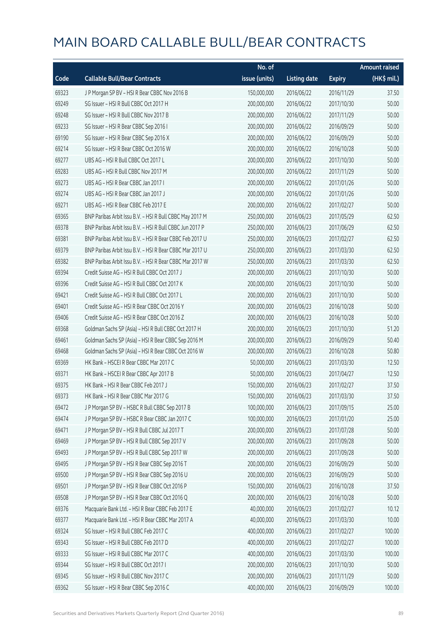|       |                                                          | No. of        |                     |               | <b>Amount raised</b> |
|-------|----------------------------------------------------------|---------------|---------------------|---------------|----------------------|
| Code  | <b>Callable Bull/Bear Contracts</b>                      | issue (units) | <b>Listing date</b> | <b>Expiry</b> | (HK\$ mil.)          |
| 69323 | J P Morgan SP BV - HSI R Bear CBBC Nov 2016 B            | 150,000,000   | 2016/06/22          | 2016/11/29    | 37.50                |
| 69249 | SG Issuer - HSI R Bull CBBC Oct 2017 H                   | 200,000,000   | 2016/06/22          | 2017/10/30    | 50.00                |
| 69248 | SG Issuer - HSI R Bull CBBC Nov 2017 B                   | 200,000,000   | 2016/06/22          | 2017/11/29    | 50.00                |
| 69233 | SG Issuer - HSI R Bear CBBC Sep 2016 I                   | 200,000,000   | 2016/06/22          | 2016/09/29    | 50.00                |
| 69190 | SG Issuer - HSI R Bear CBBC Sep 2016 X                   | 200,000,000   | 2016/06/22          | 2016/09/29    | 50.00                |
| 69214 | SG Issuer - HSI R Bear CBBC Oct 2016 W                   | 200,000,000   | 2016/06/22          | 2016/10/28    | 50.00                |
| 69277 | UBS AG - HSI R Bull CBBC Oct 2017 L                      | 200,000,000   | 2016/06/22          | 2017/10/30    | 50.00                |
| 69283 | UBS AG - HSI R Bull CBBC Nov 2017 M                      | 200,000,000   | 2016/06/22          | 2017/11/29    | 50.00                |
| 69273 | UBS AG - HSI R Bear CBBC Jan 2017 I                      | 200,000,000   | 2016/06/22          | 2017/01/26    | 50.00                |
| 69274 | UBS AG - HSI R Bear CBBC Jan 2017 J                      | 200,000,000   | 2016/06/22          | 2017/01/26    | 50.00                |
| 69271 | UBS AG - HSI R Bear CBBC Feb 2017 E                      | 200,000,000   | 2016/06/22          | 2017/02/27    | 50.00                |
| 69365 | BNP Paribas Arbit Issu B.V. - HSI R Bull CBBC May 2017 M | 250,000,000   | 2016/06/23          | 2017/05/29    | 62.50                |
| 69378 | BNP Paribas Arbit Issu B.V. - HSI R Bull CBBC Jun 2017 P | 250,000,000   | 2016/06/23          | 2017/06/29    | 62.50                |
| 69381 | BNP Paribas Arbit Issu B.V. - HSI R Bear CBBC Feb 2017 U | 250,000,000   | 2016/06/23          | 2017/02/27    | 62.50                |
| 69379 | BNP Paribas Arbit Issu B.V. - HSI R Bear CBBC Mar 2017 U | 250,000,000   | 2016/06/23          | 2017/03/30    | 62.50                |
| 69382 | BNP Paribas Arbit Issu B.V. - HSI R Bear CBBC Mar 2017 W | 250,000,000   | 2016/06/23          | 2017/03/30    | 62.50                |
| 69394 | Credit Suisse AG - HSI R Bull CBBC Oct 2017 J            | 200,000,000   | 2016/06/23          | 2017/10/30    | 50.00                |
| 69396 | Credit Suisse AG - HSI R Bull CBBC Oct 2017 K            | 200,000,000   | 2016/06/23          | 2017/10/30    | 50.00                |
| 69421 | Credit Suisse AG - HSI R Bull CBBC Oct 2017 L            | 200,000,000   | 2016/06/23          | 2017/10/30    | 50.00                |
| 69401 | Credit Suisse AG - HSI R Bear CBBC Oct 2016 Y            | 200,000,000   | 2016/06/23          | 2016/10/28    | 50.00                |
| 69406 | Credit Suisse AG - HSI R Bear CBBC Oct 2016 Z            | 200,000,000   | 2016/06/23          | 2016/10/28    | 50.00                |
| 69368 | Goldman Sachs SP (Asia) - HSI R Bull CBBC Oct 2017 H     | 200,000,000   | 2016/06/23          | 2017/10/30    | 51.20                |
| 69461 | Goldman Sachs SP (Asia) - HSI R Bear CBBC Sep 2016 M     | 200,000,000   | 2016/06/23          | 2016/09/29    | 50.40                |
| 69468 | Goldman Sachs SP (Asia) - HSI R Bear CBBC Oct 2016 W     | 200,000,000   | 2016/06/23          | 2016/10/28    | 50.80                |
| 69369 | HK Bank - HSCEI R Bear CBBC Mar 2017 C                   | 50,000,000    | 2016/06/23          | 2017/03/30    | 12.50                |
| 69371 | HK Bank - HSCEI R Bear CBBC Apr 2017 B                   | 50,000,000    | 2016/06/23          | 2017/04/27    | 12.50                |
| 69375 | HK Bank - HSI R Bear CBBC Feb 2017 J                     | 150,000,000   | 2016/06/23          | 2017/02/27    | 37.50                |
| 69373 | HK Bank - HSI R Bear CBBC Mar 2017 G                     | 150,000,000   | 2016/06/23          | 2017/03/30    | 37.50                |
| 69472 | J P Morgan SP BV - HSBC R Bull CBBC Sep 2017 B           | 100,000,000   | 2016/06/23          | 2017/09/15    | 25.00                |
| 69474 | J P Morgan SP BV - HSBC R Bear CBBC Jan 2017 C           | 100,000,000   | 2016/06/23          | 2017/01/20    | 25.00                |
| 69471 | J P Morgan SP BV - HSI R Bull CBBC Jul 2017 T            | 200,000,000   | 2016/06/23          | 2017/07/28    | 50.00                |
| 69469 | J P Morgan SP BV - HSI R Bull CBBC Sep 2017 V            | 200,000,000   | 2016/06/23          | 2017/09/28    | 50.00                |
| 69493 | J P Morgan SP BV - HSI R Bull CBBC Sep 2017 W            | 200,000,000   | 2016/06/23          | 2017/09/28    | 50.00                |
| 69495 | J P Morgan SP BV - HSI R Bear CBBC Sep 2016 T            | 200,000,000   | 2016/06/23          | 2016/09/29    | 50.00                |
| 69500 | J P Morgan SP BV - HSI R Bear CBBC Sep 2016 U            | 200,000,000   | 2016/06/23          | 2016/09/29    | 50.00                |
| 69501 | JP Morgan SP BV - HSIR Bear CBBC Oct 2016 P              | 150,000,000   | 2016/06/23          | 2016/10/28    | 37.50                |
| 69508 | J P Morgan SP BV - HSI R Bear CBBC Oct 2016 Q            | 200,000,000   | 2016/06/23          | 2016/10/28    | 50.00                |
| 69376 | Macquarie Bank Ltd. - HSI R Bear CBBC Feb 2017 E         | 40,000,000    | 2016/06/23          | 2017/02/27    | 10.12                |
| 69377 | Macquarie Bank Ltd. - HSI R Bear CBBC Mar 2017 A         | 40,000,000    | 2016/06/23          | 2017/03/30    | 10.00                |
| 69324 | SG Issuer - HSI R Bull CBBC Feb 2017 C                   | 400,000,000   | 2016/06/23          | 2017/02/27    | 100.00               |
| 69343 | SG Issuer - HSI R Bull CBBC Feb 2017 D                   | 400,000,000   | 2016/06/23          | 2017/02/27    | 100.00               |
| 69333 | SG Issuer - HSI R Bull CBBC Mar 2017 C                   | 400,000,000   | 2016/06/23          | 2017/03/30    | 100.00               |
| 69344 | SG Issuer - HSI R Bull CBBC Oct 2017 I                   | 200,000,000   | 2016/06/23          | 2017/10/30    | 50.00                |
| 69345 | SG Issuer - HSI R Bull CBBC Nov 2017 C                   | 200,000,000   | 2016/06/23          | 2017/11/29    | 50.00                |
| 69362 | SG Issuer - HSI R Bear CBBC Sep 2016 C                   | 400,000,000   | 2016/06/23          | 2016/09/29    | 100.00               |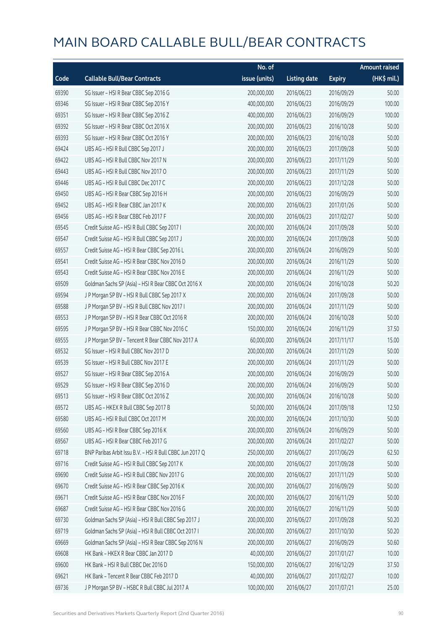|       |                                                          | No. of        |                     |               | <b>Amount raised</b> |
|-------|----------------------------------------------------------|---------------|---------------------|---------------|----------------------|
| Code  | <b>Callable Bull/Bear Contracts</b>                      | issue (units) | <b>Listing date</b> | <b>Expiry</b> | (HK\$ mil.)          |
| 69390 | SG Issuer - HSI R Bear CBBC Sep 2016 G                   | 200,000,000   | 2016/06/23          | 2016/09/29    | 50.00                |
| 69346 | SG Issuer - HSI R Bear CBBC Sep 2016 Y                   | 400,000,000   | 2016/06/23          | 2016/09/29    | 100.00               |
| 69351 | SG Issuer - HSI R Bear CBBC Sep 2016 Z                   | 400,000,000   | 2016/06/23          | 2016/09/29    | 100.00               |
| 69392 | SG Issuer - HSI R Bear CBBC Oct 2016 X                   | 200,000,000   | 2016/06/23          | 2016/10/28    | 50.00                |
| 69393 | SG Issuer - HSI R Bear CBBC Oct 2016 Y                   | 200,000,000   | 2016/06/23          | 2016/10/28    | 50.00                |
| 69424 | UBS AG - HSI R Bull CBBC Sep 2017 J                      | 200,000,000   | 2016/06/23          | 2017/09/28    | 50.00                |
| 69422 | UBS AG - HSI R Bull CBBC Nov 2017 N                      | 200,000,000   | 2016/06/23          | 2017/11/29    | 50.00                |
| 69443 | UBS AG - HSI R Bull CBBC Nov 2017 O                      | 200,000,000   | 2016/06/23          | 2017/11/29    | 50.00                |
| 69446 | UBS AG - HSI R Bull CBBC Dec 2017 C                      | 200,000,000   | 2016/06/23          | 2017/12/28    | 50.00                |
| 69450 | UBS AG - HSI R Bear CBBC Sep 2016 H                      | 200,000,000   | 2016/06/23          | 2016/09/29    | 50.00                |
| 69452 | UBS AG - HSI R Bear CBBC Jan 2017 K                      | 200,000,000   | 2016/06/23          | 2017/01/26    | 50.00                |
| 69456 | UBS AG - HSI R Bear CBBC Feb 2017 F                      | 200,000,000   | 2016/06/23          | 2017/02/27    | 50.00                |
| 69545 | Credit Suisse AG - HSI R Bull CBBC Sep 2017 I            | 200,000,000   | 2016/06/24          | 2017/09/28    | 50.00                |
| 69547 | Credit Suisse AG - HSI R Bull CBBC Sep 2017 J            | 200,000,000   | 2016/06/24          | 2017/09/28    | 50.00                |
| 69557 | Credit Suisse AG - HSI R Bear CBBC Sep 2016 L            | 200,000,000   | 2016/06/24          | 2016/09/29    | 50.00                |
| 69541 | Credit Suisse AG - HSI R Bear CBBC Nov 2016 D            | 200,000,000   | 2016/06/24          | 2016/11/29    | 50.00                |
| 69543 | Credit Suisse AG - HSI R Bear CBBC Nov 2016 E            | 200,000,000   | 2016/06/24          | 2016/11/29    | 50.00                |
| 69509 | Goldman Sachs SP (Asia) - HSI R Bear CBBC Oct 2016 X     | 200,000,000   | 2016/06/24          | 2016/10/28    | 50.20                |
| 69594 | J P Morgan SP BV - HSI R Bull CBBC Sep 2017 X            | 200,000,000   | 2016/06/24          | 2017/09/28    | 50.00                |
| 69588 | J P Morgan SP BV - HSI R Bull CBBC Nov 2017 I            | 200,000,000   | 2016/06/24          | 2017/11/29    | 50.00                |
| 69553 | J P Morgan SP BV - HSI R Bear CBBC Oct 2016 R            | 200,000,000   | 2016/06/24          | 2016/10/28    | 50.00                |
| 69595 | J P Morgan SP BV - HSI R Bear CBBC Nov 2016 C            | 150,000,000   | 2016/06/24          | 2016/11/29    | 37.50                |
| 69555 | J P Morgan SP BV - Tencent R Bear CBBC Nov 2017 A        | 60,000,000    | 2016/06/24          | 2017/11/17    | 15.00                |
| 69532 | SG Issuer - HSI R Bull CBBC Nov 2017 D                   | 200,000,000   | 2016/06/24          | 2017/11/29    | 50.00                |
| 69539 | SG Issuer - HSI R Bull CBBC Nov 2017 E                   | 200,000,000   | 2016/06/24          | 2017/11/29    | 50.00                |
| 69527 | SG Issuer - HSI R Bear CBBC Sep 2016 A                   | 200,000,000   | 2016/06/24          | 2016/09/29    | 50.00                |
| 69529 | SG Issuer - HSI R Bear CBBC Sep 2016 D                   | 200,000,000   | 2016/06/24          | 2016/09/29    | 50.00                |
| 69513 | SG Issuer - HSI R Bear CBBC Oct 2016 Z                   | 200,000,000   | 2016/06/24          | 2016/10/28    | 50.00                |
| 69572 | UBS AG - HKEX R Bull CBBC Sep 2017 B                     | 50,000,000    | 2016/06/24          | 2017/09/18    | 12.50                |
| 69580 | UBS AG - HSI R Bull CBBC Oct 2017 M                      | 200,000,000   | 2016/06/24          | 2017/10/30    | 50.00                |
| 69560 | UBS AG - HSI R Bear CBBC Sep 2016 K                      | 200,000,000   | 2016/06/24          | 2016/09/29    | 50.00                |
| 69567 | UBS AG - HSI R Bear CBBC Feb 2017 G                      | 200,000,000   | 2016/06/24          | 2017/02/27    | 50.00                |
| 69718 | BNP Paribas Arbit Issu B.V. - HSI R Bull CBBC Jun 2017 Q | 250,000,000   | 2016/06/27          | 2017/06/29    | 62.50                |
| 69716 | Credit Suisse AG - HSI R Bull CBBC Sep 2017 K            | 200,000,000   | 2016/06/27          | 2017/09/28    | 50.00                |
| 69690 | Credit Suisse AG - HSI R Bull CBBC Nov 2017 G            | 200,000,000   | 2016/06/27          | 2017/11/29    | 50.00                |
| 69670 | Credit Suisse AG - HSI R Bear CBBC Sep 2016 K            | 200,000,000   | 2016/06/27          | 2016/09/29    | 50.00                |
| 69671 | Credit Suisse AG - HSI R Bear CBBC Nov 2016 F            | 200,000,000   | 2016/06/27          | 2016/11/29    | 50.00                |
| 69687 | Credit Suisse AG - HSI R Bear CBBC Nov 2016 G            | 200,000,000   | 2016/06/27          | 2016/11/29    | 50.00                |
| 69730 | Goldman Sachs SP (Asia) - HSI R Bull CBBC Sep 2017 J     | 200,000,000   | 2016/06/27          | 2017/09/28    | 50.20                |
| 69719 | Goldman Sachs SP (Asia) - HSI R Bull CBBC Oct 2017 I     | 200,000,000   | 2016/06/27          | 2017/10/30    | 50.20                |
| 69669 | Goldman Sachs SP (Asia) - HSI R Bear CBBC Sep 2016 N     | 200,000,000   | 2016/06/27          | 2016/09/29    | 50.60                |
| 69608 | HK Bank - HKEX R Bear CBBC Jan 2017 D                    | 40,000,000    | 2016/06/27          | 2017/01/27    | 10.00                |
| 69600 | HK Bank - HSI R Bull CBBC Dec 2016 D                     | 150,000,000   | 2016/06/27          | 2016/12/29    | 37.50                |
| 69621 | HK Bank - Tencent R Bear CBBC Feb 2017 D                 | 40,000,000    | 2016/06/27          | 2017/02/27    | 10.00                |
| 69736 | J P Morgan SP BV - HSBC R Bull CBBC Jul 2017 A           | 100,000,000   | 2016/06/27          | 2017/07/21    | 25.00                |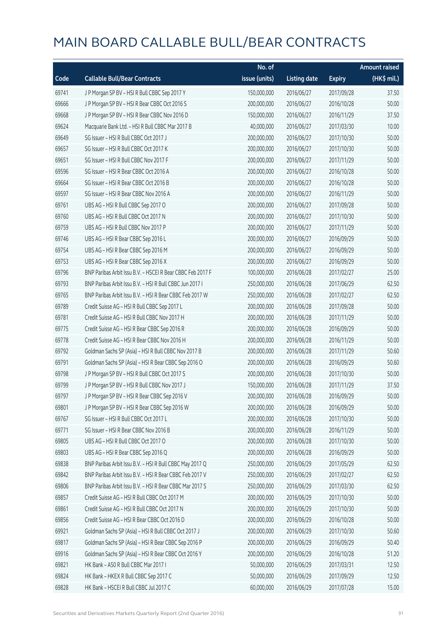|       |                                                            | No. of        |                     |               | <b>Amount raised</b> |
|-------|------------------------------------------------------------|---------------|---------------------|---------------|----------------------|
| Code  | <b>Callable Bull/Bear Contracts</b>                        | issue (units) | <b>Listing date</b> | <b>Expiry</b> | (HK\$ mil.)          |
| 69741 | J P Morgan SP BV - HSI R Bull CBBC Sep 2017 Y              | 150,000,000   | 2016/06/27          | 2017/09/28    | 37.50                |
| 69666 | JP Morgan SP BV - HSIR Bear CBBC Oct 2016 S                | 200,000,000   | 2016/06/27          | 2016/10/28    | 50.00                |
| 69668 | J P Morgan SP BV - HSI R Bear CBBC Nov 2016 D              | 150,000,000   | 2016/06/27          | 2016/11/29    | 37.50                |
| 69624 | Macquarie Bank Ltd. - HSI R Bull CBBC Mar 2017 B           | 40,000,000    | 2016/06/27          | 2017/03/30    | 10.00                |
| 69649 | SG Issuer - HSI R Bull CBBC Oct 2017 J                     | 200,000,000   | 2016/06/27          | 2017/10/30    | 50.00                |
| 69657 | SG Issuer - HSI R Bull CBBC Oct 2017 K                     | 200,000,000   | 2016/06/27          | 2017/10/30    | 50.00                |
| 69651 | SG Issuer - HSI R Bull CBBC Nov 2017 F                     | 200,000,000   | 2016/06/27          | 2017/11/29    | 50.00                |
| 69596 | SG Issuer - HSI R Bear CBBC Oct 2016 A                     | 200,000,000   | 2016/06/27          | 2016/10/28    | 50.00                |
| 69664 | SG Issuer - HSI R Bear CBBC Oct 2016 B                     | 200,000,000   | 2016/06/27          | 2016/10/28    | 50.00                |
| 69597 | SG Issuer - HSI R Bear CBBC Nov 2016 A                     | 200,000,000   | 2016/06/27          | 2016/11/29    | 50.00                |
| 69761 | UBS AG - HSI R Bull CBBC Sep 2017 O                        | 200,000,000   | 2016/06/27          | 2017/09/28    | 50.00                |
| 69760 | UBS AG - HSI R Bull CBBC Oct 2017 N                        | 200,000,000   | 2016/06/27          | 2017/10/30    | 50.00                |
| 69759 | UBS AG - HSI R Bull CBBC Nov 2017 P                        | 200,000,000   | 2016/06/27          | 2017/11/29    | 50.00                |
| 69746 | UBS AG - HSI R Bear CBBC Sep 2016 L                        | 200,000,000   | 2016/06/27          | 2016/09/29    | 50.00                |
| 69754 | UBS AG - HSI R Bear CBBC Sep 2016 M                        | 200,000,000   | 2016/06/27          | 2016/09/29    | 50.00                |
| 69753 | UBS AG - HSI R Bear CBBC Sep 2016 X                        | 200,000,000   | 2016/06/27          | 2016/09/29    | 50.00                |
| 69796 | BNP Paribas Arbit Issu B.V. - HSCEI R Bear CBBC Feb 2017 F | 100,000,000   | 2016/06/28          | 2017/02/27    | 25.00                |
| 69793 | BNP Paribas Arbit Issu B.V. - HSI R Bull CBBC Jun 2017 I   | 250,000,000   | 2016/06/28          | 2017/06/29    | 62.50                |
| 69765 | BNP Paribas Arbit Issu B.V. - HSI R Bear CBBC Feb 2017 W   | 250,000,000   | 2016/06/28          | 2017/02/27    | 62.50                |
| 69789 | Credit Suisse AG - HSI R Bull CBBC Sep 2017 L              | 200,000,000   | 2016/06/28          | 2017/09/28    | 50.00                |
| 69781 | Credit Suisse AG - HSI R Bull CBBC Nov 2017 H              | 200,000,000   | 2016/06/28          | 2017/11/29    | 50.00                |
| 69775 | Credit Suisse AG - HSI R Bear CBBC Sep 2016 R              | 200,000,000   | 2016/06/28          | 2016/09/29    | 50.00                |
| 69778 | Credit Suisse AG - HSI R Bear CBBC Nov 2016 H              | 200,000,000   | 2016/06/28          | 2016/11/29    | 50.00                |
| 69792 | Goldman Sachs SP (Asia) - HSI R Bull CBBC Nov 2017 B       | 200,000,000   | 2016/06/28          | 2017/11/29    | 50.60                |
| 69791 | Goldman Sachs SP (Asia) - HSI R Bear CBBC Sep 2016 O       | 200,000,000   | 2016/06/28          | 2016/09/29    | 50.60                |
| 69798 | JP Morgan SP BV - HSIR Bull CBBC Oct 2017 S                | 200,000,000   | 2016/06/28          | 2017/10/30    | 50.00                |
| 69799 | J P Morgan SP BV - HSI R Bull CBBC Nov 2017 J              | 150,000,000   | 2016/06/28          | 2017/11/29    | 37.50                |
| 69797 | J P Morgan SP BV - HSI R Bear CBBC Sep 2016 V              | 200,000,000   | 2016/06/28          | 2016/09/29    | 50.00                |
| 69801 | J P Morgan SP BV - HSI R Bear CBBC Sep 2016 W              | 200,000,000   | 2016/06/28          | 2016/09/29    | 50.00                |
| 69767 | SG Issuer - HSI R Bull CBBC Oct 2017 L                     | 200,000,000   | 2016/06/28          | 2017/10/30    | 50.00                |
| 69771 | SG Issuer - HSI R Bear CBBC Nov 2016 B                     | 200,000,000   | 2016/06/28          | 2016/11/29    | 50.00                |
| 69805 | UBS AG - HSI R Bull CBBC Oct 2017 O                        | 200,000,000   | 2016/06/28          | 2017/10/30    | 50.00                |
| 69803 | UBS AG - HSI R Bear CBBC Sep 2016 Q                        | 200,000,000   | 2016/06/28          | 2016/09/29    | 50.00                |
| 69838 | BNP Paribas Arbit Issu B.V. - HSI R Bull CBBC May 2017 Q   | 250,000,000   | 2016/06/29          | 2017/05/29    | 62.50                |
| 69842 | BNP Paribas Arbit Issu B.V. - HSI R Bear CBBC Feb 2017 V   | 250,000,000   | 2016/06/29          | 2017/02/27    | 62.50                |
| 69806 | BNP Paribas Arbit Issu B.V. - HSI R Bear CBBC Mar 2017 S   | 250,000,000   | 2016/06/29          | 2017/03/30    | 62.50                |
| 69857 | Credit Suisse AG - HSI R Bull CBBC Oct 2017 M              | 200,000,000   | 2016/06/29          | 2017/10/30    | 50.00                |
| 69861 | Credit Suisse AG - HSI R Bull CBBC Oct 2017 N              | 200,000,000   | 2016/06/29          | 2017/10/30    | 50.00                |
| 69856 | Credit Suisse AG - HSI R Bear CBBC Oct 2016 D              | 200,000,000   | 2016/06/29          | 2016/10/28    | 50.00                |
| 69921 | Goldman Sachs SP (Asia) - HSI R Bull CBBC Oct 2017 J       | 200,000,000   | 2016/06/29          | 2017/10/30    | 50.60                |
| 69817 | Goldman Sachs SP (Asia) - HSI R Bear CBBC Sep 2016 P       | 200,000,000   | 2016/06/29          | 2016/09/29    | 50.40                |
| 69916 | Goldman Sachs SP (Asia) - HSI R Bear CBBC Oct 2016 Y       | 200,000,000   | 2016/06/29          | 2016/10/28    | 51.20                |
| 69821 | HK Bank - A50 R Bull CBBC Mar 2017 I                       | 50,000,000    | 2016/06/29          | 2017/03/31    | 12.50                |
| 69824 | HK Bank - HKEX R Bull CBBC Sep 2017 C                      | 50,000,000    | 2016/06/29          | 2017/09/29    | 12.50                |
| 69828 | HK Bank - HSCEI R Bull CBBC Jul 2017 C                     | 60,000,000    | 2016/06/29          | 2017/07/28    | 15.00                |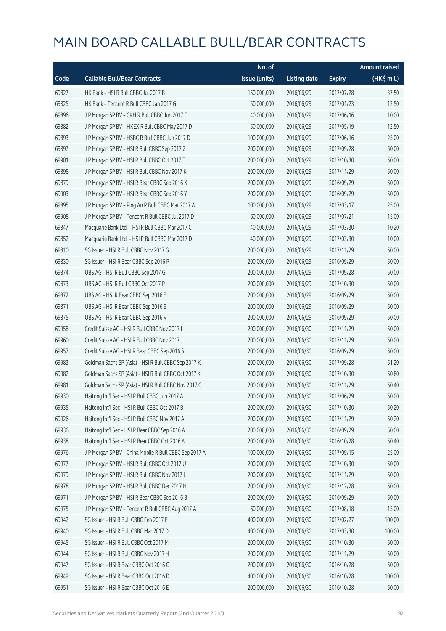|       |                                                        | No. of        |                     |               | <b>Amount raised</b> |
|-------|--------------------------------------------------------|---------------|---------------------|---------------|----------------------|
| Code  | <b>Callable Bull/Bear Contracts</b>                    | issue (units) | <b>Listing date</b> | <b>Expiry</b> | (HK\$ mil.)          |
| 69827 | HK Bank - HSI R Bull CBBC Jul 2017 B                   | 150,000,000   | 2016/06/29          | 2017/07/28    | 37.50                |
| 69825 | HK Bank - Tencent R Bull CBBC Jan 2017 G               | 50,000,000    | 2016/06/29          | 2017/01/23    | 12.50                |
| 69896 | J P Morgan SP BV - CKH R Bull CBBC Jun 2017 C          | 40,000,000    | 2016/06/29          | 2017/06/16    | 10.00                |
| 69882 | J P Morgan SP BV - HKEX R Bull CBBC May 2017 D         | 50,000,000    | 2016/06/29          | 2017/05/19    | 12.50                |
| 69893 | J P Morgan SP BV - HSBC R Bull CBBC Jun 2017 D         | 100,000,000   | 2016/06/29          | 2017/06/16    | 25.00                |
| 69897 | J P Morgan SP BV - HSI R Bull CBBC Sep 2017 Z          | 200,000,000   | 2016/06/29          | 2017/09/28    | 50.00                |
| 69901 | J P Morgan SP BV - HSI R Bull CBBC Oct 2017 T          | 200,000,000   | 2016/06/29          | 2017/10/30    | 50.00                |
| 69898 | J P Morgan SP BV - HSI R Bull CBBC Nov 2017 K          | 200,000,000   | 2016/06/29          | 2017/11/29    | 50.00                |
| 69879 | J P Morgan SP BV - HSI R Bear CBBC Sep 2016 X          | 200,000,000   | 2016/06/29          | 2016/09/29    | 50.00                |
| 69903 | J P Morgan SP BV - HSI R Bear CBBC Sep 2016 Y          | 200,000,000   | 2016/06/29          | 2016/09/29    | 50.00                |
| 69895 | J P Morgan SP BV - Ping An R Bull CBBC Mar 2017 A      | 100,000,000   | 2016/06/29          | 2017/03/17    | 25.00                |
| 69908 | J P Morgan SP BV - Tencent R Bull CBBC Jul 2017 D      | 60,000,000    | 2016/06/29          | 2017/07/21    | 15.00                |
| 69847 | Macquarie Bank Ltd. - HSI R Bull CBBC Mar 2017 C       | 40,000,000    | 2016/06/29          | 2017/03/30    | 10.20                |
| 69852 | Macquarie Bank Ltd. - HSI R Bull CBBC Mar 2017 D       | 40,000,000    | 2016/06/29          | 2017/03/30    | 10.00                |
| 69810 | SG Issuer - HSI R Bull CBBC Nov 2017 G                 | 200,000,000   | 2016/06/29          | 2017/11/29    | 50.00                |
| 69830 | SG Issuer - HSI R Bear CBBC Sep 2016 P                 | 200,000,000   | 2016/06/29          | 2016/09/29    | 50.00                |
| 69874 | UBS AG - HSI R Bull CBBC Sep 2017 G                    | 200,000,000   | 2016/06/29          | 2017/09/28    | 50.00                |
| 69873 | UBS AG - HSI R Bull CBBC Oct 2017 P                    | 200,000,000   | 2016/06/29          | 2017/10/30    | 50.00                |
| 69872 | UBS AG - HSI R Bear CBBC Sep 2016 E                    | 200,000,000   | 2016/06/29          | 2016/09/29    | 50.00                |
| 69871 | UBS AG - HSI R Bear CBBC Sep 2016 S                    | 200,000,000   | 2016/06/29          | 2016/09/29    | 50.00                |
| 69875 | UBS AG - HSI R Bear CBBC Sep 2016 V                    | 200,000,000   | 2016/06/29          | 2016/09/29    | 50.00                |
| 69958 | Credit Suisse AG - HSI R Bull CBBC Nov 2017 I          | 200,000,000   | 2016/06/30          | 2017/11/29    | 50.00                |
| 69960 | Credit Suisse AG - HSI R Bull CBBC Nov 2017 J          | 200,000,000   | 2016/06/30          | 2017/11/29    | 50.00                |
| 69957 | Credit Suisse AG - HSI R Bear CBBC Sep 2016 S          | 200,000,000   | 2016/06/30          | 2016/09/29    | 50.00                |
| 69983 | Goldman Sachs SP (Asia) - HSI R Bull CBBC Sep 2017 K   | 200,000,000   | 2016/06/30          | 2017/09/28    | 51.20                |
| 69982 | Goldman Sachs SP (Asia) - HSI R Bull CBBC Oct 2017 K   | 200,000,000   | 2016/06/30          | 2017/10/30    | 50.80                |
| 69981 | Goldman Sachs SP (Asia) - HSI R Bull CBBC Nov 2017 C   | 200,000,000   | 2016/06/30          | 2017/11/29    | 50.40                |
| 69930 | Haitong Int'l Sec - HSI R Bull CBBC Jun 2017 A         | 200,000,000   | 2016/06/30          | 2017/06/29    | 50.00                |
| 69935 | Haitong Int'l Sec - HSI R Bull CBBC Oct 2017 B         | 200,000,000   | 2016/06/30          | 2017/10/30    | 50.20                |
| 69926 | Haitong Int'l Sec - HSI R Bull CBBC Nov 2017 A         | 200,000,000   | 2016/06/30          | 2017/11/29    | 50.20                |
| 69936 | Haitong Int'l Sec - HSI R Bear CBBC Sep 2016 A         | 200,000,000   | 2016/06/30          | 2016/09/29    | 50.00                |
| 69938 | Haitong Int'l Sec - HSI R Bear CBBC Oct 2016 A         | 200,000,000   | 2016/06/30          | 2016/10/28    | 50.40                |
| 69976 | J P Morgan SP BV - China Mobile R Bull CBBC Sep 2017 A | 100,000,000   | 2016/06/30          | 2017/09/15    | 25.00                |
| 69977 | J P Morgan SP BV - HSI R Bull CBBC Oct 2017 U          | 200,000,000   | 2016/06/30          | 2017/10/30    | 50.00                |
| 69979 | J P Morgan SP BV - HSI R Bull CBBC Nov 2017 L          | 200,000,000   | 2016/06/30          | 2017/11/29    | 50.00                |
| 69978 | J P Morgan SP BV - HSI R Bull CBBC Dec 2017 H          | 200,000,000   | 2016/06/30          | 2017/12/28    | 50.00                |
| 69971 | J P Morgan SP BV - HSI R Bear CBBC Sep 2016 B          | 200,000,000   | 2016/06/30          | 2016/09/29    | 50.00                |
| 69975 | J P Morgan SP BV - Tencent R Bull CBBC Aug 2017 A      | 60,000,000    | 2016/06/30          | 2017/08/18    | 15.00                |
| 69942 | SG Issuer - HSI R Bull CBBC Feb 2017 E                 | 400,000,000   | 2016/06/30          | 2017/02/27    | 100.00               |
| 69940 | SG Issuer - HSI R Bull CBBC Mar 2017 D                 | 400,000,000   | 2016/06/30          | 2017/03/30    | 100.00               |
| 69945 | SG Issuer - HSI R Bull CBBC Oct 2017 M                 | 200,000,000   | 2016/06/30          | 2017/10/30    | 50.00                |
| 69944 | SG Issuer - HSI R Bull CBBC Nov 2017 H                 | 200,000,000   | 2016/06/30          | 2017/11/29    | 50.00                |
| 69947 | SG Issuer - HSI R Bear CBBC Oct 2016 C                 | 200,000,000   | 2016/06/30          | 2016/10/28    | 50.00                |
| 69949 | SG Issuer - HSI R Bear CBBC Oct 2016 D                 | 400,000,000   | 2016/06/30          | 2016/10/28    | 100.00               |
| 69951 | SG Issuer - HSI R Bear CBBC Oct 2016 E                 | 200,000,000   | 2016/06/30          | 2016/10/28    | 50.00                |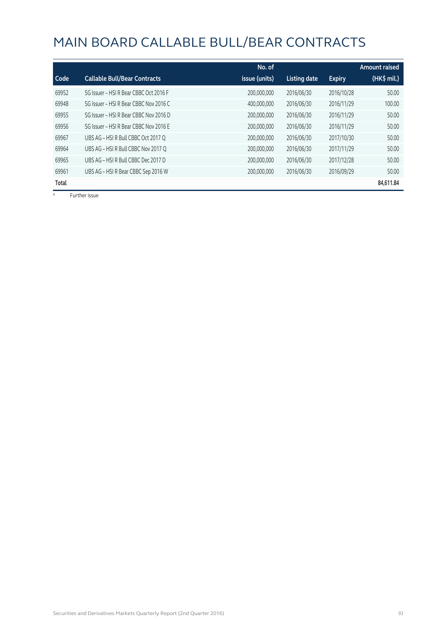|       |                                        | No. of        |              |               | <b>Amount raised</b> |
|-------|----------------------------------------|---------------|--------------|---------------|----------------------|
| Code  | <b>Callable Bull/Bear Contracts</b>    | issue (units) | Listing date | <b>Expiry</b> | (HK\$ mil.)          |
| 69952 | SG Issuer - HSI R Bear CBBC Oct 2016 F | 200,000,000   | 2016/06/30   | 2016/10/28    | 50.00                |
| 69948 | SG Issuer - HSI R Bear CBBC Nov 2016 C | 400,000,000   | 2016/06/30   | 2016/11/29    | 100.00               |
| 69955 | SG Issuer - HSI R Bear CBBC Nov 2016 D | 200,000,000   | 2016/06/30   | 2016/11/29    | 50.00                |
| 69956 | SG Issuer - HSI R Bear CBBC Nov 2016 E | 200,000,000   | 2016/06/30   | 2016/11/29    | 50.00                |
| 69967 | UBS AG - HSI R Bull CBBC Oct 2017 O    | 200,000,000   | 2016/06/30   | 2017/10/30    | 50.00                |
| 69964 | UBS AG - HSI R Bull CBBC Nov 2017 O    | 200.000.000   | 2016/06/30   | 2017/11/29    | 50.00                |
| 69965 | UBS AG - HSI R Bull CBBC Dec 2017 D    | 200,000,000   | 2016/06/30   | 2017/12/28    | 50.00                |
| 69961 | UBS AG - HSI R Bear CBBC Sep 2016 W    | 200,000,000   | 2016/06/30   | 2016/09/29    | 50.00                |
| Total |                                        |               |              |               | 84,611.84            |

# Further issue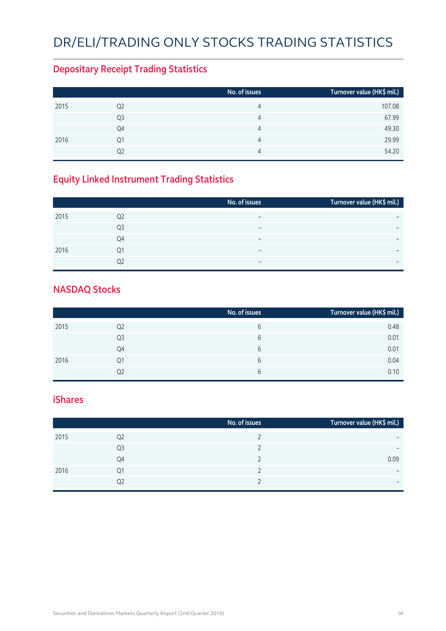# DR/ELI/TRADING ONLY STOCKS TRADING STATISTICS

#### **Depositary Receipt Trading Statistics**

|      |                | No. of issues | Turnover value (HK\$ mil.) |
|------|----------------|---------------|----------------------------|
| 2015 | Q <sub>2</sub> | 4             | 107.08                     |
|      | Q3             | 4             | 67.99                      |
|      | Q4             | 4             | 49.30                      |
| 2016 | Q1             | 4             | 29.99                      |
|      | Q2             | 4             | 54.20                      |

#### **Equity Linked Instrument Trading Statistics**

|      |                | No. of issues            | Turnover value (HK\$ mil.) |
|------|----------------|--------------------------|----------------------------|
| 2015 | Q <sub>2</sub> | $\overline{\phantom{0}}$ |                            |
|      | Q <sub>3</sub> |                          |                            |
|      | Q4             | $\overline{\phantom{0}}$ | $\overline{\phantom{0}}$   |
| 2016 | Q1             | $\overline{\phantom{0}}$ |                            |
|      | 02             | $\overline{\phantom{0}}$ | $\overline{\phantom{0}}$   |

#### **NASDAQ Stocks**

|      |                | No. of issues | Turnover value (HK\$ mil.) |
|------|----------------|---------------|----------------------------|
| 2015 | Q <sub>2</sub> | 6             | 0.48                       |
|      | Q3             | 6             | 0.01                       |
|      | Q4             | 6             | 0.01                       |
| 2016 | Q1             | 6             | 0.04                       |
|      | Q2             | 6             | 0.10                       |

#### **iShares**

|      |                | No. of issues | Turnover value (HK\$ mil.) |
|------|----------------|---------------|----------------------------|
| 2015 | Q <sub>2</sub> |               | $\overline{\phantom{0}}$   |
|      | Q <sub>3</sub> |               | $\overline{\phantom{0}}$   |
|      | Q4             |               | 0.09                       |
| 2016 | Q1             |               | $\overline{\phantom{0}}$   |
|      | Q2             |               | $\overline{\phantom{0}}$   |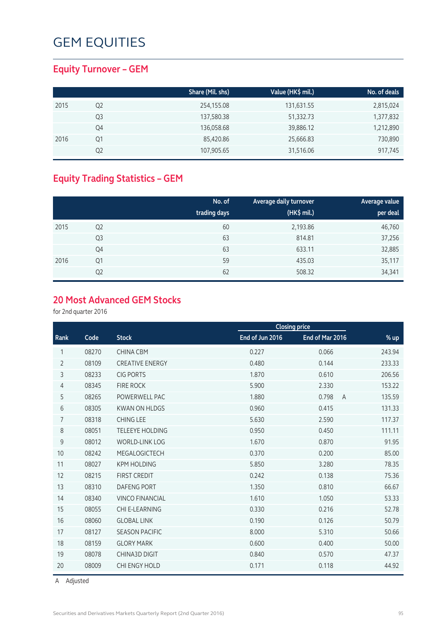#### **Equity Turnover – GEM**

|      |    | Share (Mil. shs) | Value (HK\$ mil.) | No. of deals |
|------|----|------------------|-------------------|--------------|
| 2015 | Q2 | 254,155.08       | 131,631.55        | 2,815,024    |
|      | Q3 | 137,580.38       | 51,332.73         | 1,377,832    |
|      | Q4 | 136,058.68       | 39,886.12         | 1,212,890    |
| 2016 | Q1 | 85,420.86        | 25,666.83         | 730,890      |
|      | Q2 | 107,905.65       | 31,516.06         | 917,745      |

#### **Equity Trading Statistics – GEM**

|      |                | No. of<br>trading days | Average daily turnover<br>(HK\$ mil.) | Average value<br>per deal |
|------|----------------|------------------------|---------------------------------------|---------------------------|
| 2015 | Q <sub>2</sub> | 60                     | 2,193.86                              | 46,760                    |
|      | Q <sub>3</sub> | 63                     | 814.81                                | 37,256                    |
|      | Q4             | 63                     | 633.11                                | 32,885                    |
| 2016 | Q1             | 59                     | 435.03                                | 35,117                    |
|      | Q <sub>2</sub> | 62                     | 508.32                                | 34,341                    |

#### **20 Most Advanced GEM Stocks**

for 2nd quarter 2016

|                |       |                        |                 | <b>Closing price</b>    |        |
|----------------|-------|------------------------|-----------------|-------------------------|--------|
| Rank           | Code  | <b>Stock</b>           | End of Jun 2016 | End of Mar 2016         | $%$ up |
| 1              | 08270 | <b>CHINA CBM</b>       | 0.227           | 0.066                   | 243.94 |
| $\overline{2}$ | 08109 | <b>CREATIVE ENERGY</b> | 0.480           | 0.144                   | 233.33 |
| 3              | 08233 | <b>CIG PORTS</b>       | 1.870           | 0.610                   | 206.56 |
| 4              | 08345 | <b>FIRE ROCK</b>       | 5.900           | 2.330                   | 153.22 |
| 5              | 08265 | POWERWELL PAC          | 1.880           | 0.798<br>$\overline{A}$ | 135.59 |
| 6              | 08305 | <b>KWAN ON HLDGS</b>   | 0.960           | 0.415                   | 131.33 |
| 7              | 08318 | <b>CHING LEE</b>       | 5.630           | 2.590                   | 117.37 |
| 8              | 08051 | <b>TELEEYE HOLDING</b> | 0.950           | 0.450                   | 111.11 |
| 9              | 08012 | <b>WORLD-LINK LOG</b>  | 1.670           | 0.870                   | 91.95  |
| 10             | 08242 | MEGALOGICTECH          | 0.370           | 0.200                   | 85.00  |
| 11             | 08027 | <b>KPM HOLDING</b>     | 5.850           | 3.280                   | 78.35  |
| 12             | 08215 | <b>FIRST CREDIT</b>    | 0.242           | 0.138                   | 75.36  |
| 13             | 08310 | <b>DAFENG PORT</b>     | 1.350           | 0.810                   | 66.67  |
| 14             | 08340 | <b>VINCO FINANCIAL</b> | 1.610           | 1.050                   | 53.33  |
| 15             | 08055 | CHI E-LEARNING         | 0.330           | 0.216                   | 52.78  |
| 16             | 08060 | <b>GLOBAL LINK</b>     | 0.190           | 0.126                   | 50.79  |
| 17             | 08127 | <b>SEASON PACIFIC</b>  | 8.000           | 5.310                   | 50.66  |
| 18             | 08159 | <b>GLORY MARK</b>      | 0.600           | 0.400                   | 50.00  |
| 19             | 08078 | <b>CHINA3D DIGIT</b>   | 0.840           | 0.570                   | 47.37  |
| 20             | 08009 | CHI ENGY HOLD          | 0.171           | 0.118                   | 44.92  |

A Adjusted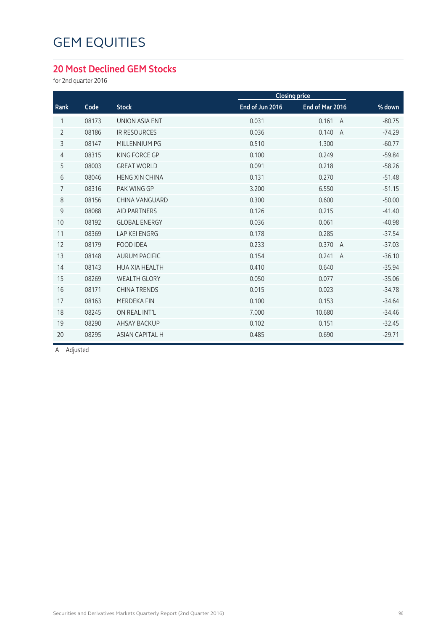#### **20 Most Declined GEM Stocks**

for 2nd quarter 2016

|                |       |                        |                 | <b>Closing price</b>    |          |
|----------------|-------|------------------------|-----------------|-------------------------|----------|
| Rank           | Code  | <b>Stock</b>           | End of Jun 2016 | End of Mar 2016         | % down   |
| 1              | 08173 | UNION ASIA ENT         | 0.031           | 0.161<br>$\overline{A}$ | $-80.75$ |
| $\overline{2}$ | 08186 | <b>IR RESOURCES</b>    | 0.036           | 0.140<br>$\overline{A}$ | $-74.29$ |
| 3              | 08147 | MILLENNIUM PG          | 0.510           | 1.300                   | $-60.77$ |
| $\overline{4}$ | 08315 | KING FORCE GP          | 0.100           | 0.249                   | $-59.84$ |
| 5              | 08003 | <b>GREAT WORLD</b>     | 0.091           | 0.218                   | $-58.26$ |
| 6              | 08046 | <b>HENG XIN CHINA</b>  | 0.131           | 0.270                   | $-51.48$ |
| $\overline{7}$ | 08316 | PAK WING GP            | 3.200           | 6.550                   | $-51.15$ |
| 8              | 08156 | CHINA VANGUARD         | 0.300           | 0.600                   | $-50.00$ |
| 9              | 08088 | <b>AID PARTNERS</b>    | 0.126           | 0.215                   | $-41.40$ |
| 10             | 08192 | <b>GLOBAL ENERGY</b>   | 0.036           | 0.061                   | $-40.98$ |
| 11             | 08369 | <b>LAP KEI ENGRG</b>   | 0.178           | 0.285                   | $-37.54$ |
| 12             | 08179 | <b>FOOD IDEA</b>       | 0.233           | 0.370<br>$\overline{A}$ | $-37.03$ |
| 13             | 08148 | <b>AURUM PACIFIC</b>   | 0.154           | 0.241<br>$\overline{A}$ | $-36.10$ |
| 14             | 08143 | <b>HUA XIA HEALTH</b>  | 0.410           | 0.640                   | $-35.94$ |
| 15             | 08269 | <b>WEALTH GLORY</b>    | 0.050           | 0.077                   | $-35.06$ |
| 16             | 08171 | <b>CHINA TRENDS</b>    | 0.015           | 0.023                   | $-34.78$ |
| 17             | 08163 | <b>MERDEKA FIN</b>     | 0.100           | 0.153                   | $-34.64$ |
| 18             | 08245 | ON REAL INT'L          | 7.000           | 10.680                  | $-34.46$ |
| 19             | 08290 | <b>AHSAY BACKUP</b>    | 0.102           | 0.151                   | $-32.45$ |
| 20             | 08295 | <b>ASIAN CAPITAL H</b> | 0.485           | 0.690                   | $-29.71$ |
|                |       |                        |                 |                         |          |

A Adjusted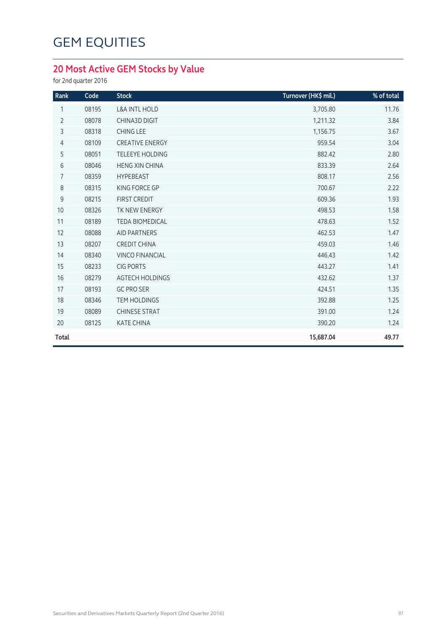#### **20 Most Active GEM Stocks by Value**

for 2nd quarter 2016

| Rank           | Code  | <b>Stock</b>             | Turnover (HK\$ mil.) | % of total |
|----------------|-------|--------------------------|----------------------|------------|
| 1              | 08195 | <b>L&amp;A INTL HOLD</b> | 3,705.80             | 11.76      |
| $\overline{2}$ | 08078 | <b>CHINA3D DIGIT</b>     | 1,211.32             | 3.84       |
| 3              | 08318 | <b>CHING LEE</b>         | 1,156.75             | 3.67       |
| $\overline{4}$ | 08109 | <b>CREATIVE ENERGY</b>   | 959.54               | 3.04       |
| 5              | 08051 | <b>TELEEYE HOLDING</b>   | 882.42               | 2.80       |
| 6              | 08046 | <b>HENG XIN CHINA</b>    | 833.39               | 2.64       |
| 7              | 08359 | <b>HYPEBEAST</b>         | 808.17               | 2.56       |
| 8              | 08315 | KING FORCE GP            | 700.67               | 2.22       |
| 9              | 08215 | <b>FIRST CREDIT</b>      | 609.36               | 1.93       |
| 10             | 08326 | TK NEW ENERGY            | 498.53               | 1.58       |
| 11             | 08189 | <b>TEDA BIOMEDICAL</b>   | 478.63               | 1.52       |
| 12             | 08088 | <b>AID PARTNERS</b>      | 462.53               | 1.47       |
| 13             | 08207 | <b>CREDIT CHINA</b>      | 459.03               | 1.46       |
| 14             | 08340 | <b>VINCO FINANCIAL</b>   | 446.43               | 1.42       |
| 15             | 08233 | <b>CIG PORTS</b>         | 443.27               | 1.41       |
| 16             | 08279 | <b>AGTECH HOLDINGS</b>   | 432.62               | 1.37       |
| 17             | 08193 | <b>GC PRO SER</b>        | 424.51               | 1.35       |
| 18             | 08346 | <b>TEM HOLDINGS</b>      | 392.88               | 1.25       |
| 19             | 08089 | <b>CHINESE STRAT</b>     | 391.00               | 1.24       |
| 20             | 08125 | <b>KATE CHINA</b>        | 390.20               | 1.24       |
| Total          |       |                          | 15,687.04            | 49.77      |
|                |       |                          |                      |            |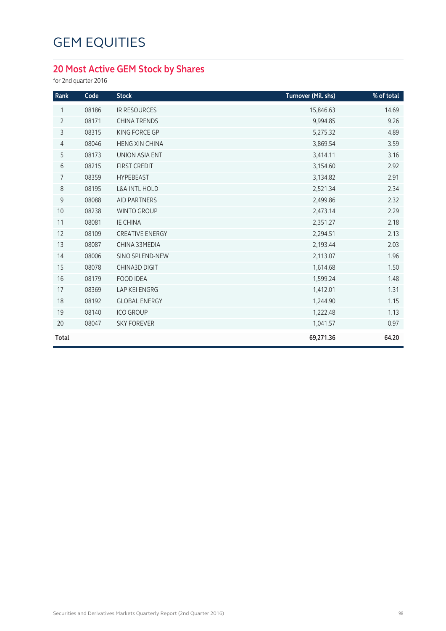#### **20 Most Active GEM Stock by Shares**

for 2nd quarter 2016

| Rank           | Code  | <b>Stock</b>             | Turnover (Mil. shs) | % of total |
|----------------|-------|--------------------------|---------------------|------------|
| 1              | 08186 | <b>IR RESOURCES</b>      | 15,846.63           | 14.69      |
| $\overline{2}$ | 08171 | <b>CHINA TRENDS</b>      | 9,994.85            | 9.26       |
| 3              | 08315 | KING FORCE GP            | 5,275.32            | 4.89       |
| $\overline{4}$ | 08046 | <b>HENG XIN CHINA</b>    | 3,869.54            | 3.59       |
| 5              | 08173 | <b>UNION ASIA ENT</b>    | 3,414.11            | 3.16       |
| $\sqrt{6}$     | 08215 | <b>FIRST CREDIT</b>      | 3,154.60            | 2.92       |
| $\overline{7}$ | 08359 | <b>HYPEBEAST</b>         | 3,134.82            | 2.91       |
| $\,8\,$        | 08195 | <b>L&amp;A INTL HOLD</b> | 2,521.34            | 2.34       |
| $\mathsf 9$    | 08088 | <b>AID PARTNERS</b>      | 2,499.86            | 2.32       |
| 10             | 08238 | <b>WINTO GROUP</b>       | 2,473.14            | 2.29       |
| 11             | 08081 | <b>IE CHINA</b>          | 2,351.27            | 2.18       |
| 12             | 08109 | <b>CREATIVE ENERGY</b>   | 2,294.51            | 2.13       |
| 13             | 08087 | CHINA 33MEDIA            | 2,193.44            | 2.03       |
| 14             | 08006 | <b>SINO SPLEND-NEW</b>   | 2,113.07            | 1.96       |
| 15             | 08078 | <b>CHINA3D DIGIT</b>     | 1,614.68            | 1.50       |
| 16             | 08179 | <b>FOOD IDEA</b>         | 1,599.24            | 1.48       |
| 17             | 08369 | LAP KEI ENGRG            | 1,412.01            | 1.31       |
| 18             | 08192 | <b>GLOBAL ENERGY</b>     | 1,244.90            | 1.15       |
| 19             | 08140 | <b>ICO GROUP</b>         | 1,222.48            | 1.13       |
| 20             | 08047 | <b>SKY FOREVER</b>       | 1,041.57            | 0.97       |
| Total          |       |                          | 69,271.36           | 64.20      |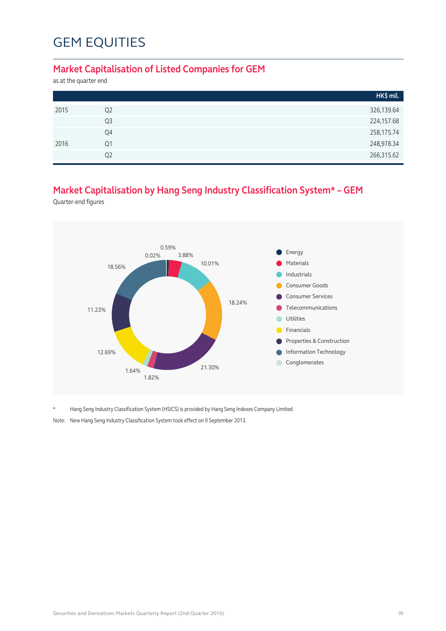#### **Market Capitalisation of Listed Companies for GEM**

as at the quarter end

|      |                | HK\$ mil.  |
|------|----------------|------------|
| 2015 | Q <sub>2</sub> | 326,139.64 |
|      | Q <sub>3</sub> | 224,157.68 |
|      | Q4             | 258,175.74 |
| 2016 | Q1             | 248,978.34 |
|      | Q <sub>2</sub> | 266,315.62 |

#### **Market Capitalisation by Hang Seng Industry Classification System\* – GEM**

Quarter-end figures



\* Hang Seng Industry Classification System (HSICS) is provided by Hang Seng Indexes Company Limited.

Note: New Hang Seng Industry Classification System took effect on 9 September 2013.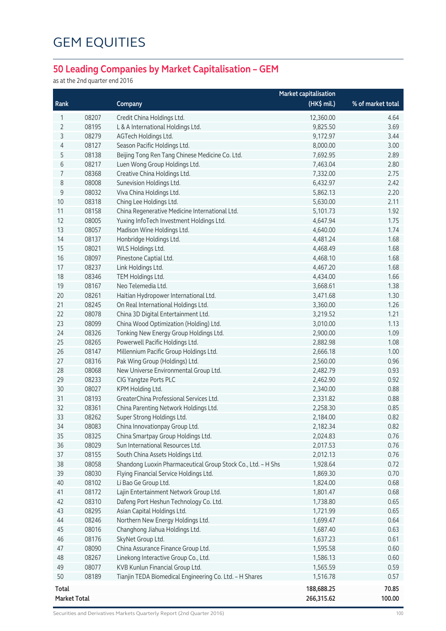#### **50 Leading Companies by Market Capitalisation – GEM**

as at the 2nd quarter end 2016

|              |       |                                                              | <b>Market capitalisation</b> |                   |
|--------------|-------|--------------------------------------------------------------|------------------------------|-------------------|
| Rank         |       | Company                                                      | (HK\$ mil.)                  | % of market total |
| 1            | 08207 | Credit China Holdings Ltd.                                   | 12,360.00                    | 4.64              |
| 2            | 08195 | L & A International Holdings Ltd.                            | 9,825.50                     | 3.69              |
| 3            | 08279 | AGTech Holdings Ltd.                                         | 9,172.97                     | 3.44              |
| 4            | 08127 | Season Pacific Holdings Ltd.                                 | 8,000.00                     | 3.00              |
| 5            | 08138 | Beijing Tong Ren Tang Chinese Medicine Co. Ltd.              | 7,692.95                     | 2.89              |
| 6            | 08217 | Luen Wong Group Holdings Ltd.                                | 7,463.04                     | 2.80              |
| 7            | 08368 | Creative China Holdings Ltd.                                 | 7,332.00                     | 2.75              |
| 8            | 08008 | Sunevision Holdings Ltd.                                     | 6,432.97                     | 2.42              |
| 9            | 08032 | Viva China Holdings Ltd.                                     | 5,862.13                     | 2.20              |
| 10           | 08318 | Ching Lee Holdings Ltd.                                      | 5,630.00                     | 2.11              |
| 11           | 08158 | China Regenerative Medicine International Ltd.               | 5,101.73                     | 1.92              |
| 12           | 08005 | Yuxing InfoTech Investment Holdings Ltd.                     | 4,647.94                     | 1.75              |
| 13           | 08057 | Madison Wine Holdings Ltd.                                   | 4,640.00                     | 1.74              |
| 14           | 08137 | Honbridge Holdings Ltd.                                      | 4,481.24                     | 1.68              |
| 15           | 08021 | WLS Holdings Ltd.                                            | 4,468.49                     | 1.68              |
| 16           | 08097 | Pinestone Captial Ltd.                                       | 4,468.10                     | 1.68              |
| 17           | 08237 | Link Holdings Ltd.                                           | 4,467.20                     | 1.68              |
| 18           | 08346 | TEM Holdings Ltd.                                            | 4,434.00                     | 1.66              |
| 19           | 08167 | Neo Telemedia Ltd.                                           | 3,668.61                     | 1.38              |
| 20           | 08261 | Haitian Hydropower International Ltd.                        | 3,471.68                     | 1.30              |
| 21           | 08245 | On Real International Holdings Ltd.                          | 3,360.00                     | 1.26              |
| 22           | 08078 | China 3D Digital Entertainment Ltd.                          | 3,219.52                     | 1.21              |
| 23           | 08099 | China Wood Optimization (Holding) Ltd.                       | 3,010.00                     | 1.13              |
| 24           | 08326 | Tonking New Energy Group Holdings Ltd.                       | 2,900.00                     | 1.09              |
| 25           | 08265 | Powerwell Pacific Holdings Ltd.                              | 2,882.98                     | 1.08              |
| 26           | 08147 | Millennium Pacific Group Holdings Ltd.                       | 2,666.18                     | 1.00              |
| 27           | 08316 | Pak Wing Group (Holdings) Ltd.                               | 2,560.00                     | 0.96              |
| 28           | 08068 | New Universe Environmental Group Ltd.                        | 2,482.79                     | 0.93              |
| 29           | 08233 | CIG Yangtze Ports PLC                                        | 2,462.90                     | 0.92              |
| 30           | 08027 | KPM Holding Ltd.                                             | 2,340.00                     | 0.88              |
| 31           | 08193 | GreaterChina Professional Services Ltd.                      | 2,331.82                     | 0.88              |
| 32           | 08361 | China Parenting Network Holdings Ltd.                        | 2,258.30                     | 0.85              |
| 33           | 08262 | Super Strong Holdings Ltd.                                   | 2,184.00                     | 0.82              |
| 34           | 08083 | China Innovationpay Group Ltd.                               | 2,182.34                     | 0.82              |
| 35           | 08325 | China Smartpay Group Holdings Ltd.                           | 2,024.83                     | 0.76              |
| 36           | 08029 | Sun International Resources Ltd.                             | 2,017.53                     | 0.76              |
| 37           | 08155 | South China Assets Holdings Ltd.                             | 2,012.13                     | 0.76              |
| 38           | 08058 | Shandong Luoxin Pharmaceutical Group Stock Co., Ltd. - H Shs | 1,928.64                     | 0.72              |
| 39           | 08030 | Flying Financial Service Holdings Ltd.                       | 1,869.30                     | 0.70              |
| 40           | 08102 | Li Bao Ge Group Ltd.                                         | 1,824.00                     | 0.68              |
| 41           | 08172 | Lajin Entertainment Network Group Ltd.                       | 1,801.47                     | 0.68              |
| 42           | 08310 | Dafeng Port Heshun Technology Co. Ltd.                       | 1,738.80                     | 0.65              |
| 43           | 08295 | Asian Capital Holdings Ltd.                                  | 1,721.99                     | 0.65              |
| 44           | 08246 | Northern New Energy Holdings Ltd.                            | 1,699.47                     | 0.64              |
| 45           | 08016 | Changhong Jiahua Holdings Ltd.                               | 1,687.40                     | 0.63              |
| 46           | 08176 | SkyNet Group Ltd.                                            | 1,637.23                     | 0.61              |
| 47           | 08090 | China Assurance Finance Group Ltd.                           | 1,595.58                     | 0.60              |
| 48           | 08267 | Linekong Interactive Group Co., Ltd.                         | 1,586.13                     | 0.60              |
| 49           | 08077 | KVB Kunlun Financial Group Ltd.                              | 1,565.59                     | 0.59              |
| 50           | 08189 | Tianjin TEDA Biomedical Engineering Co. Ltd. - H Shares      | 1,516.78                     | 0.57              |
| <b>Total</b> |       |                                                              | 188,688.25                   | 70.85             |
| Market Total |       |                                                              | 266,315.62                   | 100.00            |

Securities and Derivatives Markets Quarterly Report (2nd Quarter 2016) 100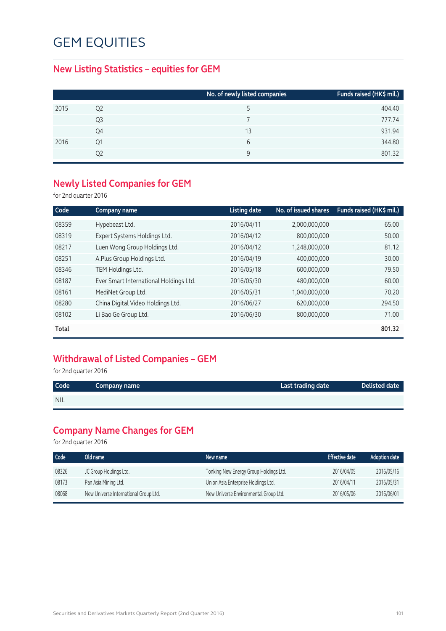#### **New Listing Statistics – equities for GEM**

|      |                | No. of newly listed companies | Funds raised (HK\$ mil.) |
|------|----------------|-------------------------------|--------------------------|
| 2015 | Q <sub>2</sub> |                               | 404.40                   |
|      | Q3             |                               | 777.74                   |
|      | Q4             | 13                            | 931.94                   |
| 2016 | Ο1             | 6                             | 344.80                   |
|      | Q2             | 9                             | 801.32                   |

#### **Newly Listed Companies for GEM**

for 2nd quarter 2016

| Code  | Company name                           | <b>Listing date</b> | No. of issued shares | Funds raised (HK\$ mil.) |
|-------|----------------------------------------|---------------------|----------------------|--------------------------|
| 08359 | Hypebeast Ltd.                         | 2016/04/11          | 2,000,000,000        | 65.00                    |
| 08319 | Expert Systems Holdings Ltd.           | 2016/04/12          | 800,000,000          | 50.00                    |
| 08217 | Luen Wong Group Holdings Ltd.          | 2016/04/12          | 1,248,000,000        | 81.12                    |
| 08251 | A.Plus Group Holdings Ltd.             | 2016/04/19          | 400,000,000          | 30.00                    |
| 08346 | TEM Holdings Ltd.                      | 2016/05/18          | 600,000,000          | 79.50                    |
| 08187 | Ever Smart International Holdings Ltd. | 2016/05/30          | 480,000,000          | 60.00                    |
| 08161 | MediNet Group Ltd.                     | 2016/05/31          | 1,040,000,000        | 70.20                    |
| 08280 | China Digital Video Holdings Ltd.      | 2016/06/27          | 620,000,000          | 294.50                   |
| 08102 | Li Bao Ge Group Ltd.                   | 2016/06/30          | 800,000,000          | 71.00                    |
| Total |                                        |                     |                      | 801.32                   |

#### **Withdrawal of Listed Companies – GEM**

for 2nd quarter 2016

| Code       | Company name | Last trading date | Delisted date |
|------------|--------------|-------------------|---------------|
| <b>NIL</b> |              |                   |               |
|            |              |                   |               |

#### **Company Name Changes for GEM**

for 2nd quarter 2016

| Code  | Old name                              | New name                               | <b>Effective date</b> | <b>Adoption date</b> |
|-------|---------------------------------------|----------------------------------------|-----------------------|----------------------|
| 08326 | JC Group Holdings Ltd.                | Tonking New Energy Group Holdings Ltd. | 2016/04/05            | 2016/05/16           |
| 08173 | Pan Asia Mining Ltd.                  | Union Asia Enterprise Holdings Ltd.    | 2016/04/11            | 2016/05/31           |
| 08068 | New Universe International Group Ltd. | New Universe Environmental Group Ltd.  | 2016/05/06            | 2016/06/01           |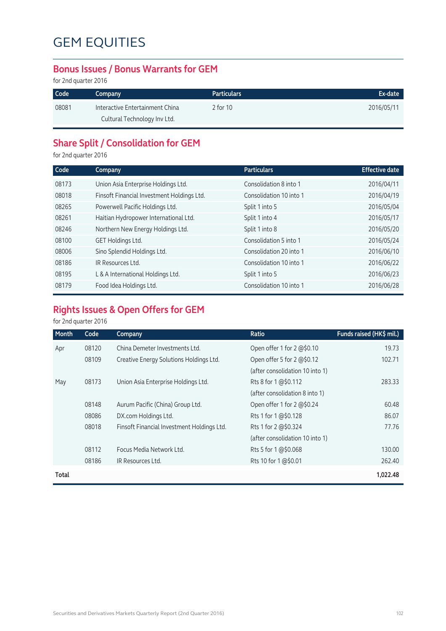#### **Bonus Issues / Bonus Warrants for GEM**

for 2nd quarter 2016

| Code  | Company                         | <b>Particulars</b> | Ex-date    |
|-------|---------------------------------|--------------------|------------|
| 08081 | Interactive Entertainment China | 2 for 10           | 2016/05/11 |
|       | Cultural Technology Inv Ltd.    |                    |            |

#### **Share Split / Consolidation for GEM**

for 2nd quarter 2016

| Code  | Company                                    | <b>Particulars</b>      | <b>Effective date</b> |
|-------|--------------------------------------------|-------------------------|-----------------------|
| 08173 | Union Asia Enterprise Holdings Ltd.        | Consolidation 8 into 1  | 2016/04/11            |
| 08018 | Finsoft Financial Investment Holdings Ltd. | Consolidation 10 into 1 | 2016/04/19            |
| 08265 | Powerwell Pacific Holdings Ltd.            | Split 1 into 5          | 2016/05/04            |
| 08261 | Haitian Hydropower International Ltd.      | Split 1 into 4          | 2016/05/17            |
| 08246 | Northern New Energy Holdings Ltd.          | Split 1 into 8          | 2016/05/20            |
| 08100 | GET Holdings Ltd.                          | Consolidation 5 into 1  | 2016/05/24            |
| 08006 | Sino Splendid Holdings Ltd.                | Consolidation 20 into 1 | 2016/06/10            |
| 08186 | IR Resources Ltd.                          | Consolidation 10 into 1 | 2016/06/22            |
| 08195 | L & A International Holdings Ltd.          | Split 1 into 5          | 2016/06/23            |
| 08179 | Food Idea Holdings Ltd.                    | Consolidation 10 into 1 | 2016/06/28            |
|       |                                            |                         |                       |

#### **Rights Issues & Open Offers for GEM**

#### for 2nd quarter 2016

| Month | Code  | Company                                    | Ratio                           | Funds raised (HK\$ mil.) |
|-------|-------|--------------------------------------------|---------------------------------|--------------------------|
| Apr   | 08120 | China Demeter Investments Ltd.             | Open offer 1 for 2 @\$0.10      | 19.73                    |
|       | 08109 | Creative Energy Solutions Holdings Ltd.    | Open offer 5 for 2 @\$0.12      | 102.71                   |
|       |       |                                            | (after consolidation 10 into 1) |                          |
| May   | 08173 | Union Asia Enterprise Holdings Ltd.        | Rts 8 for 1 @\$0.112            | 283.33                   |
|       |       |                                            | (after consolidation 8 into 1)  |                          |
|       | 08148 | Aurum Pacific (China) Group Ltd.           | Open offer 1 for 2 @\$0.24      | 60.48                    |
|       | 08086 | DX.com Holdings Ltd.                       | Rts 1 for 1 @\$0.128            | 86.07                    |
|       | 08018 | Finsoft Financial Investment Holdings Ltd. | Rts 1 for 2 @\$0.324            | 77.76                    |
|       |       |                                            | (after consolidation 10 into 1) |                          |
|       | 08112 | Focus Media Network Ltd.                   | Rts 5 for 1 @\$0.068            | 130.00                   |
|       | 08186 | IR Resources Ltd.                          | Rts 10 for 1 @\$0.01            | 262.40                   |
| Total |       |                                            |                                 | 1,022.48                 |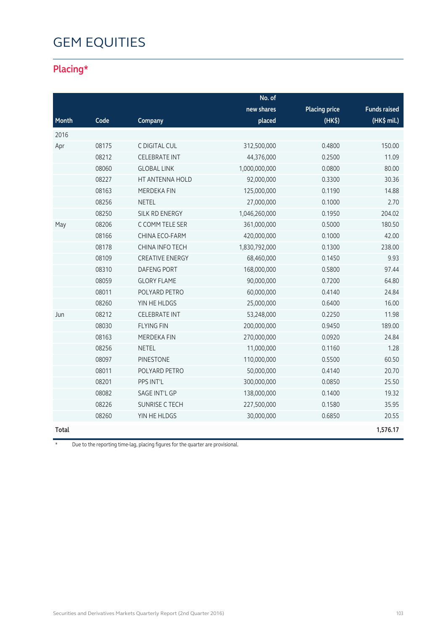#### **Placing\***

|       |       |                        | No. of        |                      |                       |
|-------|-------|------------------------|---------------|----------------------|-----------------------|
|       |       |                        | new shares    | <b>Placing price</b> | <b>Funds raised</b>   |
| Month | Code  | Company                | placed        | (HK <sub>5</sub> )   | $(HK\frac{1}{2}mil.)$ |
| 2016  |       |                        |               |                      |                       |
| Apr   | 08175 | C DIGITAL CUL          | 312,500,000   | 0.4800               | 150.00                |
|       | 08212 | <b>CELEBRATE INT</b>   | 44,376,000    | 0.2500               | 11.09                 |
|       | 08060 | <b>GLOBAL LINK</b>     | 1,000,000,000 | 0.0800               | 80.00                 |
|       | 08227 | HT ANTENNA HOLD        | 92,000,000    | 0.3300               | 30.36                 |
|       | 08163 | <b>MERDEKA FIN</b>     | 125,000,000   | 0.1190               | 14.88                 |
|       | 08256 | <b>NETEL</b>           | 27,000,000    | 0.1000               | 2.70                  |
|       | 08250 | SILK RD ENERGY         | 1,046,260,000 | 0.1950               | 204.02                |
| May   | 08206 | C COMM TELE SER        | 361,000,000   | 0.5000               | 180.50                |
|       | 08166 | CHINA ECO-FARM         | 420,000,000   | 0.1000               | 42.00                 |
|       | 08178 | CHINA INFO TECH        | 1,830,792,000 | 0.1300               | 238.00                |
|       | 08109 | <b>CREATIVE ENERGY</b> | 68,460,000    | 0.1450               | 9.93                  |
|       | 08310 | <b>DAFENG PORT</b>     | 168,000,000   | 0.5800               | 97.44                 |
|       | 08059 | <b>GLORY FLAME</b>     | 90,000,000    | 0.7200               | 64.80                 |
|       | 08011 | POLYARD PETRO          | 60,000,000    | 0.4140               | 24.84                 |
|       | 08260 | YIN HE HLDGS           | 25,000,000    | 0.6400               | 16.00                 |
| Jun   | 08212 | <b>CELEBRATE INT</b>   | 53,248,000    | 0.2250               | 11.98                 |
|       | 08030 | <b>FLYING FIN</b>      | 200,000,000   | 0.9450               | 189.00                |
|       | 08163 | MERDEKA FIN            | 270,000,000   | 0.0920               | 24.84                 |
|       | 08256 | <b>NETEL</b>           | 11,000,000    | 0.1160               | 1.28                  |
|       | 08097 | <b>PINESTONE</b>       | 110,000,000   | 0.5500               | 60.50                 |
|       | 08011 | POLYARD PETRO          | 50,000,000    | 0.4140               | 20.70                 |
|       | 08201 | PPS INT'L              | 300,000,000   | 0.0850               | 25.50                 |
|       | 08082 | SAGE INT'L GP          | 138,000,000   | 0.1400               | 19.32                 |
|       | 08226 | <b>SUNRISE C TECH</b>  | 227,500,000   | 0.1580               | 35.95                 |
|       | 08260 | YIN HE HLDGS           | 30,000,000    | 0.6850               | 20.55                 |
| Total |       |                        |               |                      | 1,576.17              |

\* Due to the reporting time-lag, placing figures for the quarter are provisional.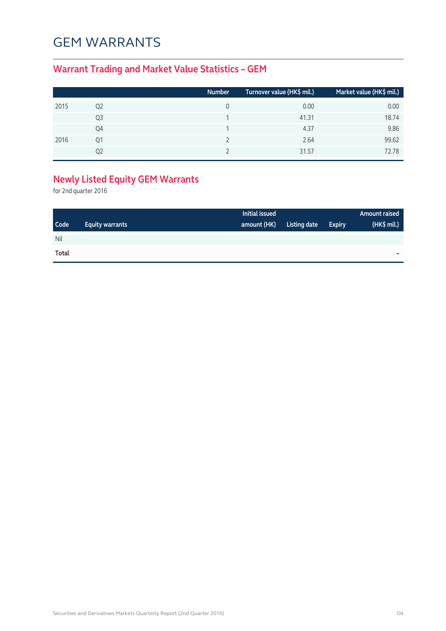#### GEM WARRANTS

#### **Warrant Trading and Market Value Statistics – GEM**

|      |    | <b>Number</b> | Turnover value (HK\$ mil.) | Market value (HK\$ mil.) |
|------|----|---------------|----------------------------|--------------------------|
| 2015 | Q2 | 0             | 0.00                       | 0.00                     |
|      | Q3 |               | 41.31                      | 18.74                    |
|      | Q4 |               | 4.37                       | 9.86                     |
| 2016 | Q1 |               | 2.64                       | 99.62                    |
|      | 02 |               | 31.57                      | 72.78                    |

#### **Newly Listed Equity GEM Warrants**

for 2nd quarter 2016

|       |                        | Initial issued |              |               | <b>Amount raised</b> |
|-------|------------------------|----------------|--------------|---------------|----------------------|
| Code  | <b>Equity warrants</b> | amount (HK)    | Listing date | <b>Expiry</b> | (HK\$ mil.)          |
| Nil   |                        |                |              |               |                      |
| Total |                        |                |              |               | -                    |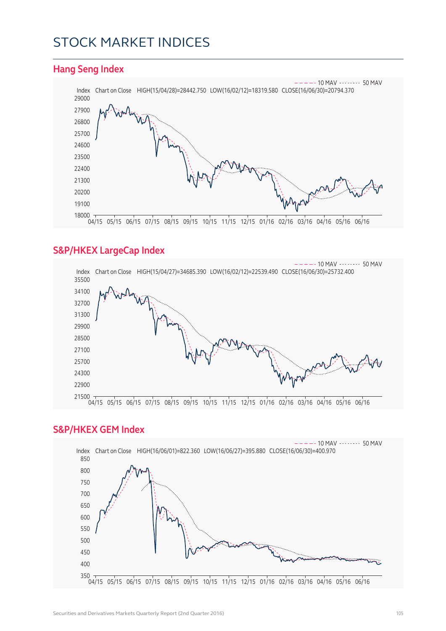#### STOCK MARKET INDICES



#### **S&P/HKEX LargeCap Index**



#### **S&P/HKEX GEM Index**

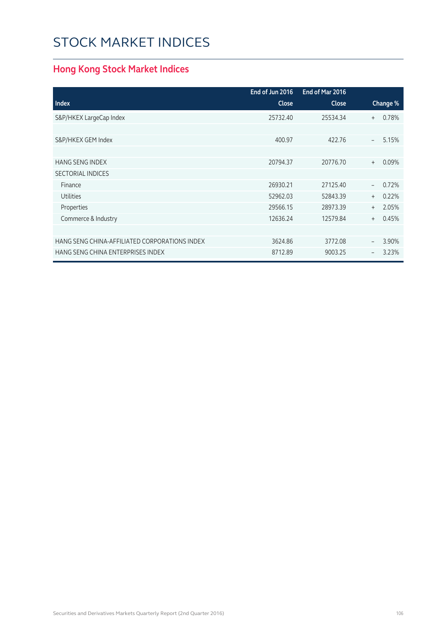### STOCK MARKET INDICES

#### **Hong Kong Stock Market Indices**

|                                               | End of Jun 2016 | End of Mar 2016 |                          |          |
|-----------------------------------------------|-----------------|-----------------|--------------------------|----------|
| <b>Index</b>                                  | <b>Close</b>    | <b>Close</b>    |                          | Change % |
| S&P/HKEX LargeCap Index                       | 25732.40        | 25534.34        | $^{+}$                   | 0.78%    |
|                                               |                 |                 |                          |          |
| S&P/HKEX GEM Index                            | 400.97          | 422.76          | $\equiv$                 | 5.15%    |
|                                               |                 |                 |                          |          |
| <b>HANG SENG INDEX</b>                        | 20794.37        | 20776.70        | $+$                      | 0.09%    |
| <b>SECTORIAL INDICES</b>                      |                 |                 |                          |          |
| Finance                                       | 26930.21        | 27125.40        | $\overline{\phantom{a}}$ | 0.72%    |
| <b>Utilities</b>                              | 52962.03        | 52843.39        | $^{+}$                   | 0.22%    |
| Properties                                    | 29566.15        | 28973.39        | $+$                      | 2.05%    |
| Commerce & Industry                           | 12636.24        | 12579.84        | $+$                      | 0.45%    |
|                                               |                 |                 |                          |          |
| HANG SENG CHINA-AFFILIATED CORPORATIONS INDEX | 3624.86         | 3772.08         | $\overline{\phantom{0}}$ | 3.90%    |
| HANG SENG CHINA ENTERPRISES INDEX             | 8712.89         | 9003.25         |                          | 3.23%    |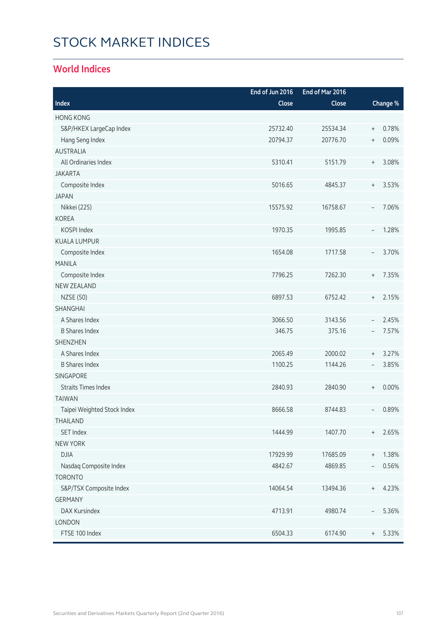# STOCK MARKET INDICES

#### **World Indices**

|                             | End of Jun 2016 | End of Mar 2016 |                                  |          |
|-----------------------------|-----------------|-----------------|----------------------------------|----------|
| Index                       | Close           | Close           |                                  | Change % |
| <b>HONG KONG</b>            |                 |                 |                                  |          |
| S&P/HKEX LargeCap Index     | 25732.40        | 25534.34        | $\, +$                           | 0.78%    |
| Hang Seng Index             | 20794.37        | 20776.70        | $\begin{array}{c} + \end{array}$ | 0.09%    |
| <b>AUSTRALIA</b>            |                 |                 |                                  |          |
| All Ordinaries Index        | 5310.41         | 5151.79         | $^{+}$                           | 3.08%    |
| <b>JAKARTA</b>              |                 |                 |                                  |          |
| Composite Index             | 5016.65         | 4845.37         | $^{+}$                           | 3.53%    |
| <b>JAPAN</b>                |                 |                 |                                  |          |
| Nikkei (225)                | 15575.92        | 16758.67        | $\overline{\phantom{a}}$         | 7.06%    |
| <b>KOREA</b>                |                 |                 |                                  |          |
| KOSPI Index                 | 1970.35         | 1995.85         | $\overline{\phantom{a}}$         | 1.28%    |
| <b>KUALA LUMPUR</b>         |                 |                 |                                  |          |
| Composite Index             | 1654.08         | 1717.58         | $\overline{\phantom{a}}$         | 3.70%    |
| <b>MANILA</b>               |                 |                 |                                  |          |
| Composite Index             | 7796.25         | 7262.30         | $\begin{array}{c} + \end{array}$ | 7.35%    |
| NEW ZEALAND                 |                 |                 |                                  |          |
| <b>NZSE (50)</b>            | 6897.53         | 6752.42         | $^{+}$                           | 2.15%    |
| SHANGHAI                    |                 |                 |                                  |          |
| A Shares Index              | 3066.50         | 3143.56         | $\overline{\phantom{a}}$         | 2.45%    |
| <b>B Shares Index</b>       | 346.75          | 375.16          | $\overline{\phantom{a}}$         | 7.57%    |
| <b>SHENZHEN</b>             |                 |                 |                                  |          |
| A Shares Index              | 2065.49         | 2000.02         | $\begin{array}{c} + \end{array}$ | 3.27%    |
| <b>B Shares Index</b>       | 1100.25         | 1144.26         | $\overline{\phantom{a}}$         | 3.85%    |
| <b>SINGAPORE</b>            |                 |                 |                                  |          |
| <b>Straits Times Index</b>  | 2840.93         | 2840.90         | $\, +$                           | 0.00%    |
| <b>TAIWAN</b>               |                 |                 |                                  |          |
| Taipei Weighted Stock Index | 8666.58         | 8744.83         |                                  | 0.89%    |
| <b>THAILAND</b>             |                 |                 |                                  |          |
| SET Index                   | 1444.99         | 1407.70         | $^{+}$                           | 2.65%    |
| <b>NEW YORK</b>             |                 |                 |                                  |          |
| <b>DJIA</b>                 | 17929.99        | 17685.09        | $\, +$                           | 1.38%    |
| Nasdaq Composite Index      | 4842.67         | 4869.85         |                                  | 0.56%    |
| <b>TORONTO</b>              |                 |                 |                                  |          |
| S&P/TSX Composite Index     | 14064.54        | 13494.36        | $^{+}$                           | 4.23%    |
| <b>GERMANY</b>              |                 |                 |                                  |          |
| DAX Kursindex               | 4713.91         | 4980.74         | $\overline{\phantom{0}}$         | 5.36%    |
| LONDON                      |                 |                 |                                  |          |
| FTSE 100 Index              | 6504.33         | 6174.90         | $^{+}$                           | 5.33%    |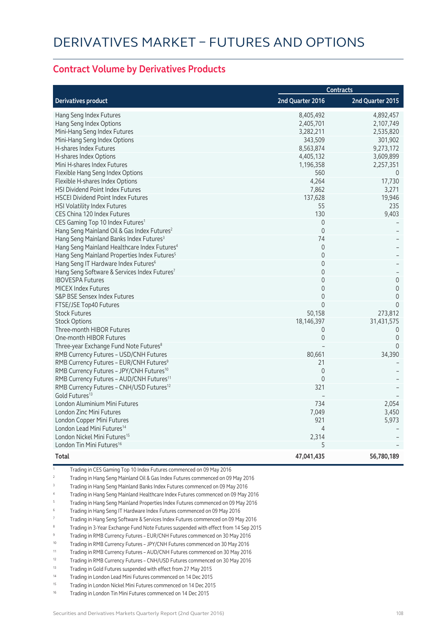#### **Contract Volume by Derivatives Products**

|                                                          | <b>Contracts</b> |                     |  |
|----------------------------------------------------------|------------------|---------------------|--|
| <b>Derivatives product</b>                               | 2nd Quarter 2016 | 2nd Quarter 2015    |  |
| Hang Seng Index Futures                                  | 8,405,492        | 4,892,457           |  |
| Hang Seng Index Options                                  | 2,405,701        | 2,107,749           |  |
| Mini-Hang Seng Index Futures                             | 3,282,211        | 2,535,820           |  |
| Mini-Hang Seng Index Options                             | 343,509          | 301,902             |  |
| H-shares Index Futures                                   | 8,563,874        | 9,273,172           |  |
| H-shares Index Options                                   | 4,405,132        | 3,609,899           |  |
| Mini H-shares Index Futures                              | 1,196,358        | 2,257,351           |  |
| Flexible Hang Seng Index Options                         | 560              | 0                   |  |
| Flexible H-shares Index Options                          | 4,264            | 17,730              |  |
| HSI Dividend Point Index Futures                         | 7,862            | 3,271               |  |
| <b>HSCEI Dividend Point Index Futures</b>                | 137,628          | 19,946              |  |
| HSI Volatility Index Futures                             | 55               | 235                 |  |
| CES China 120 Index Futures                              | 130              | 9,403               |  |
| CES Gaming Top 10 Index Futures <sup>1</sup>             | $\mathbf 0$      |                     |  |
| Hang Seng Mainland Oil & Gas Index Futures <sup>2</sup>  | $\mathbf 0$      |                     |  |
| Hang Seng Mainland Banks Index Futures <sup>3</sup>      | 74               |                     |  |
| Hang Seng Mainland Healthcare Index Futures <sup>4</sup> | $\overline{0}$   |                     |  |
| Hang Seng Mainland Properties Index Futures <sup>5</sup> | $\overline{0}$   |                     |  |
| Hang Seng IT Hardware Index Futures <sup>6</sup>         | $\mathbf 0$      |                     |  |
| Hang Seng Software & Services Index Futures7             | $\Omega$         |                     |  |
| <b>IBOVESPA Futures</b>                                  | 0                | $\mathbf 0$         |  |
| <b>MICEX Index Futures</b>                               | 0                | $\mathsf{O}\xspace$ |  |
| S&P BSE Sensex Index Futures                             | $\mathbf 0$      | $\overline{0}$      |  |
| FTSE/JSE Top40 Futures                                   | $\mathbf 0$      | $\overline{0}$      |  |
| <b>Stock Futures</b>                                     | 50,158           | 273,812             |  |
| <b>Stock Options</b>                                     | 18,146,397       | 31,431,575          |  |
| Three-month HIBOR Futures                                | 0                | $\overline{0}$      |  |
| One-month HIBOR Futures                                  | $\mathbf 0$      | $\overline{0}$      |  |
| Three-year Exchange Fund Note Futures <sup>8</sup>       |                  | $\Omega$            |  |
| RMB Currency Futures - USD/CNH Futures                   | 80,661           | 34,390              |  |
| RMB Currency Futures - EUR/CNH Futures <sup>9</sup>      | 21               |                     |  |
| RMB Currency Futures - JPY/CNH Futures <sup>10</sup>     | $\mathbf 0$      |                     |  |
| RMB Currency Futures - AUD/CNH Futures <sup>11</sup>     | $\mathbf 0$      |                     |  |
| RMB Currency Futures - CNH/USD Futures <sup>12</sup>     | 321              |                     |  |
| Gold Futures <sup>13</sup>                               |                  |                     |  |
| London Aluminium Mini Futures                            | 734              | 2,054               |  |
| London Zinc Mini Futures                                 | 7,049            | 3,450               |  |
| London Copper Mini Futures                               | 921              | 5,973               |  |
| London Lead Mini Futures <sup>14</sup>                   | $\overline{4}$   |                     |  |
| London Nickel Mini Futures <sup>15</sup>                 | 2,314            |                     |  |
| London Tin Mini Futures <sup>16</sup>                    | 5                |                     |  |
| Total                                                    | 47,041,435       | 56,780,189          |  |

1 Trading in CES Gaming Top 10 Index Futures commenced on 09 May 2016

- 2 Trading in Hang Seng Mainland Oil & Gas Index Futures commenced on 09 May 2016
- 3 Trading in Hang Seng Mainland Banks Index Futures commenced on 09 May 2016
- 4 Trading in Hang Seng Mainland Healthcare Index Futures commenced on 09 May 2016
- 5 Trading in Hang Seng Mainland Properties Index Futures commenced on 09 May 2016
- 6 Trading in Hang Seng IT Hardware Index Futures commenced on 09 May 2016
- 7 Trading in Hang Seng Software & Services Index Futures commenced on 09 May 2016
- 8 Trading in 3-Year Exchange Fund Note Futures suspended with effect from 14 Sep 2015
- 9 Trading in RMB Currency Futures EUR/CNH Futures commenced on 30 May 2016
- 10 Trading in RMB Currency Futures JPY/CNH Futures commenced on 30 May 2016
- 11 Trading in RMB Currency Futures AUD/CNH Futures commenced on 30 May 2016
- 12 Trading in RMB Currency Futures CNH/USD Futures commenced on 30 May 2016
- 13 Trading in Gold Futures suspended with effect from 27 May 2015
- 14 Trading in London Lead Mini Futures commenced on 14 Dec 2015
- 15 Trading in London Nickel Mini Futures commenced on 14 Dec 2015
- 16 Trading in London Tin Mini Futures commenced on 14 Dec 2015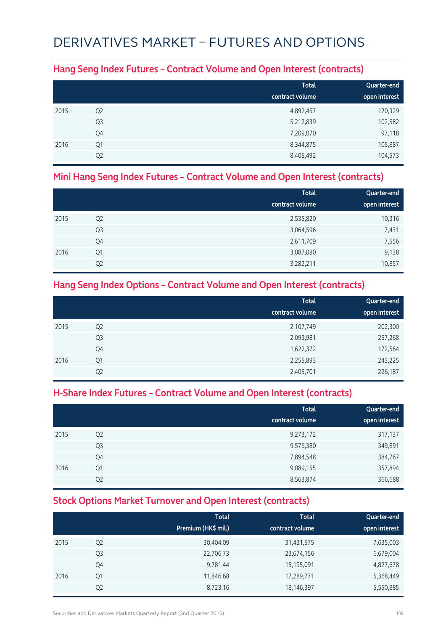## DERIVATIVES MARKET – FUTURES AND OPTIONS

#### **Hang Seng Index Futures – Contract Volume and Open Interest (contracts)**

|      |                | <b>Total</b>    | Quarter-end   |
|------|----------------|-----------------|---------------|
|      |                | contract volume | open interest |
| 2015 | Q <sub>2</sub> | 4,892,457       | 120,329       |
|      | Q <sub>3</sub> | 5,212,839       | 102,582       |
|      | Q4             | 7,209,070       | 97,118        |
| 2016 | Q1             | 8,344,875       | 105,887       |
|      | Q <sub>2</sub> | 8,405,492       | 104,573       |

#### **Mini Hang Seng Index Futures – Contract Volume and Open Interest (contracts)**

|      |                | <b>Total</b><br>contract volume | Quarter-end<br>open interest |
|------|----------------|---------------------------------|------------------------------|
|      |                |                                 |                              |
| 2015 | Q <sub>2</sub> | 2,535,820                       | 10,316                       |
|      | Q <sub>3</sub> | 3,064,596                       | 7,431                        |
|      | Q4             | 2,611,709                       | 7,556                        |
| 2016 | Q <sub>1</sub> | 3,087,080                       | 9,138                        |
|      | Q <sub>2</sub> | 3,282,211                       | 10,857                       |

#### **Hang Seng Index Options – Contract Volume and Open Interest (contracts)**

|      |                | <b>Total</b>    | Quarter-end   |
|------|----------------|-----------------|---------------|
|      |                | contract volume | open interest |
| 2015 | Q <sub>2</sub> | 2,107,749       | 202,300       |
|      | Q <sub>3</sub> | 2,093,981       | 257,268       |
|      | Q4             | 1,622,372       | 172,564       |
| 2016 | Q <sub>1</sub> | 2,255,893       | 243,225       |
|      | Q <sub>2</sub> | 2,405,701       | 226,187       |

### **H-Share Index Futures – Contract Volume and Open Interest (contracts)**

|      |                | <b>Total</b><br>contract volume | Quarter-end<br>open interest |
|------|----------------|---------------------------------|------------------------------|
| 2015 | Q <sub>2</sub> | 9,273,172                       | 317,137                      |
|      | Q <sub>3</sub> | 9,576,380                       | 349,891                      |
|      | Q4             | 7,894,548                       | 384,767                      |
| 2016 | Q1             | 9,089,155                       | 357,894                      |
|      | Q <sub>2</sub> | 8,563,874                       | 366,688                      |

### **Stock Options Market Turnover and Open Interest (contracts)**

|      |                | <b>Total</b><br>Premium (HK\$ mil.) | <b>Total</b><br>contract volume | Quarter-end<br>open interest |
|------|----------------|-------------------------------------|---------------------------------|------------------------------|
| 2015 | Q <sub>2</sub> | 30,404.09                           | 31,431,575                      | 7,635,003                    |
|      | Q <sub>3</sub> | 22,706.73                           | 23,674,156                      | 6,679,004                    |
|      | Q4             | 9,781.44                            | 15,195,091                      | 4,827,678                    |
| 2016 | Q1             | 11,846.68                           | 17,289,771                      | 5,368,449                    |
|      | Q <sub>2</sub> | 8,723.16                            | 18,146,397                      | 5,550,885                    |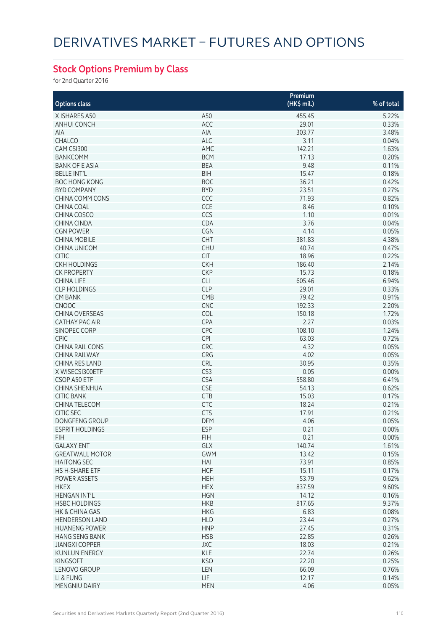## **Stock Options Premium by Class**

for 2nd Quarter 2016

|                        |                 | Premium     |            |
|------------------------|-----------------|-------------|------------|
| <b>Options class</b>   |                 | (HK\$ mil.) | % of total |
| X ISHARES A50          | A50             | 455.45      | 5.22%      |
| ANHUI CONCH            | ACC             | 29.01       | 0.33%      |
| AIA                    | AIA             | 303.77      | 3.48%      |
| CHALCO                 |                 |             |            |
|                        | ALC             | 3.11        | 0.04%      |
| CAM CSI300             | AMC             | 142.21      | 1.63%      |
| <b>BANKCOMM</b>        | <b>BCM</b>      | 17.13       | 0.20%      |
| <b>BANK OF E ASIA</b>  | <b>BEA</b>      | 9.48        | 0.11%      |
| <b>BELLE INT'L</b>     | <b>BIH</b>      | 15.47       | 0.18%      |
| <b>BOC HONG KONG</b>   | <b>BOC</b>      | 36.21       | 0.42%      |
| <b>BYD COMPANY</b>     | <b>BYD</b>      | 23.51       | 0.27%      |
| <b>CHINA COMM CONS</b> | CCC             | 71.93       | 0.82%      |
| CHINA COAL             | CCE             | 8.46        | 0.10%      |
| CHINA COSCO            | CCS             | 1.10        | 0.01%      |
| CHINA CINDA            | CDA             | 3.76        | 0.04%      |
| <b>CGN POWER</b>       | <b>CGN</b>      | 4.14        | 0.05%      |
| <b>CHINA MOBILE</b>    | CHT             | 381.83      | 4.38%      |
| CHINA UNICOM           | <b>CHU</b>      | 40.74       | 0.47%      |
| <b>CITIC</b>           | <b>CIT</b>      | 18.96       | 0.22%      |
| <b>CKH HOLDINGS</b>    | <b>CKH</b>      | 186.40      | 2.14%      |
| <b>CK PROPERTY</b>     | <b>CKP</b>      | 15.73       | 0.18%      |
| <b>CHINA LIFE</b>      | <b>CLI</b>      | 605.46      | 6.94%      |
| <b>CLP HOLDINGS</b>    | <b>CLP</b>      | 29.01       | 0.33%      |
| <b>CM BANK</b>         | CMB             | 79.42       | 0.91%      |
| <b>CNOOC</b>           | <b>CNC</b>      | 192.33      | 2.20%      |
| <b>CHINA OVERSEAS</b>  | COL             | 150.18      | 1.72%      |
| <b>CATHAY PAC AIR</b>  | <b>CPA</b>      | 2.27        | 0.03%      |
| SINOPEC CORP           | CPC             | 108.10      | 1.24%      |
| <b>CPIC</b>            | <b>CPI</b>      | 63.03       | 0.72%      |
| <b>CHINA RAIL CONS</b> | CRC             | 4.32        | 0.05%      |
| <b>CHINA RAILWAY</b>   | CRG             | 4.02        | 0.05%      |
| <b>CHINA RES LAND</b>  | CRL             | 30.95       | 0.35%      |
|                        |                 |             |            |
| X WISECSI300ETF        | CS <sub>3</sub> | 0.05        | 0.00%      |
| CSOP A50 ETF           | <b>CSA</b>      | 558.80      | 6.41%      |
| CHINA SHENHUA          | <b>CSE</b>      | 54.13       | 0.62%      |
| <b>CITIC BANK</b>      | <b>CTB</b>      | 15.03       | 0.17%      |
| CHINA TELECOM          | <b>CTC</b>      | 18.24       | 0.21%      |
| <b>CITIC SEC</b>       | <b>CTS</b>      | 17.91       | 0.21%      |
| <b>DONGFENG GROUP</b>  | <b>DFM</b>      | 4.06        | 0.05%      |
| <b>ESPRIT HOLDINGS</b> | ESP             | 0.21        | 0.00%      |
| <b>FIH</b>             | <b>FIH</b>      | 0.21        | 0.00%      |
| <b>GALAXY ENT</b>      | GLX             | 140.74      | 1.61%      |
| <b>GREATWALL MOTOR</b> | <b>GWM</b>      | 13.42       | 0.15%      |
| <b>HAITONG SEC</b>     | HAI             | 73.91       | 0.85%      |
| <b>HS H-SHARE ETF</b>  | <b>HCF</b>      | 15.11       | 0.17%      |
| POWER ASSETS           | <b>HEH</b>      | 53.79       | 0.62%      |
| <b>HKEX</b>            | <b>HEX</b>      | 837.59      | 9.60%      |
| <b>HENGAN INT'L</b>    | <b>HGN</b>      | 14.12       | 0.16%      |
| <b>HSBC HOLDINGS</b>   | <b>HKB</b>      | 817.65      | 9.37%      |
| HK & CHINA GAS         | <b>HKG</b>      | 6.83        | 0.08%      |
| <b>HENDERSON LAND</b>  | <b>HLD</b>      | 23.44       | 0.27%      |
| <b>HUANENG POWER</b>   | <b>HNP</b>      | 27.45       | 0.31%      |
| <b>HANG SENG BANK</b>  | <b>HSB</b>      | 22.85       | 0.26%      |
| <b>JIANGXI COPPER</b>  | JXC             | 18.03       | 0.21%      |
| <b>KUNLUN ENERGY</b>   | <b>KLE</b>      | 22.74       | 0.26%      |
| <b>KINGSOFT</b>        | <b>KSO</b>      | 22.20       | 0.25%      |
| LENOVO GROUP           | LEN             | 66.09       | 0.76%      |
| LI & FUNG              | <b>LIF</b>      | 12.17       | 0.14%      |
| MENGNIU DAIRY          | <b>MEN</b>      | 4.06        | 0.05%      |
|                        |                 |             |            |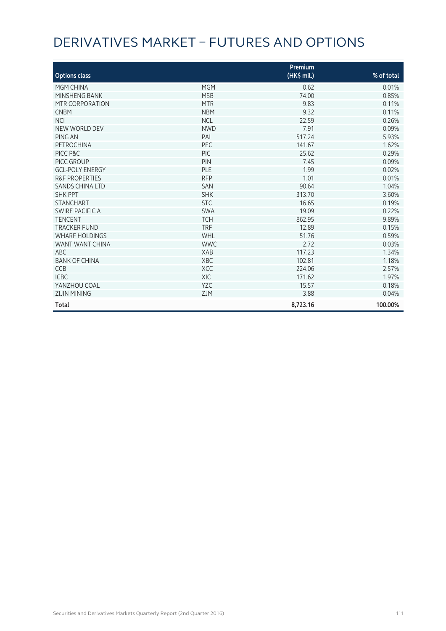# DERIVATIVES MARKET – FUTURES AND OPTIONS

|                           |            | Premium     |            |
|---------------------------|------------|-------------|------------|
| <b>Options class</b>      |            | (HK\$ mil.) | % of total |
| MGM CHINA                 | <b>MGM</b> | 0.62        | 0.01%      |
| MINSHENG BANK             | <b>MSB</b> | 74.00       | 0.85%      |
| MTR CORPORATION           | <b>MTR</b> | 9.83        | 0.11%      |
| <b>CNBM</b>               | <b>NBM</b> | 9.32        | 0.11%      |
| <b>NCI</b>                | <b>NCL</b> | 22.59       | 0.26%      |
| NEW WORLD DEV             | <b>NWD</b> | 7.91        | 0.09%      |
| PING AN                   | PAI        | 517.24      | 5.93%      |
| <b>PETROCHINA</b>         | PEC        | 141.67      | 1.62%      |
| PICC P&C                  | <b>PIC</b> | 25.62       | 0.29%      |
| PICC GROUP                | PIN        | 7.45        | 0.09%      |
| <b>GCL-POLY ENERGY</b>    | PLE        | 1.99        | 0.02%      |
| <b>R&amp;F PROPERTIES</b> | <b>RFP</b> | 1.01        | 0.01%      |
| <b>SANDS CHINA LTD</b>    | <b>SAN</b> | 90.64       | 1.04%      |
| <b>SHK PPT</b>            | <b>SHK</b> | 313.70      | 3.60%      |
| <b>STANCHART</b>          | <b>STC</b> | 16.65       | 0.19%      |
| SWIRE PACIFIC A           | <b>SWA</b> | 19.09       | 0.22%      |
| <b>TENCENT</b>            | <b>TCH</b> | 862.95      | 9.89%      |
| <b>TRACKER FUND</b>       | <b>TRF</b> | 12.89       | 0.15%      |
| <b>WHARF HOLDINGS</b>     | WHL        | 51.76       | 0.59%      |
| WANT WANT CHINA           | <b>WWC</b> | 2.72        | 0.03%      |
| <b>ABC</b>                | <b>XAB</b> | 117.23      | 1.34%      |
| <b>BANK OF CHINA</b>      | <b>XBC</b> | 102.81      | 1.18%      |
| <b>CCB</b>                | <b>XCC</b> | 224.06      | 2.57%      |
| <b>ICBC</b>               | <b>XIC</b> | 171.62      | 1.97%      |
| YANZHOU COAL              | <b>YZC</b> | 15.57       | 0.18%      |
| <b>ZIJIN MINING</b>       | <b>ZJM</b> | 3.88        | 0.04%      |
| Total                     |            | 8,723.16    | 100.00%    |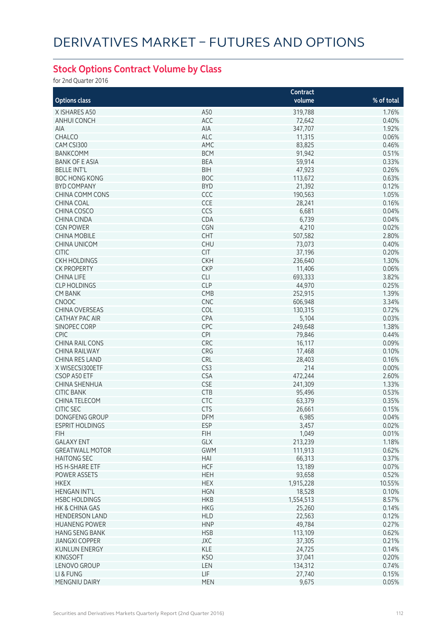## **Stock Options Contract Volume by Class**

for 2nd Quarter 2016

|                                                |                          | Contract          |            |
|------------------------------------------------|--------------------------|-------------------|------------|
| <b>Options class</b>                           |                          | volume            | % of total |
| X ISHARES A50                                  | A50                      | 319,788           | 1.76%      |
| <b>ANHUI CONCH</b>                             | ACC                      | 72,642            | 0.40%      |
| AIA                                            | AIA                      | 347,707           | 1.92%      |
| CHALCO                                         | ALC                      | 11,315            | 0.06%      |
| CAM CSI300                                     | AMC                      | 83,825            | 0.46%      |
| <b>BANKCOMM</b>                                | <b>BCM</b>               | 91,942            | 0.51%      |
| <b>BANK OF E ASIA</b>                          | <b>BEA</b>               | 59,914            | 0.33%      |
| <b>BELLE INT'L</b>                             | <b>BIH</b>               | 47,923            | 0.26%      |
| <b>BOC HONG KONG</b>                           | <b>BOC</b>               |                   | 0.63%      |
| <b>BYD COMPANY</b>                             | <b>BYD</b>               | 113,672           |            |
|                                                |                          | 21,392            | 0.12%      |
| <b>CHINA COMM CONS</b>                         | CCC                      | 190,563           | 1.05%      |
| <b>CHINA COAL</b>                              | CCE                      | 28,241            | 0.16%      |
| CHINA COSCO                                    | CCS                      | 6,681             | 0.04%      |
| <b>CHINA CINDA</b>                             | CDA                      | 6,739             | 0.04%      |
| <b>CGN POWER</b>                               | CGN                      | 4,210             | 0.02%      |
| <b>CHINA MOBILE</b>                            | CHT                      | 507,582           | 2.80%      |
| <b>CHINA UNICOM</b>                            | <b>CHU</b>               | 73,073            | 0.40%      |
| <b>CITIC</b>                                   | <b>CIT</b>               | 37,196            | 0.20%      |
| <b>CKH HOLDINGS</b>                            | <b>CKH</b>               | 236,640           | 1.30%      |
| <b>CK PROPERTY</b>                             | <b>CKP</b>               | 11,406            | 0.06%      |
| <b>CHINA LIFE</b>                              | <b>CLI</b>               | 693,333           | 3.82%      |
| <b>CLP HOLDINGS</b>                            | <b>CLP</b>               | 44,970            | 0.25%      |
| <b>CM BANK</b>                                 | CMB                      | 252,915           | 1.39%      |
| CNOOC                                          | <b>CNC</b>               | 606,948           | 3.34%      |
| <b>CHINA OVERSEAS</b>                          | COL                      | 130,315           | 0.72%      |
| <b>CATHAY PAC AIR</b>                          | CPA                      | 5,104             | 0.03%      |
| <b>SINOPEC CORP</b>                            | CPC                      | 249,648           | 1.38%      |
| <b>CPIC</b>                                    | <b>CPI</b>               | 79,846            | 0.44%      |
| <b>CHINA RAIL CONS</b>                         | CRC                      | 16,117            | 0.09%      |
| <b>CHINA RAILWAY</b>                           | CRG                      | 17,468            | 0.10%      |
| CHINA RES LAND                                 | CRL                      | 28,403            | 0.16%      |
| X WISECSI300ETF                                | CS3                      | 214               | 0.00%      |
| CSOP A50 ETF                                   | <b>CSA</b>               | 472,244           | 2.60%      |
| CHINA SHENHUA                                  | <b>CSE</b>               | 241,309           | 1.33%      |
| <b>CITIC BANK</b>                              | <b>CTB</b>               | 95,496            | 0.53%      |
| CHINA TELECOM                                  | CTC                      | 63,379            | 0.35%      |
| <b>CITIC SEC</b>                               | <b>CTS</b>               | 26,661            | 0.15%      |
| DONGFENG GROUP                                 | <b>DFM</b>               | 6,985             | 0.04%      |
| ESPRIT HOLDINGS                                | <b>ESP</b>               | 3,457             | $0.02\%$   |
| FIH                                            | <b>FIH</b>               | 1,049             | 0.01%      |
| <b>GALAXY ENT</b>                              | GLX                      | 213,239           | 1.18%      |
| <b>GREATWALL MOTOR</b>                         | <b>GWM</b>               | 111,913           | 0.62%      |
| <b>HAITONG SEC</b>                             | HAI                      | 66,313            | 0.37%      |
| <b>HS H-SHARE ETF</b>                          | <b>HCF</b>               | 13,189            | 0.07%      |
| POWER ASSETS                                   | <b>HEH</b>               | 93,658            | 0.52%      |
| <b>HKEX</b>                                    | <b>HEX</b>               | 1,915,228         | 10.55%     |
| <b>HENGAN INT'L</b>                            | <b>HGN</b>               | 18,528            | 0.10%      |
| <b>HSBC HOLDINGS</b>                           | <b>HKB</b>               | 1,554,513         | 8.57%      |
| HK & CHINA GAS                                 | <b>HKG</b>               | 25,260            | 0.14%      |
| <b>HENDERSON LAND</b>                          | <b>HLD</b>               | 22,563            | 0.12%      |
| <b>HUANENG POWER</b>                           | <b>HNP</b>               | 49,784            | 0.27%      |
|                                                |                          |                   | 0.62%      |
| <b>HANG SENG BANK</b><br><b>JIANGXI COPPER</b> | <b>HSB</b><br><b>JXC</b> | 113,109<br>37,305 | 0.21%      |
|                                                | KLE                      |                   |            |
| <b>KUNLUN ENERGY</b>                           |                          | 24,725            | 0.14%      |
| <b>KINGSOFT</b>                                | <b>KSO</b>               | 37,041            | 0.20%      |
| LENOVO GROUP                                   | LEN                      | 134,312           | 0.74%      |
| LI & FUNG                                      | <b>LIF</b>               | 27,740            | 0.15%      |
| MENGNIU DAIRY                                  | MEN                      | 9,675             | 0.05%      |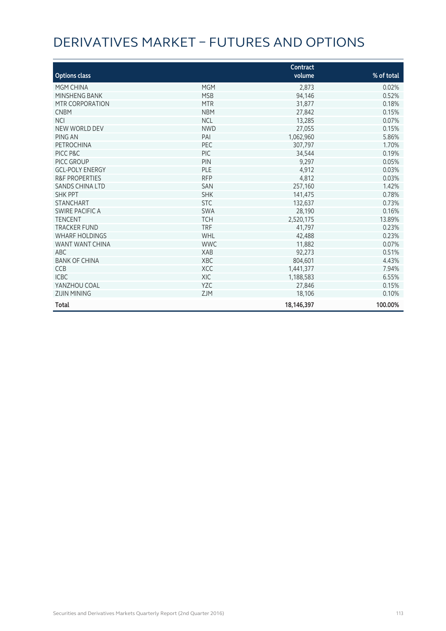# DERIVATIVES MARKET – FUTURES AND OPTIONS

|                           |            | Contract   |            |
|---------------------------|------------|------------|------------|
| <b>Options class</b>      |            | volume     | % of total |
| MGM CHINA                 | <b>MGM</b> | 2,873      | 0.02%      |
| MINSHENG BANK             | <b>MSB</b> | 94,146     | 0.52%      |
| MTR CORPORATION           | <b>MTR</b> | 31,877     | 0.18%      |
| <b>CNBM</b>               | <b>NBM</b> | 27,842     | 0.15%      |
| <b>NCI</b>                | <b>NCL</b> | 13,285     | 0.07%      |
| <b>NEW WORLD DEV</b>      | <b>NWD</b> | 27,055     | 0.15%      |
| PING AN                   | PAI        | 1,062,960  | 5.86%      |
| PETROCHINA                | PEC        | 307,797    | 1.70%      |
| PICC P&C                  | <b>PIC</b> | 34,544     | 0.19%      |
| PICC GROUP                | PIN        | 9,297      | 0.05%      |
| <b>GCL-POLY ENERGY</b>    | PLE        | 4,912      | 0.03%      |
| <b>R&amp;F PROPERTIES</b> | <b>RFP</b> | 4,812      | 0.03%      |
| <b>SANDS CHINA LTD</b>    | <b>SAN</b> | 257,160    | 1.42%      |
| <b>SHK PPT</b>            | <b>SHK</b> | 141,475    | 0.78%      |
| <b>STANCHART</b>          | <b>STC</b> | 132,637    | 0.73%      |
| SWIRE PACIFIC A           | <b>SWA</b> | 28,190     | 0.16%      |
| <b>TENCENT</b>            | <b>TCH</b> | 2,520,175  | 13.89%     |
| <b>TRACKER FUND</b>       | <b>TRF</b> | 41,797     | 0.23%      |
| <b>WHARF HOLDINGS</b>     | WHL        | 42,488     | 0.23%      |
| WANT WANT CHINA           | <b>WWC</b> | 11,882     | 0.07%      |
| ABC                       | <b>XAB</b> | 92,273     | 0.51%      |
| <b>BANK OF CHINA</b>      | XBC        | 804,601    | 4.43%      |
| <b>CCB</b>                | <b>XCC</b> | 1,441,377  | 7.94%      |
| <b>ICBC</b>               | <b>XIC</b> | 1,188,583  | 6.55%      |
| YANZHOU COAL              | <b>YZC</b> | 27,846     | 0.15%      |
| <b>ZIJIN MINING</b>       | <b>ZJM</b> | 18,106     | 0.10%      |
| <b>Total</b>              |            | 18,146,397 | 100.00%    |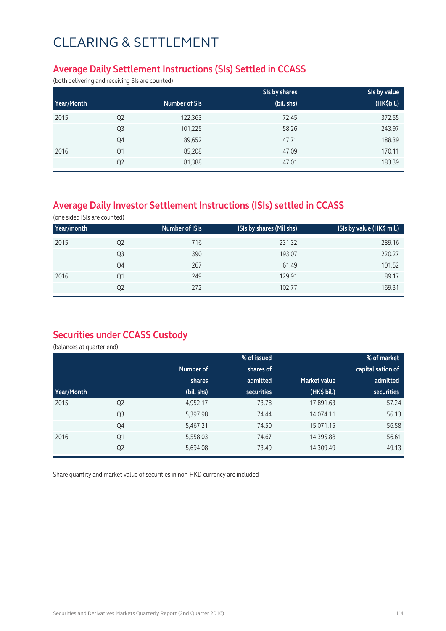#### **Average Daily Settlement Instructions (SIs) Settled in CCASS**

(both delivering and receiving SIs are counted)

|            |                |               | SIs by shares | SIs by value |
|------------|----------------|---------------|---------------|--------------|
| Year/Month |                | Number of SIs | (bil. shs)    | (HK\$bil.)   |
| 2015       | Q <sub>2</sub> | 122,363       | 72.45         | 372.55       |
|            | Q <sub>3</sub> | 101,225       | 58.26         | 243.97       |
|            | Q4             | 89,652        | 47.71         | 188.39       |
| 2016       | Q1             | 85,208        | 47.09         | 170.11       |
|            | Q <sub>2</sub> | 81,388        | 47.01         | 183.39       |

## **Average Daily Investor Settlement Instructions (ISIs) settled in CCASS**

(one sided ISIs are counted)

| Year/month |    | Number of ISIs | ISIs by shares (Mil shs) | ISIs by value (HK\$ mil.) |
|------------|----|----------------|--------------------------|---------------------------|
| 2015       | Q2 | 716            | 231.32                   | 289.16                    |
|            | Q3 | 390            | 193.07                   | 220.27                    |
|            | Q4 | 267            | 61.49                    | 101.52                    |
| 2016       | Q1 | 249            | 129.91                   | 89.17                     |
|            | Q2 | 272            | 102.77                   | 169.31                    |

### **Securities under CCASS Custody**

(balances at quarter end)

|            |                |            | % of issued       |                     | % of market       |
|------------|----------------|------------|-------------------|---------------------|-------------------|
|            |                | Number of  | shares of         |                     | capitalisation of |
|            |                | shares     | admitted          | <b>Market value</b> | admitted          |
| Year/Month |                | (bil. shs) | <b>securities</b> | (HK\$ bil.)         | <b>securities</b> |
| 2015       | Q <sub>2</sub> | 4,952.17   | 73.78             | 17,891.63           | 57.24             |
|            | Q <sub>3</sub> | 5,397.98   | 74.44             | 14,074.11           | 56.13             |
|            | Q4             | 5,467.21   | 74.50             | 15,071.15           | 56.58             |
| 2016       | Q1             | 5,558.03   | 74.67             | 14,395.88           | 56.61             |
|            | Q <sub>2</sub> | 5,694.08   | 73.49             | 14,309.49           | 49.13             |

Share quantity and market value of securities in non-HKD currency are included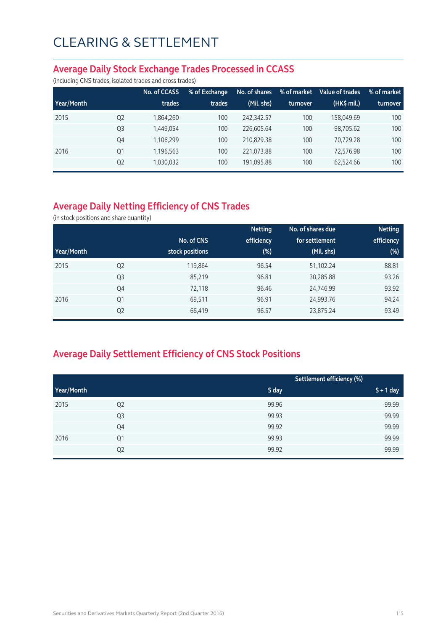#### **Average Daily Stock Exchange Trades Processed in CCASS**

(including CNS trades, isolated trades and cross trades)

|            |                | No. of CCASS | % of Exchange | No. of shares | % of market | Value of trades | % of market |
|------------|----------------|--------------|---------------|---------------|-------------|-----------------|-------------|
| Year/Month |                | trades       | trades        | (Mil. shs)    | turnover    | $(HK\$ mil.)    | turnover    |
| 2015       | Q <sub>2</sub> | 1,864,260    | 100           | 242.342.57    | 100         | 158,049.69      | 100         |
|            | Q <sub>3</sub> | 1,449,054    | 100           | 226,605.64    | 100         | 98,705.62       | 100         |
|            | Q4             | 1,106,299    | 100           | 210,829.38    | 100         | 70,729.28       | 100         |
| 2016       | Q1             | 1,196,563    | 100           | 221,073.88    | 100         | 72,576.98       | 100         |
|            | Q <sub>2</sub> | 1,030,032    | 100           | 191,095.88    | 100         | 62,524.66       | 100         |

## **Average Daily Netting Efficiency of CNS Trades**

(in stock positions and share quantity)

|            |                |                 | <b>Netting</b> | No. of shares due | <b>Netting</b> |
|------------|----------------|-----------------|----------------|-------------------|----------------|
|            |                | No. of CNS      | efficiency     | for settlement    | efficiency     |
| Year/Month |                | stock positions | $(\%)$         | (Mil. shs)        | (%)            |
| 2015       | Q <sub>2</sub> | 119,864         | 96.54          | 51,102.24         | 88.81          |
|            | Q <sub>3</sub> | 85,219          | 96.81          | 30,285.88         | 93.26          |
|            | Q4             | 72,118          | 96.46          | 24,746.99         | 93.92          |
| 2016       | Q <sub>1</sub> | 69,511          | 96.91          | 24,993.76         | 94.24          |
|            | Q <sub>2</sub> | 66,419          | 96.57          | 23,875.24         | 93.49          |

## **Average Daily Settlement Efficiency of CNS Stock Positions**

|            |                | Settlement efficiency (%) |             |
|------------|----------------|---------------------------|-------------|
| Year/Month |                | S day                     | $S + 1$ day |
| 2015       | Q <sub>2</sub> | 99.96                     | 99.99       |
|            | Q3             | 99.93                     | 99.99       |
|            | Q4             | 99.92                     | 99.99       |
| 2016       | Q1             | 99.93                     | 99.99       |
|            | Q <sub>2</sub> | 99.92                     | 99.99       |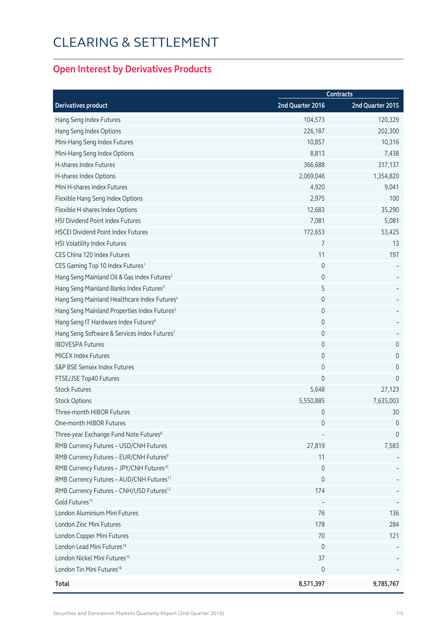## **Open Interest by Derivatives Products**

|                                                          | <b>Contracts</b>    |                     |
|----------------------------------------------------------|---------------------|---------------------|
| <b>Derivatives product</b>                               | 2nd Quarter 2016    | 2nd Quarter 2015    |
| Hang Seng Index Futures                                  | 104,573             | 120,329             |
| Hang Seng Index Options                                  | 226,187             | 202,300             |
| Mini-Hang Seng Index Futures                             | 10,857              | 10,316              |
| Mini-Hang Seng Index Options                             | 8,813               | 7,438               |
| H-shares Index Futures                                   | 366,688             | 317,137             |
| H-shares Index Options                                   | 2,069,046           | 1,354,820           |
| Mini H-shares Index Futures                              | 4,920               | 9,041               |
| Flexible Hang Seng Index Options                         | 2,975               | 100                 |
| Flexible H-shares Index Options                          | 12,683              | 35,290              |
| HSI Dividend Point Index Futures                         | 7,081               | 5,081               |
| <b>HSCEI Dividend Point Index Futures</b>                | 172,653             | 53,425              |
| HSI Volatility Index Futures                             | 7                   | 13                  |
| CES China 120 Index Futures                              | 11                  | 197                 |
| CES Gaming Top 10 Index Futures <sup>1</sup>             | $\mathbf 0$         |                     |
| Hang Seng Mainland Oil & Gas Index Futures <sup>2</sup>  | $\mathsf{O}\xspace$ |                     |
| Hang Seng Mainland Banks Index Futures <sup>3</sup>      | 5                   |                     |
| Hang Seng Mainland Healthcare Index Futures <sup>4</sup> | 0                   |                     |
| Hang Seng Mainland Properties Index Futures <sup>5</sup> | 0                   |                     |
| Hang Seng IT Hardware Index Futures <sup>6</sup>         | $\mathsf{O}\xspace$ |                     |
| Hang Seng Software & Services Index Futures7             | 0                   |                     |
| <b>IBOVESPA Futures</b>                                  | $\mathsf{O}\xspace$ | $\mathsf{O}\xspace$ |
| <b>MICEX Index Futures</b>                               | 0                   | $\mathbf 0$         |
| S&P BSE Sensex Index Futures                             | $\mathsf{O}\xspace$ | $\mathbf 0$         |
| FTSE/JSE Top40 Futures                                   | 0                   | $\mathbf{0}$        |
| <b>Stock Futures</b>                                     | 5,648               | 27,123              |
| <b>Stock Options</b>                                     | 5,550,885           | 7,635,003           |
| Three-month HIBOR Futures                                | 0                   | 30                  |
| One-month HIBOR Futures                                  | 0                   | 0                   |
| Three-year Exchange Fund Note Futures <sup>8</sup>       |                     | $\mathbf 0$         |
| RMB Currency Futures - USD/CNH Futures                   | 27,819              | 7,583               |
| RMB Currency Futures - EUR/CNH Futures <sup>9</sup>      | 11                  |                     |
| RMB Currency Futures - JPY/CNH Futures <sup>10</sup>     | $\mathbf 0$         |                     |
| RMB Currency Futures - AUD/CNH Futures <sup>11</sup>     | 0                   |                     |
| RMB Currency Futures - CNH/USD Futures <sup>12</sup>     | 174                 |                     |
| Gold Futures <sup>13</sup>                               |                     |                     |
| London Aluminium Mini Futures                            | 76                  | 136                 |
| London Zinc Mini Futures                                 | 178                 | 284                 |
| London Copper Mini Futures                               | 70                  | 121                 |
| London Lead Mini Futures <sup>14</sup>                   | 0                   |                     |
| London Nickel Mini Futures <sup>15</sup>                 | 37                  |                     |
| London Tin Mini Futures <sup>16</sup>                    | 0                   |                     |
| <b>Total</b>                                             | 8,571,397           | 9,785,767           |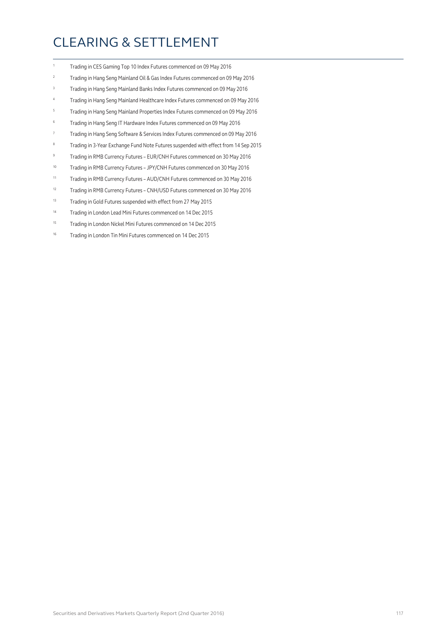- 1 Trading in CES Gaming Top 10 Index Futures commenced on 09 May 2016
- 2 Trading in Hang Seng Mainland Oil & Gas Index Futures commenced on 09 May 2016
- 3 Trading in Hang Seng Mainland Banks Index Futures commenced on 09 May 2016
- 4 Trading in Hang Seng Mainland Healthcare Index Futures commenced on 09 May 2016
- 5 Trading in Hang Seng Mainland Properties Index Futures commenced on 09 May 2016
- 6 Trading in Hang Seng IT Hardware Index Futures commenced on 09 May 2016
- 7 Trading in Hang Seng Software & Services Index Futures commenced on 09 May 2016
- 8 Trading in 3-Year Exchange Fund Note Futures suspended with effect from 14 Sep 2015
- 9 Trading in RMB Currency Futures EUR/CNH Futures commenced on 30 May 2016
- 10 Trading in RMB Currency Futures JPY/CNH Futures commenced on 30 May 2016
- 11 Trading in RMB Currency Futures AUD/CNH Futures commenced on 30 May 2016
- 12 Trading in RMB Currency Futures CNH/USD Futures commenced on 30 May 2016
- 13 Trading in Gold Futures suspended with effect from 27 May 2015
- 14 Trading in London Lead Mini Futures commenced on 14 Dec 2015
- 15 Trading in London Nickel Mini Futures commenced on 14 Dec 2015
- <sup>16</sup> Trading in London Tin Mini Futures commenced on 14 Dec 2015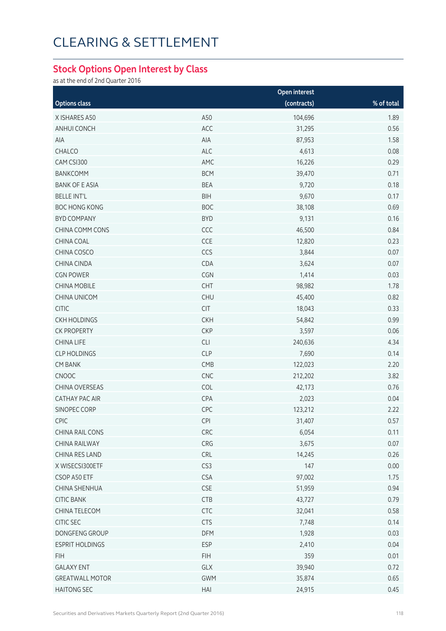#### **Stock Options Open Interest by Class**

as at the end of 2nd Quarter 2016

|                        |            | Open interest |            |
|------------------------|------------|---------------|------------|
| <b>Options class</b>   |            | (contracts)   | % of total |
| X ISHARES A50          | A50        | 104,696       | 1.89       |
| ANHUI CONCH            | ACC        | 31,295        | 0.56       |
| AIA                    | AIA        | 87,953        | 1.58       |
| CHALCO                 | ALC        | 4,613         | 0.08       |
| CAM CSI300             | AMC        | 16,226        | 0.29       |
| <b>BANKCOMM</b>        | <b>BCM</b> | 39,470        | 0.71       |
| <b>BANK OF E ASIA</b>  | <b>BEA</b> | 9,720         | 0.18       |
| <b>BELLE INT'L</b>     | <b>BIH</b> | 9,670         | 0.17       |
| <b>BOC HONG KONG</b>   | <b>BOC</b> | 38,108        | 0.69       |
| <b>BYD COMPANY</b>     | <b>BYD</b> | 9,131         | 0.16       |
| CHINA COMM CONS        | CCC        | 46,500        | 0.84       |
| CHINA COAL             | CCE        | 12,820        | 0.23       |
| CHINA COSCO            | CCS        | 3,844         | 0.07       |
| CHINA CINDA            | CDA        | 3,624         | 0.07       |
| <b>CGN POWER</b>       | CGN        | 1,414         | 0.03       |
| <b>CHINA MOBILE</b>    | <b>CHT</b> | 98,982        | 1.78       |
| CHINA UNICOM           | <b>CHU</b> | 45,400        | 0.82       |
| <b>CITIC</b>           | <b>CIT</b> | 18,043        | 0.33       |
| <b>CKH HOLDINGS</b>    | <b>CKH</b> | 54,842        | 0.99       |
| <b>CK PROPERTY</b>     | <b>CKP</b> | 3,597         | 0.06       |
| <b>CHINA LIFE</b>      | CLI        | 240,636       | 4.34       |
| <b>CLP HOLDINGS</b>    | <b>CLP</b> | 7,690         | 0.14       |
| <b>CM BANK</b>         | CMB        | 122,023       | 2.20       |
| CNOOC                  | CNC        | 212,202       | 3.82       |
| CHINA OVERSEAS         | COL        | 42,173        | 0.76       |
| <b>CATHAY PAC AIR</b>  | CPA        | 2,023         | 0.04       |
| SINOPEC CORP           | CPC        | 123,212       | 2.22       |
| <b>CPIC</b>            | <b>CPI</b> | 31,407        | 0.57       |
| CHINA RAIL CONS        | CRC        | 6,054         | 0.11       |
| CHINA RAILWAY          | CRG        | 3,675         | 0.07       |
| CHINA RES LAND         | <b>CRL</b> | 14,245        | 0.26       |
| X WISECSI300ETF        | CS3        | 147           | 0.00       |
| CSOP A50 ETF           | <b>CSA</b> | 97,002        | 1.75       |
| CHINA SHENHUA          | <b>CSE</b> | 51,959        | 0.94       |
| <b>CITIC BANK</b>      | CTB        | 43,727        | 0.79       |
| CHINA TELECOM          | <b>CTC</b> | 32,041        | 0.58       |
| CITIC SEC              | <b>CTS</b> | 7,748         | 0.14       |
| DONGFENG GROUP         | DFM        | 1,928         | 0.03       |
| <b>ESPRIT HOLDINGS</b> | <b>ESP</b> | 2,410         | 0.04       |
| <b>FIH</b>             | <b>FIH</b> | 359           | 0.01       |
| <b>GALAXY ENT</b>      | GLX        | 39,940        | 0.72       |
| <b>GREATWALL MOTOR</b> | <b>GWM</b> | 35,874        | 0.65       |
| <b>HAITONG SEC</b>     | HAI        | 24,915        | 0.45       |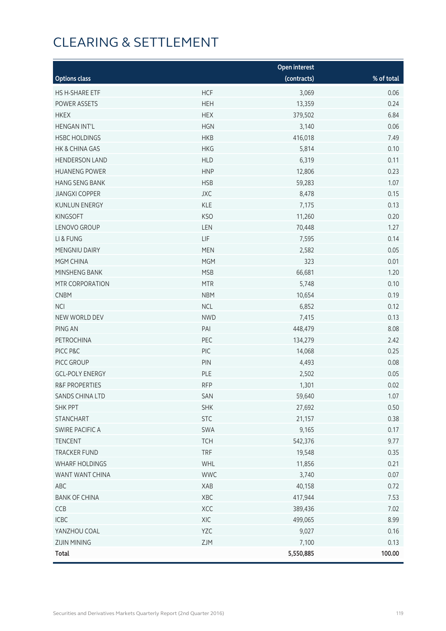|                           |            | Open interest |            |
|---------------------------|------------|---------------|------------|
| <b>Options class</b>      |            | (contracts)   | % of total |
| HS H-SHARE ETF            | <b>HCF</b> | 3,069         | 0.06       |
| POWER ASSETS              | <b>HEH</b> | 13,359        | 0.24       |
| <b>HKEX</b>               | <b>HEX</b> | 379,502       | 6.84       |
| <b>HENGAN INT'L</b>       | <b>HGN</b> | 3,140         | 0.06       |
| <b>HSBC HOLDINGS</b>      | <b>HKB</b> | 416,018       | 7.49       |
| HK & CHINA GAS            | <b>HKG</b> | 5,814         | 0.10       |
| <b>HENDERSON LAND</b>     | <b>HLD</b> | 6,319         | 0.11       |
| <b>HUANENG POWER</b>      | <b>HNP</b> | 12,806        | 0.23       |
| <b>HANG SENG BANK</b>     | <b>HSB</b> | 59,283        | 1.07       |
| <b>JIANGXI COPPER</b>     | <b>JXC</b> | 8,478         | 0.15       |
| <b>KUNLUN ENERGY</b>      | <b>KLE</b> | 7,175         | 0.13       |
| <b>KINGSOFT</b>           | <b>KSO</b> | 11,260        | 0.20       |
| LENOVO GROUP              | LEN        | 70,448        | 1.27       |
| LI & FUNG                 | LIF        | 7,595         | 0.14       |
| MENGNIU DAIRY             | <b>MEN</b> | 2,582         | 0.05       |
| MGM CHINA                 | <b>MGM</b> | 323           | 0.01       |
| MINSHENG BANK             | <b>MSB</b> | 66,681        | 1.20       |
| MTR CORPORATION           | <b>MTR</b> | 5,748         | 0.10       |
| <b>CNBM</b>               | <b>NBM</b> | 10,654        | 0.19       |
| <b>NCI</b>                | <b>NCL</b> | 6,852         | 0.12       |
| NEW WORLD DEV             | <b>NWD</b> | 7,415         | 0.13       |
| PING AN                   | PAI        | 448,479       | 8.08       |
| PETROCHINA                | PEC        | 134,279       | 2.42       |
| PICC P&C                  | PIC        | 14,068        | 0.25       |
| PICC GROUP                | PIN        | 4,493         | 0.08       |
| <b>GCL-POLY ENERGY</b>    | PLE        | 2,502         | 0.05       |
| <b>R&amp;F PROPERTIES</b> | <b>RFP</b> | 1,301         | 0.02       |
| SANDS CHINA LTD           | SAN        | 59,640        | 1.07       |
| <b>SHK PPT</b>            | <b>SHK</b> | 27,692        | 0.50       |
| <b>STANCHART</b>          | <b>STC</b> | 21,157        | 0.38       |
| SWIRE PACIFIC A           | SWA        | 9,165         | 0.17       |
| <b>TENCENT</b>            | <b>TCH</b> | 542,376       | 9.77       |
| <b>TRACKER FUND</b>       | <b>TRF</b> | 19,548        | 0.35       |
| WHARF HOLDINGS            | WHL        | 11,856        | 0.21       |
| WANT WANT CHINA           | <b>WWC</b> | 3,740         | 0.07       |
| ABC                       | XAB        | 40,158        | 0.72       |
| <b>BANK OF CHINA</b>      | XBC        | 417,944       | 7.53       |
| CCB                       | XCC        | 389,436       | 7.02       |
| ICBC                      | XIC        | 499,065       | 8.99       |
| YANZHOU COAL              | YZC        | 9,027         | 0.16       |
| <b>ZIJIN MINING</b>       | ZJM        | 7,100         | 0.13       |
| <b>Total</b>              |            | 5,550,885     | 100.00     |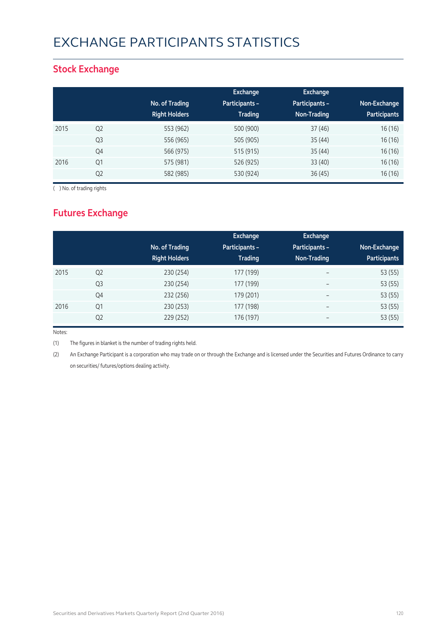# EXCHANGE PARTICIPANTS STATISTICS

### **Stock Exchange**

|      |                | No. of Trading<br><b>Right Holders</b> | Exchange<br><b>Participants -</b><br><b>Trading</b> | <b>Exchange</b><br>Participants -<br>Non-Trading | Non-Exchange<br><b>Participants</b> |
|------|----------------|----------------------------------------|-----------------------------------------------------|--------------------------------------------------|-------------------------------------|
| 2015 | Q <sub>2</sub> | 553 (962)                              | 500 (900)                                           | 37(46)                                           | 16 (16)                             |
|      | Q <sub>3</sub> | 556 (965)                              | 505 (905)                                           | 35(44)                                           | 16 (16)                             |
|      | Q4             | 566 (975)                              | 515 (915)                                           | 35(44)                                           | 16(16)                              |
| 2016 | Q1             | 575 (981)                              | 526 (925)                                           | 33(40)                                           | 16(16)                              |
|      | Q <sub>2</sub> | 582 (985)                              | 530 (924)                                           | 36(45)                                           | 16(16)                              |

( ) No. of trading rights

## **Futures Exchange**

|      |                | No. of Trading<br><b>Right Holders</b> | Exchange<br><b>Participants -</b><br><b>Trading</b> | Exchange<br>Participants -<br>Non-Trading | Non-Exchange<br><b>Participants</b> |
|------|----------------|----------------------------------------|-----------------------------------------------------|-------------------------------------------|-------------------------------------|
| 2015 | Q <sub>2</sub> | 230 (254)                              | 177 (199)                                           | $\overline{\phantom{a}}$                  | 53 (55)                             |
|      | Q <sub>3</sub> | 230 (254)                              | 177 (199)                                           | $\overline{\phantom{a}}$                  | 53 (55)                             |
|      | Q4             | 232 (256)                              | 179 (201)                                           | $\overline{\phantom{m}}$                  | 53 (55)                             |
| 2016 | Q1             | 230 (253)                              | 177 (198)                                           | $\overline{\phantom{m}}$                  | 53 (55)                             |
|      | Q <sub>2</sub> | 229 (252)                              | 176 (197)                                           | $\qquad \qquad$                           | 53 (55)                             |

Notes:

(1) The figures in blanket is the number of trading rights held.

(2) An Exchange Participant is a corporation who may trade on or through the Exchange and is licensed under the Securities and Futures Ordinance to carry on securities/ futures/options dealing activity.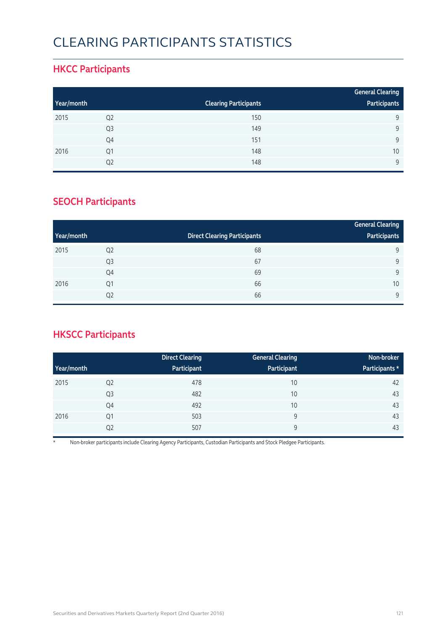# CLEARING PARTICIPANTS STATISTICS

### **HKCC Participants**

|            |                |                              | <b>General Clearing</b> |
|------------|----------------|------------------------------|-------------------------|
| Year/month |                | <b>Clearing Participants</b> | Participants            |
| 2015       | Q <sub>2</sub> | 150                          | 9                       |
|            | Q <sub>3</sub> | 149                          | Q                       |
|            | Q4             | 151                          | 9                       |
| 2016       | Q1             | 148                          | 10                      |
|            | Q2             | 148                          | $\mathsf{Q}$            |

### **SEOCH Participants**

|            |                |                                     | <b>General Clearing</b> |
|------------|----------------|-------------------------------------|-------------------------|
| Year/month |                | <b>Direct Clearing Participants</b> | Participants            |
| 2015       | Q <sub>2</sub> | 68                                  | 9                       |
|            | Q <sub>3</sub> | 67                                  | 9                       |
|            | Q4             | 69                                  | 9                       |
| 2016       | Q <sub>1</sub> | 66                                  | 10                      |
|            | Q <sub>2</sub> | 66                                  | 9                       |

## **HKSCC Participants**

|            |                | <b>Direct Clearing</b> | <b>General Clearing</b> | Non-broker     |
|------------|----------------|------------------------|-------------------------|----------------|
| Year/month |                | Participant            | Participant             | Participants * |
| 2015       | Q <sub>2</sub> | 478                    | 10                      | 42             |
|            | Q <sub>3</sub> | 482                    | 10                      | 43             |
|            | Q4             | 492                    | 10                      | 43             |
| 2016       | Q <sub>1</sub> | 503                    | 9                       | 43             |
|            | Q <sub>2</sub> | 507                    | 9                       | 43             |

\* Non-broker participants include Clearing Agency Participants, Custodian Participants and Stock Pledgee Participants.